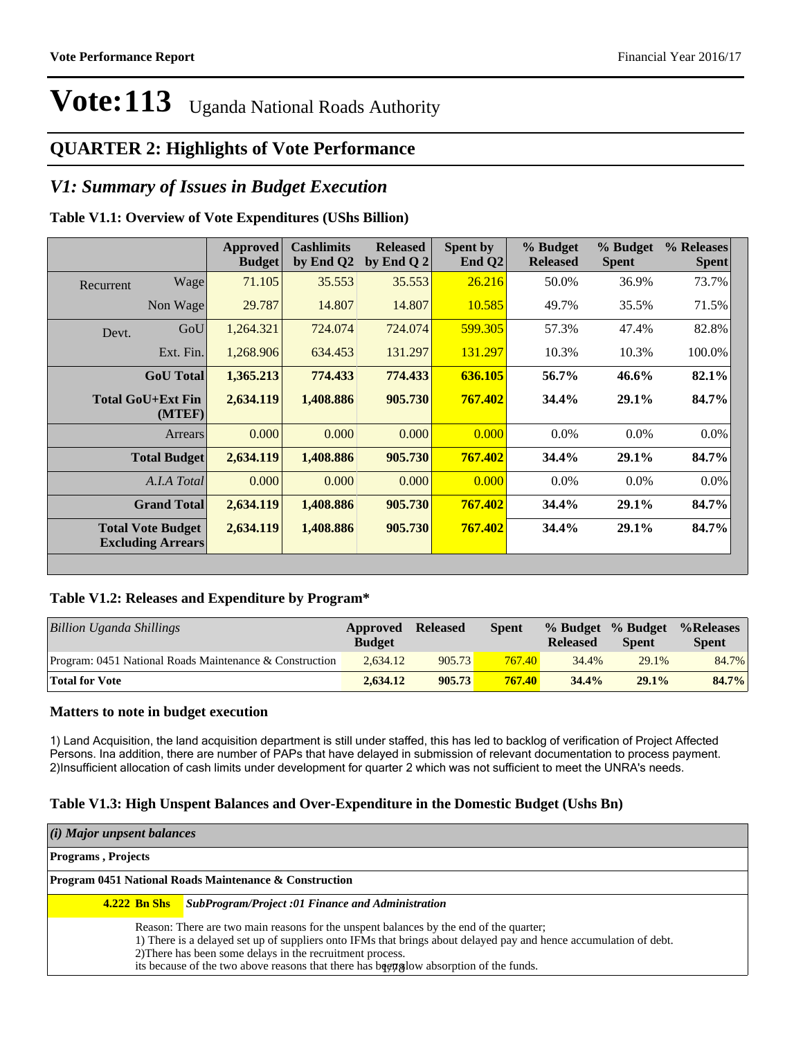#### **QUARTER 2: Highlights of Vote Performance**

#### *V1: Summary of Issues in Budget Execution*

#### **Table V1.1: Overview of Vote Expenditures (UShs Billion)**

|                                                      |                  | by End Q2<br><b>Budget</b> | by End Q $2$ | End $Q2$ | <b>Released</b> | % Budget<br><b>Spent</b> | % Releases<br><b>Spent</b> |
|------------------------------------------------------|------------------|----------------------------|--------------|----------|-----------------|--------------------------|----------------------------|
| Wage<br>Recurrent                                    | 71.105           | 35.553                     | 35.553       | 26.216   | 50.0%           | 36.9%                    | 73.7%                      |
| Non Wage                                             | 29.787           | 14.807                     | 14.807       | 10.585   | 49.7%           | 35.5%                    | 71.5%                      |
| Devt.                                                | GoU<br>1,264.321 | 724.074                    | 724.074      | 599.305  | 57.3%           | 47.4%                    | 82.8%                      |
| Ext. Fin.                                            | 1,268.906        | 634.453                    | 131.297      | 131.297  | 10.3%           | 10.3%                    | 100.0%                     |
| <b>GoU</b> Total                                     | 1,365.213        | 774.433                    | 774.433      | 636.105  | 56.7%           | $46.6\%$                 | 82.1%                      |
| <b>Total GoU+Ext Fin</b><br>(MTEF)                   | 2,634.119        | 1,408.886                  | 905.730      | 767.402  | 34.4%           | $29.1\%$                 | 84.7%                      |
| Arrears                                              | 0.000            | 0.000                      | 0.000        | 0.000    | $0.0\%$         | $0.0\%$                  | $0.0\%$                    |
| <b>Total Budget</b>                                  | 2,634.119        | 1,408.886                  | 905.730      | 767.402  | 34.4%           | 29.1%                    | 84.7%                      |
| A.I.A Total                                          | 0.000            | 0.000                      | 0.000        | 0.000    | $0.0\%$         | $0.0\%$                  | $0.0\%$                    |
| <b>Grand Total</b>                                   | 2,634.119        | 1,408.886                  | 905.730      | 767.402  | 34.4%           | 29.1%                    | 84.7%                      |
| <b>Total Vote Budget</b><br><b>Excluding Arrears</b> | 2,634.119        | 1,408.886                  | 905.730      | 767.402  | 34.4%           | 29.1%                    | 84.7%                      |

#### **Table V1.2: Releases and Expenditure by Program\***

| Billion Uganda Shillings                                | Approved<br><b>Budget</b> | <b>Released</b> | <b>Spent</b> | <b>Released</b> | % Budget % Budget<br><b>Spent</b> | %Releases<br><b>Spent</b> |
|---------------------------------------------------------|---------------------------|-----------------|--------------|-----------------|-----------------------------------|---------------------------|
| Program: 0451 National Roads Maintenance & Construction | 2.634.12                  | 905.73          | 767.40       | 34.4%           | 29.1%                             | 84.7%                     |
| <b>Total for Vote</b>                                   | 2.634.12                  | 905.73          | 767.40       | 34.4%           | 29.1%                             | 84.7%                     |

#### **Matters to note in budget execution**

1) Land Acquisition, the land acquisition department is still under staffed, this has led to backlog of verification of Project Affected Persons. Ina addition, there are number of PAPs that have delayed in submission of relevant documentation to process payment. 2)Insufficient allocation of cash limits under development for quarter 2 which was not sufficient to meet the UNRA's needs.

#### **Table V1.3: High Unspent Balances and Over-Expenditure in the Domestic Budget (Ushs Bn)**

|                                                                   | (i) Major unpsent balances |                                                                                                                                                                                                                                                                                                                                                                             |  |
|-------------------------------------------------------------------|----------------------------|-----------------------------------------------------------------------------------------------------------------------------------------------------------------------------------------------------------------------------------------------------------------------------------------------------------------------------------------------------------------------------|--|
|                                                                   | <b>Programs, Projects</b>  |                                                                                                                                                                                                                                                                                                                                                                             |  |
| <b>Program 0451 National Roads Maintenance &amp; Construction</b> |                            |                                                                                                                                                                                                                                                                                                                                                                             |  |
| <b>4.222 Bn Shs</b>                                               |                            | SubProgram/Project :01 Finance and Administration                                                                                                                                                                                                                                                                                                                           |  |
|                                                                   |                            | Reason: There are two main reasons for the unspent balances by the end of the quarter;<br>1) There is a delayed set up of suppliers onto IFMs that brings about delayed pay and hence accumulation of debt.<br>2) There has been some delays in the recruitment process.<br>its because of the two above reasons that there has been subsecuted by absorption of the funds. |  |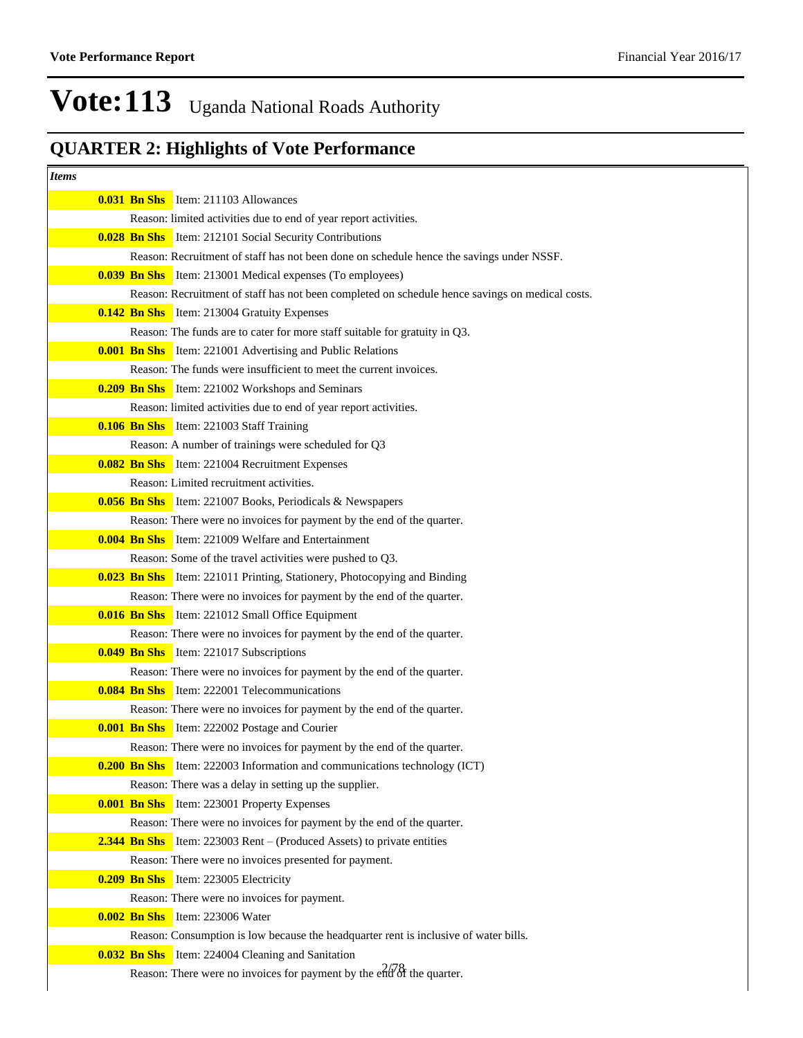| <i>Items</i>                                                                                                                 |  |
|------------------------------------------------------------------------------------------------------------------------------|--|
| <b>0.031 Bn Shs</b> Item: 211103 Allowances                                                                                  |  |
| Reason: limited activities due to end of year report activities.                                                             |  |
| <b>0.028 Bn Shs</b> Item: 212101 Social Security Contributions                                                               |  |
| Reason: Recruitment of staff has not been done on schedule hence the savings under NSSF.                                     |  |
| <b>0.039 Bn Shs</b> Item: 213001 Medical expenses (To employees)                                                             |  |
| Reason: Recruitment of staff has not been completed on schedule hence savings on medical costs.                              |  |
| <b>0.142 Bn Shs</b> Item: 213004 Gratuity Expenses                                                                           |  |
| Reason: The funds are to cater for more staff suitable for gratuity in Q3.                                                   |  |
| <b>0.001 Bn Shs</b> Item: 221001 Advertising and Public Relations                                                            |  |
| Reason: The funds were insufficient to meet the current invoices.                                                            |  |
| <b>0.209 Bn Shs</b> Item: 221002 Workshops and Seminars                                                                      |  |
| Reason: limited activities due to end of year report activities.                                                             |  |
| <b>0.106 Bn Shs</b> Item: 221003 Staff Training                                                                              |  |
| Reason: A number of trainings were scheduled for Q3                                                                          |  |
| <b>0.082 Bn Shs</b> Item: 221004 Recruitment Expenses                                                                        |  |
| Reason: Limited recruitment activities.                                                                                      |  |
| <b>0.056 Bn Shs</b> Item: 221007 Books, Periodicals & Newspapers                                                             |  |
| Reason: There were no invoices for payment by the end of the quarter.                                                        |  |
| <b>0.004 Bn Shs</b> Item: 221009 Welfare and Entertainment                                                                   |  |
| Reason: Some of the travel activities were pushed to Q3.                                                                     |  |
| <b>0.023 Bn Shs</b> Item: 221011 Printing, Stationery, Photocopying and Binding                                              |  |
| Reason: There were no invoices for payment by the end of the quarter.                                                        |  |
| <b>0.016 Bn Shs</b> Item: 221012 Small Office Equipment                                                                      |  |
| Reason: There were no invoices for payment by the end of the quarter.                                                        |  |
| <b>0.049 Bn Shs</b> Item: 221017 Subscriptions                                                                               |  |
| Reason: There were no invoices for payment by the end of the quarter.<br><b>0.084 Bn Shs</b> Item: 222001 Telecommunications |  |
| Reason: There were no invoices for payment by the end of the quarter.                                                        |  |
| <b>0.001 Bn Shs</b> Item: 222002 Postage and Courier                                                                         |  |
| Reason: There were no invoices for payment by the end of the quarter.                                                        |  |
| <b>0.200 Bn Shs</b> Item: 222003 Information and communications technology (ICT)                                             |  |
| Reason: There was a delay in setting up the supplier.                                                                        |  |
| <b>0.001 Bn Shs</b> Item: 223001 Property Expenses                                                                           |  |
| Reason: There were no invoices for payment by the end of the quarter.                                                        |  |
| <b>2.344 Bn Shs</b> Item: 223003 Rent – (Produced Assets) to private entities                                                |  |
| Reason: There were no invoices presented for payment.                                                                        |  |
| <b>0.209 Bn Shs</b> Item: 223005 Electricity                                                                                 |  |
| Reason: There were no invoices for payment.                                                                                  |  |
| <b>0.002 Bn Shs</b> Item: 223006 Water                                                                                       |  |
| Reason: Consumption is low because the headquarter rent is inclusive of water bills.                                         |  |
| <b>0.032 Bn Shs</b> Item: 224004 Cleaning and Sanitation                                                                     |  |
| Reason: There were no invoices for payment by the $e^{2\sqrt{3}}$ the quarter.                                               |  |
|                                                                                                                              |  |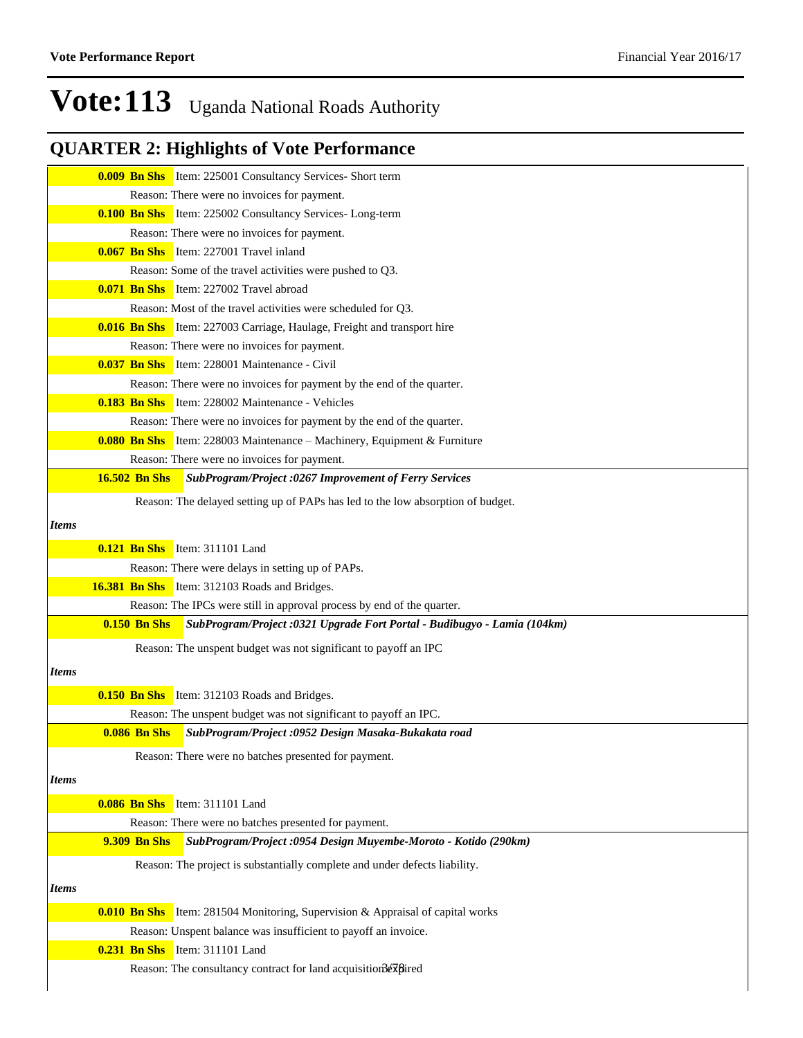|              |                      | <b>0.009 Bn Shs</b> Item: 225001 Consultancy Services- Short term                     |
|--------------|----------------------|---------------------------------------------------------------------------------------|
|              |                      | Reason: There were no invoices for payment.                                           |
|              |                      | <b>0.100 Bn Shs</b> Item: 225002 Consultancy Services- Long-term                      |
|              |                      | Reason: There were no invoices for payment.                                           |
|              |                      | <b>0.067 Bn Shs</b> Item: 227001 Travel inland                                        |
|              |                      | Reason: Some of the travel activities were pushed to Q3.                              |
|              |                      | <b>0.071 Bn Shs</b> Item: 227002 Travel abroad                                        |
|              |                      | Reason: Most of the travel activities were scheduled for Q3.                          |
|              |                      | <b>0.016 Bn Shs</b> Item: 227003 Carriage, Haulage, Freight and transport hire        |
|              |                      | Reason: There were no invoices for payment.                                           |
|              |                      | <b>0.037 Bn Shs</b> Item: 228001 Maintenance - Civil                                  |
|              |                      | Reason: There were no invoices for payment by the end of the quarter.                 |
|              |                      | <b>0.183 Bn Shs</b> Item: 228002 Maintenance - Vehicles                               |
|              |                      | Reason: There were no invoices for payment by the end of the quarter.                 |
|              |                      | <b>0.080 Bn Shs</b> Item: 228003 Maintenance – Machinery, Equipment & Furniture       |
|              |                      | Reason: There were no invoices for payment.                                           |
|              | <b>16.502 Bn Shs</b> | SubProgram/Project :0267 Improvement of Ferry Services                                |
|              |                      | Reason: The delayed setting up of PAPs has led to the low absorption of budget.       |
| <b>Items</b> |                      |                                                                                       |
|              |                      | <b>0.121 Bn Shs</b> Item: 311101 Land                                                 |
|              |                      | Reason: There were delays in setting up of PAPs.                                      |
|              |                      | 16.381 Bn Shs Item: 312103 Roads and Bridges.                                         |
|              |                      | Reason: The IPCs were still in approval process by end of the quarter.                |
|              | $0.150$ Bn Shs       | SubProgram/Project: 0321 Upgrade Fort Portal - Budibugyo - Lamia (104km)              |
|              |                      | Reason: The unspent budget was not significant to payoff an IPC                       |
| <i>Items</i> |                      |                                                                                       |
|              |                      |                                                                                       |
|              |                      | <b>0.150 Bn Shs</b> Item: 312103 Roads and Bridges.                                   |
|              |                      | Reason: The unspent budget was not significant to payoff an IPC.                      |
|              | <b>0.086 Bn Shs</b>  | SubProgram/Project :0952 Design Masaka-Bukakata road                                  |
|              |                      | Reason: There were no batches presented for payment.                                  |
| <i>Items</i> |                      |                                                                                       |
|              |                      | 0.086 Bn Shs Item: 311101 Land                                                        |
|              |                      | Reason: There were no batches presented for payment.                                  |
|              | 9.309 Bn Shs         | SubProgram/Project: 0954 Design Muyembe-Moroto - Kotido (290km)                       |
|              |                      | Reason: The project is substantially complete and under defects liability.            |
|              |                      |                                                                                       |
| <b>Items</b> |                      |                                                                                       |
|              |                      | <b>0.010 Bn Shs</b> Item: 281504 Monitoring, Supervision & Appraisal of capital works |
|              |                      | Reason: Unspent balance was insufficient to payoff an invoice.                        |
|              |                      | 0.231 Bn Shs Item: 311101 Land                                                        |
|              |                      | Reason: The consultancy contract for land acquisition 3expired                        |
|              |                      |                                                                                       |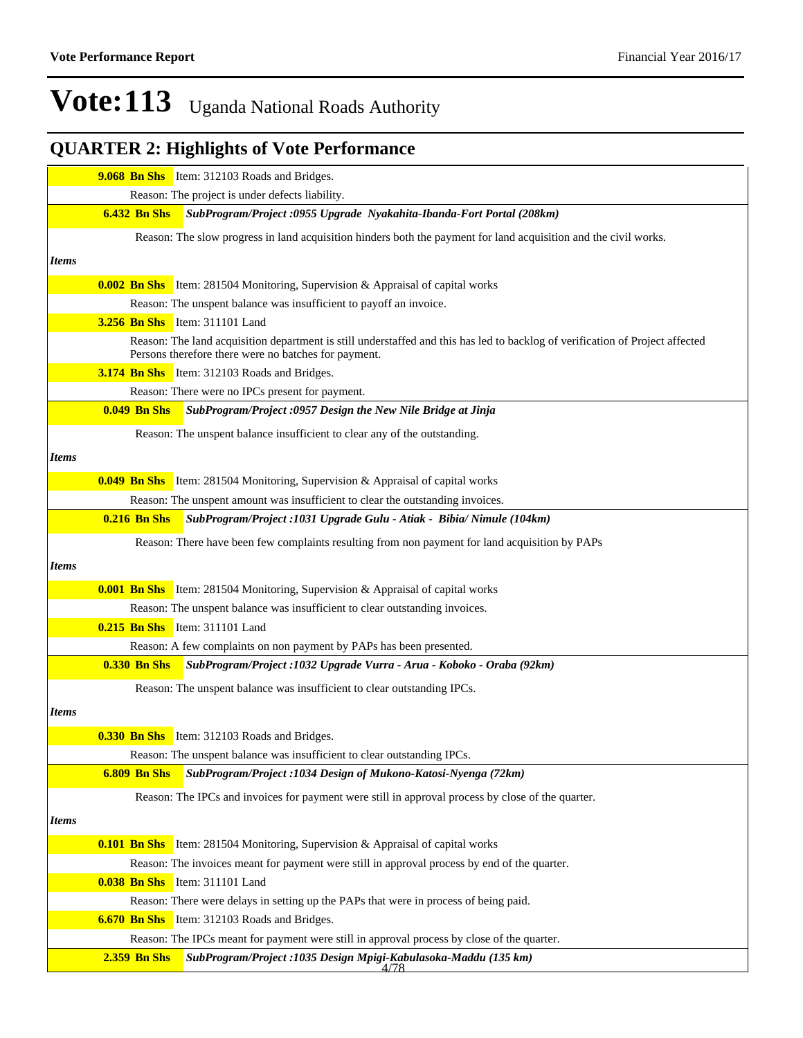|              | <b>9.068 Bn Shs</b> Item: 312103 Roads and Bridges.                                                                                                                                   |
|--------------|---------------------------------------------------------------------------------------------------------------------------------------------------------------------------------------|
|              | Reason: The project is under defects liability.                                                                                                                                       |
|              | <b>6.432 Bn Shs</b><br>SubProgram/Project :0955 Upgrade Nyakahita-Ibanda-Fort Portal (208km)                                                                                          |
|              | Reason: The slow progress in land acquisition hinders both the payment for land acquisition and the civil works.                                                                      |
| <b>Items</b> |                                                                                                                                                                                       |
|              | <b>0.002 Bn Shs</b> Item: 281504 Monitoring, Supervision & Appraisal of capital works                                                                                                 |
|              | Reason: The unspent balance was insufficient to payoff an invoice.                                                                                                                    |
|              | <b>3.256 Bn Shs</b> Item: 311101 Land                                                                                                                                                 |
|              | Reason: The land acquisition department is still understaffed and this has led to backlog of verification of Project affected<br>Persons therefore there were no batches for payment. |
|              | 3.174 Bn Shs Item: 312103 Roads and Bridges.                                                                                                                                          |
|              | Reason: There were no IPCs present for payment.                                                                                                                                       |
|              | <b>0.049 Bn Shs</b><br>SubProgram/Project :0957 Design the New Nile Bridge at Jinja                                                                                                   |
|              | Reason: The unspent balance insufficient to clear any of the outstanding.                                                                                                             |
|              |                                                                                                                                                                                       |
| <i>Items</i> |                                                                                                                                                                                       |
|              | <b>0.049 Bn Shs</b> Item: 281504 Monitoring, Supervision & Appraisal of capital works                                                                                                 |
|              | Reason: The unspent amount was insufficient to clear the outstanding invoices.                                                                                                        |
|              | <b>0.216 Bn Shs</b><br>SubProgram/Project: 1031 Upgrade Gulu - Atiak - Bibia/ Nimule (104km)                                                                                          |
|              | Reason: There have been few complaints resulting from non payment for land acquisition by PAPs                                                                                        |
| <i>Items</i> |                                                                                                                                                                                       |
|              | <b>0.001 Bn Shs</b> Item: 281504 Monitoring, Supervision & Appraisal of capital works                                                                                                 |
|              | Reason: The unspent balance was insufficient to clear outstanding invoices.                                                                                                           |
|              | 0.215 Bn Shs Item: 311101 Land                                                                                                                                                        |
|              | Reason: A few complaints on non payment by PAPs has been presented.                                                                                                                   |
|              | <b>0.330 Bn Shs</b><br>SubProgram/Project: 1032 Upgrade Vurra - Arua - Koboko - Oraba (92km)                                                                                          |
|              | Reason: The unspent balance was insufficient to clear outstanding IPCs.                                                                                                               |
| <b>Items</b> |                                                                                                                                                                                       |
|              |                                                                                                                                                                                       |
|              | <b>0.330 Bn Shs</b> Item: 312103 Roads and Bridges.<br>Reason: The unspent balance was insufficient to clear outstanding IPCs.                                                        |
|              | <b>6.809 Bn Shs</b><br>SubProgram/Project: 1034 Design of Mukono-Katosi-Nyenga (72km)                                                                                                 |
|              | Reason: The IPCs and invoices for payment were still in approval process by close of the quarter.                                                                                     |
|              |                                                                                                                                                                                       |
| <b>Items</b> |                                                                                                                                                                                       |
|              | <b>0.101 Bn Shs</b> Item: 281504 Monitoring, Supervision & Appraisal of capital works                                                                                                 |
|              | Reason: The invoices meant for payment were still in approval process by end of the quarter.                                                                                          |
|              | <b>0.038 Bn Shs</b> Item: 311101 Land                                                                                                                                                 |
|              | Reason: There were delays in setting up the PAPs that were in process of being paid.                                                                                                  |
|              | <b>6.670 Bn Shs</b> Item: 312103 Roads and Bridges.                                                                                                                                   |
|              | Reason: The IPCs meant for payment were still in approval process by close of the quarter.                                                                                            |
|              | <b>2.359 Bn Shs</b><br>SubProgram/Project: 1035 Design Mpigi-Kabulasoka-Maddu (135 km)<br>4/78                                                                                        |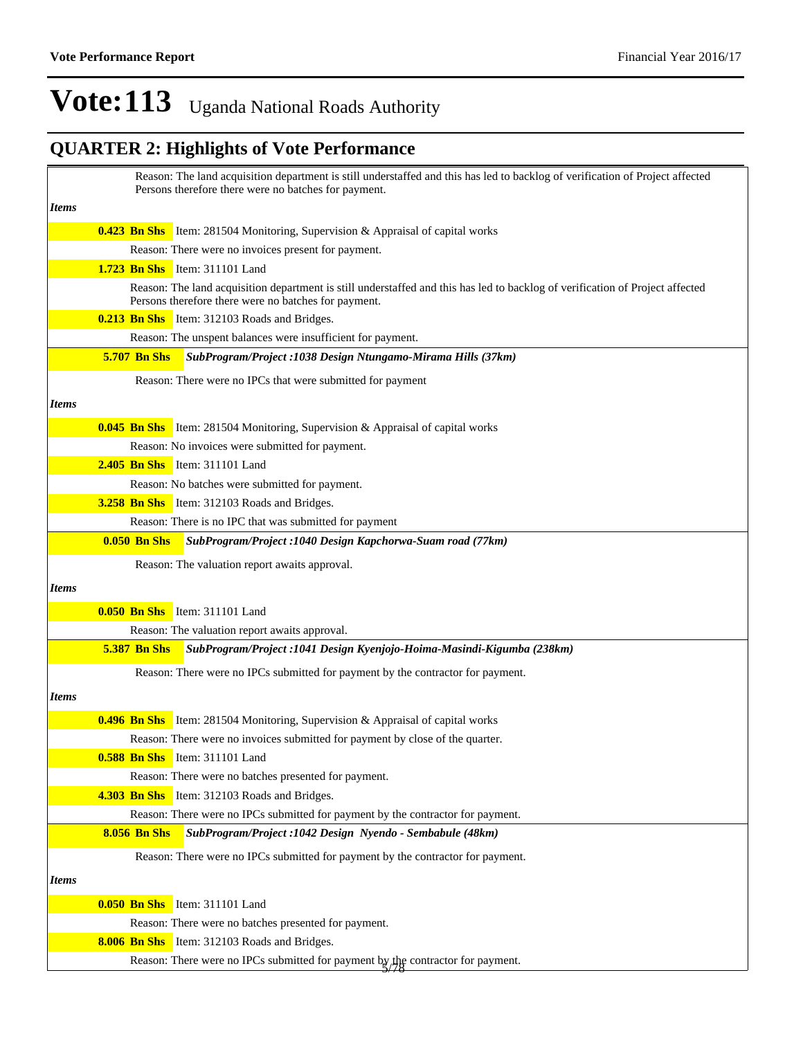|       | Reason: The land acquisition department is still understaffed and this has led to backlog of verification of Project affected<br>Persons therefore there were no batches for payment. |
|-------|---------------------------------------------------------------------------------------------------------------------------------------------------------------------------------------|
| Items |                                                                                                                                                                                       |
|       | <b>0.423 Bn Shs</b> Item: 281504 Monitoring, Supervision & Appraisal of capital works                                                                                                 |
|       | Reason: There were no invoices present for payment.                                                                                                                                   |
|       | <b>1.723 Bn Shs</b> Item: 311101 Land                                                                                                                                                 |
|       | Reason: The land acquisition department is still understaffed and this has led to backlog of verification of Project affected<br>Persons therefore there were no batches for payment. |
|       | <b>0.213 Bn Shs</b> Item: 312103 Roads and Bridges.                                                                                                                                   |
|       | Reason: The unspent balances were insufficient for payment.                                                                                                                           |
|       | <b>5.707 Bn Shs</b><br>SubProgram/Project : 1038 Design Ntungamo-Mirama Hills (37km)                                                                                                  |
|       | Reason: There were no IPCs that were submitted for payment                                                                                                                            |
| Items |                                                                                                                                                                                       |
|       | <b>0.045 Bn Shs</b> Item: 281504 Monitoring, Supervision & Appraisal of capital works                                                                                                 |
|       | Reason: No invoices were submitted for payment.                                                                                                                                       |
|       | <b>2.405 Bn Shs</b> Item: 311101 Land                                                                                                                                                 |
|       | Reason: No batches were submitted for payment.                                                                                                                                        |
|       | <b>3.258 Bn Shs</b> Item: 312103 Roads and Bridges.                                                                                                                                   |
|       | Reason: There is no IPC that was submitted for payment                                                                                                                                |
|       | SubProgram/Project: 1040 Design Kapchorwa-Suam road (77km)<br>$0.050$ Bn Shs                                                                                                          |
|       | Reason: The valuation report awaits approval.                                                                                                                                         |
| Items |                                                                                                                                                                                       |
|       | <b>0.050 Bn Shs</b> Item: 311101 Land                                                                                                                                                 |
|       | Reason: The valuation report awaits approval.                                                                                                                                         |
|       | <b>5.387 Bn Shs</b><br>SubProgram/Project : 1041 Design Kyenjojo-Hoima-Masindi-Kigumba (238km)                                                                                        |
|       | Reason: There were no IPCs submitted for payment by the contractor for payment.                                                                                                       |
| Items |                                                                                                                                                                                       |
|       |                                                                                                                                                                                       |
|       | <b>0.496 Bn Shs</b> Item: 281504 Monitoring, Supervision & Appraisal of capital works                                                                                                 |
|       | Reason: There were no invoices submitted for payment by close of the quarter.                                                                                                         |
|       | <b>0.588 Bn Shs</b> Item: 311101 Land                                                                                                                                                 |
|       | Reason: There were no batches presented for payment.                                                                                                                                  |
|       | 4.303 Bn Shs Item: 312103 Roads and Bridges.                                                                                                                                          |
|       | Reason: There were no IPCs submitted for payment by the contractor for payment.<br><b>8.056 Bn Shs</b><br>SubProgram/Project :1042 Design Nyendo - Sembabule (48km)                   |
|       |                                                                                                                                                                                       |
|       | Reason: There were no IPCs submitted for payment by the contractor for payment.                                                                                                       |
| Items |                                                                                                                                                                                       |
|       | 0.050 Bn Shs Item: 311101 Land                                                                                                                                                        |
|       | Reason: There were no batches presented for payment.                                                                                                                                  |
|       | 8.006 Bn Shs Item: 312103 Roads and Bridges.                                                                                                                                          |
|       | Reason: There were no IPCs submitted for payment by the contractor for payment.                                                                                                       |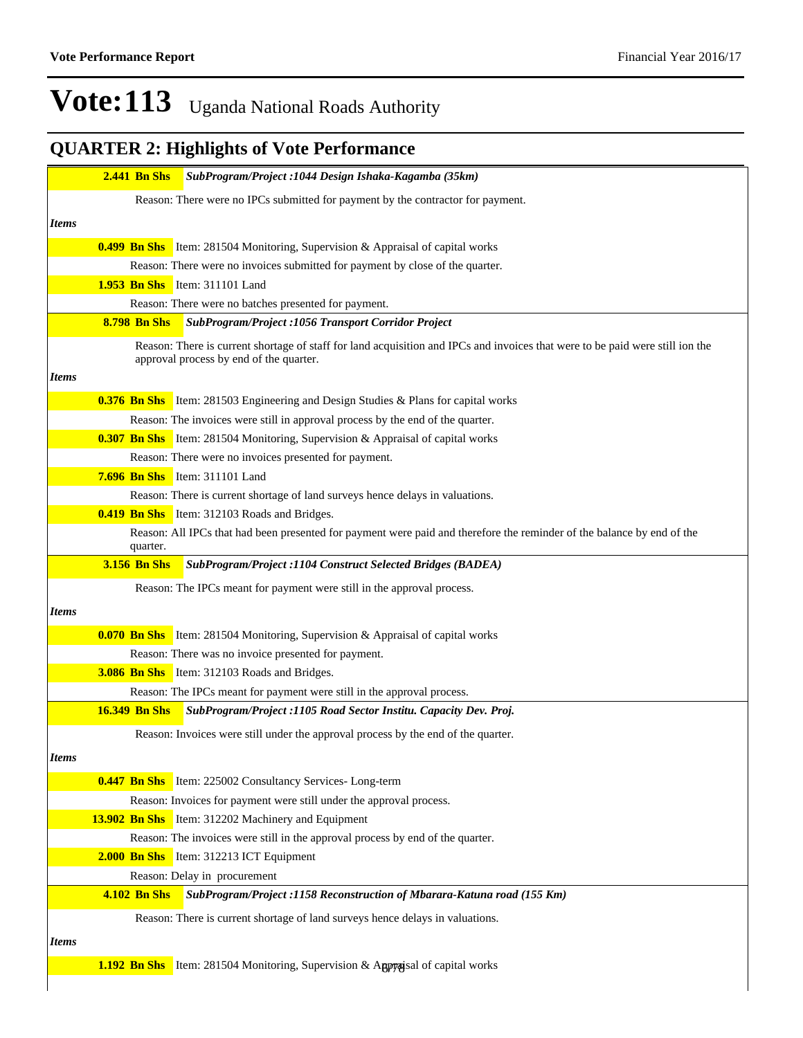|              | <b>2.441 Bn Shs</b>  | SubProgram/Project :1044 Design Ishaka-Kagamba (35km)                                                                                                                    |
|--------------|----------------------|--------------------------------------------------------------------------------------------------------------------------------------------------------------------------|
|              |                      | Reason: There were no IPCs submitted for payment by the contractor for payment.                                                                                          |
| <i>Items</i> |                      |                                                                                                                                                                          |
|              |                      | <b>0.499 Bn Shs</b> Item: 281504 Monitoring, Supervision & Appraisal of capital works                                                                                    |
|              |                      | Reason: There were no invoices submitted for payment by close of the quarter.                                                                                            |
|              |                      | 1.953 Bn Shs Item: 311101 Land                                                                                                                                           |
|              |                      | Reason: There were no batches presented for payment.                                                                                                                     |
|              | <b>8.798 Bn Shs</b>  | SubProgram/Project : 1056 Transport Corridor Project                                                                                                                     |
|              |                      | Reason: There is current shortage of staff for land acquisition and IPCs and invoices that were to be paid were still ion the<br>approval process by end of the quarter. |
| <i>Items</i> |                      |                                                                                                                                                                          |
|              |                      | <b>0.376 Bn Shs</b> Item: 281503 Engineering and Design Studies & Plans for capital works                                                                                |
|              |                      | Reason: The invoices were still in approval process by the end of the quarter.                                                                                           |
|              |                      | <b>0.307 Bn Shs</b> Item: 281504 Monitoring, Supervision & Appraisal of capital works                                                                                    |
|              |                      | Reason: There were no invoices presented for payment.                                                                                                                    |
|              |                      | 7.696 Bn Shs Item: 311101 Land                                                                                                                                           |
|              |                      | Reason: There is current shortage of land surveys hence delays in valuations.                                                                                            |
|              |                      | <b>0.419 Bn Shs</b> Item: 312103 Roads and Bridges.                                                                                                                      |
|              | quarter.             | Reason: All IPCs that had been presented for payment were paid and therefore the reminder of the balance by end of the                                                   |
|              | <b>3.156 Bn Shs</b>  | SubProgram/Project :1104 Construct Selected Bridges (BADEA)                                                                                                              |
|              |                      | Reason: The IPCs meant for payment were still in the approval process.                                                                                                   |
| <i>Items</i> |                      |                                                                                                                                                                          |
|              |                      | <b>0.070 Bn Shs</b> Item: 281504 Monitoring, Supervision & Appraisal of capital works                                                                                    |
|              |                      | Reason: There was no invoice presented for payment.                                                                                                                      |
|              |                      | <b>3.086 Bn Shs</b> Item: 312103 Roads and Bridges.                                                                                                                      |
|              |                      | Reason: The IPCs meant for payment were still in the approval process.                                                                                                   |
|              | <b>16.349 Bn Shs</b> | SubProgram/Project :1105 Road Sector Institu. Capacity Dev. Proj.                                                                                                        |
|              |                      | Reason: Invoices were still under the approval process by the end of the quarter.                                                                                        |
| <b>Items</b> |                      |                                                                                                                                                                          |
|              |                      | <b>0.447 Bn Shs</b> Item: 225002 Consultancy Services- Long-term                                                                                                         |
|              |                      | Reason: Invoices for payment were still under the approval process.                                                                                                      |
|              |                      | <b>13.902 Bn Shs</b> Item: 312202 Machinery and Equipment                                                                                                                |
|              |                      | Reason: The invoices were still in the approval process by end of the quarter.                                                                                           |
|              |                      | 2.000 Bn Shs Item: 312213 ICT Equipment                                                                                                                                  |
|              |                      | Reason: Delay in procurement                                                                                                                                             |
|              | <b>4.102 Bn Shs</b>  | SubProgram/Project: 1158 Reconstruction of Mbarara-Katuna road (155 Km)                                                                                                  |
|              |                      | Reason: There is current shortage of land surveys hence delays in valuations.                                                                                            |
| <i>Items</i> |                      |                                                                                                                                                                          |
|              |                      |                                                                                                                                                                          |
|              |                      | <b>1.192 Bn Shs</b> Item: 281504 Monitoring, Supervision & Appropriate Item of capital works                                                                             |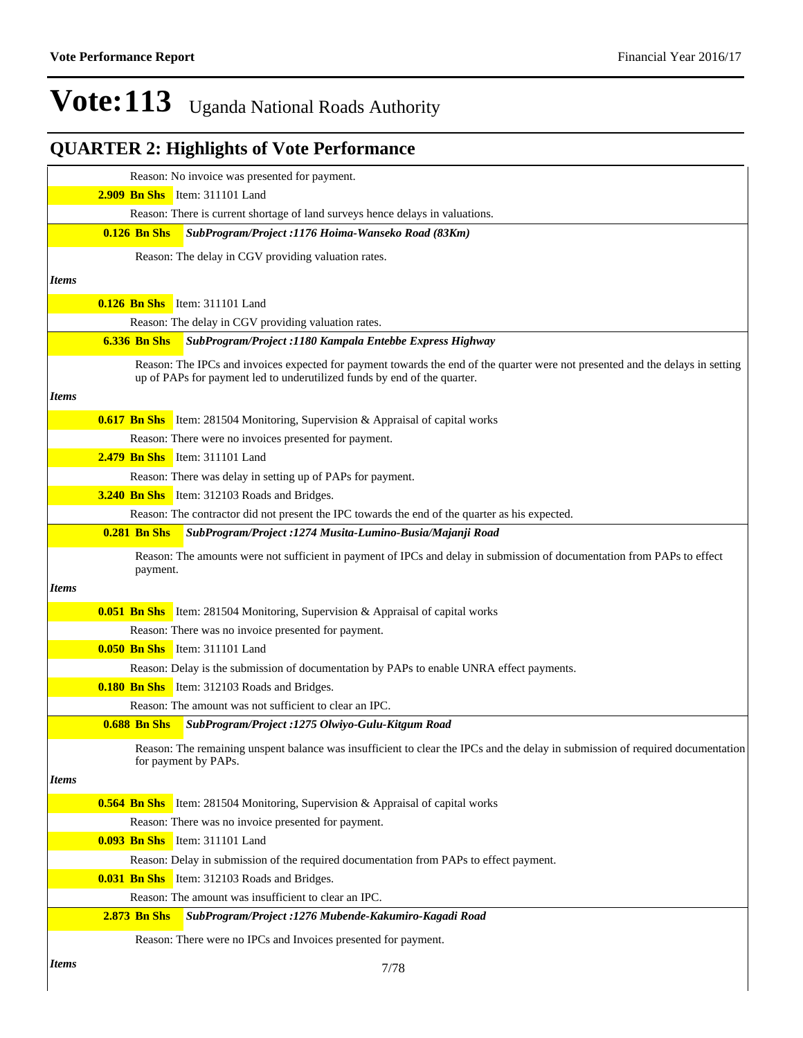|              | Reason: No invoice was presented for payment.                                                                                                                                                              |  |
|--------------|------------------------------------------------------------------------------------------------------------------------------------------------------------------------------------------------------------|--|
|              | 2.909 Bn Shs Item: 311101 Land                                                                                                                                                                             |  |
|              | Reason: There is current shortage of land surveys hence delays in valuations.                                                                                                                              |  |
|              | $0.126$ Bn Shs<br>SubProgram/Project: 1176 Hoima-Wanseko Road (83Km)                                                                                                                                       |  |
|              | Reason: The delay in CGV providing valuation rates.                                                                                                                                                        |  |
| <i>Items</i> |                                                                                                                                                                                                            |  |
|              | 0.126 Bn Shs Item: 311101 Land                                                                                                                                                                             |  |
|              | Reason: The delay in CGV providing valuation rates.                                                                                                                                                        |  |
|              | SubProgram/Project :1180 Kampala Entebbe Express Highway<br><b>6.336 Bn Shs</b>                                                                                                                            |  |
|              | Reason: The IPCs and invoices expected for payment towards the end of the quarter were not presented and the delays in setting<br>up of PAPs for payment led to underutilized funds by end of the quarter. |  |
| <i>Items</i> |                                                                                                                                                                                                            |  |
|              | <b>0.617 Bn Shs</b> Item: 281504 Monitoring, Supervision & Appraisal of capital works                                                                                                                      |  |
|              | Reason: There were no invoices presented for payment.                                                                                                                                                      |  |
|              | 2.479 Bn Shs Item: 311101 Land                                                                                                                                                                             |  |
|              | Reason: There was delay in setting up of PAPs for payment.                                                                                                                                                 |  |
|              | 3.240 Bn Shs Item: 312103 Roads and Bridges.                                                                                                                                                               |  |
|              | Reason: The contractor did not present the IPC towards the end of the quarter as his expected.                                                                                                             |  |
|              | <b>0.281 Bn Shs</b><br>SubProgram/Project: 1274 Musita-Lumino-Busia/Majanji Road                                                                                                                           |  |
|              | Reason: The amounts were not sufficient in payment of IPCs and delay in submission of documentation from PAPs to effect<br>payment.                                                                        |  |
| <i>Items</i> |                                                                                                                                                                                                            |  |
|              | <b>0.051 Bn Shs</b> Item: 281504 Monitoring, Supervision & Appraisal of capital works                                                                                                                      |  |
|              | Reason: There was no invoice presented for payment.                                                                                                                                                        |  |
|              | 0.050 Bn Shs Item: 311101 Land                                                                                                                                                                             |  |
|              | Reason: Delay is the submission of documentation by PAPs to enable UNRA effect payments.                                                                                                                   |  |
|              | <b>0.180 Bn Shs</b> Item: 312103 Roads and Bridges.                                                                                                                                                        |  |
|              | Reason: The amount was not sufficient to clear an IPC.                                                                                                                                                     |  |
|              | <b>0.688 Bn Shs</b><br>SubProgram/Project :1275 Olwiyo-Gulu-Kitgum Road                                                                                                                                    |  |
|              | Reason: The remaining unspent balance was insufficient to clear the IPCs and the delay in submission of required documentation<br>for payment by PAPs.                                                     |  |
| <i>Items</i> |                                                                                                                                                                                                            |  |
|              | <b>0.564 Bn Shs</b> Item: 281504 Monitoring, Supervision & Appraisal of capital works                                                                                                                      |  |
|              | Reason: There was no invoice presented for payment.                                                                                                                                                        |  |
|              | <b>0.093 Bn Shs</b> Item: 311101 Land                                                                                                                                                                      |  |
|              | Reason: Delay in submission of the required documentation from PAPs to effect payment.                                                                                                                     |  |
|              | <b>0.031 Bn Shs</b> Item: 312103 Roads and Bridges.                                                                                                                                                        |  |
|              | Reason: The amount was insufficient to clear an IPC.                                                                                                                                                       |  |
|              | <b>2.873 Bn Shs</b><br>SubProgram/Project: 1276 Mubende-Kakumiro-Kagadi Road                                                                                                                               |  |
|              | Reason: There were no IPCs and Invoices presented for payment.                                                                                                                                             |  |
| <i>Items</i> | 7/78                                                                                                                                                                                                       |  |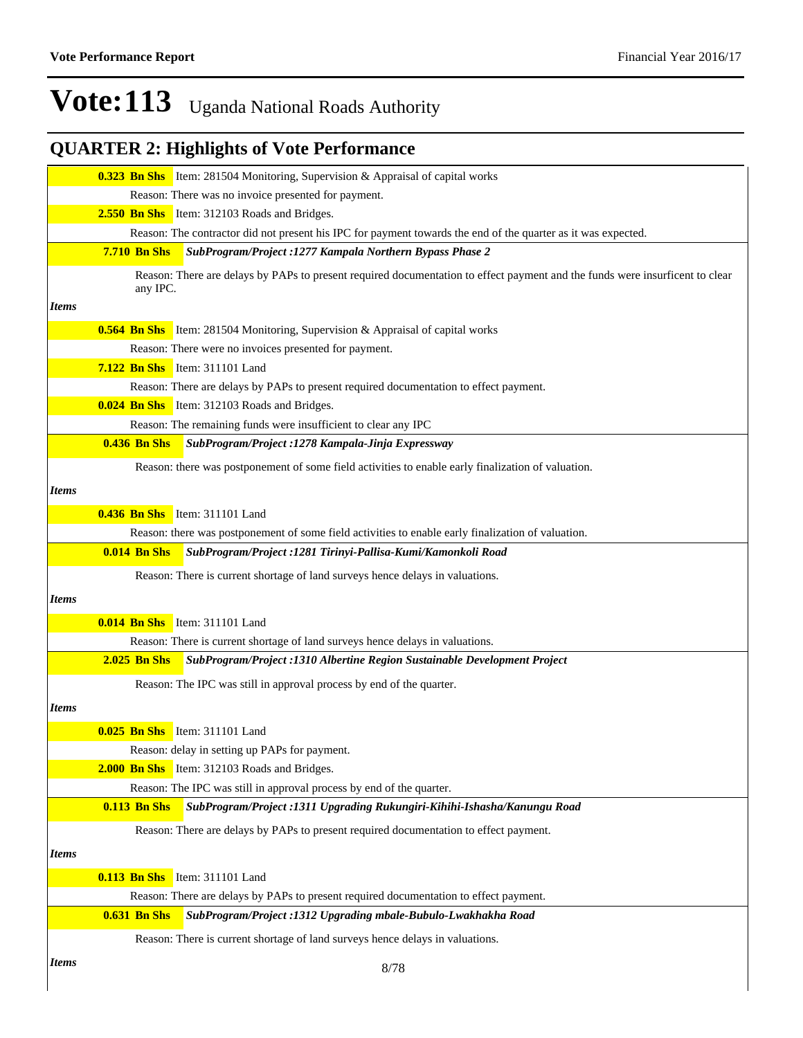|              |                     | <b>0.323 Bn Shs</b> Item: 281504 Monitoring, Supervision & Appraisal of capital works                                        |
|--------------|---------------------|------------------------------------------------------------------------------------------------------------------------------|
|              |                     | Reason: There was no invoice presented for payment.                                                                          |
|              |                     | 2.550 Bn Shs Item: 312103 Roads and Bridges.                                                                                 |
|              |                     | Reason: The contractor did not present his IPC for payment towards the end of the quarter as it was expected.                |
|              | <b>7.710 Bn Shs</b> | SubProgram/Project: 1277 Kampala Northern Bypass Phase 2                                                                     |
|              | any IPC.            | Reason: There are delays by PAPs to present required documentation to effect payment and the funds were insurficent to clear |
| <b>Items</b> |                     |                                                                                                                              |
|              |                     | <b>0.564 Bn Shs</b> Item: 281504 Monitoring, Supervision & Appraisal of capital works                                        |
|              |                     | Reason: There were no invoices presented for payment.                                                                        |
|              |                     | <b>7.122 Bn Shs</b> Item: 311101 Land                                                                                        |
|              |                     | Reason: There are delays by PAPs to present required documentation to effect payment.                                        |
|              |                     | <b>0.024 Bn Shs</b> Item: 312103 Roads and Bridges.                                                                          |
|              |                     | Reason: The remaining funds were insufficient to clear any IPC                                                               |
|              | <b>0.436 Bn Shs</b> | SubProgram/Project: 1278 Kampala-Jinja Expressway                                                                            |
|              |                     | Reason: there was postponement of some field activities to enable early finalization of valuation.                           |
| <b>Items</b> |                     |                                                                                                                              |
|              |                     | 0.436 Bn Shs Item: 311101 Land                                                                                               |
|              |                     | Reason: there was postponement of some field activities to enable early finalization of valuation.                           |
|              | <b>0.014 Bn Shs</b> | SubProgram/Project :1281 Tirinyi-Pallisa-Kumi/Kamonkoli Road                                                                 |
|              |                     |                                                                                                                              |
|              |                     | Reason: There is current shortage of land surveys hence delays in valuations.                                                |
| <i>Items</i> |                     |                                                                                                                              |
|              |                     | <b>0.014 Bn Shs</b> Item: 311101 Land                                                                                        |
|              |                     | Reason: There is current shortage of land surveys hence delays in valuations.                                                |
|              | <b>2.025 Bn Shs</b> | SubProgram/Project : 1310 Albertine Region Sustainable Development Project                                                   |
|              |                     | Reason: The IPC was still in approval process by end of the quarter.                                                         |
| <b>Items</b> |                     |                                                                                                                              |
|              |                     |                                                                                                                              |
|              |                     | <b>0.025 Bn Shs</b> Item: 311101 Land                                                                                        |
|              |                     | Reason: delay in setting up PAPs for payment.                                                                                |
|              |                     | <b>2.000 Bn Shs</b> Item: 312103 Roads and Bridges.                                                                          |
|              |                     | Reason: The IPC was still in approval process by end of the quarter.                                                         |
|              | <b>0.113 Bn Shs</b> | SubProgram/Project: 1311 Upgrading Rukungiri-Kihihi-Ishasha/Kanungu Road                                                     |
|              |                     | Reason: There are delays by PAPs to present required documentation to effect payment.                                        |
| <b>Items</b> |                     |                                                                                                                              |
|              |                     | 0.113 Bn Shs Item: 311101 Land                                                                                               |
|              |                     | Reason: There are delays by PAPs to present required documentation to effect payment.                                        |
|              | <b>0.631 Bn Shs</b> | SubProgram/Project :1312 Upgrading mbale-Bubulo-Lwakhakha Road                                                               |
|              |                     | Reason: There is current shortage of land surveys hence delays in valuations.                                                |
| <i>Items</i> |                     | 8/78                                                                                                                         |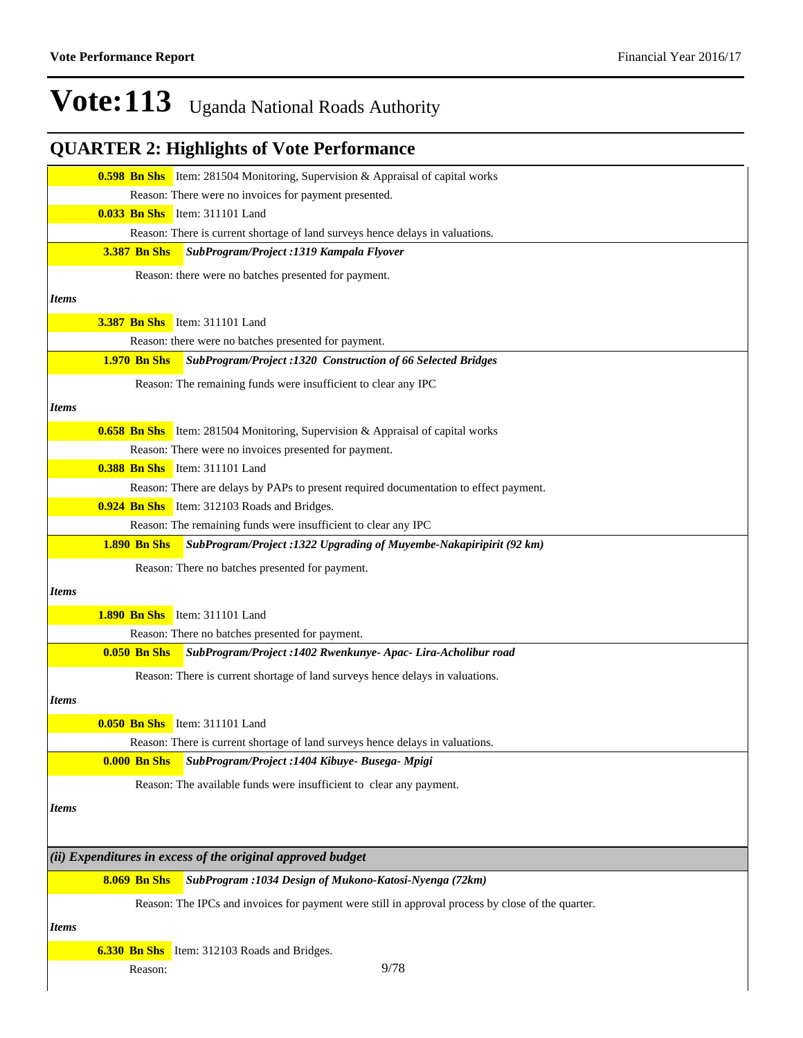|              |                     | <b>0.598 Bn Shs</b> Item: 281504 Monitoring, Supervision & Appraisal of capital works             |
|--------------|---------------------|---------------------------------------------------------------------------------------------------|
|              |                     | Reason: There were no invoices for payment presented.                                             |
|              |                     | 0.033 Bn Shs Item: 311101 Land                                                                    |
|              |                     | Reason: There is current shortage of land surveys hence delays in valuations.                     |
|              | <b>3.387 Bn Shs</b> | SubProgram/Project: 1319 Kampala Flyover                                                          |
|              |                     | Reason: there were no batches presented for payment.                                              |
| <b>Items</b> |                     |                                                                                                   |
|              |                     | <b>3.387 Bn Shs</b> Item: 311101 Land                                                             |
|              |                     | Reason: there were no batches presented for payment.                                              |
|              | <b>1.970 Bn Shs</b> | SubProgram/Project :1320 Construction of 66 Selected Bridges                                      |
|              |                     |                                                                                                   |
|              |                     | Reason: The remaining funds were insufficient to clear any IPC                                    |
| <b>Items</b> |                     |                                                                                                   |
|              |                     | <b>0.658 Bn Shs</b> Item: 281504 Monitoring, Supervision & Appraisal of capital works             |
|              |                     | Reason: There were no invoices presented for payment.                                             |
|              |                     | <b>0.388 Bn Shs</b> Item: 311101 Land                                                             |
|              |                     | Reason: There are delays by PAPs to present required documentation to effect payment.             |
|              |                     | <b>0.924 Bn Shs</b> Item: 312103 Roads and Bridges.                                               |
|              |                     | Reason: The remaining funds were insufficient to clear any IPC                                    |
|              | <b>1.890 Bn Shs</b> | SubProgram/Project: 1322 Upgrading of Muyembe-Nakapiripirit (92 km)                               |
|              |                     | Reason: There no batches presented for payment.                                                   |
| <b>Items</b> |                     |                                                                                                   |
|              |                     | <b>1.890 Bn Shs</b> Item: 311101 Land                                                             |
|              |                     | Reason: There no batches presented for payment.                                                   |
|              | <b>0.050 Bn Shs</b> | SubProgram/Project: 1402 Rwenkunye- Apac- Lira-Acholibur road                                     |
|              |                     | Reason: There is current shortage of land surveys hence delays in valuations.                     |
| <b>Items</b> |                     |                                                                                                   |
|              |                     |                                                                                                   |
|              |                     | <b>0.050 Bn Shs</b> Item: 311101 Land                                                             |
|              |                     | Reason: There is current shortage of land surveys hence delays in valuations.                     |
|              | <b>0.000 Bn Shs</b> | SubProgram/Project :1404 Kibuye- Busega- Mpigi                                                    |
|              |                     | Reason: The available funds were insufficient to clear any payment.                               |
| <b>Items</b> |                     |                                                                                                   |
|              |                     |                                                                                                   |
|              |                     | $(iii)$ Expenditures in excess of the original approved budget                                    |
|              | <b>8.069 Bn Shs</b> | SubProgram : 1034 Design of Mukono-Katosi-Nyenga (72km)                                           |
|              |                     |                                                                                                   |
|              |                     | Reason: The IPCs and invoices for payment were still in approval process by close of the quarter. |
| <i>Items</i> |                     |                                                                                                   |
|              |                     | 6.330 Bn Shs Item: 312103 Roads and Bridges.                                                      |
|              | Reason:             | 9/78                                                                                              |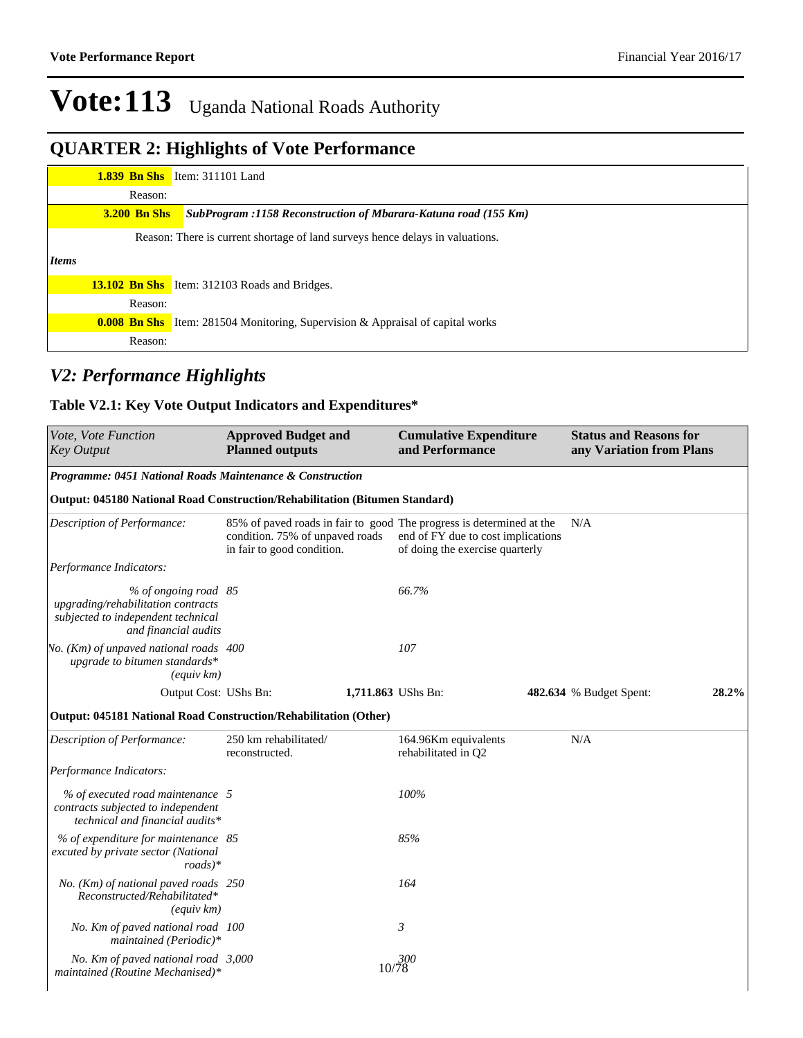### **QUARTER 2: Highlights of Vote Performance**

|              |                     | <b>1.839 Bn Shs</b> Item: 311101 Land                                                 |
|--------------|---------------------|---------------------------------------------------------------------------------------|
|              | Reason:             |                                                                                       |
|              | <b>3.200 Bn Shs</b> | SubProgram :1158 Reconstruction of Mbarara-Katuna road (155 Km)                       |
|              |                     | Reason: There is current shortage of land surveys hence delays in valuations.         |
| <i>Items</i> |                     |                                                                                       |
|              |                     | <b>13.102 Bn Shs</b> Item: 312103 Roads and Bridges.                                  |
|              | Reason:             |                                                                                       |
|              |                     | <b>0.008 Bn Shs</b> Item: 281504 Monitoring, Supervision & Appraisal of capital works |
|              | Reason:             |                                                                                       |

#### *V2: Performance Highlights*

#### **Table V2.1: Key Vote Output Indicators and Expenditures\***

| Vote, Vote Function<br>Key Output                                                                                        | <b>Approved Budget and</b><br><b>Planned outputs</b>                                                                                  | <b>Cumulative Expenditure</b><br>and Performance                      | <b>Status and Reasons for</b><br>any Variation from Plans |       |
|--------------------------------------------------------------------------------------------------------------------------|---------------------------------------------------------------------------------------------------------------------------------------|-----------------------------------------------------------------------|-----------------------------------------------------------|-------|
| Programme: 0451 National Roads Maintenance & Construction                                                                |                                                                                                                                       |                                                                       |                                                           |       |
| Output: 045180 National Road Construction/Rehabilitation (Bitumen Standard)                                              |                                                                                                                                       |                                                                       |                                                           |       |
| Description of Performance:                                                                                              | 85% of paved roads in fair to good The progress is determined at the<br>condition. 75% of unpaved roads<br>in fair to good condition. | end of FY due to cost implications<br>of doing the exercise quarterly | N/A                                                       |       |
| Performance Indicators:                                                                                                  |                                                                                                                                       |                                                                       |                                                           |       |
| % of ongoing road 85<br>upgrading/rehabilitation contracts<br>subjected to independent technical<br>and financial audits |                                                                                                                                       | 66.7%                                                                 |                                                           |       |
| Vo. (Km) of unpaved national roads 400<br>upgrade to bitumen standards*<br>$\left(\text{equiv}\;km\right)$               |                                                                                                                                       | 107                                                                   |                                                           |       |
| Output Cost: UShs Bn:                                                                                                    |                                                                                                                                       | 1,711.863 UShs Bn:                                                    | 482.634 % Budget Spent:                                   | 28.2% |
| Output: 045181 National Road Construction/Rehabilitation (Other)                                                         |                                                                                                                                       |                                                                       |                                                           |       |
| Description of Performance:                                                                                              | 250 km rehabilitated/<br>reconstructed.                                                                                               | 164.96Km equivalents<br>rehabilitated in Q2                           | N/A                                                       |       |
| Performance Indicators:                                                                                                  |                                                                                                                                       |                                                                       |                                                           |       |
| % of executed road maintenance 5<br>contracts subjected to independent<br>technical and financial audits*                |                                                                                                                                       | 100%                                                                  |                                                           |       |
| % of expenditure for maintenance 85<br>excuted by private sector (National<br>$roads)*$                                  |                                                                                                                                       | 85%                                                                   |                                                           |       |
| No. (Km) of national paved roads 250<br>Reconstructed/Rehabilitated*<br>$\left(\text{equiv}\;km\right)$                  |                                                                                                                                       | 164                                                                   |                                                           |       |
| No. Km of paved national road 100<br>maintained (Periodic)*                                                              |                                                                                                                                       | $\mathfrak{Z}$                                                        |                                                           |       |
| No. Km of paved national road 3,000<br>maintained (Routine Mechanised)*                                                  |                                                                                                                                       | 10/78                                                                 |                                                           |       |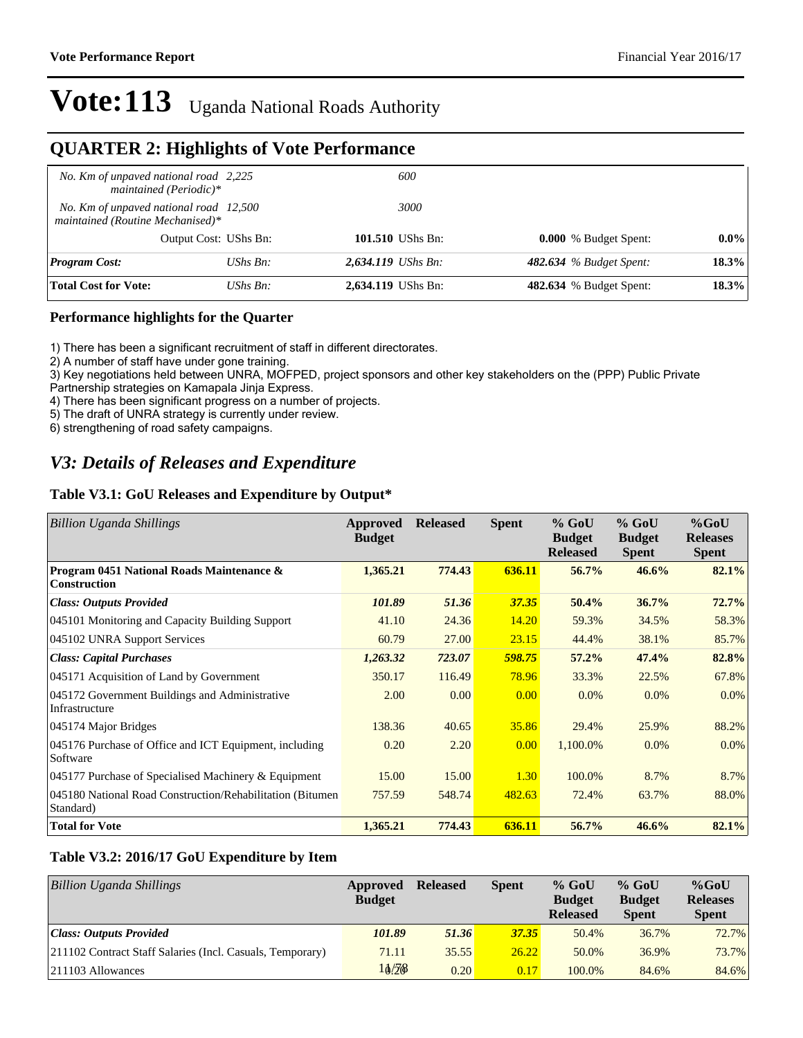#### **QUARTER 2: Highlights of Vote Performance**

| No. Km of unpaved national road 2,225<br>maintained (Periodic)*            |                       | 600                  |                                |         |
|----------------------------------------------------------------------------|-----------------------|----------------------|--------------------------------|---------|
| No. Km of unpaved national road 12,500<br>maintained (Routine Mechanised)* |                       | 3000                 |                                |         |
|                                                                            | Output Cost: UShs Bn: | 101.510 UShs Bn:     | <b>0.000</b> % Budget Spent:   | $0.0\%$ |
| <b>Program Cost:</b>                                                       | UShs $B_n$ :          | $2,634.119$ UShs Bn: | 482.634 % Budget Spent:        | 18.3%   |
| <b>Total Cost for Vote:</b>                                                | UShs $B_n$ :          | 2,634.119 UShs Bn:   | <b>482.634</b> % Budget Spent: | 18.3%   |

#### **Performance highlights for the Quarter**

1) There has been a significant recruitment of staff in different directorates.

2) A number of staff have under gone training.

3) Key negotiations held between UNRA, MOFPED, project sponsors and other key stakeholders on the (PPP) Public Private

Partnership strategies on Kamapala Jinja Express.

4) There has been significant progress on a number of projects.

5) The draft of UNRA strategy is currently under review.

6) strengthening of road safety campaigns.

#### *V3: Details of Releases and Expenditure*

#### **Table V3.1: GoU Releases and Expenditure by Output\***

| <b>Billion Uganda Shillings</b>                                         | Approved<br><b>Budget</b> | <b>Released</b> | <b>Spent</b> | $%$ GoU<br><b>Budget</b><br><b>Released</b> | $%$ GoU<br><b>Budget</b><br><b>Spent</b> | $%$ GoU<br><b>Releases</b><br><b>Spent</b> |
|-------------------------------------------------------------------------|---------------------------|-----------------|--------------|---------------------------------------------|------------------------------------------|--------------------------------------------|
| Program 0451 National Roads Maintenance &<br><b>Construction</b>        | 1,365.21                  | 774.43          | 636.11       | 56.7%                                       | 46.6%                                    | 82.1%                                      |
| <b>Class: Outputs Provided</b>                                          | 101.89                    | 51.36           | 37.35        | 50.4%                                       | 36.7%                                    | 72.7%                                      |
| 045101 Monitoring and Capacity Building Support                         | 41.10                     | 24.36           | 14.20        | 59.3%                                       | 34.5%                                    | 58.3%                                      |
| 045102 UNRA Support Services                                            | 60.79                     | 27.00           | 23.15        | 44.4%                                       | 38.1%                                    | 85.7%                                      |
| <b>Class: Capital Purchases</b>                                         | 1,263.32                  | 723.07          | 598.75       | 57.2%                                       | 47.4%                                    | 82.8%                                      |
| 045171 Acquisition of Land by Government                                | 350.17                    | 116.49          | 78.96        | 33.3%                                       | 22.5%                                    | 67.8%                                      |
| 045172 Government Buildings and Administrative<br>Infrastructure        | 2.00                      | 0.00            | 0.00         | $0.0\%$                                     | $0.0\%$                                  | 0.0%                                       |
| 045174 Major Bridges                                                    | 138.36                    | 40.65           | 35.86        | 29.4%                                       | 25.9%                                    | 88.2%                                      |
| 045176 Purchase of Office and ICT Equipment, including<br>Software      | 0.20                      | 2.20            | 0.00         | 1,100.0%                                    | $0.0\%$                                  | 0.0%                                       |
| 045177 Purchase of Specialised Machinery & Equipment                    | 15.00                     | 15.00           | 1.30         | 100.0%                                      | 8.7%                                     | 8.7%                                       |
| 045180 National Road Construction/Rehabilitation (Bitumen)<br>Standard) | 757.59                    | 548.74          | 482.63       | 72.4%                                       | 63.7%                                    | 88.0%                                      |
| <b>Total for Vote</b>                                                   | 1,365.21                  | 774.43          | 636.11       | 56.7%                                       | 46.6%                                    | 82.1%                                      |

#### **Table V3.2: 2016/17 GoU Expenditure by Item**

| <b>Billion Uganda Shillings</b>                           | Approved<br><b>Budget</b> | <b>Released</b> | <b>Spent</b> | $%$ GoU<br><b>Budget</b><br><b>Released</b> | $%$ GoU<br><b>Budget</b><br><b>Spent</b> | $%$ GoU<br><b>Releases</b><br><b>Spent</b> |
|-----------------------------------------------------------|---------------------------|-----------------|--------------|---------------------------------------------|------------------------------------------|--------------------------------------------|
| Class: Outputs Provided                                   | 101.89                    | 51.36           | 37.35        | 50.4%                                       | 36.7%                                    | 72.7%                                      |
| 211102 Contract Staff Salaries (Incl. Casuals, Temporary) | 71.11                     | 35.55           | 26.22        | 50.0%                                       | 36.9%                                    | 73.7%                                      |
| $ 211103$ Allowances                                      | 10/208                    | 0.20            | 0.17         | 100.0%                                      | 84.6%                                    | 84.6%                                      |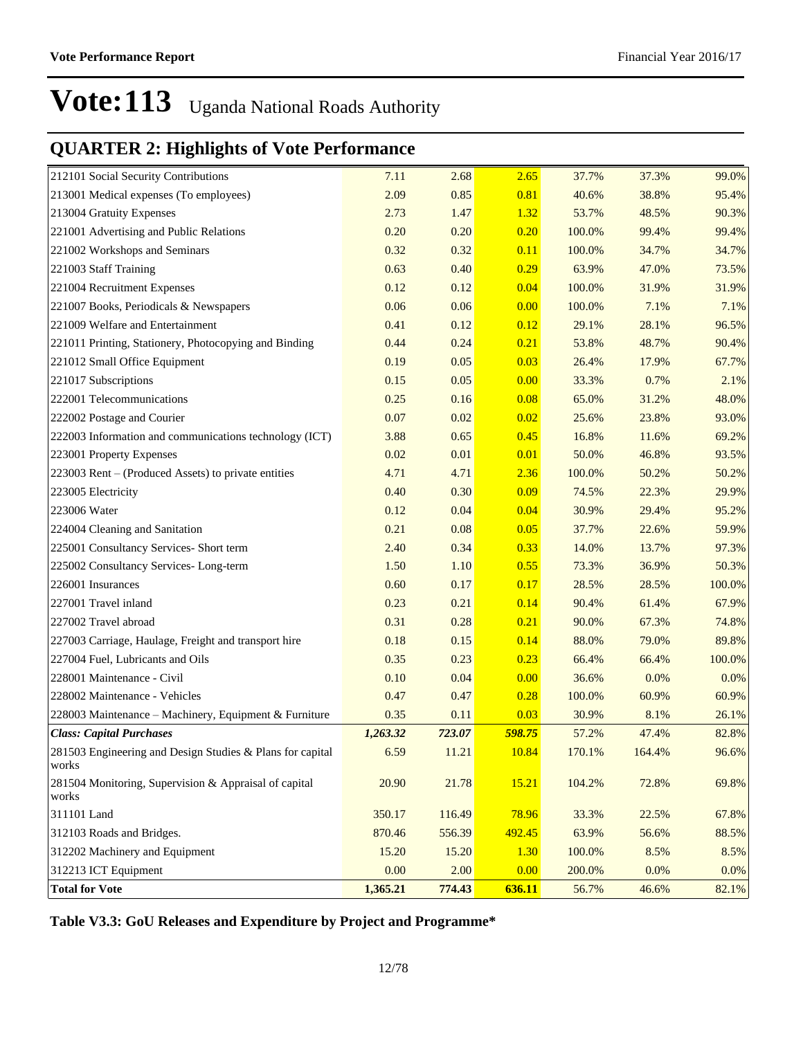### **QUARTER 2: Highlights of Vote Performance**

| 212101 Social Security Contributions                               | 7.11     | 2.68   | 2.65   | 37.7%  | 37.3%  | 99.0%   |
|--------------------------------------------------------------------|----------|--------|--------|--------|--------|---------|
| 213001 Medical expenses (To employees)                             | 2.09     | 0.85   | 0.81   | 40.6%  | 38.8%  | 95.4%   |
| 213004 Gratuity Expenses                                           | 2.73     | 1.47   | 1.32   | 53.7%  | 48.5%  | 90.3%   |
| 221001 Advertising and Public Relations                            | 0.20     | 0.20   | 0.20   | 100.0% | 99.4%  | 99.4%   |
| 221002 Workshops and Seminars                                      | 0.32     | 0.32   | 0.11   | 100.0% | 34.7%  | 34.7%   |
| 221003 Staff Training                                              | 0.63     | 0.40   | 0.29   | 63.9%  | 47.0%  | 73.5%   |
| 221004 Recruitment Expenses                                        | 0.12     | 0.12   | 0.04   | 100.0% | 31.9%  | 31.9%   |
| 221007 Books, Periodicals & Newspapers                             | 0.06     | 0.06   | 0.00   | 100.0% | 7.1%   | $7.1\%$ |
| 221009 Welfare and Entertainment                                   | 0.41     | 0.12   | 0.12   | 29.1%  | 28.1%  | 96.5%   |
| 221011 Printing, Stationery, Photocopying and Binding              | 0.44     | 0.24   | 0.21   | 53.8%  | 48.7%  | 90.4%   |
| 221012 Small Office Equipment                                      | 0.19     | 0.05   | 0.03   | 26.4%  | 17.9%  | 67.7%   |
| 221017 Subscriptions                                               | 0.15     | 0.05   | 0.00   | 33.3%  | 0.7%   | 2.1%    |
| 222001 Telecommunications                                          | 0.25     | 0.16   | 0.08   | 65.0%  | 31.2%  | 48.0%   |
| 222002 Postage and Courier                                         | 0.07     | 0.02   | 0.02   | 25.6%  | 23.8%  | 93.0%   |
| 222003 Information and communications technology (ICT)             | 3.88     | 0.65   | 0.45   | 16.8%  | 11.6%  | 69.2%   |
| 223001 Property Expenses                                           | 0.02     | 0.01   | 0.01   | 50.0%  | 46.8%  | 93.5%   |
| 223003 Rent - (Produced Assets) to private entities                | 4.71     | 4.71   | 2.36   | 100.0% | 50.2%  | 50.2%   |
| 223005 Electricity                                                 | 0.40     | 0.30   | 0.09   | 74.5%  | 22.3%  | 29.9%   |
| 223006 Water                                                       | 0.12     | 0.04   | 0.04   | 30.9%  | 29.4%  | 95.2%   |
| 224004 Cleaning and Sanitation                                     | 0.21     | 0.08   | 0.05   | 37.7%  | 22.6%  | 59.9%   |
| 225001 Consultancy Services- Short term                            | 2.40     | 0.34   | 0.33   | 14.0%  | 13.7%  | 97.3%   |
| 225002 Consultancy Services-Long-term                              | 1.50     | 1.10   | 0.55   | 73.3%  | 36.9%  | 50.3%   |
| 226001 Insurances                                                  | 0.60     | 0.17   | 0.17   | 28.5%  | 28.5%  | 100.0%  |
| 227001 Travel inland                                               | 0.23     | 0.21   | 0.14   | 90.4%  | 61.4%  | 67.9%   |
| 227002 Travel abroad                                               | 0.31     | 0.28   | 0.21   | 90.0%  | 67.3%  | 74.8%   |
| 227003 Carriage, Haulage, Freight and transport hire               | 0.18     | 0.15   | 0.14   | 88.0%  | 79.0%  | 89.8%   |
| 227004 Fuel, Lubricants and Oils                                   | 0.35     | 0.23   | 0.23   | 66.4%  | 66.4%  | 100.0%  |
| 228001 Maintenance - Civil                                         | 0.10     | 0.04   | 0.00   | 36.6%  | 0.0%   | $0.0\%$ |
| 228002 Maintenance - Vehicles                                      | 0.47     | 0.47   | 0.28   | 100.0% | 60.9%  | 60.9%   |
| 228003 Maintenance – Machinery, Equipment & Furniture              | 0.35     | 0.11   | 0.03   | 30.9%  | 8.1%   | 26.1%   |
| <b>Class: Capital Purchases</b>                                    | 1,263.32 | 723.07 | 598.75 | 57.2%  | 47.4%  | 82.8%   |
| 281503 Engineering and Design Studies & Plans for capital<br>works | 6.59     | 11.21  | 10.84  | 170.1% | 164.4% | 96.6%   |
| 281504 Monitoring, Supervision & Appraisal of capital<br>works     | 20.90    | 21.78  | 15.21  | 104.2% | 72.8%  | 69.8%   |
| 311101 Land                                                        | 350.17   | 116.49 | 78.96  | 33.3%  | 22.5%  | 67.8%   |
| 312103 Roads and Bridges.                                          | 870.46   | 556.39 | 492.45 | 63.9%  | 56.6%  | 88.5%   |
| 312202 Machinery and Equipment                                     | 15.20    | 15.20  | 1.30   | 100.0% | 8.5%   | 8.5%    |
| 312213 ICT Equipment                                               | 0.00     | 2.00   | 0.00   | 200.0% | 0.0%   | $0.0\%$ |
| <b>Total for Vote</b>                                              | 1,365.21 | 774.43 | 636.11 | 56.7%  | 46.6%  | 82.1%   |

**Table V3.3: GoU Releases and Expenditure by Project and Programme\***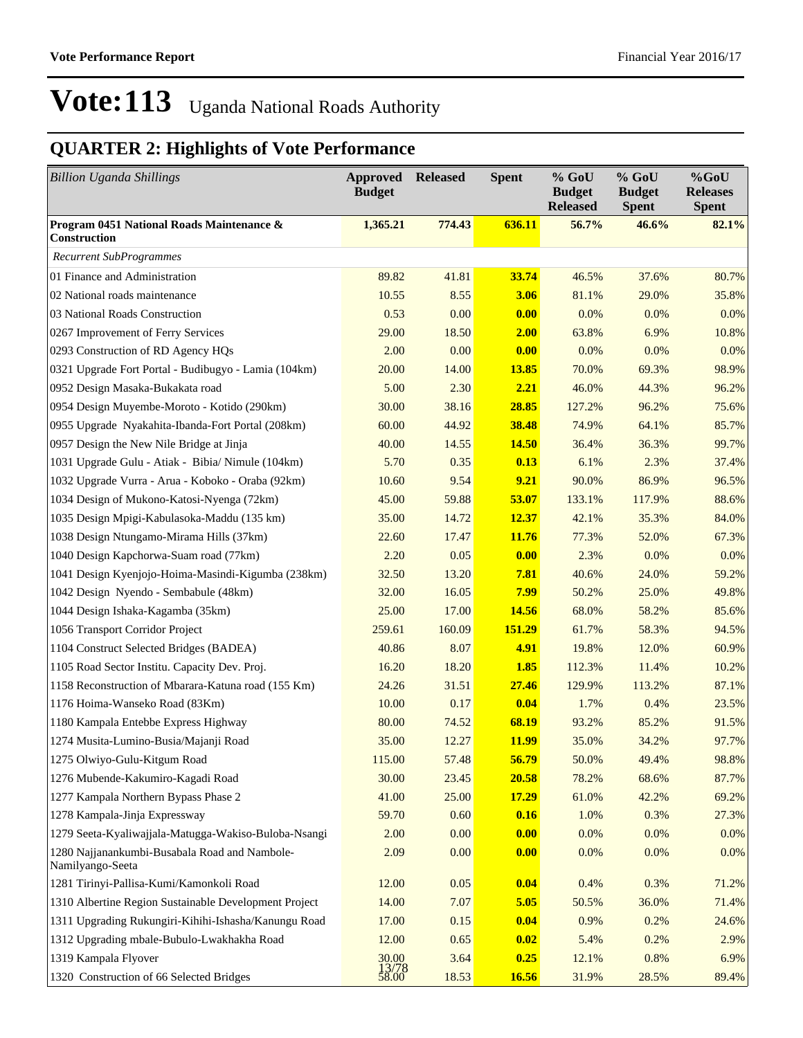| <b>Billion Uganda Shillings</b>                                   | Approved<br><b>Budget</b> | <b>Released</b> | <b>Spent</b> | % GoU<br><b>Budget</b><br><b>Released</b> | $%$ GoU<br><b>Budget</b><br><b>Spent</b> | $%$ GoU<br><b>Releases</b><br><b>Spent</b> |
|-------------------------------------------------------------------|---------------------------|-----------------|--------------|-------------------------------------------|------------------------------------------|--------------------------------------------|
| Program 0451 National Roads Maintenance &<br>Construction         | 1,365.21                  | 774.43          | 636.11       | 56.7%                                     | 46.6%                                    | 82.1%                                      |
| <b>Recurrent SubProgrammes</b>                                    |                           |                 |              |                                           |                                          |                                            |
| 01 Finance and Administration                                     | 89.82                     | 41.81           | 33.74        | 46.5%                                     | 37.6%                                    | 80.7%                                      |
| 02 National roads maintenance                                     | 10.55                     | 8.55            | 3.06         | 81.1%                                     | 29.0%                                    | 35.8%                                      |
| 03 National Roads Construction                                    | 0.53                      | 0.00            | 0.00         | 0.0%                                      | 0.0%                                     | 0.0%                                       |
| 0267 Improvement of Ferry Services                                | 29.00                     | 18.50           | 2.00         | 63.8%                                     | 6.9%                                     | 10.8%                                      |
| 0293 Construction of RD Agency HQs                                | 2.00                      | 0.00            | 0.00         | 0.0%                                      | 0.0%                                     | 0.0%                                       |
| 0321 Upgrade Fort Portal - Budibugyo - Lamia (104km)              | 20.00                     | 14.00           | <b>13.85</b> | 70.0%                                     | 69.3%                                    | 98.9%                                      |
| 0952 Design Masaka-Bukakata road                                  | 5.00                      | 2.30            | 2.21         | 46.0%                                     | 44.3%                                    | 96.2%                                      |
| 0954 Design Muyembe-Moroto - Kotido (290km)                       | 30.00                     | 38.16           | 28.85        | 127.2%                                    | 96.2%                                    | 75.6%                                      |
| 0955 Upgrade Nyakahita-Ibanda-Fort Portal (208km)                 | 60.00                     | 44.92           | 38.48        | 74.9%                                     | 64.1%                                    | 85.7%                                      |
| 0957 Design the New Nile Bridge at Jinja                          | 40.00                     | 14.55           | <b>14.50</b> | 36.4%                                     | 36.3%                                    | 99.7%                                      |
| 1031 Upgrade Gulu - Atiak - Bibia/ Nimule (104km)                 | 5.70                      | 0.35            | 0.13         | 6.1%                                      | 2.3%                                     | 37.4%                                      |
| 1032 Upgrade Vurra - Arua - Koboko - Oraba (92km)                 | 10.60                     | 9.54            | 9.21         | 90.0%                                     | 86.9%                                    | 96.5%                                      |
| 1034 Design of Mukono-Katosi-Nyenga (72km)                        | 45.00                     | 59.88           | 53.07        | 133.1%                                    | 117.9%                                   | 88.6%                                      |
| 1035 Design Mpigi-Kabulasoka-Maddu (135 km)                       | 35.00                     | 14.72           | 12.37        | 42.1%                                     | 35.3%                                    | 84.0%                                      |
| 1038 Design Ntungamo-Mirama Hills (37km)                          | 22.60                     | 17.47           | 11.76        | 77.3%                                     | 52.0%                                    | 67.3%                                      |
| 1040 Design Kapchorwa-Suam road (77km)                            | 2.20                      | 0.05            | 0.00         | 2.3%                                      | 0.0%                                     | 0.0%                                       |
| 1041 Design Kyenjojo-Hoima-Masindi-Kigumba (238km)                | 32.50                     | 13.20           | 7.81         | 40.6%                                     | 24.0%                                    | 59.2%                                      |
| 1042 Design Nyendo - Sembabule (48km)                             | 32.00                     | 16.05           | 7.99         | 50.2%                                     | 25.0%                                    | 49.8%                                      |
| 1044 Design Ishaka-Kagamba (35km)                                 | 25.00                     | 17.00           | 14.56        | 68.0%                                     | 58.2%                                    | 85.6%                                      |
| 1056 Transport Corridor Project                                   | 259.61                    | 160.09          | 151.29       | 61.7%                                     | 58.3%                                    | 94.5%                                      |
| 1104 Construct Selected Bridges (BADEA)                           | 40.86                     | 8.07            | 4.91         | 19.8%                                     | 12.0%                                    | 60.9%                                      |
| 1105 Road Sector Institu. Capacity Dev. Proj.                     | 16.20                     | 18.20           | 1.85         | 112.3%                                    | 11.4%                                    | 10.2%                                      |
| 1158 Reconstruction of Mbarara-Katuna road (155 Km)               | 24.26                     | 31.51           | 27.46        | 129.9%                                    | 113.2%                                   | 87.1%                                      |
| 1176 Hoima-Wanseko Road (83Km)                                    | 10.00                     | 0.17            | 0.04         | 1.7%                                      | 0.4%                                     | 23.5%                                      |
| 1180 Kampala Entebbe Express Highway                              | 80.00                     | 74.52           | 68.19        | 93.2%                                     | 85.2%                                    | 91.5%                                      |
| 1274 Musita-Lumino-Busia/Majanji Road                             | 35.00                     | 12.27           | <b>11.99</b> | 35.0%                                     | 34.2%                                    | 97.7%                                      |
| 1275 Olwiyo-Gulu-Kitgum Road                                      | 115.00                    | 57.48           | 56.79        | 50.0%                                     | 49.4%                                    | 98.8%                                      |
| 1276 Mubende-Kakumiro-Kagadi Road                                 | 30.00                     | 23.45           | 20.58        | 78.2%                                     | 68.6%                                    | 87.7%                                      |
| 1277 Kampala Northern Bypass Phase 2                              | 41.00                     | 25.00           | <b>17.29</b> | 61.0%                                     | 42.2%                                    | 69.2%                                      |
| 1278 Kampala-Jinja Expressway                                     | 59.70                     | 0.60            | 0.16         | 1.0%                                      | 0.3%                                     | 27.3%                                      |
| 1279 Seeta-Kyaliwajjala-Matugga-Wakiso-Buloba-Nsangi              | 2.00                      | 0.00            | 0.00         | 0.0%                                      | 0.0%                                     | 0.0%                                       |
| 1280 Najjanankumbi-Busabala Road and Nambole-<br>Namilyango-Seeta | 2.09                      | 0.00            | 0.00         | 0.0%                                      | 0.0%                                     | 0.0%                                       |
| 1281 Tirinyi-Pallisa-Kumi/Kamonkoli Road                          | 12.00                     | 0.05            | 0.04         | 0.4%                                      | 0.3%                                     | 71.2%                                      |
| 1310 Albertine Region Sustainable Development Project             | 14.00                     | 7.07            | 5.05         | 50.5%                                     | 36.0%                                    | 71.4%                                      |
| 1311 Upgrading Rukungiri-Kihihi-Ishasha/Kanungu Road              | 17.00                     | 0.15            | 0.04         | 0.9%                                      | 0.2%                                     | 24.6%                                      |
| 1312 Upgrading mbale-Bubulo-Lwakhakha Road                        | 12.00                     | 0.65            | 0.02         | 5.4%                                      | 0.2%                                     | 2.9%                                       |
| 1319 Kampala Flyover                                              | 30.00                     | 3.64            | 0.25         | 12.1%                                     | 0.8%                                     | 6.9%                                       |
| 1320 Construction of 66 Selected Bridges                          | 13/78<br>58.00            | 18.53           | 16.56        | 31.9%                                     | 28.5%                                    | 89.4%                                      |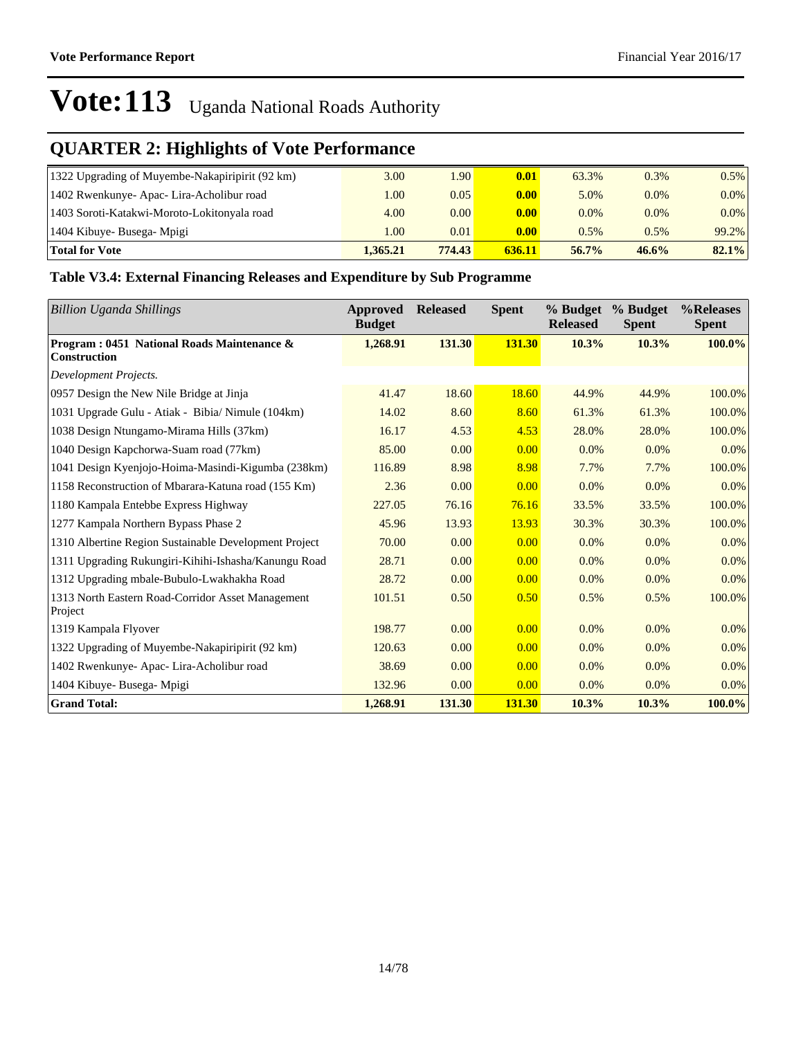### **QUARTER 2: Highlights of Vote Performance**

| 1322 Upgrading of Muyembe-Nakapiripirit (92 km) | 3.00     | l.90   | 0.01              | 63.3%    | 0.3%    | 0.5%    |
|-------------------------------------------------|----------|--------|-------------------|----------|---------|---------|
| 1402 Rwenkunye- Apac- Lira-Acholibur road       | 1.00     | 0.05   | 0.00              | 5.0%     | $0.0\%$ | $0.0\%$ |
| 1403 Soroti-Katakwi-Moroto-Lokitonyala road     | 4.00     | 0.00   | 0.00              | $0.0\%$  | $0.0\%$ | $0.0\%$ |
| 1404 Kibuye- Busega- Mpigi                      | 1.00     | 0.01   | 0.00 <sub>1</sub> | $0.5\%$  | 0.5%    | 99.2%   |
| <b>Total for Vote</b>                           | 1.365.21 | 774.43 | 636.11            | $56.7\%$ | 46.6%   | 82.1%   |

#### **Table V3.4: External Financing Releases and Expenditure by Sub Programme**

| <b>Billion Uganda Shillings</b>                                   | Approved<br><b>Budget</b> | <b>Released</b> | <b>Spent</b> | % Budget<br><b>Released</b> | % Budget<br><b>Spent</b> | %Releases<br><b>Spent</b> |
|-------------------------------------------------------------------|---------------------------|-----------------|--------------|-----------------------------|--------------------------|---------------------------|
| Program: 0451 National Roads Maintenance &<br><b>Construction</b> | 1,268.91                  | 131.30          | 131.30       | 10.3%                       | 10.3%                    | 100.0%                    |
| Development Projects.                                             |                           |                 |              |                             |                          |                           |
| 0957 Design the New Nile Bridge at Jinja                          | 41.47                     | 18.60           | 18.60        | 44.9%                       | 44.9%                    | 100.0%                    |
| 1031 Upgrade Gulu - Atiak - Bibia/ Nimule (104km)                 | 14.02                     | 8.60            | 8.60         | 61.3%                       | 61.3%                    | 100.0%                    |
| 1038 Design Ntungamo-Mirama Hills (37km)                          | 16.17                     | 4.53            | 4.53         | 28.0%                       | 28.0%                    | 100.0%                    |
| 1040 Design Kapchorwa-Suam road (77km)                            | 85.00                     | 0.00            | 0.00         | 0.0%                        | $0.0\%$                  | 0.0%                      |
| 1041 Design Kyenjojo-Hoima-Masindi-Kigumba (238km)                | 116.89                    | 8.98            | 8.98         | 7.7%                        | 7.7%                     | 100.0%                    |
| 1158 Reconstruction of Mbarara-Katuna road (155 Km)               | 2.36                      | 0.00            | 0.00         | 0.0%                        | $0.0\%$                  | 0.0%                      |
| 1180 Kampala Entebbe Express Highway                              | 227.05                    | 76.16           | 76.16        | 33.5%                       | 33.5%                    | 100.0%                    |
| 1277 Kampala Northern Bypass Phase 2                              | 45.96                     | 13.93           | 13.93        | 30.3%                       | 30.3%                    | 100.0%                    |
| 1310 Albertine Region Sustainable Development Project             | 70.00                     | 0.00            | 0.00         | 0.0%                        | 0.0%                     | 0.0%                      |
| 1311 Upgrading Rukungiri-Kihihi-Ishasha/Kanungu Road              | 28.71                     | 0.00            | 0.00         | 0.0%                        | 0.0%                     | 0.0%                      |
| 1312 Upgrading mbale-Bubulo-Lwakhakha Road                        | 28.72                     | 0.00            | 0.00         | 0.0%                        | $0.0\%$                  | 0.0%                      |
| 1313 North Eastern Road-Corridor Asset Management<br>Project      | 101.51                    | 0.50            | 0.50         | 0.5%                        | 0.5%                     | 100.0%                    |
| 1319 Kampala Flyover                                              | 198.77                    | 0.00            | 0.00         | 0.0%                        | $0.0\%$                  | 0.0%                      |
| 1322 Upgrading of Muyembe-Nakapiripirit (92 km)                   | 120.63                    | 0.00            | 0.00         | $0.0\%$                     | $0.0\%$                  | 0.0%                      |
| 1402 Rwenkunye- Apac- Lira-Acholibur road                         | 38.69                     | 0.00            | 0.00         | $0.0\%$                     | 0.0%                     | 0.0%                      |
| 1404 Kibuye- Busega- Mpigi                                        | 132.96                    | 0.00            | 0.00         | $0.0\%$                     | 0.0%                     | 0.0%                      |
| <b>Grand Total:</b>                                               | 1,268.91                  | 131.30          | 131.30       | 10.3%                       | 10.3%                    | 100.0%                    |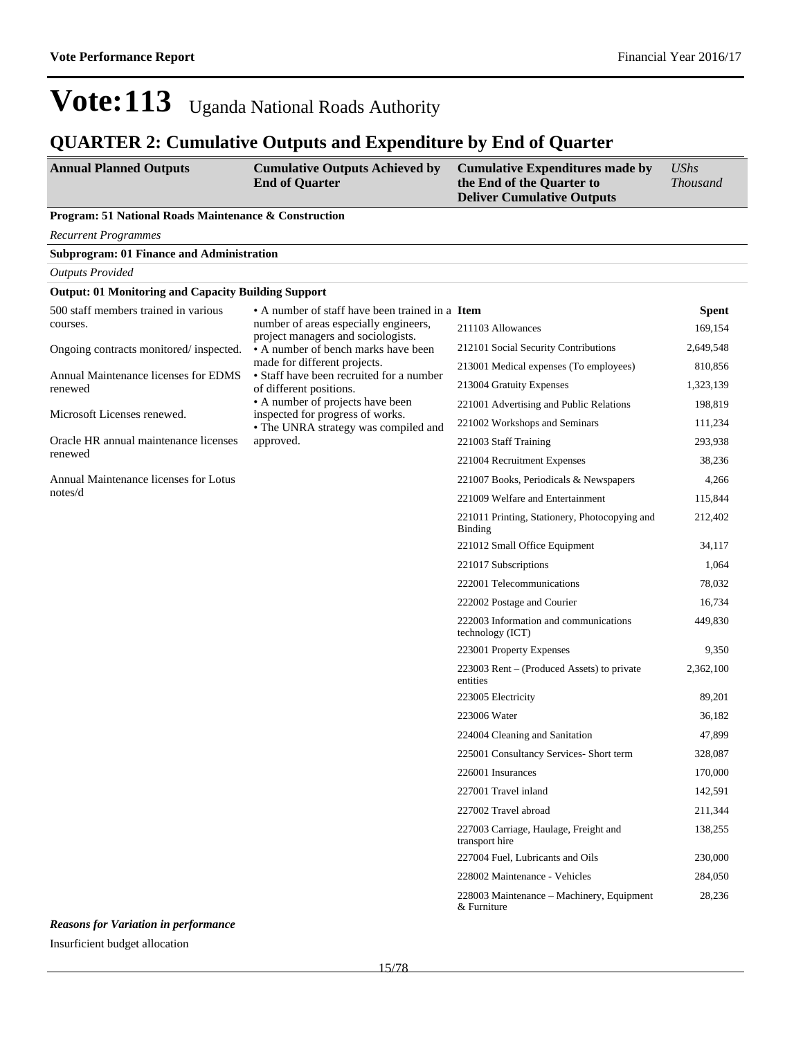#### **QUARTER 2: Cumulative Outputs and Expenditure by End of Quarter**

| <b>Annual Planned Outputs</b> | <b>Cumulative Outputs Achieved by</b> | <b>Cumulative Expenditures made by</b> | UShs            |
|-------------------------------|---------------------------------------|----------------------------------------|-----------------|
|                               | <b>End of Ouarter</b>                 | the End of the Ouarter to              | <i>Thousand</i> |
|                               |                                       | <b>Deliver Cumulative Outputs</b>      |                 |

#### **Program: 51 National Roads Maintenance & Construction**

*Recurrent Programmes*

|  |  | <b>Subprogram: 01 Finance and Administration</b> |
|--|--|--------------------------------------------------|
|  |  |                                                  |

*Outputs Provided* **Output: 01 Monitoring and Capacity Building Support** 500 staff members trained in various courses. Ongoing contracts monitored/ inspected. Annual Maintenance licenses for EDMS renewed Microsoft Licenses renewed. Oracle HR annual maintenance licenses renewed Annual Maintenance licenses for Lotus notes/d • A number of staff have been trained in a Item number of areas especially engineers, project managers and sociologists. A number of bench marks have been made for different projects. Staff have been recruited for a number of different positions. A number of projects have been inspected for progress of works. The UNRA strategy was compiled and approved. **Spent** 211103 Allowances 169,154 212101 Social Security Contributions 2,649,548 213001 Medical expenses (To employees) 810,856 213004 Gratuity Expenses 1,323,139 221001 Advertising and Public Relations 198,819 221002 Workshops and Seminars 111,234 221003 Staff Training 293,938 221004 Recruitment Expenses 38,236 221007 Books, Periodicals & Newspapers 4,266 221009 Welfare and Entertainment 115,844 221011 Printing, Stationery, Photocopying and Binding 212,402 221012 Small Office Equipment 34,117 221017 Subscriptions 1,064 222001 Telecommunications 78,032 222002 Postage and Courier 16,734 222003 Information and communications technology (ICT) 449,830 223001 Property Expenses 9,350  $223003$  Rent  $-$  (Produced Assets) to private entities 2,362,100 223005 Electricity 89,201 223006 Water 36,182 224004 Cleaning and Sanitation 47,899 225001 Consultancy Services- Short term 328,087 226001 Insurances 170,000 227001 Travel inland 142,591 227002 Travel abroad 211,344 227003 Carriage, Haulage, Freight and transport hire 138,255 227004 Fuel, Lubricants and Oils 230,000

*Reasons for Variation in performance* Insurficient budget allocation

228002 Maintenance - Vehicles 284,050

28,236

228003 Maintenance - Machinery, Equipment

& Furniture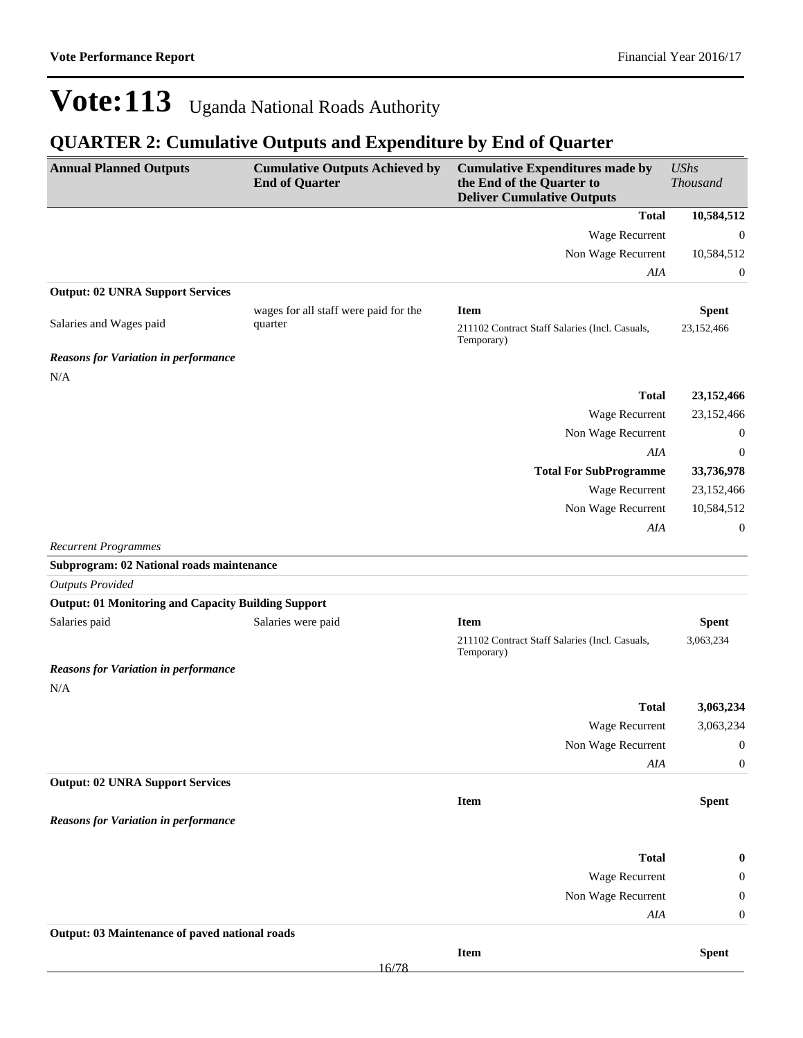| <b>Annual Planned Outputs</b>                              | <b>Cumulative Outputs Achieved by</b><br><b>End of Quarter</b> | <b>Cumulative Expenditures made by</b><br>the End of the Quarter to<br><b>Deliver Cumulative Outputs</b> | <b>UShs</b><br>Thousand    |
|------------------------------------------------------------|----------------------------------------------------------------|----------------------------------------------------------------------------------------------------------|----------------------------|
|                                                            |                                                                | <b>Total</b>                                                                                             | 10,584,512                 |
|                                                            |                                                                | Wage Recurrent                                                                                           | $\boldsymbol{0}$           |
|                                                            |                                                                | Non Wage Recurrent                                                                                       | 10,584,512                 |
|                                                            |                                                                | AIA                                                                                                      | 0                          |
| <b>Output: 02 UNRA Support Services</b>                    |                                                                |                                                                                                          |                            |
| Salaries and Wages paid                                    | wages for all staff were paid for the<br>quarter               | <b>Item</b><br>211102 Contract Staff Salaries (Incl. Casuals,<br>Temporary)                              | <b>Spent</b><br>23,152,466 |
| <b>Reasons for Variation in performance</b><br>N/A         |                                                                |                                                                                                          |                            |
|                                                            |                                                                | <b>Total</b>                                                                                             | 23,152,466                 |
|                                                            |                                                                | Wage Recurrent                                                                                           | 23,152,466                 |
|                                                            |                                                                | Non Wage Recurrent                                                                                       | $\boldsymbol{0}$           |
|                                                            |                                                                | AIA                                                                                                      | $\boldsymbol{0}$           |
|                                                            |                                                                | <b>Total For SubProgramme</b>                                                                            | 33,736,978                 |
|                                                            |                                                                | Wage Recurrent                                                                                           | 23,152,466                 |
|                                                            |                                                                | Non Wage Recurrent                                                                                       | 10,584,512                 |
|                                                            |                                                                | AIA                                                                                                      | $\boldsymbol{0}$           |
| <b>Recurrent Programmes</b>                                |                                                                |                                                                                                          |                            |
| Subprogram: 02 National roads maintenance                  |                                                                |                                                                                                          |                            |
| <b>Outputs Provided</b>                                    |                                                                |                                                                                                          |                            |
| <b>Output: 01 Monitoring and Capacity Building Support</b> |                                                                |                                                                                                          |                            |
| Salaries paid                                              | Salaries were paid                                             | <b>Item</b><br>211102 Contract Staff Salaries (Incl. Casuals,<br>Temporary)                              | <b>Spent</b><br>3,063,234  |
| <b>Reasons for Variation in performance</b>                |                                                                |                                                                                                          |                            |
| N/A                                                        |                                                                |                                                                                                          |                            |
|                                                            |                                                                | <b>Total</b>                                                                                             | 3,063,234                  |
|                                                            |                                                                | Wage Recurrent                                                                                           | 3,063,234                  |
|                                                            |                                                                | Non Wage Recurrent                                                                                       | $\theta$                   |
|                                                            |                                                                | AIA                                                                                                      | $\boldsymbol{0}$           |
| <b>Output: 02 UNRA Support Services</b>                    |                                                                |                                                                                                          |                            |
|                                                            |                                                                | Item                                                                                                     | <b>Spent</b>               |
| <b>Reasons for Variation in performance</b>                |                                                                |                                                                                                          |                            |
|                                                            |                                                                | <b>Total</b>                                                                                             | $\boldsymbol{0}$           |
|                                                            |                                                                | Wage Recurrent                                                                                           | 0                          |
|                                                            |                                                                | Non Wage Recurrent                                                                                       | $\boldsymbol{0}$           |
|                                                            |                                                                | AIA                                                                                                      | $\boldsymbol{0}$           |
| Output: 03 Maintenance of paved national roads             |                                                                |                                                                                                          |                            |
|                                                            |                                                                | Item                                                                                                     | <b>Spent</b>               |
|                                                            | 16/78                                                          |                                                                                                          |                            |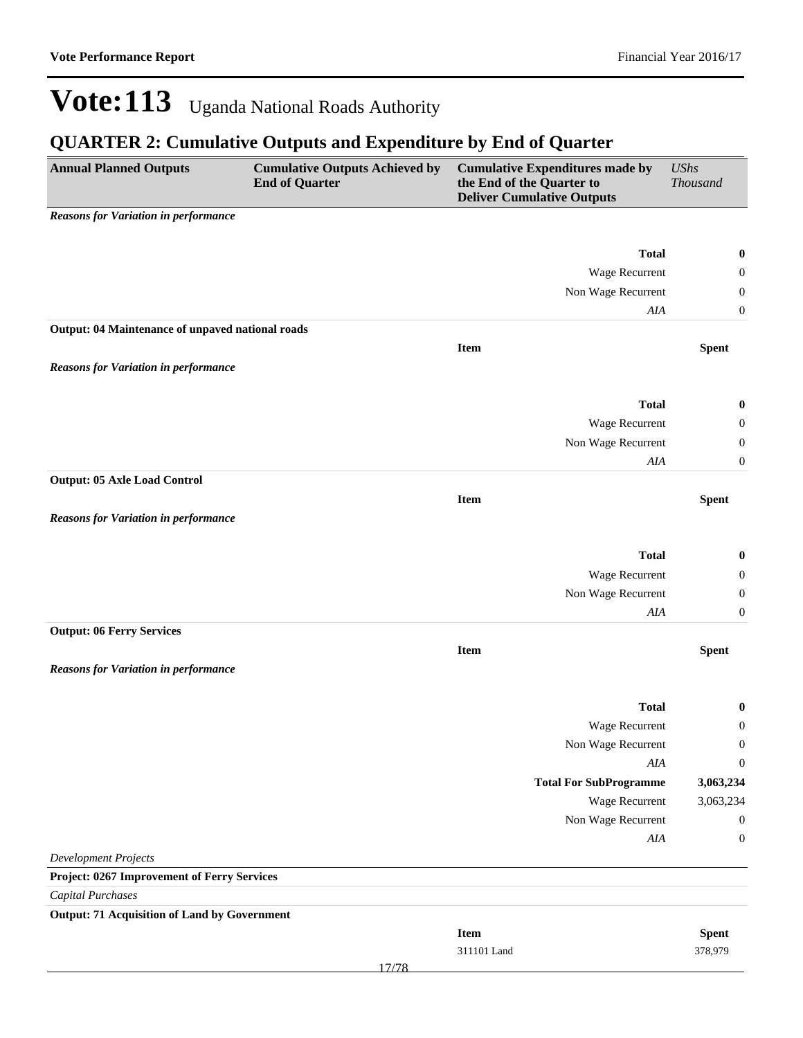| <b>Annual Planned Outputs</b>                       | <b>Cumulative Outputs Achieved by</b><br><b>End of Quarter</b> | the End of the Quarter to | <b>Cumulative Expenditures made by</b><br><b>Deliver Cumulative Outputs</b> | <b>UShs</b><br><b>Thousand</b> |
|-----------------------------------------------------|----------------------------------------------------------------|---------------------------|-----------------------------------------------------------------------------|--------------------------------|
| <b>Reasons for Variation in performance</b>         |                                                                |                           |                                                                             |                                |
|                                                     |                                                                |                           |                                                                             |                                |
|                                                     |                                                                |                           | <b>Total</b>                                                                | $\bf{0}$                       |
|                                                     |                                                                |                           | Wage Recurrent                                                              | $\boldsymbol{0}$               |
|                                                     |                                                                |                           | Non Wage Recurrent                                                          | $\boldsymbol{0}$               |
| Output: 04 Maintenance of unpaved national roads    |                                                                |                           | $A I\!A$                                                                    | $\boldsymbol{0}$               |
|                                                     |                                                                | <b>Item</b>               |                                                                             | <b>Spent</b>                   |
| <b>Reasons for Variation in performance</b>         |                                                                |                           |                                                                             |                                |
|                                                     |                                                                |                           |                                                                             |                                |
|                                                     |                                                                |                           | <b>Total</b>                                                                | $\bf{0}$                       |
|                                                     |                                                                |                           | Wage Recurrent                                                              | $\boldsymbol{0}$               |
|                                                     |                                                                |                           | Non Wage Recurrent                                                          | $\boldsymbol{0}$               |
|                                                     |                                                                |                           | AIA                                                                         | $\boldsymbol{0}$               |
| <b>Output: 05 Axle Load Control</b>                 |                                                                |                           |                                                                             |                                |
|                                                     |                                                                | <b>Item</b>               |                                                                             | <b>Spent</b>                   |
| <b>Reasons for Variation in performance</b>         |                                                                |                           |                                                                             |                                |
|                                                     |                                                                |                           |                                                                             |                                |
|                                                     |                                                                |                           | <b>Total</b>                                                                | $\boldsymbol{0}$               |
|                                                     |                                                                |                           | Wage Recurrent                                                              | $\boldsymbol{0}$               |
|                                                     |                                                                |                           | Non Wage Recurrent                                                          | $\boldsymbol{0}$               |
|                                                     |                                                                |                           | AIA                                                                         | $\boldsymbol{0}$               |
| <b>Output: 06 Ferry Services</b>                    |                                                                |                           |                                                                             |                                |
|                                                     |                                                                | Item                      |                                                                             | <b>Spent</b>                   |
| <b>Reasons for Variation in performance</b>         |                                                                |                           |                                                                             |                                |
|                                                     |                                                                |                           | <b>Total</b>                                                                | $\boldsymbol{0}$               |
|                                                     |                                                                |                           | Wage Recurrent                                                              | $\boldsymbol{0}$               |
|                                                     |                                                                |                           | Non Wage Recurrent                                                          | $\boldsymbol{0}$               |
|                                                     |                                                                |                           | AIA                                                                         | $\boldsymbol{0}$               |
|                                                     |                                                                |                           | <b>Total For SubProgramme</b>                                               | 3,063,234                      |
|                                                     |                                                                |                           | Wage Recurrent                                                              | 3,063,234                      |
|                                                     |                                                                |                           | Non Wage Recurrent                                                          | $\boldsymbol{0}$               |
|                                                     |                                                                |                           | AIA                                                                         | $\boldsymbol{0}$               |
| <b>Development Projects</b>                         |                                                                |                           |                                                                             |                                |
| Project: 0267 Improvement of Ferry Services         |                                                                |                           |                                                                             |                                |
| <b>Capital Purchases</b>                            |                                                                |                           |                                                                             |                                |
| <b>Output: 71 Acquisition of Land by Government</b> |                                                                |                           |                                                                             |                                |
|                                                     |                                                                | Item                      |                                                                             | <b>Spent</b>                   |
|                                                     |                                                                | 311101 Land               |                                                                             | 378,979                        |
|                                                     | 17/78                                                          |                           |                                                                             |                                |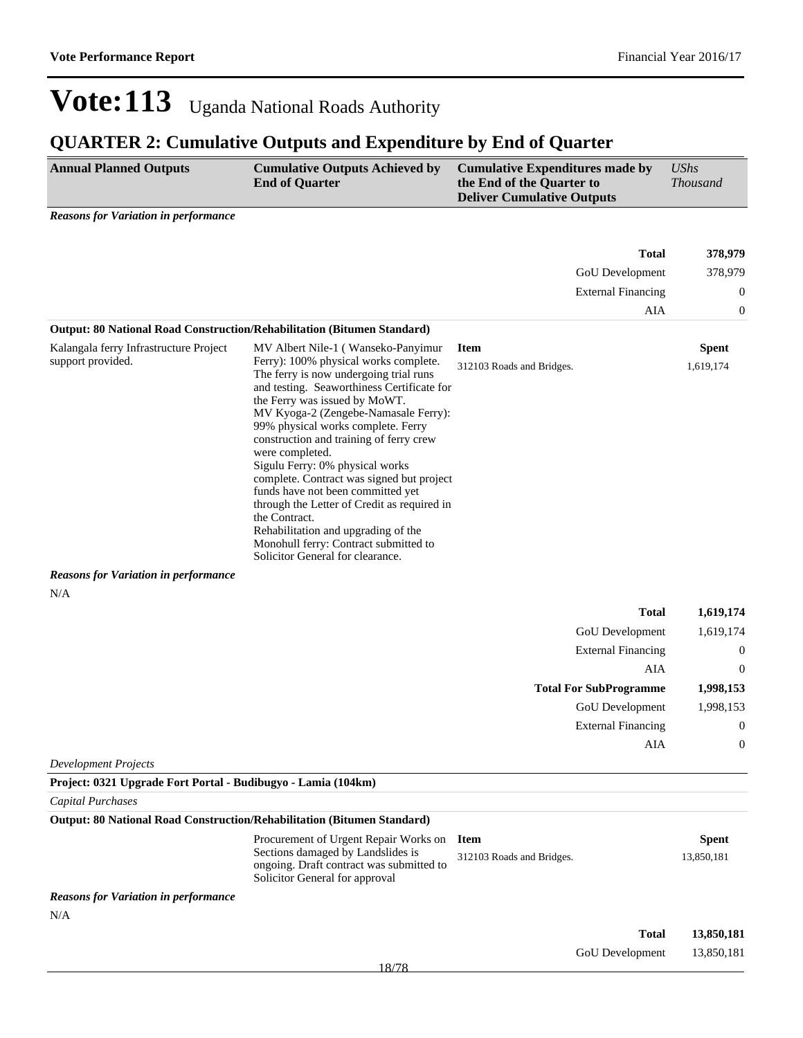### **QUARTER 2: Cumulative Outputs and Expenditure by End of Quarter**

| <b>Annual Planned Outputs</b> | <b>Cumulative Outputs Achieved by</b><br><b>End of Quarter</b> | <b>Cumulative Expenditures made by</b><br>the End of the Quarter to<br><b>Deliver Cumulative Outputs</b> | <i>UShs</i><br><i>Thousand</i> |
|-------------------------------|----------------------------------------------------------------|----------------------------------------------------------------------------------------------------------|--------------------------------|
|                               |                                                                |                                                                                                          |                                |

*Reasons for Variation in performance*

|                                                               |                                                                                                                                                                                                                                                                                                                                                                                                                                                                                                                                                                                                                                                           |                                          | <b>Total</b>                  | 378,979                   |
|---------------------------------------------------------------|-----------------------------------------------------------------------------------------------------------------------------------------------------------------------------------------------------------------------------------------------------------------------------------------------------------------------------------------------------------------------------------------------------------------------------------------------------------------------------------------------------------------------------------------------------------------------------------------------------------------------------------------------------------|------------------------------------------|-------------------------------|---------------------------|
|                                                               |                                                                                                                                                                                                                                                                                                                                                                                                                                                                                                                                                                                                                                                           |                                          | GoU Development               | 378,979                   |
|                                                               |                                                                                                                                                                                                                                                                                                                                                                                                                                                                                                                                                                                                                                                           |                                          | <b>External Financing</b>     | $\boldsymbol{0}$          |
|                                                               |                                                                                                                                                                                                                                                                                                                                                                                                                                                                                                                                                                                                                                                           |                                          | AIA                           | $\mathbf{0}$              |
|                                                               | Output: 80 National Road Construction/Rehabilitation (Bitumen Standard)                                                                                                                                                                                                                                                                                                                                                                                                                                                                                                                                                                                   |                                          |                               |                           |
| Kalangala ferry Infrastructure Project<br>support provided.   | MV Albert Nile-1 (Wanseko-Panyimur<br>Ferry): 100% physical works complete.<br>The ferry is now undergoing trial runs<br>and testing. Seaworthiness Certificate for<br>the Ferry was issued by MoWT.<br>MV Kyoga-2 (Zengebe-Namasale Ferry):<br>99% physical works complete. Ferry<br>construction and training of ferry crew<br>were completed.<br>Sigulu Ferry: 0% physical works<br>complete. Contract was signed but project<br>funds have not been committed yet<br>through the Letter of Credit as required in<br>the Contract.<br>Rehabilitation and upgrading of the<br>Monohull ferry: Contract submitted to<br>Solicitor General for clearance. | <b>Item</b><br>312103 Roads and Bridges. |                               | <b>Spent</b><br>1,619,174 |
| <b>Reasons for Variation in performance</b>                   |                                                                                                                                                                                                                                                                                                                                                                                                                                                                                                                                                                                                                                                           |                                          |                               |                           |
| N/A                                                           |                                                                                                                                                                                                                                                                                                                                                                                                                                                                                                                                                                                                                                                           |                                          | <b>Total</b>                  | 1,619,174                 |
|                                                               |                                                                                                                                                                                                                                                                                                                                                                                                                                                                                                                                                                                                                                                           |                                          | GoU Development               | 1,619,174                 |
|                                                               |                                                                                                                                                                                                                                                                                                                                                                                                                                                                                                                                                                                                                                                           |                                          | <b>External Financing</b>     | $\boldsymbol{0}$          |
|                                                               |                                                                                                                                                                                                                                                                                                                                                                                                                                                                                                                                                                                                                                                           |                                          | AIA                           | $\mathbf{0}$              |
|                                                               |                                                                                                                                                                                                                                                                                                                                                                                                                                                                                                                                                                                                                                                           |                                          | <b>Total For SubProgramme</b> | 1,998,153                 |
|                                                               |                                                                                                                                                                                                                                                                                                                                                                                                                                                                                                                                                                                                                                                           |                                          | GoU Development               | 1,998,153                 |
|                                                               |                                                                                                                                                                                                                                                                                                                                                                                                                                                                                                                                                                                                                                                           |                                          | <b>External Financing</b>     | $\mathbf{0}$              |
|                                                               |                                                                                                                                                                                                                                                                                                                                                                                                                                                                                                                                                                                                                                                           |                                          | AIA                           | $\mathbf{0}$              |
| <b>Development Projects</b>                                   |                                                                                                                                                                                                                                                                                                                                                                                                                                                                                                                                                                                                                                                           |                                          |                               |                           |
| Project: 0321 Upgrade Fort Portal - Budibugyo - Lamia (104km) |                                                                                                                                                                                                                                                                                                                                                                                                                                                                                                                                                                                                                                                           |                                          |                               |                           |
| Capital Purchases                                             |                                                                                                                                                                                                                                                                                                                                                                                                                                                                                                                                                                                                                                                           |                                          |                               |                           |
|                                                               | Output: 80 National Road Construction/Rehabilitation (Bitumen Standard)                                                                                                                                                                                                                                                                                                                                                                                                                                                                                                                                                                                   |                                          |                               |                           |

|                                             | Procurement of Urgent Repair Works on Item<br>Sections damaged by Landslides is<br>ongoing. Draft contract was submitted to<br>Solicitor General for approval | 312103 Roads and Bridges. |                        | <b>Spent</b><br>13,850,181 |
|---------------------------------------------|---------------------------------------------------------------------------------------------------------------------------------------------------------------|---------------------------|------------------------|----------------------------|
| <b>Reasons for Variation in performance</b> |                                                                                                                                                               |                           |                        |                            |
| N/A                                         |                                                                                                                                                               |                           |                        |                            |
|                                             |                                                                                                                                                               |                           | Total                  | 13,850,181                 |
|                                             |                                                                                                                                                               |                           | <b>GoU</b> Development | 13,850,181                 |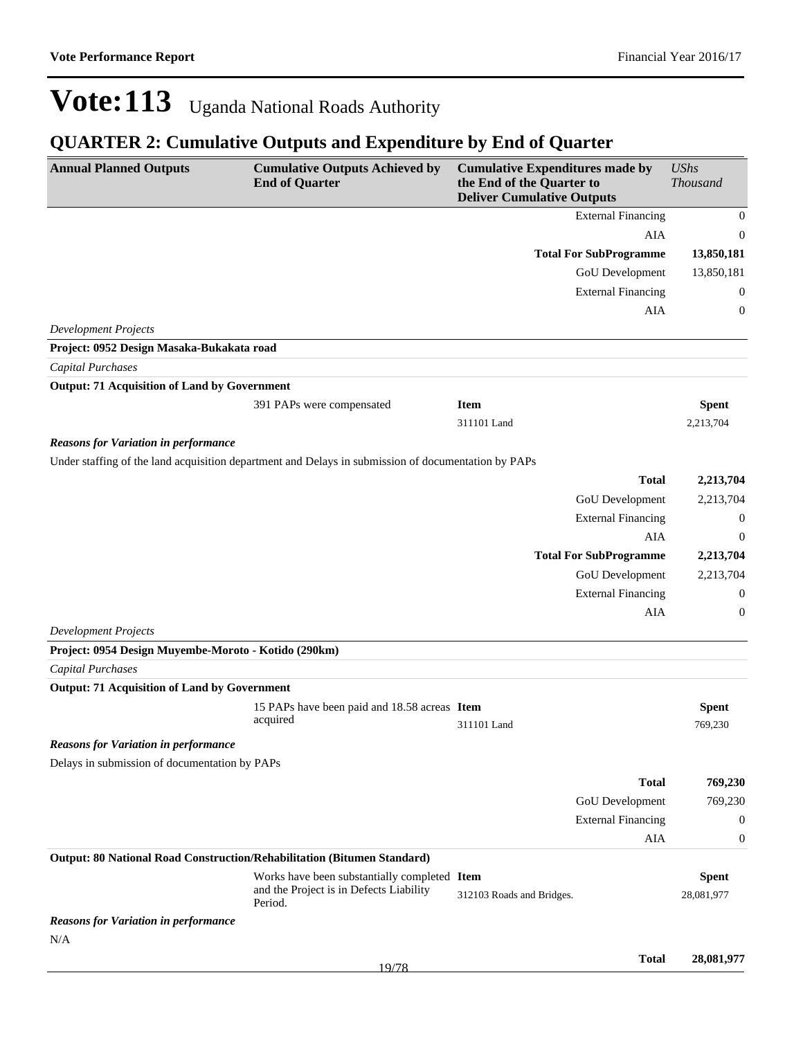| <b>Annual Planned Outputs</b>                                           | <b>Cumulative Outputs Achieved by</b><br><b>End of Quarter</b>                                      | <b>Cumulative Expenditures made by</b><br>the End of the Quarter to<br><b>Deliver Cumulative Outputs</b> |                               | <b>UShs</b><br><b>Thousand</b> |
|-------------------------------------------------------------------------|-----------------------------------------------------------------------------------------------------|----------------------------------------------------------------------------------------------------------|-------------------------------|--------------------------------|
|                                                                         |                                                                                                     |                                                                                                          | <b>External Financing</b>     | $\boldsymbol{0}$               |
|                                                                         |                                                                                                     |                                                                                                          | AIA                           | $\boldsymbol{0}$               |
|                                                                         |                                                                                                     |                                                                                                          | <b>Total For SubProgramme</b> | 13,850,181                     |
|                                                                         |                                                                                                     |                                                                                                          | GoU Development               | 13,850,181                     |
|                                                                         |                                                                                                     |                                                                                                          | <b>External Financing</b>     | 0                              |
|                                                                         |                                                                                                     |                                                                                                          | <b>AIA</b>                    | $\boldsymbol{0}$               |
| <b>Development Projects</b>                                             |                                                                                                     |                                                                                                          |                               |                                |
| Project: 0952 Design Masaka-Bukakata road                               |                                                                                                     |                                                                                                          |                               |                                |
| <b>Capital Purchases</b>                                                |                                                                                                     |                                                                                                          |                               |                                |
| <b>Output: 71 Acquisition of Land by Government</b>                     |                                                                                                     |                                                                                                          |                               |                                |
|                                                                         | 391 PAPs were compensated                                                                           | <b>Item</b>                                                                                              |                               | <b>Spent</b>                   |
|                                                                         |                                                                                                     | 311101 Land                                                                                              |                               | 2,213,704                      |
| <b>Reasons for Variation in performance</b>                             |                                                                                                     |                                                                                                          |                               |                                |
|                                                                         | Under staffing of the land acquisition department and Delays in submission of documentation by PAPs |                                                                                                          |                               |                                |
|                                                                         |                                                                                                     |                                                                                                          | <b>Total</b>                  | 2,213,704                      |
|                                                                         |                                                                                                     |                                                                                                          | GoU Development               | 2,213,704                      |
|                                                                         |                                                                                                     |                                                                                                          | <b>External Financing</b>     | $\boldsymbol{0}$               |
|                                                                         |                                                                                                     |                                                                                                          | <b>AIA</b>                    | $\boldsymbol{0}$               |
|                                                                         |                                                                                                     |                                                                                                          | <b>Total For SubProgramme</b> | 2,213,704                      |
|                                                                         |                                                                                                     |                                                                                                          | GoU Development               | 2,213,704                      |
|                                                                         |                                                                                                     |                                                                                                          | <b>External Financing</b>     | $\boldsymbol{0}$               |
|                                                                         |                                                                                                     |                                                                                                          | <b>AIA</b>                    | 0                              |
| <b>Development Projects</b>                                             |                                                                                                     |                                                                                                          |                               |                                |
| Project: 0954 Design Muyembe-Moroto - Kotido (290km)                    |                                                                                                     |                                                                                                          |                               |                                |
| <b>Capital Purchases</b>                                                |                                                                                                     |                                                                                                          |                               |                                |
| <b>Output: 71 Acquisition of Land by Government</b>                     |                                                                                                     |                                                                                                          |                               |                                |
|                                                                         | 15 PAPs have been paid and 18.58 acreas Item<br>acquired                                            |                                                                                                          |                               | <b>Spent</b>                   |
|                                                                         |                                                                                                     | 311101 Land                                                                                              |                               | 769,230                        |
| <b>Reasons for Variation in performance</b>                             |                                                                                                     |                                                                                                          |                               |                                |
| Delays in submission of documentation by PAPs                           |                                                                                                     |                                                                                                          |                               |                                |
|                                                                         |                                                                                                     |                                                                                                          | <b>Total</b>                  | 769,230                        |
|                                                                         |                                                                                                     |                                                                                                          | GoU Development               | 769,230                        |
|                                                                         |                                                                                                     |                                                                                                          | <b>External Financing</b>     | $\boldsymbol{0}$               |
|                                                                         |                                                                                                     |                                                                                                          | <b>AIA</b>                    | $\boldsymbol{0}$               |
| Output: 80 National Road Construction/Rehabilitation (Bitumen Standard) |                                                                                                     |                                                                                                          |                               |                                |
|                                                                         | Works have been substantially completed Item<br>and the Project is in Defects Liability<br>Period.  | 312103 Roads and Bridges.                                                                                |                               | <b>Spent</b><br>28,081,977     |
| <b>Reasons for Variation in performance</b>                             |                                                                                                     |                                                                                                          |                               |                                |
| N/A                                                                     |                                                                                                     |                                                                                                          |                               |                                |
|                                                                         |                                                                                                     |                                                                                                          | <b>Total</b>                  | 28,081,977                     |
|                                                                         | 19/78                                                                                               |                                                                                                          |                               |                                |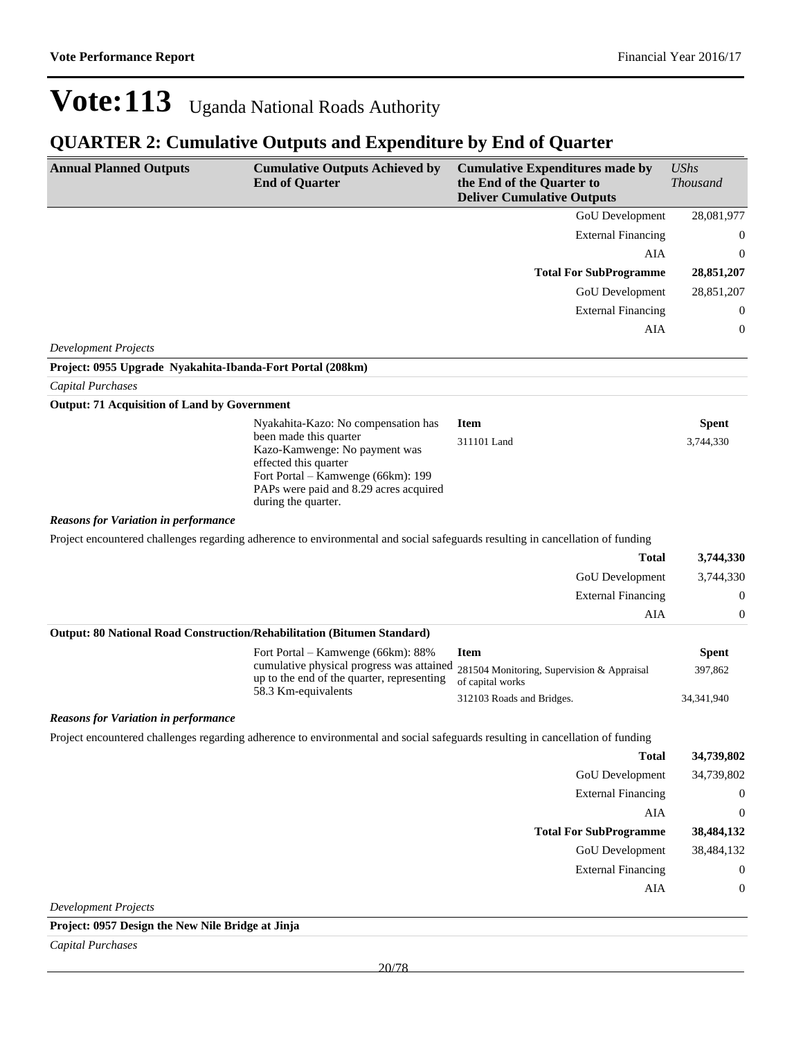### **QUARTER 2: Cumulative Outputs and Expenditure by End of Quarter**

| GoU Development<br><b>External Financing</b><br>AIA<br><b>Total For SubProgramme</b><br>GoU Development<br><b>External Financing</b><br><b>AIA</b><br><b>Development Projects</b><br>Project: 0955 Upgrade Nyakahita-Ibanda-Fort Portal (208km)<br><b>Capital Purchases</b><br><b>Output: 71 Acquisition of Land by Government</b><br>Nyakahita-Kazo: No compensation has<br><b>Item</b><br><b>Spent</b><br>been made this quarter<br>311101 Land<br>3,744,330<br>Kazo-Kamwenge: No payment was<br>effected this quarter<br>Fort Portal - Kamwenge (66km): 199<br>PAPs were paid and 8.29 acres acquired<br>during the quarter.<br><b>Reasons for Variation in performance</b><br>Project encountered challenges regarding adherence to environmental and social safeguards resulting in cancellation of funding<br><b>Total</b><br>GoU Development<br><b>External Financing</b><br>AIA<br>Output: 80 National Road Construction/Rehabilitation (Bitumen Standard)<br>Fort Portal – Kamwenge (66km): 88%<br><b>Item</b><br><b>Spent</b><br>cumulative physical progress was attained<br>281504 Monitoring, Supervision & Appraisal<br>397,862<br>up to the end of the quarter, representing<br>of capital works<br>58.3 Km-equivalents<br>312103 Roads and Bridges.<br>34, 341, 940<br><b>Reasons for Variation in performance</b><br>Project encountered challenges regarding adherence to environmental and social safeguards resulting in cancellation of funding<br><b>Total</b><br>34,739,802<br><b>GoU</b> Development<br>34,739,802<br><b>External Financing</b><br>$\boldsymbol{0}$<br>AIA<br>$\boldsymbol{0}$<br><b>Total For SubProgramme</b><br>38,484,132<br><b>GoU</b> Development<br>38,484,132<br><b>External Financing</b><br>$\boldsymbol{0}$<br>AIA<br>$\boldsymbol{0}$<br><b>Development Projects</b><br>Project: 0957 Design the New Nile Bridge at Jinja | <b>Annual Planned Outputs</b> | <b>Cumulative Outputs Achieved by</b><br><b>End of Quarter</b> | <b>Cumulative Expenditures made by</b><br>the End of the Quarter to<br><b>Deliver Cumulative Outputs</b> | <b>UShs</b><br><b>Thousand</b> |
|-------------------------------------------------------------------------------------------------------------------------------------------------------------------------------------------------------------------------------------------------------------------------------------------------------------------------------------------------------------------------------------------------------------------------------------------------------------------------------------------------------------------------------------------------------------------------------------------------------------------------------------------------------------------------------------------------------------------------------------------------------------------------------------------------------------------------------------------------------------------------------------------------------------------------------------------------------------------------------------------------------------------------------------------------------------------------------------------------------------------------------------------------------------------------------------------------------------------------------------------------------------------------------------------------------------------------------------------------------------------------------------------------------------------------------------------------------------------------------------------------------------------------------------------------------------------------------------------------------------------------------------------------------------------------------------------------------------------------------------------------------------------------------------------------------------------------------------------------------------------------------|-------------------------------|----------------------------------------------------------------|----------------------------------------------------------------------------------------------------------|--------------------------------|
|                                                                                                                                                                                                                                                                                                                                                                                                                                                                                                                                                                                                                                                                                                                                                                                                                                                                                                                                                                                                                                                                                                                                                                                                                                                                                                                                                                                                                                                                                                                                                                                                                                                                                                                                                                                                                                                                               |                               |                                                                |                                                                                                          | 28,081,977                     |
|                                                                                                                                                                                                                                                                                                                                                                                                                                                                                                                                                                                                                                                                                                                                                                                                                                                                                                                                                                                                                                                                                                                                                                                                                                                                                                                                                                                                                                                                                                                                                                                                                                                                                                                                                                                                                                                                               |                               |                                                                |                                                                                                          | 0                              |
|                                                                                                                                                                                                                                                                                                                                                                                                                                                                                                                                                                                                                                                                                                                                                                                                                                                                                                                                                                                                                                                                                                                                                                                                                                                                                                                                                                                                                                                                                                                                                                                                                                                                                                                                                                                                                                                                               |                               |                                                                |                                                                                                          | $\boldsymbol{0}$               |
|                                                                                                                                                                                                                                                                                                                                                                                                                                                                                                                                                                                                                                                                                                                                                                                                                                                                                                                                                                                                                                                                                                                                                                                                                                                                                                                                                                                                                                                                                                                                                                                                                                                                                                                                                                                                                                                                               |                               |                                                                |                                                                                                          | 28,851,207                     |
|                                                                                                                                                                                                                                                                                                                                                                                                                                                                                                                                                                                                                                                                                                                                                                                                                                                                                                                                                                                                                                                                                                                                                                                                                                                                                                                                                                                                                                                                                                                                                                                                                                                                                                                                                                                                                                                                               |                               |                                                                |                                                                                                          | 28,851,207                     |
|                                                                                                                                                                                                                                                                                                                                                                                                                                                                                                                                                                                                                                                                                                                                                                                                                                                                                                                                                                                                                                                                                                                                                                                                                                                                                                                                                                                                                                                                                                                                                                                                                                                                                                                                                                                                                                                                               |                               |                                                                |                                                                                                          | 0                              |
|                                                                                                                                                                                                                                                                                                                                                                                                                                                                                                                                                                                                                                                                                                                                                                                                                                                                                                                                                                                                                                                                                                                                                                                                                                                                                                                                                                                                                                                                                                                                                                                                                                                                                                                                                                                                                                                                               |                               |                                                                |                                                                                                          | 0                              |
|                                                                                                                                                                                                                                                                                                                                                                                                                                                                                                                                                                                                                                                                                                                                                                                                                                                                                                                                                                                                                                                                                                                                                                                                                                                                                                                                                                                                                                                                                                                                                                                                                                                                                                                                                                                                                                                                               |                               |                                                                |                                                                                                          |                                |
|                                                                                                                                                                                                                                                                                                                                                                                                                                                                                                                                                                                                                                                                                                                                                                                                                                                                                                                                                                                                                                                                                                                                                                                                                                                                                                                                                                                                                                                                                                                                                                                                                                                                                                                                                                                                                                                                               |                               |                                                                |                                                                                                          |                                |
|                                                                                                                                                                                                                                                                                                                                                                                                                                                                                                                                                                                                                                                                                                                                                                                                                                                                                                                                                                                                                                                                                                                                                                                                                                                                                                                                                                                                                                                                                                                                                                                                                                                                                                                                                                                                                                                                               |                               |                                                                |                                                                                                          |                                |
|                                                                                                                                                                                                                                                                                                                                                                                                                                                                                                                                                                                                                                                                                                                                                                                                                                                                                                                                                                                                                                                                                                                                                                                                                                                                                                                                                                                                                                                                                                                                                                                                                                                                                                                                                                                                                                                                               |                               |                                                                |                                                                                                          |                                |
|                                                                                                                                                                                                                                                                                                                                                                                                                                                                                                                                                                                                                                                                                                                                                                                                                                                                                                                                                                                                                                                                                                                                                                                                                                                                                                                                                                                                                                                                                                                                                                                                                                                                                                                                                                                                                                                                               |                               |                                                                |                                                                                                          |                                |
|                                                                                                                                                                                                                                                                                                                                                                                                                                                                                                                                                                                                                                                                                                                                                                                                                                                                                                                                                                                                                                                                                                                                                                                                                                                                                                                                                                                                                                                                                                                                                                                                                                                                                                                                                                                                                                                                               |                               |                                                                |                                                                                                          |                                |
|                                                                                                                                                                                                                                                                                                                                                                                                                                                                                                                                                                                                                                                                                                                                                                                                                                                                                                                                                                                                                                                                                                                                                                                                                                                                                                                                                                                                                                                                                                                                                                                                                                                                                                                                                                                                                                                                               |                               |                                                                |                                                                                                          |                                |
|                                                                                                                                                                                                                                                                                                                                                                                                                                                                                                                                                                                                                                                                                                                                                                                                                                                                                                                                                                                                                                                                                                                                                                                                                                                                                                                                                                                                                                                                                                                                                                                                                                                                                                                                                                                                                                                                               |                               |                                                                |                                                                                                          | 3,744,330                      |
|                                                                                                                                                                                                                                                                                                                                                                                                                                                                                                                                                                                                                                                                                                                                                                                                                                                                                                                                                                                                                                                                                                                                                                                                                                                                                                                                                                                                                                                                                                                                                                                                                                                                                                                                                                                                                                                                               |                               |                                                                |                                                                                                          | 3,744,330                      |
|                                                                                                                                                                                                                                                                                                                                                                                                                                                                                                                                                                                                                                                                                                                                                                                                                                                                                                                                                                                                                                                                                                                                                                                                                                                                                                                                                                                                                                                                                                                                                                                                                                                                                                                                                                                                                                                                               |                               |                                                                |                                                                                                          | $\boldsymbol{0}$               |
|                                                                                                                                                                                                                                                                                                                                                                                                                                                                                                                                                                                                                                                                                                                                                                                                                                                                                                                                                                                                                                                                                                                                                                                                                                                                                                                                                                                                                                                                                                                                                                                                                                                                                                                                                                                                                                                                               |                               |                                                                |                                                                                                          | 0                              |
|                                                                                                                                                                                                                                                                                                                                                                                                                                                                                                                                                                                                                                                                                                                                                                                                                                                                                                                                                                                                                                                                                                                                                                                                                                                                                                                                                                                                                                                                                                                                                                                                                                                                                                                                                                                                                                                                               |                               |                                                                |                                                                                                          |                                |
|                                                                                                                                                                                                                                                                                                                                                                                                                                                                                                                                                                                                                                                                                                                                                                                                                                                                                                                                                                                                                                                                                                                                                                                                                                                                                                                                                                                                                                                                                                                                                                                                                                                                                                                                                                                                                                                                               |                               |                                                                |                                                                                                          |                                |
|                                                                                                                                                                                                                                                                                                                                                                                                                                                                                                                                                                                                                                                                                                                                                                                                                                                                                                                                                                                                                                                                                                                                                                                                                                                                                                                                                                                                                                                                                                                                                                                                                                                                                                                                                                                                                                                                               |                               |                                                                |                                                                                                          |                                |
|                                                                                                                                                                                                                                                                                                                                                                                                                                                                                                                                                                                                                                                                                                                                                                                                                                                                                                                                                                                                                                                                                                                                                                                                                                                                                                                                                                                                                                                                                                                                                                                                                                                                                                                                                                                                                                                                               |                               |                                                                |                                                                                                          |                                |
|                                                                                                                                                                                                                                                                                                                                                                                                                                                                                                                                                                                                                                                                                                                                                                                                                                                                                                                                                                                                                                                                                                                                                                                                                                                                                                                                                                                                                                                                                                                                                                                                                                                                                                                                                                                                                                                                               |                               |                                                                |                                                                                                          |                                |
|                                                                                                                                                                                                                                                                                                                                                                                                                                                                                                                                                                                                                                                                                                                                                                                                                                                                                                                                                                                                                                                                                                                                                                                                                                                                                                                                                                                                                                                                                                                                                                                                                                                                                                                                                                                                                                                                               |                               |                                                                |                                                                                                          |                                |
|                                                                                                                                                                                                                                                                                                                                                                                                                                                                                                                                                                                                                                                                                                                                                                                                                                                                                                                                                                                                                                                                                                                                                                                                                                                                                                                                                                                                                                                                                                                                                                                                                                                                                                                                                                                                                                                                               |                               |                                                                |                                                                                                          |                                |
|                                                                                                                                                                                                                                                                                                                                                                                                                                                                                                                                                                                                                                                                                                                                                                                                                                                                                                                                                                                                                                                                                                                                                                                                                                                                                                                                                                                                                                                                                                                                                                                                                                                                                                                                                                                                                                                                               |                               |                                                                |                                                                                                          |                                |
|                                                                                                                                                                                                                                                                                                                                                                                                                                                                                                                                                                                                                                                                                                                                                                                                                                                                                                                                                                                                                                                                                                                                                                                                                                                                                                                                                                                                                                                                                                                                                                                                                                                                                                                                                                                                                                                                               |                               |                                                                |                                                                                                          |                                |
|                                                                                                                                                                                                                                                                                                                                                                                                                                                                                                                                                                                                                                                                                                                                                                                                                                                                                                                                                                                                                                                                                                                                                                                                                                                                                                                                                                                                                                                                                                                                                                                                                                                                                                                                                                                                                                                                               |                               |                                                                |                                                                                                          |                                |
|                                                                                                                                                                                                                                                                                                                                                                                                                                                                                                                                                                                                                                                                                                                                                                                                                                                                                                                                                                                                                                                                                                                                                                                                                                                                                                                                                                                                                                                                                                                                                                                                                                                                                                                                                                                                                                                                               |                               |                                                                |                                                                                                          |                                |
|                                                                                                                                                                                                                                                                                                                                                                                                                                                                                                                                                                                                                                                                                                                                                                                                                                                                                                                                                                                                                                                                                                                                                                                                                                                                                                                                                                                                                                                                                                                                                                                                                                                                                                                                                                                                                                                                               |                               |                                                                |                                                                                                          |                                |
|                                                                                                                                                                                                                                                                                                                                                                                                                                                                                                                                                                                                                                                                                                                                                                                                                                                                                                                                                                                                                                                                                                                                                                                                                                                                                                                                                                                                                                                                                                                                                                                                                                                                                                                                                                                                                                                                               |                               |                                                                |                                                                                                          |                                |
|                                                                                                                                                                                                                                                                                                                                                                                                                                                                                                                                                                                                                                                                                                                                                                                                                                                                                                                                                                                                                                                                                                                                                                                                                                                                                                                                                                                                                                                                                                                                                                                                                                                                                                                                                                                                                                                                               |                               |                                                                |                                                                                                          |                                |

*Capital Purchases*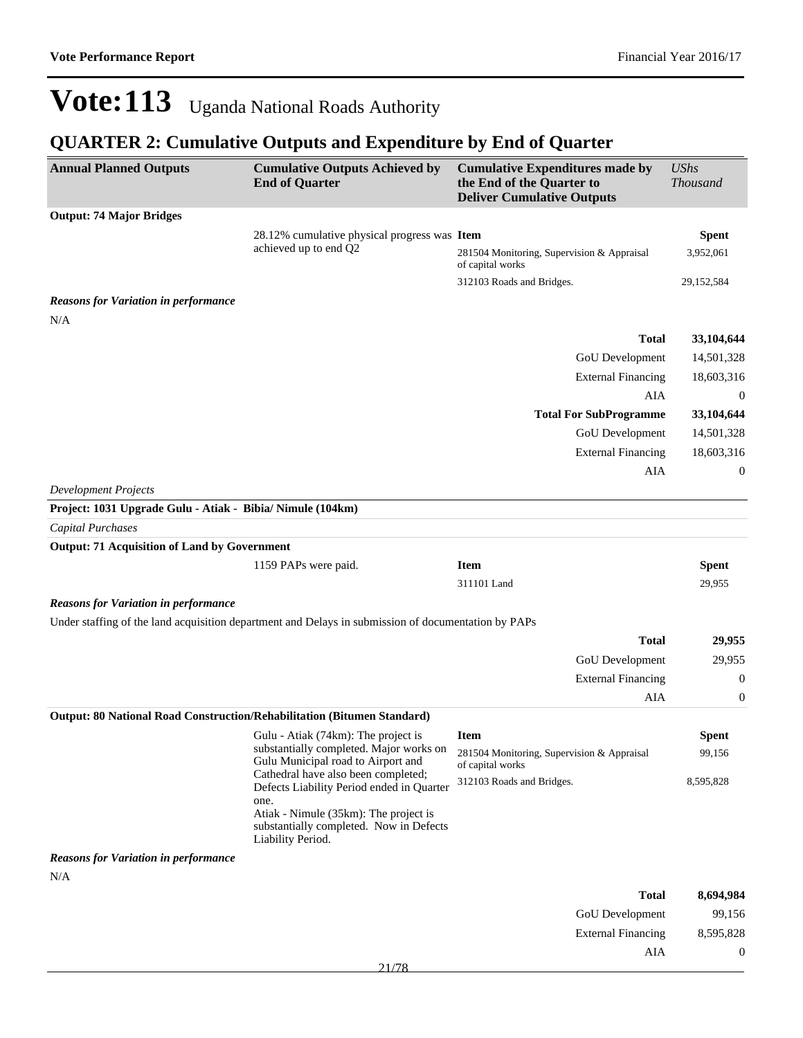${\bf AIA} \qquad \qquad {\bf 0}$ 

## Vote: 113 Uganda National Roads Authority

| <b>Annual Planned Outputs</b>                                           | <b>Cumulative Outputs Achieved by</b><br><b>End of Quarter</b>                                                                                                                                    | <b>Cumulative Expenditures made by</b><br>the End of the Quarter to<br><b>Deliver Cumulative Outputs</b> | <b>UShs</b><br>Thousand |
|-------------------------------------------------------------------------|---------------------------------------------------------------------------------------------------------------------------------------------------------------------------------------------------|----------------------------------------------------------------------------------------------------------|-------------------------|
| <b>Output: 74 Major Bridges</b>                                         |                                                                                                                                                                                                   |                                                                                                          |                         |
|                                                                         | 28.12% cumulative physical progress was Item                                                                                                                                                      |                                                                                                          | <b>Spent</b>            |
|                                                                         | achieved up to end Q2                                                                                                                                                                             | 281504 Monitoring, Supervision & Appraisal<br>of capital works                                           | 3,952,061               |
|                                                                         |                                                                                                                                                                                                   | 312103 Roads and Bridges.                                                                                | 29, 152, 584            |
| <b>Reasons for Variation in performance</b><br>N/A                      |                                                                                                                                                                                                   |                                                                                                          |                         |
|                                                                         |                                                                                                                                                                                                   | Total                                                                                                    | 33,104,644              |
|                                                                         |                                                                                                                                                                                                   | GoU Development                                                                                          | 14,501,328              |
|                                                                         |                                                                                                                                                                                                   | <b>External Financing</b>                                                                                | 18,603,316              |
|                                                                         |                                                                                                                                                                                                   | <b>AIA</b>                                                                                               | $\boldsymbol{0}$        |
|                                                                         |                                                                                                                                                                                                   | <b>Total For SubProgramme</b>                                                                            | 33,104,644              |
|                                                                         |                                                                                                                                                                                                   | GoU Development                                                                                          | 14,501,328              |
|                                                                         |                                                                                                                                                                                                   | <b>External Financing</b>                                                                                | 18,603,316              |
|                                                                         |                                                                                                                                                                                                   | <b>AIA</b>                                                                                               | $\boldsymbol{0}$        |
| <b>Development Projects</b>                                             |                                                                                                                                                                                                   |                                                                                                          |                         |
| Project: 1031 Upgrade Gulu - Atiak - Bibia/ Nimule (104km)              |                                                                                                                                                                                                   |                                                                                                          |                         |
| <b>Capital Purchases</b>                                                |                                                                                                                                                                                                   |                                                                                                          |                         |
| <b>Output: 71 Acquisition of Land by Government</b>                     |                                                                                                                                                                                                   |                                                                                                          |                         |
|                                                                         | 1159 PAPs were paid.                                                                                                                                                                              | <b>Item</b>                                                                                              | <b>Spent</b>            |
|                                                                         |                                                                                                                                                                                                   | 311101 Land                                                                                              | 29,955                  |
| <b>Reasons for Variation in performance</b>                             |                                                                                                                                                                                                   |                                                                                                          |                         |
|                                                                         | Under staffing of the land acquisition department and Delays in submission of documentation by PAPs                                                                                               |                                                                                                          |                         |
|                                                                         |                                                                                                                                                                                                   | <b>Total</b>                                                                                             | 29,955                  |
|                                                                         |                                                                                                                                                                                                   | GoU Development                                                                                          | 29,955                  |
|                                                                         |                                                                                                                                                                                                   | <b>External Financing</b>                                                                                | $\boldsymbol{0}$        |
|                                                                         |                                                                                                                                                                                                   | <b>AIA</b>                                                                                               | $\boldsymbol{0}$        |
| Output: 80 National Road Construction/Rehabilitation (Bitumen Standard) |                                                                                                                                                                                                   |                                                                                                          |                         |
|                                                                         | Gulu - Atiak (74km): The project is                                                                                                                                                               | <b>Item</b>                                                                                              | <b>Spent</b>            |
|                                                                         | substantially completed. Major works on<br>Gulu Municipal road to Airport and                                                                                                                     | 281504 Monitoring, Supervision & Appraisal<br>of capital works                                           | 99,156                  |
|                                                                         | Cathedral have also been completed;<br>Defects Liability Period ended in Quarter<br>one.<br>Atiak - Nimule (35km): The project is<br>substantially completed. Now in Defects<br>Liability Period. | 312103 Roads and Bridges.                                                                                | 8,595,828               |
| <b>Reasons for Variation in performance</b>                             |                                                                                                                                                                                                   |                                                                                                          |                         |
| N/A                                                                     |                                                                                                                                                                                                   |                                                                                                          |                         |
|                                                                         |                                                                                                                                                                                                   | <b>Total</b>                                                                                             | 8,694,984               |
|                                                                         |                                                                                                                                                                                                   | GoU Development                                                                                          | 99,156                  |
|                                                                         |                                                                                                                                                                                                   | <b>External Financing</b>                                                                                | 8,595,828               |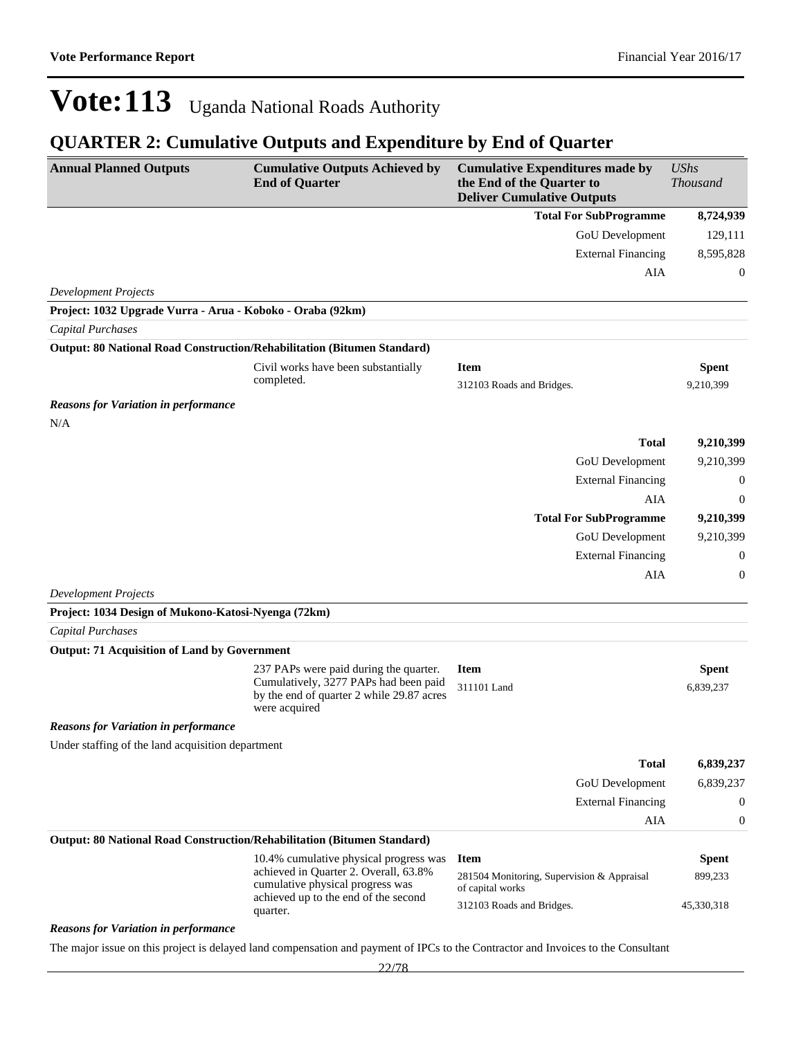#### **QUARTER 2: Cumulative Outputs and Expenditure by End of Quarter**

| <b>Annual Planned Outputs</b>                                           | <b>Cumulative Outputs Achieved by</b><br><b>End of Quarter</b>                                                    | <b>Cumulative Expenditures made by</b><br>the End of the Quarter to<br><b>Deliver Cumulative Outputs</b> | <b>UShs</b><br><b>Thousand</b> |
|-------------------------------------------------------------------------|-------------------------------------------------------------------------------------------------------------------|----------------------------------------------------------------------------------------------------------|--------------------------------|
|                                                                         |                                                                                                                   | <b>Total For SubProgramme</b>                                                                            | 8,724,939                      |
|                                                                         |                                                                                                                   | <b>GoU</b> Development                                                                                   | 129,111                        |
|                                                                         |                                                                                                                   | <b>External Financing</b>                                                                                | 8,595,828                      |
|                                                                         |                                                                                                                   | AIA                                                                                                      | 0                              |
| <b>Development Projects</b>                                             |                                                                                                                   |                                                                                                          |                                |
| Project: 1032 Upgrade Vurra - Arua - Koboko - Oraba (92km)              |                                                                                                                   |                                                                                                          |                                |
| Capital Purchases                                                       |                                                                                                                   |                                                                                                          |                                |
| Output: 80 National Road Construction/Rehabilitation (Bitumen Standard) |                                                                                                                   |                                                                                                          |                                |
|                                                                         | Civil works have been substantially                                                                               | <b>Item</b>                                                                                              | Spent                          |
|                                                                         | completed.                                                                                                        | 312103 Roads and Bridges.                                                                                | 9,210,399                      |
| <b>Reasons for Variation in performance</b><br>N/A                      |                                                                                                                   |                                                                                                          |                                |
|                                                                         |                                                                                                                   | <b>Total</b>                                                                                             | 9,210,399                      |
|                                                                         |                                                                                                                   | <b>GoU</b> Development                                                                                   | 9,210,399                      |
|                                                                         |                                                                                                                   | <b>External Financing</b>                                                                                | 0                              |
|                                                                         |                                                                                                                   | AIA                                                                                                      | $\theta$                       |
|                                                                         |                                                                                                                   | <b>Total For SubProgramme</b>                                                                            | 9,210,399                      |
|                                                                         |                                                                                                                   | GoU Development                                                                                          | 9,210,399                      |
|                                                                         |                                                                                                                   | <b>External Financing</b>                                                                                | 0                              |
|                                                                         |                                                                                                                   | AIA                                                                                                      | $\boldsymbol{0}$               |
| <b>Development Projects</b>                                             |                                                                                                                   |                                                                                                          |                                |
| Project: 1034 Design of Mukono-Katosi-Nyenga (72km)                     |                                                                                                                   |                                                                                                          |                                |
| <b>Capital Purchases</b>                                                |                                                                                                                   |                                                                                                          |                                |
| <b>Output: 71 Acquisition of Land by Government</b>                     |                                                                                                                   |                                                                                                          |                                |
|                                                                         | 237 PAPs were paid during the quarter.                                                                            | <b>Item</b>                                                                                              | <b>Spent</b>                   |
|                                                                         | Cumulatively, 3277 PAPs had been paid<br>by the end of quarter 2 while 29.87 acres<br>were acquired               | 311101 Land                                                                                              | 6,839,237                      |
| <b>Reasons for Variation in performance</b>                             |                                                                                                                   |                                                                                                          |                                |
| Under staffing of the land acquisition department                       |                                                                                                                   |                                                                                                          |                                |
|                                                                         |                                                                                                                   | <b>Total</b>                                                                                             | 6,839,237                      |
|                                                                         |                                                                                                                   | GoU Development                                                                                          | 6,839,237                      |
|                                                                         |                                                                                                                   | <b>External Financing</b>                                                                                | $\boldsymbol{0}$               |
|                                                                         |                                                                                                                   | AIA                                                                                                      | $\boldsymbol{0}$               |
| Output: 80 National Road Construction/Rehabilitation (Bitumen Standard) |                                                                                                                   |                                                                                                          |                                |
|                                                                         | 10.4% cumulative physical progress was                                                                            | <b>Item</b>                                                                                              | <b>Spent</b>                   |
|                                                                         | achieved in Quarter 2. Overall, 63.8%<br>cumulative physical progress was<br>achieved up to the end of the second | 281504 Monitoring, Supervision & Appraisal<br>of capital works                                           | 899,233                        |
|                                                                         | quarter.                                                                                                          | 312103 Roads and Bridges.                                                                                | 45,330,318                     |
|                                                                         |                                                                                                                   |                                                                                                          |                                |

*Reasons for Variation in performance*

The major issue on this project is delayed land compensation and payment of IPCs to the Contractor and Invoices to the Consultant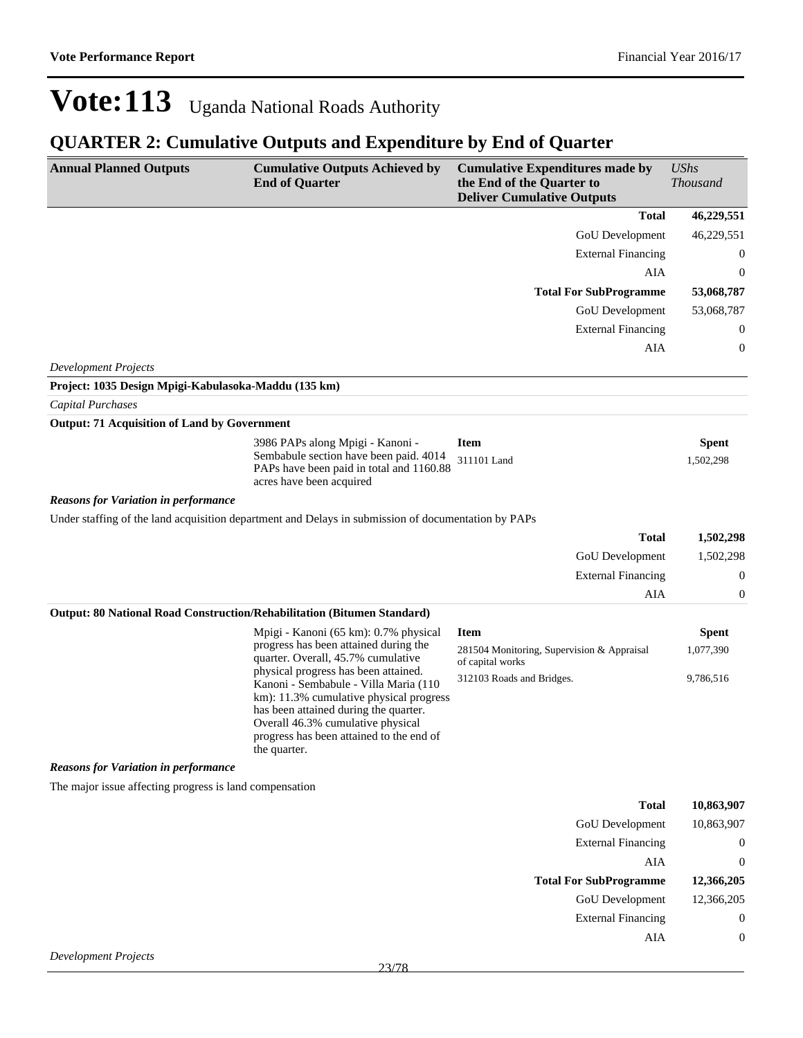| <b>Annual Planned Outputs</b>                                           | <b>Cumulative Outputs Achieved by</b><br><b>End of Quarter</b>                                                                                                                                                                                                     | <b>Cumulative Expenditures made by</b><br>the End of the Quarter to<br><b>Deliver Cumulative Outputs</b> | <b>UShs</b><br><b>Thousand</b> |
|-------------------------------------------------------------------------|--------------------------------------------------------------------------------------------------------------------------------------------------------------------------------------------------------------------------------------------------------------------|----------------------------------------------------------------------------------------------------------|--------------------------------|
|                                                                         |                                                                                                                                                                                                                                                                    | <b>Total</b>                                                                                             | 46,229,551                     |
|                                                                         |                                                                                                                                                                                                                                                                    | GoU Development                                                                                          | 46,229,551                     |
|                                                                         |                                                                                                                                                                                                                                                                    | <b>External Financing</b>                                                                                | 0                              |
|                                                                         |                                                                                                                                                                                                                                                                    | AIA                                                                                                      | $\boldsymbol{0}$               |
|                                                                         |                                                                                                                                                                                                                                                                    | <b>Total For SubProgramme</b>                                                                            | 53,068,787                     |
|                                                                         |                                                                                                                                                                                                                                                                    | GoU Development                                                                                          | 53,068,787                     |
|                                                                         |                                                                                                                                                                                                                                                                    | <b>External Financing</b>                                                                                | 0                              |
|                                                                         |                                                                                                                                                                                                                                                                    | AIA                                                                                                      | $\boldsymbol{0}$               |
| <b>Development Projects</b>                                             |                                                                                                                                                                                                                                                                    |                                                                                                          |                                |
| Project: 1035 Design Mpigi-Kabulasoka-Maddu (135 km)                    |                                                                                                                                                                                                                                                                    |                                                                                                          |                                |
| Capital Purchases                                                       |                                                                                                                                                                                                                                                                    |                                                                                                          |                                |
| <b>Output: 71 Acquisition of Land by Government</b>                     |                                                                                                                                                                                                                                                                    |                                                                                                          |                                |
|                                                                         | 3986 PAPs along Mpigi - Kanoni -<br>Sembabule section have been paid. 4014<br>PAPs have been paid in total and 1160.88<br>acres have been acquired                                                                                                                 | <b>Item</b><br>311101 Land                                                                               | <b>Spent</b><br>1,502,298      |
| <b>Reasons for Variation in performance</b>                             |                                                                                                                                                                                                                                                                    |                                                                                                          |                                |
|                                                                         | Under staffing of the land acquisition department and Delays in submission of documentation by PAPs                                                                                                                                                                |                                                                                                          |                                |
|                                                                         |                                                                                                                                                                                                                                                                    | <b>Total</b>                                                                                             | 1,502,298                      |
|                                                                         |                                                                                                                                                                                                                                                                    | GoU Development                                                                                          | 1,502,298                      |
|                                                                         |                                                                                                                                                                                                                                                                    | <b>External Financing</b>                                                                                | $\boldsymbol{0}$               |
|                                                                         |                                                                                                                                                                                                                                                                    | AIA                                                                                                      | 0                              |
| Output: 80 National Road Construction/Rehabilitation (Bitumen Standard) |                                                                                                                                                                                                                                                                    |                                                                                                          |                                |
|                                                                         | Mpigi - Kanoni (65 km): 0.7% physical<br>progress has been attained during the                                                                                                                                                                                     | <b>Item</b>                                                                                              | <b>Spent</b>                   |
|                                                                         | quarter. Overall, 45.7% cumulative                                                                                                                                                                                                                                 | 281504 Monitoring, Supervision & Appraisal<br>of capital works                                           | 1,077,390                      |
|                                                                         | physical progress has been attained.<br>Kanoni - Sembabule - Villa Maria (110<br>km): 11.3% cumulative physical progress<br>has been attained during the quarter.<br>Overall 46.3% cumulative physical<br>progress has been attained to the end of<br>the quarter. | 312103 Roads and Bridges.                                                                                | 9,786,516                      |
| <b>Reasons for Variation in performance</b>                             |                                                                                                                                                                                                                                                                    |                                                                                                          |                                |
| The major issue affecting progress is land compensation                 |                                                                                                                                                                                                                                                                    |                                                                                                          |                                |
|                                                                         |                                                                                                                                                                                                                                                                    | <b>Total</b>                                                                                             | 10,863,907                     |
|                                                                         |                                                                                                                                                                                                                                                                    | <b>GoU</b> Development                                                                                   | 10,863,907                     |
|                                                                         |                                                                                                                                                                                                                                                                    | <b>External Financing</b>                                                                                | $\boldsymbol{0}$               |
|                                                                         |                                                                                                                                                                                                                                                                    | AIA                                                                                                      | $\boldsymbol{0}$               |
|                                                                         |                                                                                                                                                                                                                                                                    | <b>Total For SubProgramme</b>                                                                            | 12,366,205                     |
|                                                                         |                                                                                                                                                                                                                                                                    | GoU Development                                                                                          | 12,366,205                     |
|                                                                         |                                                                                                                                                                                                                                                                    | <b>External Financing</b>                                                                                | $\boldsymbol{0}$               |
|                                                                         |                                                                                                                                                                                                                                                                    | AIA                                                                                                      | 0                              |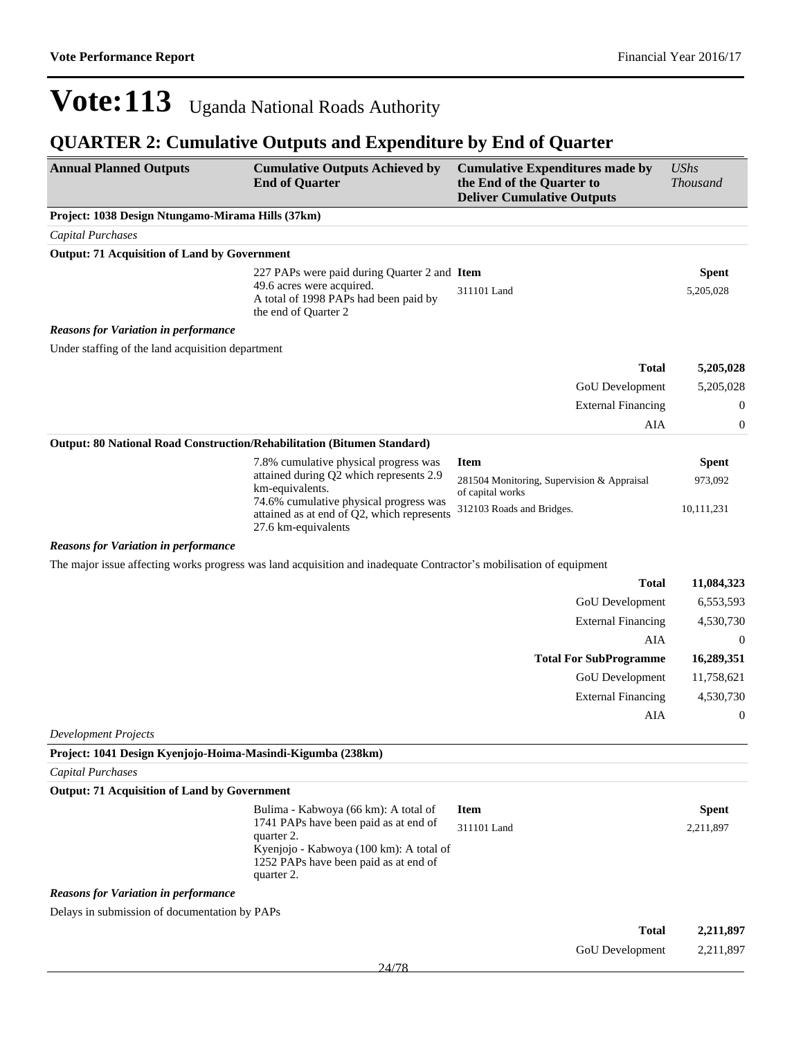| <b>Annual Planned Outputs</b>                                           | <b>Cumulative Outputs Achieved by</b><br><b>End of Quarter</b>                                                                                                                                | <b>Cumulative Expenditures made by</b><br>the End of the Quarter to<br><b>Deliver Cumulative Outputs</b> | <b>UShs</b><br><b>Thousand</b> |
|-------------------------------------------------------------------------|-----------------------------------------------------------------------------------------------------------------------------------------------------------------------------------------------|----------------------------------------------------------------------------------------------------------|--------------------------------|
| Project: 1038 Design Ntungamo-Mirama Hills (37km)                       |                                                                                                                                                                                               |                                                                                                          |                                |
| <b>Capital Purchases</b>                                                |                                                                                                                                                                                               |                                                                                                          |                                |
| <b>Output: 71 Acquisition of Land by Government</b>                     |                                                                                                                                                                                               |                                                                                                          |                                |
|                                                                         | 227 PAPs were paid during Quarter 2 and Item<br>49.6 acres were acquired.<br>A total of 1998 PAPs had been paid by<br>the end of Quarter 2                                                    | 311101 Land                                                                                              | <b>Spent</b><br>5,205,028      |
| <b>Reasons for Variation in performance</b>                             |                                                                                                                                                                                               |                                                                                                          |                                |
| Under staffing of the land acquisition department                       |                                                                                                                                                                                               |                                                                                                          |                                |
|                                                                         |                                                                                                                                                                                               | <b>Total</b>                                                                                             | 5,205,028                      |
|                                                                         |                                                                                                                                                                                               | GoU Development                                                                                          | 5,205,028                      |
|                                                                         |                                                                                                                                                                                               | <b>External Financing</b>                                                                                | $\boldsymbol{0}$               |
|                                                                         |                                                                                                                                                                                               | AIA                                                                                                      | $\boldsymbol{0}$               |
| Output: 80 National Road Construction/Rehabilitation (Bitumen Standard) |                                                                                                                                                                                               |                                                                                                          |                                |
|                                                                         | 7.8% cumulative physical progress was<br>attained during Q2 which represents 2.9<br>km-equivalents.                                                                                           | <b>Item</b><br>281504 Monitoring, Supervision & Appraisal<br>of capital works                            | <b>Spent</b><br>973,092        |
|                                                                         | 74.6% cumulative physical progress was<br>attained as at end of Q2, which represents<br>27.6 km-equivalents                                                                                   | 312103 Roads and Bridges.                                                                                | 10,111,231                     |
| <b>Reasons for Variation in performance</b>                             |                                                                                                                                                                                               |                                                                                                          |                                |
|                                                                         | The major issue affecting works progress was land acquisition and inadequate Contractor's mobilisation of equipment                                                                           |                                                                                                          |                                |
|                                                                         |                                                                                                                                                                                               | <b>Total</b>                                                                                             | 11,084,323                     |
|                                                                         |                                                                                                                                                                                               | GoU Development                                                                                          | 6,553,593                      |
|                                                                         |                                                                                                                                                                                               | <b>External Financing</b>                                                                                | 4,530,730                      |
|                                                                         |                                                                                                                                                                                               | AIA                                                                                                      | $\overline{0}$                 |
|                                                                         |                                                                                                                                                                                               | <b>Total For SubProgramme</b>                                                                            | 16,289,351                     |
|                                                                         |                                                                                                                                                                                               | GoU Development                                                                                          | 11,758,621                     |
|                                                                         |                                                                                                                                                                                               | <b>External Financing</b>                                                                                | 4,530,730                      |
|                                                                         |                                                                                                                                                                                               | AIA                                                                                                      | $\boldsymbol{0}$               |
| <b>Development Projects</b>                                             |                                                                                                                                                                                               |                                                                                                          |                                |
| Project: 1041 Design Kyenjojo-Hoima-Masindi-Kigumba (238km)             |                                                                                                                                                                                               |                                                                                                          |                                |
| Capital Purchases                                                       |                                                                                                                                                                                               |                                                                                                          |                                |
| <b>Output: 71 Acquisition of Land by Government</b>                     |                                                                                                                                                                                               |                                                                                                          |                                |
|                                                                         | Bulima - Kabwoya (66 km): A total of<br>1741 PAPs have been paid as at end of<br>quarter 2.<br>Kyenjojo - Kabwoya (100 km): A total of<br>1252 PAPs have been paid as at end of<br>quarter 2. | <b>Item</b><br>311101 Land                                                                               | <b>Spent</b><br>2,211,897      |
| <b>Reasons for Variation in performance</b>                             |                                                                                                                                                                                               |                                                                                                          |                                |
| Delays in submission of documentation by PAPs                           |                                                                                                                                                                                               |                                                                                                          |                                |
|                                                                         |                                                                                                                                                                                               | <b>Total</b>                                                                                             | 2,211,897                      |
|                                                                         |                                                                                                                                                                                               | GoU Development                                                                                          | 2,211,897                      |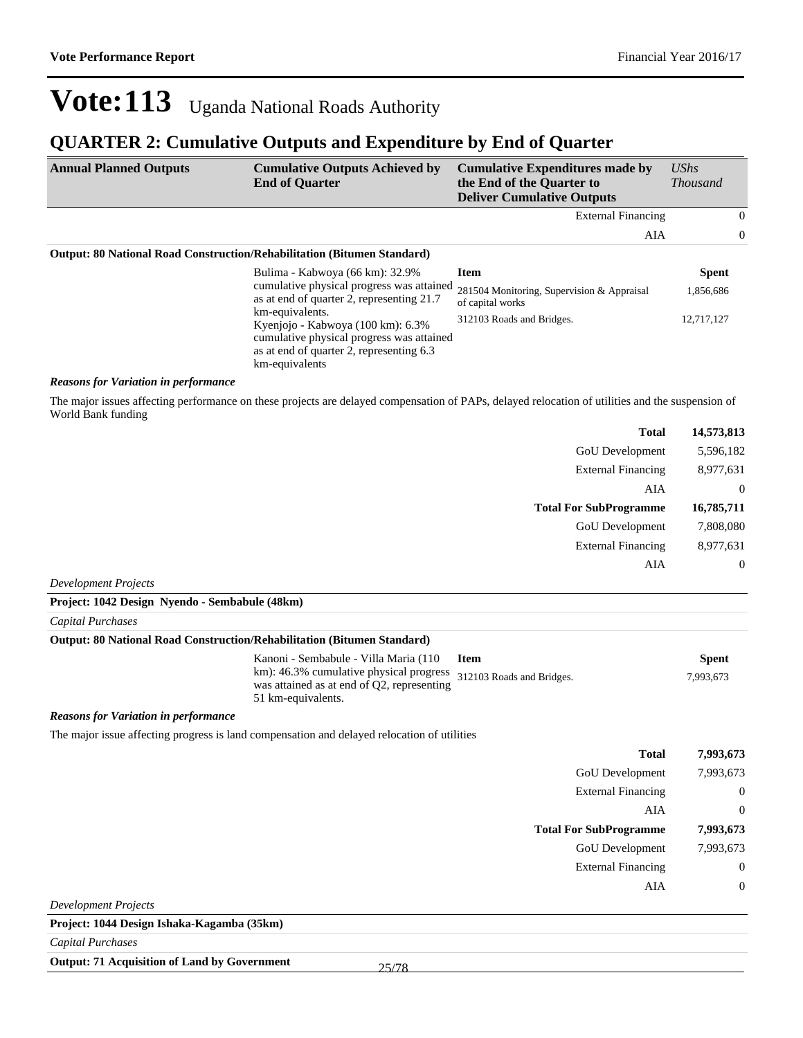#### **QUARTER 2: Cumulative Outputs and Expenditure by End of Quarter**

| <b>Annual Planned Outputs</b> | <b>Cumulative Outputs Achieved by</b><br><b>End of Quarter</b>                                                                                                  | <b>Cumulative Expenditures made by</b><br>the End of the Quarter to<br><b>Deliver Cumulative Outputs</b> | $\mathit{UShs}$<br><i>Thousand</i> |                |
|-------------------------------|-----------------------------------------------------------------------------------------------------------------------------------------------------------------|----------------------------------------------------------------------------------------------------------|------------------------------------|----------------|
|                               |                                                                                                                                                                 | <b>External Financing</b>                                                                                |                                    | $\theta$       |
|                               |                                                                                                                                                                 | AIA                                                                                                      |                                    | $\overline{0}$ |
|                               | <b>Output: 80 National Road Construction/Rehabilitation (Bitumen Standard)</b>                                                                                  |                                                                                                          |                                    |                |
|                               | Bulima - Kabwoya (66 km): 32.9%                                                                                                                                 | <b>Item</b>                                                                                              | <b>Spent</b>                       |                |
|                               | cumulative physical progress was attained<br>as at end of quarter 2, representing 21.7                                                                          | 281504 Monitoring, Supervision & Appraisal<br>of capital works                                           | 1,856,686                          |                |
|                               | km-equivalents.<br>Kyeniojo - Kabwoya (100 km): 6.3%<br>cumulative physical progress was attained<br>as at end of quarter 2, representing 6.3<br>km-equivalents | 312103 Roads and Bridges.                                                                                | 12,717,127                         |                |

#### *Reasons for Variation in performance*

The major issues affecting performance on these projects are delayed compensation of PAPs, delayed relocation of utilities and the suspension of World Bank funding

| <b>Total</b>                                   | 14,573,813     |
|------------------------------------------------|----------------|
| <b>GoU</b> Development                         | 5,596,182      |
| <b>External Financing</b>                      | 8,977,631      |
| AIA                                            | $\overline{0}$ |
| <b>Total For SubProgramme</b>                  | 16,785,711     |
| <b>GoU</b> Development                         | 7,808,080      |
| <b>External Financing</b>                      | 8,977,631      |
| AIA                                            | $\overline{0}$ |
| Development Projects                           |                |
| Project: 1042 Design Nyendo - Sembabule (48km) |                |
| $C$ and $L$ Dependence                         |                |

#### *Capital Purchases*

#### **Output: 80 National Road Construction/Rehabilitation (Bitumen Standard)**

| Kanoni - Sembabule - Villa Maria (110                                                                                                 | Item | <b>Spent</b> |
|---------------------------------------------------------------------------------------------------------------------------------------|------|--------------|
| km): 46.3% cumulative physical progress 312103 Roads and Bridges.<br>was attained as at end of Q2, representing<br>51 km-equivalents. |      | 7.993.673    |

#### *Reasons for Variation in performance*

The major issue affecting progress is land compensation and delayed relocation of utilities

| <b>Total</b>                  | 7,993,673        |
|-------------------------------|------------------|
| GoU Development               | 7,993,673        |
| <b>External Financing</b>     | $\boldsymbol{0}$ |
| AIA                           | $\overline{0}$   |
| <b>Total For SubProgramme</b> | 7,993,673        |
| GoU Development               | 7,993,673        |
| <b>External Financing</b>     | $\overline{0}$   |
| AIA                           | $\overline{0}$   |
| $\cdots$ D $\cdots$           |                  |

*Development Projects*

**Project: 1044 Design Ishaka-Kagamba (35km)**

*Capital Purchases*

**Output: 71 Acquisition of Land by Government**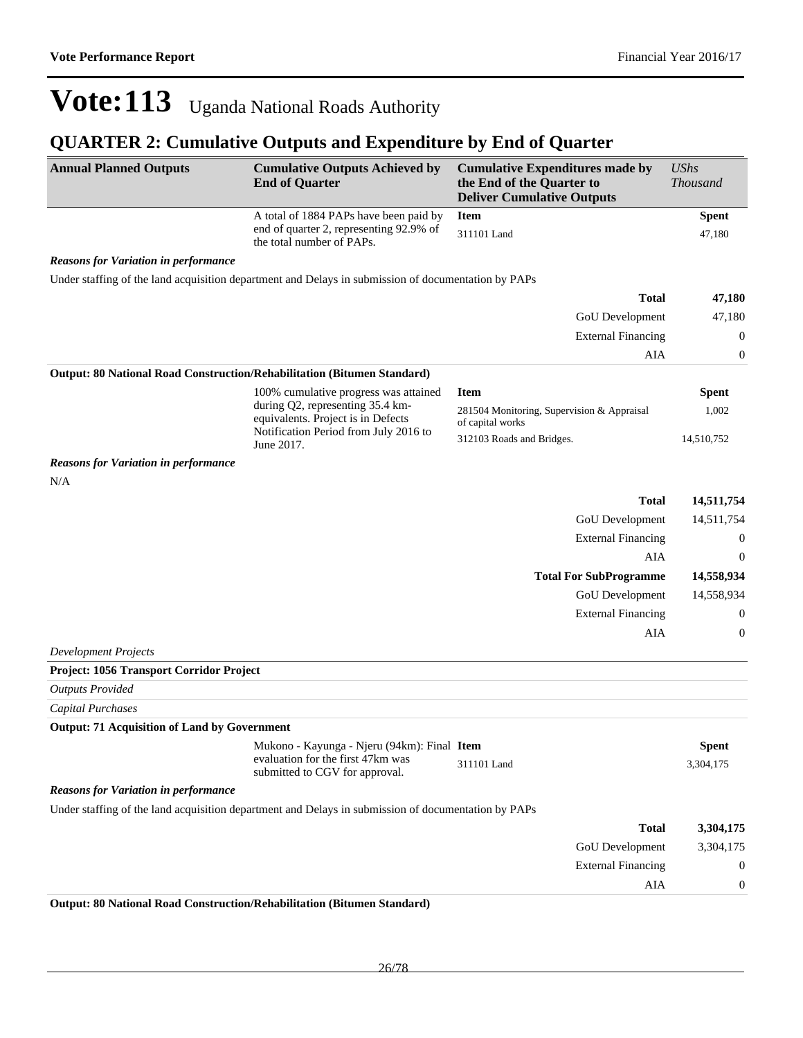#### **QUARTER 2: Cumulative Outputs and Expenditure by End of Quarter**

| <b>Annual Planned Outputs</b>                                           | <b>Cumulative Outputs Achieved by</b><br><b>End of Quarter</b>                                                     | <b>Cumulative Expenditures made by</b><br>the End of the Quarter to<br><b>Deliver Cumulative Outputs</b> | <b>UShs</b><br><b>Thousand</b> |
|-------------------------------------------------------------------------|--------------------------------------------------------------------------------------------------------------------|----------------------------------------------------------------------------------------------------------|--------------------------------|
|                                                                         | A total of 1884 PAPs have been paid by                                                                             | <b>Item</b>                                                                                              | <b>Spent</b>                   |
|                                                                         | end of quarter 2, representing 92.9% of<br>the total number of PAPs.                                               | 311101 Land                                                                                              | 47,180                         |
| <b>Reasons for Variation in performance</b>                             |                                                                                                                    |                                                                                                          |                                |
|                                                                         | Under staffing of the land acquisition department and Delays in submission of documentation by PAPs                |                                                                                                          |                                |
|                                                                         |                                                                                                                    | <b>Total</b>                                                                                             | 47,180                         |
|                                                                         |                                                                                                                    | GoU Development                                                                                          | 47,180                         |
|                                                                         |                                                                                                                    | <b>External Financing</b>                                                                                | $\boldsymbol{0}$               |
|                                                                         |                                                                                                                    | <b>AIA</b>                                                                                               | $\boldsymbol{0}$               |
| Output: 80 National Road Construction/Rehabilitation (Bitumen Standard) |                                                                                                                    |                                                                                                          |                                |
|                                                                         | 100% cumulative progress was attained                                                                              | <b>Item</b>                                                                                              | <b>Spent</b>                   |
|                                                                         | during Q2, representing 35.4 km-<br>equivalents. Project is in Defects<br>Notification Period from July 2016 to    | 281504 Monitoring, Supervision & Appraisal<br>of capital works                                           | 1,002                          |
|                                                                         | June 2017.                                                                                                         | 312103 Roads and Bridges.                                                                                | 14,510,752                     |
| <b>Reasons for Variation in performance</b><br>N/A                      |                                                                                                                    |                                                                                                          |                                |
|                                                                         |                                                                                                                    | <b>Total</b>                                                                                             | 14,511,754                     |
|                                                                         |                                                                                                                    | GoU Development                                                                                          | 14,511,754                     |
|                                                                         |                                                                                                                    | <b>External Financing</b>                                                                                | $\boldsymbol{0}$               |
|                                                                         |                                                                                                                    | AIA                                                                                                      | $\boldsymbol{0}$               |
|                                                                         |                                                                                                                    | <b>Total For SubProgramme</b>                                                                            | 14,558,934                     |
|                                                                         |                                                                                                                    | GoU Development                                                                                          | 14,558,934                     |
|                                                                         |                                                                                                                    | <b>External Financing</b>                                                                                | $\boldsymbol{0}$               |
|                                                                         |                                                                                                                    | <b>AIA</b>                                                                                               | $\boldsymbol{0}$               |
| <b>Development Projects</b>                                             |                                                                                                                    |                                                                                                          |                                |
| Project: 1056 Transport Corridor Project                                |                                                                                                                    |                                                                                                          |                                |
| <b>Outputs Provided</b>                                                 |                                                                                                                    |                                                                                                          |                                |
| <b>Capital Purchases</b>                                                |                                                                                                                    |                                                                                                          |                                |
| <b>Output: 71 Acquisition of Land by Government</b>                     |                                                                                                                    |                                                                                                          |                                |
|                                                                         | Mukono - Kayunga - Njeru (94km): Final Item<br>evaluation for the first 47km was<br>submitted to CGV for approval. | 311101 Land                                                                                              | <b>Spent</b><br>3,304,175      |
| <b>Reasons for Variation in performance</b>                             |                                                                                                                    |                                                                                                          |                                |
|                                                                         | Under staffing of the land acquisition department and Delays in submission of documentation by PAPs                |                                                                                                          |                                |
|                                                                         |                                                                                                                    | <b>Total</b>                                                                                             | 3,304,175                      |
|                                                                         |                                                                                                                    | GoU Development                                                                                          | 3,304,175                      |
|                                                                         |                                                                                                                    | <b>External Financing</b>                                                                                | 0                              |
|                                                                         |                                                                                                                    | AIA                                                                                                      | 0                              |
|                                                                         |                                                                                                                    |                                                                                                          |                                |

**Output: 80 National Road Construction/Rehabilitation (Bitumen Standard)**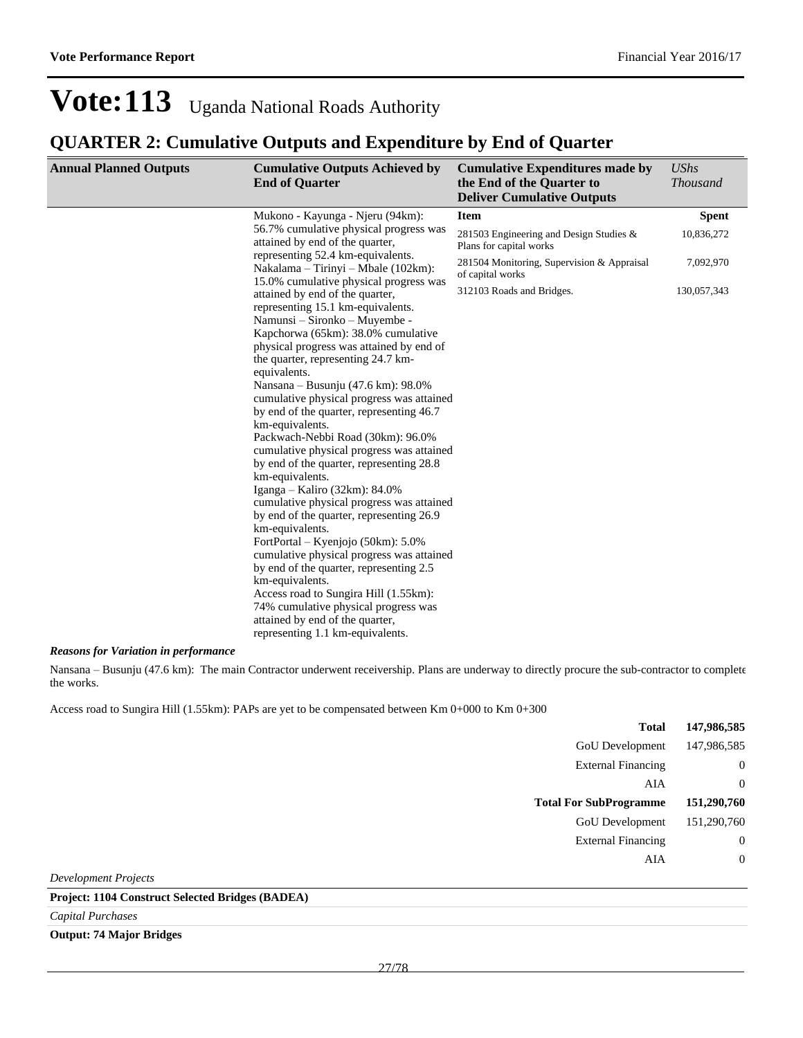#### **QUARTER 2: Cumulative Outputs and Expenditure by End of Quarter**

| <b>Annual Planned Outputs</b> | <b>Cumulative Outputs Achieved by</b><br><b>End of Quarter</b>                                                                                                                                                                                                                                                                                                                                                                                                                                                                                                                                                                                                                                                                                                                                                                                                                                                                                                                                                                                      | <b>Cumulative Expenditures made by</b><br>the End of the Quarter to<br><b>Deliver Cumulative Outputs</b> | <b>UShs</b><br><b>Thousand</b> |
|-------------------------------|-----------------------------------------------------------------------------------------------------------------------------------------------------------------------------------------------------------------------------------------------------------------------------------------------------------------------------------------------------------------------------------------------------------------------------------------------------------------------------------------------------------------------------------------------------------------------------------------------------------------------------------------------------------------------------------------------------------------------------------------------------------------------------------------------------------------------------------------------------------------------------------------------------------------------------------------------------------------------------------------------------------------------------------------------------|----------------------------------------------------------------------------------------------------------|--------------------------------|
|                               | Mukono - Kayunga - Njeru (94km):                                                                                                                                                                                                                                                                                                                                                                                                                                                                                                                                                                                                                                                                                                                                                                                                                                                                                                                                                                                                                    | <b>Item</b>                                                                                              | <b>Spent</b>                   |
|                               | 56.7% cumulative physical progress was<br>attained by end of the quarter,<br>representing 52.4 km-equivalents.<br>Nakalama – Tirinyi – Mbale (102km):                                                                                                                                                                                                                                                                                                                                                                                                                                                                                                                                                                                                                                                                                                                                                                                                                                                                                               | 281503 Engineering and Design Studies &<br>Plans for capital works                                       | 10,836,272                     |
|                               |                                                                                                                                                                                                                                                                                                                                                                                                                                                                                                                                                                                                                                                                                                                                                                                                                                                                                                                                                                                                                                                     | 281504 Monitoring, Supervision & Appraisal<br>of capital works                                           | 7,092,970                      |
|                               | 15.0% cumulative physical progress was<br>attained by end of the quarter,<br>representing 15.1 km-equivalents.<br>Namunsi - Sironko - Muyembe -<br>Kapchorwa (65km): 38.0% cumulative<br>physical progress was attained by end of<br>the quarter, representing 24.7 km-<br>equivalents.<br>Nansana - Busunju (47.6 km): 98.0%<br>cumulative physical progress was attained<br>by end of the quarter, representing 46.7<br>km-equivalents.<br>Packwach-Nebbi Road (30km): 96.0%<br>cumulative physical progress was attained<br>by end of the quarter, representing 28.8<br>km-equivalents.<br>Iganga – Kaliro (32km): $84.0\%$<br>cumulative physical progress was attained<br>by end of the quarter, representing 26.9<br>km-equivalents.<br>FortPortal – Kyenjojo (50km): 5.0%<br>cumulative physical progress was attained<br>by end of the quarter, representing 2.5<br>km-equivalents.<br>Access road to Sungira Hill (1.55km):<br>74% cumulative physical progress was<br>attained by end of the quarter,<br>representing 1.1 km-equivalents. | 312103 Roads and Bridges.                                                                                | 130,057,343                    |

#### *Reasons for Variation in performance*

Nansana - Busunju (47.6 km): The main Contractor underwent receivership. Plans are underway to directly procure the sub-contractor to complete the works.

Access road to Sungira Hill (1.55km): PAPs are yet to be compensated between Km 0+000 to Km 0+300

| <b>Total</b>                  | 147,986,585    |
|-------------------------------|----------------|
| GoU Development               | 147,986,585    |
| <b>External Financing</b>     | $\overline{0}$ |
| AIA                           | $\overline{0}$ |
| <b>Total For SubProgramme</b> | 151,290,760    |
| <b>GoU</b> Development        | 151,290,760    |
| <b>External Financing</b>     | $\theta$       |
| AIA                           | $\overline{0}$ |
| <b>Development Projects</b>   |                |

#### **Project: 1104 Construct Selected Bridges (BADEA)**

*Capital Purchases*

#### **Output: 74 Major Bridges**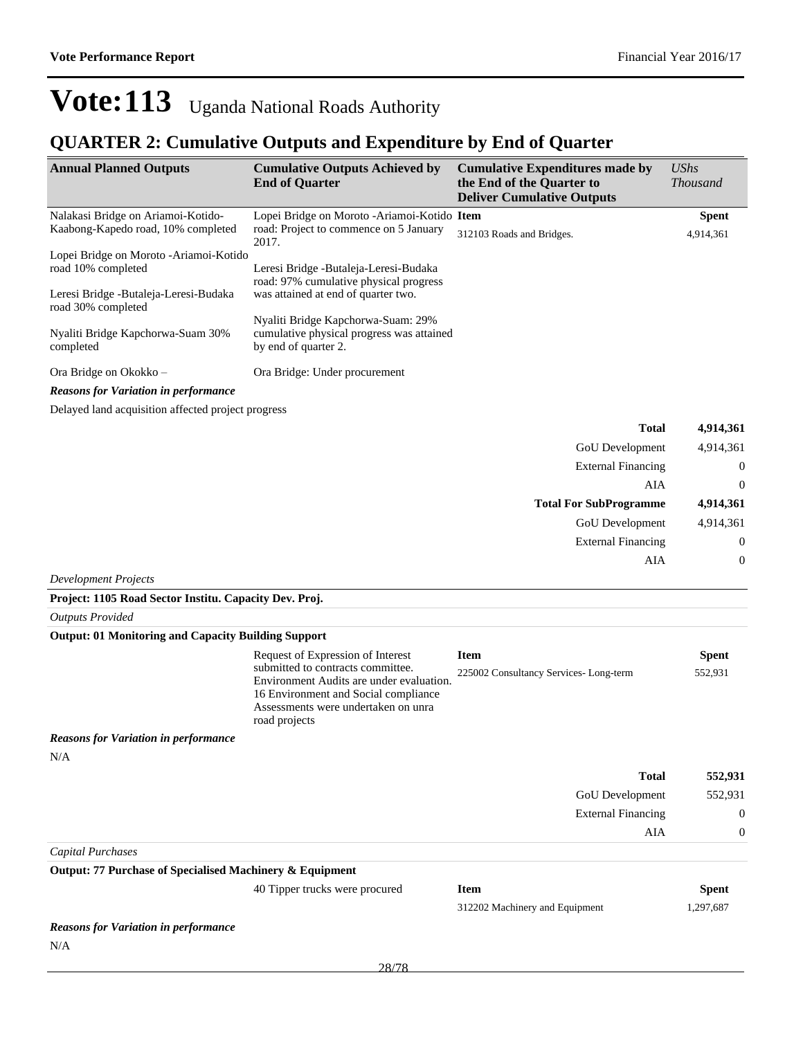#### **QUARTER 2: Cumulative Outputs and Expenditure by End of Quarter**

| <b>Annual Planned Outputs</b>                                 | <b>Cumulative Outputs Achieved by</b><br><b>End of Quarter</b>                                                                                             | <b>Cumulative Expenditures made by</b><br>the End of the Quarter to<br><b>Deliver Cumulative Outputs</b> | <b>UShs</b><br><b>Thousand</b> |
|---------------------------------------------------------------|------------------------------------------------------------------------------------------------------------------------------------------------------------|----------------------------------------------------------------------------------------------------------|--------------------------------|
| Nalakasi Bridge on Ariamoi-Kotido-                            | Lopei Bridge on Moroto - Ariamoi-Kotido Item                                                                                                               |                                                                                                          | <b>Spent</b>                   |
| Kaabong-Kapedo road, 10% completed                            | road: Project to commence on 5 January<br>2017.                                                                                                            | 312103 Roads and Bridges.                                                                                | 4,914,361                      |
| Lopei Bridge on Moroto - Ariamoi-Kotido<br>road 10% completed | Leresi Bridge - Butaleja-Leresi-Budaka<br>road: 97% cumulative physical progress                                                                           |                                                                                                          |                                |
| Leresi Bridge - Butaleja-Leresi-Budaka<br>road 30% completed  | was attained at end of quarter two.                                                                                                                        |                                                                                                          |                                |
| Nyaliti Bridge Kapchorwa-Suam 30%<br>completed                | Nyaliti Bridge Kapchorwa-Suam: 29%<br>cumulative physical progress was attained<br>by end of quarter 2.                                                    |                                                                                                          |                                |
| Ora Bridge on Okokko -                                        | Ora Bridge: Under procurement                                                                                                                              |                                                                                                          |                                |
| <b>Reasons for Variation in performance</b>                   |                                                                                                                                                            |                                                                                                          |                                |
| Delayed land acquisition affected project progress            |                                                                                                                                                            |                                                                                                          |                                |
|                                                               |                                                                                                                                                            | <b>Total</b>                                                                                             | 4,914,361                      |
|                                                               |                                                                                                                                                            | <b>GoU</b> Development                                                                                   | 4,914,361                      |
|                                                               |                                                                                                                                                            | <b>External Financing</b>                                                                                | $\mathbf{0}$                   |
|                                                               |                                                                                                                                                            | AIA                                                                                                      | $\theta$                       |
|                                                               |                                                                                                                                                            | <b>Total For SubProgramme</b>                                                                            | 4,914,361                      |
|                                                               |                                                                                                                                                            | GoU Development                                                                                          | 4,914,361                      |
|                                                               |                                                                                                                                                            | <b>External Financing</b>                                                                                | $\theta$                       |
|                                                               |                                                                                                                                                            | AIA                                                                                                      | $\mathbf{0}$                   |
| <b>Development Projects</b>                                   |                                                                                                                                                            |                                                                                                          |                                |
| Project: 1105 Road Sector Institu. Capacity Dev. Proj.        |                                                                                                                                                            |                                                                                                          |                                |
| <b>Outputs Provided</b>                                       |                                                                                                                                                            |                                                                                                          |                                |
| <b>Output: 01 Monitoring and Capacity Building Support</b>    |                                                                                                                                                            |                                                                                                          |                                |
|                                                               | Request of Expression of Interest<br>submitted to contracts committee.<br>Environment Audits are under evaluation.<br>16 Environment and Social compliance | <b>Item</b><br>225002 Consultancy Services-Long-term                                                     | <b>Spent</b><br>552,931        |

*Reasons for Variation in performance* N/A

| 552,931 | <b>Total</b>              |
|---------|---------------------------|
| 552,931 | <b>GoU</b> Development    |
| 0       | <b>External Financing</b> |
|         | AIA                       |

*Capital Purchases*

**Output: 77 Purchase of Specialised Machinery & Equipment**

40 Tipper trucks were procured

Assessments were undertaken on unra

road projects

| <b>Item</b>                    | Spent     |
|--------------------------------|-----------|
| 312202 Machinery and Equipment | 1.297.687 |

*Reasons for Variation in performance* N/A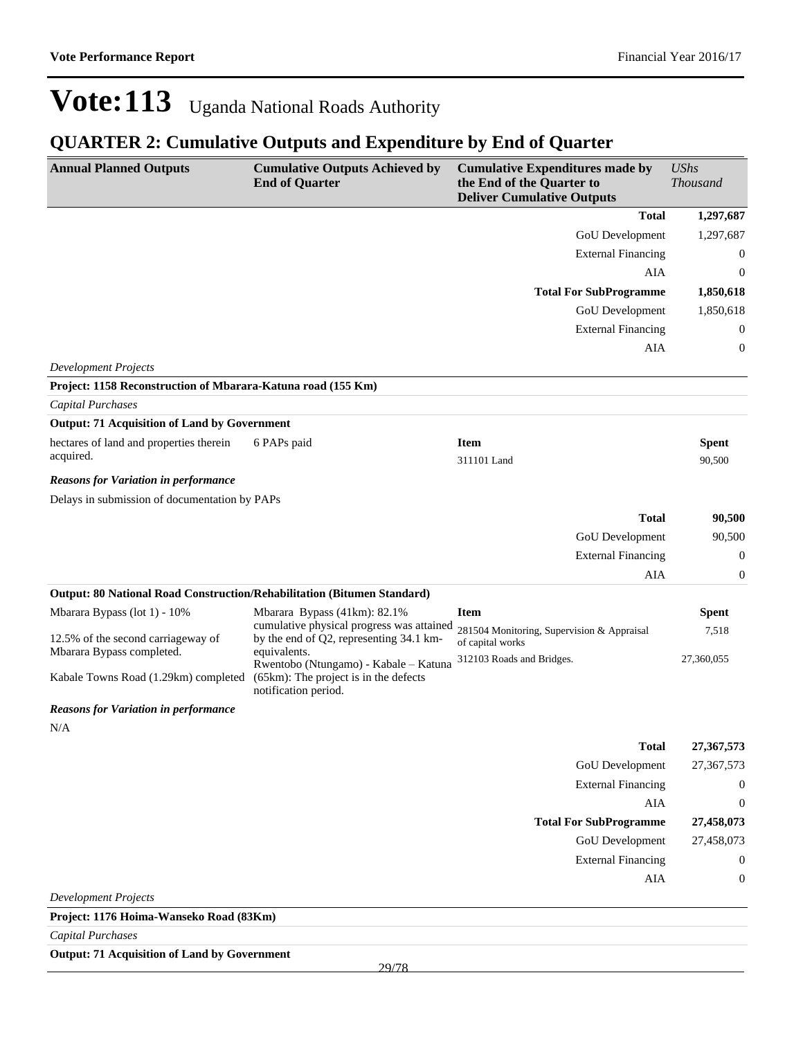### **QUARTER 2: Cumulative Outputs and Expenditure by End of Quarter**

| <b>Annual Planned Outputs</b>                                           | <b>Cumulative Outputs Achieved by</b><br><b>End of Quarter</b>                                         | <b>Cumulative Expenditures made by</b><br>the End of the Quarter to<br><b>Deliver Cumulative Outputs</b> | <b>UShs</b><br><b>Thousand</b> |
|-------------------------------------------------------------------------|--------------------------------------------------------------------------------------------------------|----------------------------------------------------------------------------------------------------------|--------------------------------|
|                                                                         |                                                                                                        | <b>Total</b>                                                                                             | 1,297,687                      |
|                                                                         |                                                                                                        | GoU Development                                                                                          | 1,297,687                      |
|                                                                         |                                                                                                        | <b>External Financing</b>                                                                                | $\boldsymbol{0}$               |
|                                                                         |                                                                                                        | <b>AIA</b>                                                                                               | $\boldsymbol{0}$               |
|                                                                         |                                                                                                        | <b>Total For SubProgramme</b>                                                                            | 1,850,618                      |
|                                                                         |                                                                                                        | GoU Development                                                                                          | 1,850,618                      |
|                                                                         |                                                                                                        | <b>External Financing</b>                                                                                | $\boldsymbol{0}$               |
|                                                                         |                                                                                                        | AIA                                                                                                      | $\boldsymbol{0}$               |
| <b>Development Projects</b>                                             |                                                                                                        |                                                                                                          |                                |
| Project: 1158 Reconstruction of Mbarara-Katuna road (155 Km)            |                                                                                                        |                                                                                                          |                                |
| <b>Capital Purchases</b>                                                |                                                                                                        |                                                                                                          |                                |
| <b>Output: 71 Acquisition of Land by Government</b>                     |                                                                                                        |                                                                                                          |                                |
| hectares of land and properties therein                                 | 6 PAPs paid                                                                                            | <b>Item</b>                                                                                              | <b>Spent</b>                   |
| acquired.                                                               |                                                                                                        | 311101 Land                                                                                              | 90,500                         |
| <b>Reasons for Variation in performance</b>                             |                                                                                                        |                                                                                                          |                                |
| Delays in submission of documentation by PAPs                           |                                                                                                        |                                                                                                          |                                |
|                                                                         |                                                                                                        | <b>Total</b>                                                                                             | 90,500                         |
|                                                                         |                                                                                                        | GoU Development                                                                                          | 90,500                         |
|                                                                         |                                                                                                        | <b>External Financing</b>                                                                                | $\boldsymbol{0}$               |
|                                                                         |                                                                                                        | AIA                                                                                                      | $\boldsymbol{0}$               |
| Output: 80 National Road Construction/Rehabilitation (Bitumen Standard) |                                                                                                        |                                                                                                          |                                |
| Mbarara Bypass (lot 1) - 10%                                            | Mbarara Bypass (41km): 82.1%<br>cumulative physical progress was attained                              | <b>Item</b>                                                                                              | <b>Spent</b>                   |
| 12.5% of the second carriageway of<br>Mbarara Bypass completed.         | by the end of Q2, representing 34.1 km-<br>equivalents.                                                | 281504 Monitoring, Supervision & Appraisal<br>of capital works                                           | 7,518                          |
| Kabale Towns Road (1.29km) completed                                    | Rwentobo (Ntungamo) - Kabale - Katuna<br>(65km): The project is in the defects<br>notification period. | 312103 Roads and Bridges.                                                                                | 27,360,055                     |
| <b>Reasons for Variation in performance</b>                             |                                                                                                        |                                                                                                          |                                |
| N/A                                                                     |                                                                                                        |                                                                                                          |                                |
|                                                                         |                                                                                                        | <b>Total</b>                                                                                             | 27,367,573                     |
|                                                                         |                                                                                                        | GoU Development                                                                                          | 27,367,573                     |
|                                                                         |                                                                                                        | <b>External Financing</b>                                                                                | 0                              |
|                                                                         |                                                                                                        | <b>AIA</b>                                                                                               | $\boldsymbol{0}$               |
|                                                                         |                                                                                                        | <b>Total For SubProgramme</b>                                                                            | 27,458,073                     |
|                                                                         |                                                                                                        | <b>GoU</b> Development                                                                                   | 27,458,073                     |
|                                                                         |                                                                                                        | <b>External Financing</b>                                                                                | 0                              |
|                                                                         |                                                                                                        | AIA                                                                                                      | $\boldsymbol{0}$               |
| <b>Development Projects</b>                                             |                                                                                                        |                                                                                                          |                                |
| Project: 1176 Hoima-Wanseko Road (83Km)                                 |                                                                                                        |                                                                                                          |                                |

*Capital Purchases*

**Output: 71 Acquisition of Land by Government**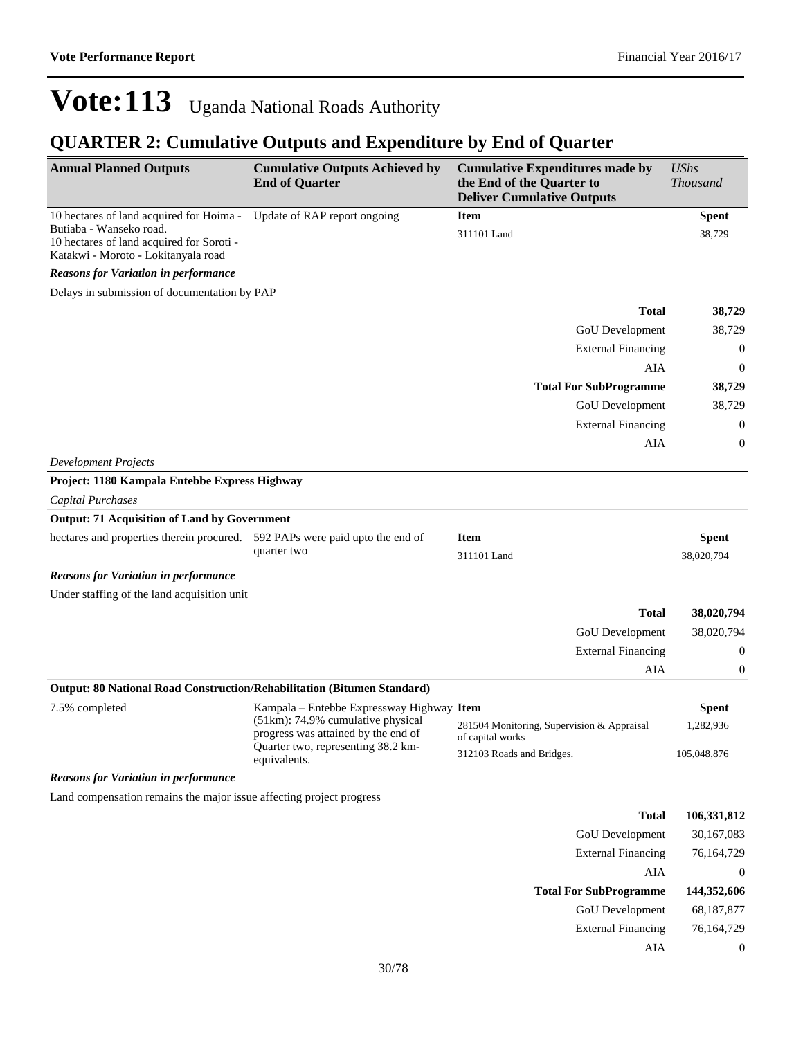| <b>Annual Planned Outputs</b>                                                                               | <b>Cumulative Outputs Achieved by</b><br><b>End of Quarter</b>           | <b>Cumulative Expenditures made by</b><br>the End of the Quarter to<br><b>Deliver Cumulative Outputs</b> | <b>UShs</b><br><b>Thousand</b> |
|-------------------------------------------------------------------------------------------------------------|--------------------------------------------------------------------------|----------------------------------------------------------------------------------------------------------|--------------------------------|
| 10 hectares of land acquired for Hoima -                                                                    | Update of RAP report ongoing                                             | <b>Item</b>                                                                                              | <b>Spent</b>                   |
| Butiaba - Wanseko road.<br>10 hectares of land acquired for Soroti -<br>Katakwi - Moroto - Lokitanyala road |                                                                          | 311101 Land                                                                                              | 38,729                         |
| <b>Reasons for Variation in performance</b>                                                                 |                                                                          |                                                                                                          |                                |
| Delays in submission of documentation by PAP                                                                |                                                                          |                                                                                                          |                                |
|                                                                                                             |                                                                          | <b>Total</b>                                                                                             | 38,729                         |
|                                                                                                             |                                                                          | GoU Development                                                                                          | 38,729                         |
|                                                                                                             |                                                                          | <b>External Financing</b>                                                                                | $\mathbf{0}$                   |
|                                                                                                             |                                                                          | AIA                                                                                                      | $\mathbf{0}$                   |
|                                                                                                             |                                                                          | <b>Total For SubProgramme</b>                                                                            | 38,729                         |
|                                                                                                             |                                                                          | GoU Development                                                                                          | 38,729                         |
|                                                                                                             |                                                                          | <b>External Financing</b>                                                                                | $\boldsymbol{0}$               |
|                                                                                                             |                                                                          | <b>AIA</b>                                                                                               | $\boldsymbol{0}$               |
| <b>Development Projects</b>                                                                                 |                                                                          |                                                                                                          |                                |
| Project: 1180 Kampala Entebbe Express Highway                                                               |                                                                          |                                                                                                          |                                |
| Capital Purchases                                                                                           |                                                                          |                                                                                                          |                                |
| <b>Output: 71 Acquisition of Land by Government</b>                                                         |                                                                          |                                                                                                          |                                |
| hectares and properties therein procured. 592 PAPs were paid upto the end of                                | quarter two                                                              | <b>Item</b><br>311101 Land                                                                               | <b>Spent</b><br>38,020,794     |
| <b>Reasons for Variation in performance</b>                                                                 |                                                                          |                                                                                                          |                                |
| Under staffing of the land acquisition unit                                                                 |                                                                          |                                                                                                          |                                |
|                                                                                                             |                                                                          | <b>Total</b>                                                                                             | 38,020,794                     |
|                                                                                                             |                                                                          | GoU Development                                                                                          | 38,020,794                     |
|                                                                                                             |                                                                          | <b>External Financing</b>                                                                                | 0                              |
|                                                                                                             |                                                                          | AIA                                                                                                      | $\boldsymbol{0}$               |
| Output: 80 National Road Construction/Rehabilitation (Bitumen Standard)                                     |                                                                          |                                                                                                          |                                |
| 7.5% completed                                                                                              | Kampala – Entebbe Expressway Highway Item                                |                                                                                                          | <b>Spent</b>                   |
|                                                                                                             | (51km): 74.9% cumulative physical<br>progress was attained by the end of | 281504 Monitoring, Supervision & Appraisal<br>of capital works                                           | 1,282,936                      |
|                                                                                                             | Quarter two, representing 38.2 km-<br>equivalents.                       | 312103 Roads and Bridges.                                                                                | 105,048,876                    |
| <b>Reasons for Variation in performance</b>                                                                 |                                                                          |                                                                                                          |                                |
| Land compensation remains the major issue affecting project progress                                        |                                                                          |                                                                                                          |                                |
|                                                                                                             |                                                                          | <b>Total</b>                                                                                             | 106,331,812                    |
|                                                                                                             |                                                                          | GoU Development                                                                                          | 30,167,083                     |
|                                                                                                             |                                                                          | <b>External Financing</b>                                                                                | 76,164,729                     |
|                                                                                                             |                                                                          | AIA                                                                                                      | $\boldsymbol{0}$               |
|                                                                                                             |                                                                          | <b>Total For SubProgramme</b>                                                                            | 144,352,606                    |
|                                                                                                             |                                                                          | GoU Development                                                                                          | 68,187,877                     |
|                                                                                                             |                                                                          | <b>External Financing</b>                                                                                | 76,164,729                     |
|                                                                                                             |                                                                          | AIA                                                                                                      | $\boldsymbol{0}$               |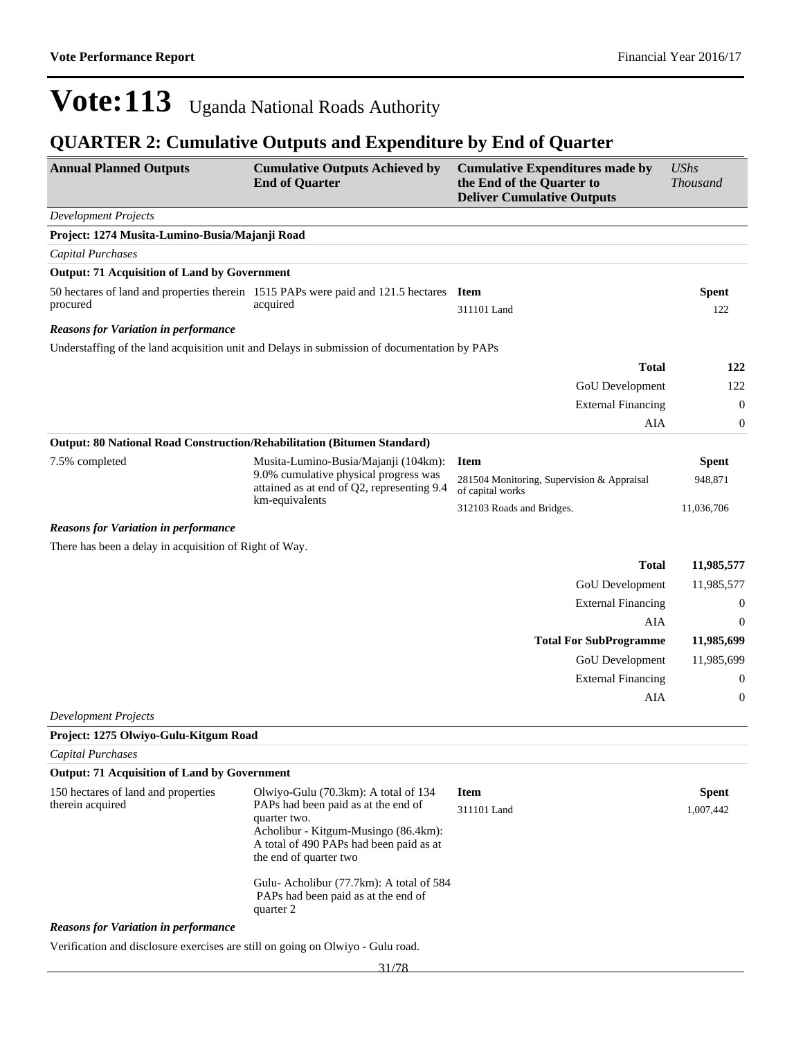### **QUARTER 2: Cumulative Outputs and Expenditure by End of Quarter**

| <b>Annual Planned Outputs</b>                                                   | <b>Cumulative Outputs Achieved by</b><br><b>End of Quarter</b>                                                                                                   | <b>Cumulative Expenditures made by</b><br>the End of the Quarter to<br><b>Deliver Cumulative Outputs</b> | <b>UShs</b><br><b>Thousand</b> |
|---------------------------------------------------------------------------------|------------------------------------------------------------------------------------------------------------------------------------------------------------------|----------------------------------------------------------------------------------------------------------|--------------------------------|
| <b>Development Projects</b>                                                     |                                                                                                                                                                  |                                                                                                          |                                |
| Project: 1274 Musita-Lumino-Busia/Majanji Road                                  |                                                                                                                                                                  |                                                                                                          |                                |
| Capital Purchases                                                               |                                                                                                                                                                  |                                                                                                          |                                |
| <b>Output: 71 Acquisition of Land by Government</b>                             |                                                                                                                                                                  |                                                                                                          |                                |
|                                                                                 | 50 hectares of land and properties therein 1515 PAPs were paid and 121.5 hectares Item                                                                           |                                                                                                          | <b>Spent</b>                   |
| procured                                                                        | acquired                                                                                                                                                         | 311101 Land                                                                                              | 122                            |
| <b>Reasons for Variation in performance</b>                                     |                                                                                                                                                                  |                                                                                                          |                                |
|                                                                                 | Understaffing of the land acquisition unit and Delays in submission of documentation by PAPs                                                                     |                                                                                                          |                                |
|                                                                                 |                                                                                                                                                                  | <b>Total</b>                                                                                             | 122                            |
|                                                                                 |                                                                                                                                                                  | GoU Development                                                                                          | 122                            |
|                                                                                 |                                                                                                                                                                  | <b>External Financing</b>                                                                                | $\boldsymbol{0}$               |
|                                                                                 |                                                                                                                                                                  | AIA                                                                                                      | $\boldsymbol{0}$               |
| Output: 80 National Road Construction/Rehabilitation (Bitumen Standard)         |                                                                                                                                                                  |                                                                                                          |                                |
| 7.5% completed                                                                  | Musita-Lumino-Busia/Majanji (104km):                                                                                                                             | <b>Item</b>                                                                                              | <b>Spent</b>                   |
|                                                                                 | 9.0% cumulative physical progress was<br>attained as at end of Q2, representing 9.4<br>km-equivalents                                                            | 281504 Monitoring, Supervision & Appraisal<br>of capital works                                           | 948,871                        |
|                                                                                 |                                                                                                                                                                  | 312103 Roads and Bridges.                                                                                | 11,036,706                     |
| <b>Reasons for Variation in performance</b>                                     |                                                                                                                                                                  |                                                                                                          |                                |
| There has been a delay in acquisition of Right of Way.                          |                                                                                                                                                                  |                                                                                                          |                                |
|                                                                                 |                                                                                                                                                                  | <b>Total</b>                                                                                             | 11,985,577                     |
|                                                                                 |                                                                                                                                                                  | GoU Development                                                                                          | 11,985,577                     |
|                                                                                 |                                                                                                                                                                  | <b>External Financing</b>                                                                                | $\boldsymbol{0}$               |
|                                                                                 |                                                                                                                                                                  | <b>AIA</b>                                                                                               | $\theta$                       |
|                                                                                 |                                                                                                                                                                  | <b>Total For SubProgramme</b>                                                                            | 11,985,699                     |
|                                                                                 |                                                                                                                                                                  | GoU Development                                                                                          | 11,985,699                     |
|                                                                                 |                                                                                                                                                                  | <b>External Financing</b>                                                                                | $\boldsymbol{0}$               |
|                                                                                 |                                                                                                                                                                  | <b>AIA</b>                                                                                               | $\boldsymbol{0}$               |
| <b>Development Projects</b>                                                     |                                                                                                                                                                  |                                                                                                          |                                |
| Project: 1275 Olwiyo-Gulu-Kitgum Road                                           |                                                                                                                                                                  |                                                                                                          |                                |
| <b>Capital Purchases</b>                                                        |                                                                                                                                                                  |                                                                                                          |                                |
| <b>Output: 71 Acquisition of Land by Government</b>                             |                                                                                                                                                                  |                                                                                                          |                                |
| 150 hectares of land and properties                                             | Olwiyo-Gulu (70.3km): A total of 134                                                                                                                             | <b>Item</b>                                                                                              | <b>Spent</b>                   |
| therein acquired                                                                | PAPs had been paid as at the end of<br>quarter two.<br>Acholibur - Kitgum-Musingo (86.4km):<br>A total of 490 PAPs had been paid as at<br>the end of quarter two | 311101 Land                                                                                              | 1,007,442                      |
|                                                                                 | Gulu-Acholibur (77.7km): A total of 584<br>PAPs had been paid as at the end of<br>quarter 2                                                                      |                                                                                                          |                                |
| <b>Reasons for Variation in performance</b>                                     |                                                                                                                                                                  |                                                                                                          |                                |
| Verification and disclosure exercises are still on going on Olwiyo - Gulu road. |                                                                                                                                                                  |                                                                                                          |                                |

31/78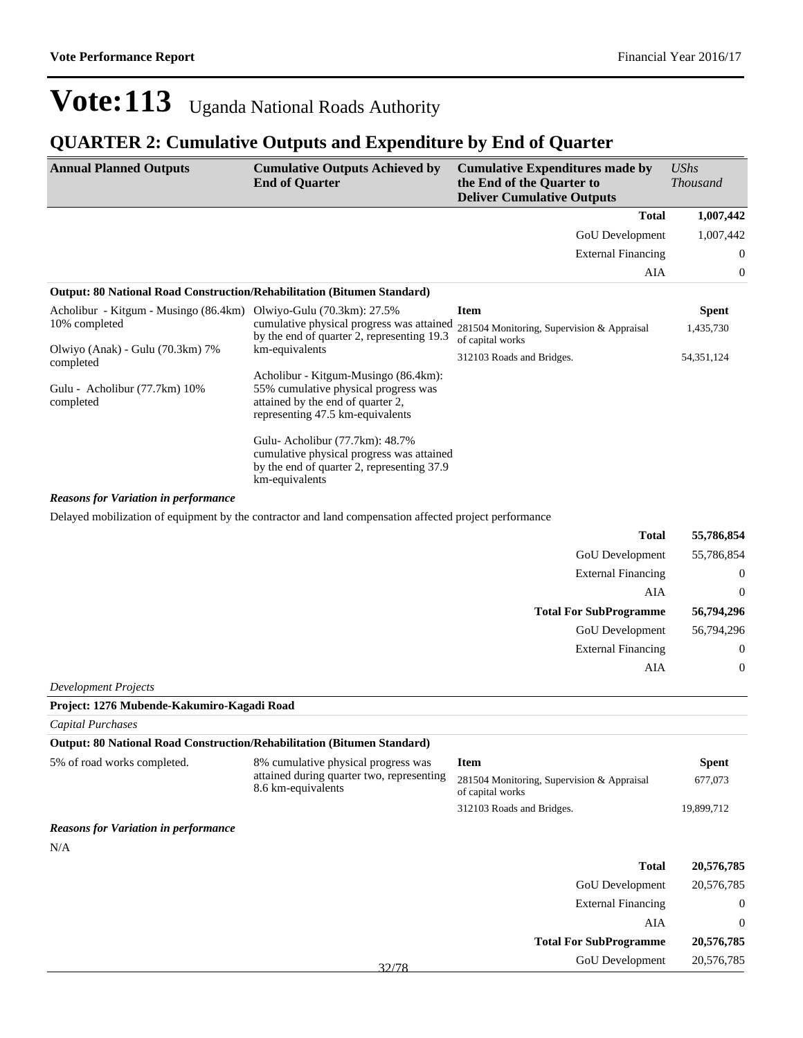### **QUARTER 2: Cumulative Outputs and Expenditure by End of Quarter**

| <b>Annual Planned Outputs</b>                                                  | <b>Cumulative Outputs Achieved by</b><br><b>End of Quarter</b>                                                                                        | <b>Cumulative Expenditures made by</b><br>the End of the Quarter to<br><b>Deliver Cumulative Outputs</b> | $\mathit{UShs}$<br><b>Thousand</b> |
|--------------------------------------------------------------------------------|-------------------------------------------------------------------------------------------------------------------------------------------------------|----------------------------------------------------------------------------------------------------------|------------------------------------|
|                                                                                |                                                                                                                                                       | <b>Total</b>                                                                                             | 1,007,442                          |
|                                                                                |                                                                                                                                                       | GoU Development                                                                                          | 1,007,442                          |
|                                                                                |                                                                                                                                                       | <b>External Financing</b>                                                                                | $\theta$                           |
|                                                                                |                                                                                                                                                       | AIA                                                                                                      | 0                                  |
| <b>Output: 80 National Road Construction/Rehabilitation (Bitumen Standard)</b> |                                                                                                                                                       |                                                                                                          |                                    |
| Acholibur - Kitgum - Musingo (86.4km) Olwiyo-Gulu (70.3km): 27.5%              |                                                                                                                                                       | <b>Item</b>                                                                                              | <b>Spent</b>                       |
| 10% completed                                                                  | cumulative physical progress was attained<br>by the end of quarter 2, representing 19.3                                                               | 281504 Monitoring, Supervision & Appraisal<br>of capital works                                           | 1,435,730                          |
| Olwiyo (Anak) - Gulu (70.3km) 7%<br>completed                                  | km-equivalents                                                                                                                                        | 312103 Roads and Bridges.                                                                                | 54, 351, 124                       |
| Gulu - Acholibur (77.7km) 10%<br>completed                                     | Acholibur - Kitgum-Musingo (86.4km):<br>55% cumulative physical progress was<br>attained by the end of quarter 2,<br>representing 47.5 km-equivalents |                                                                                                          |                                    |
|                                                                                | Gulu-Acholibur (77.7km): 48.7%<br>cumulative physical progress was attained<br>by the end of quarter 2, representing 37.9<br>km-equivalents           |                                                                                                          |                                    |
| <b>Reasons for Variation in performance</b>                                    |                                                                                                                                                       |                                                                                                          |                                    |
|                                                                                | Delayed mobilization of equipment by the contractor and land compensation affected project performance                                                |                                                                                                          |                                    |
|                                                                                |                                                                                                                                                       | <b>Total</b>                                                                                             | 55,786,854                         |
|                                                                                |                                                                                                                                                       | <b>GoU</b> Development                                                                                   | 55.786.854                         |

| 55,786,854     | GoU Development               |
|----------------|-------------------------------|
| $\overline{0}$ | <b>External Financing</b>     |
| $\overline{0}$ | AIA                           |
| 56,794,296     | <b>Total For SubProgramme</b> |
| 56,794,296     | <b>GoU</b> Development        |
| $\overline{0}$ | <b>External Financing</b>     |
| $\overline{0}$ | AIA                           |
|                |                               |

*Development Projects*

| Project: 1276 Mubende-Kakumiro-Kagadi Road  |                                                                                                        |                                                                |                  |
|---------------------------------------------|--------------------------------------------------------------------------------------------------------|----------------------------------------------------------------|------------------|
| Capital Purchases                           |                                                                                                        |                                                                |                  |
|                                             | <b>Output: 80 National Road Construction/Rehabilitation (Bitumen Standard)</b>                         |                                                                |                  |
| 5% of road works completed.                 | 8% cumulative physical progress was<br>attained during quarter two, representing<br>8.6 km-equivalents | <b>Item</b>                                                    | <b>Spent</b>     |
|                                             |                                                                                                        | 281504 Monitoring, Supervision & Appraisal<br>of capital works | 677,073          |
|                                             |                                                                                                        | 312103 Roads and Bridges.                                      | 19,899,712       |
| <b>Reasons for Variation in performance</b> |                                                                                                        |                                                                |                  |
| N/A                                         |                                                                                                        |                                                                |                  |
|                                             |                                                                                                        | <b>Total</b>                                                   | 20,576,785       |
|                                             |                                                                                                        | <b>GoU</b> Development                                         | 20,576,785       |
|                                             |                                                                                                        | <b>External Financing</b>                                      | $\boldsymbol{0}$ |
|                                             |                                                                                                        | AIA                                                            | $\overline{0}$   |
|                                             |                                                                                                        | <b>Total For SubProgramme</b>                                  | 20,576,785       |
|                                             | 32/78                                                                                                  | GoU Development                                                | 20,576,785       |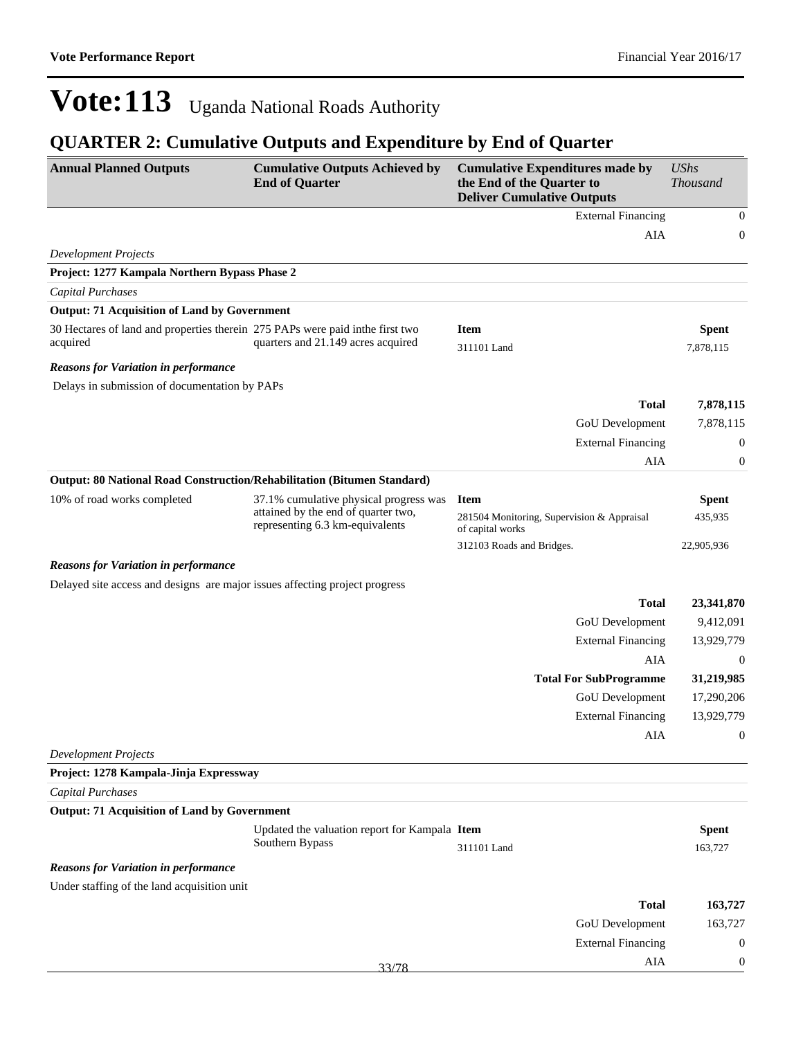| <b>Annual Planned Outputs</b>                                                             | <b>Cumulative Outputs Achieved by</b><br><b>End of Quarter</b>         | <b>Cumulative Expenditures made by</b><br>the End of the Quarter to<br><b>Deliver Cumulative Outputs</b> | <b>UShs</b><br><b>Thousand</b> |
|-------------------------------------------------------------------------------------------|------------------------------------------------------------------------|----------------------------------------------------------------------------------------------------------|--------------------------------|
|                                                                                           |                                                                        | <b>External Financing</b>                                                                                | $\boldsymbol{0}$               |
|                                                                                           |                                                                        | AIA                                                                                                      | $\boldsymbol{0}$               |
| <b>Development Projects</b>                                                               |                                                                        |                                                                                                          |                                |
| Project: 1277 Kampala Northern Bypass Phase 2                                             |                                                                        |                                                                                                          |                                |
| <b>Capital Purchases</b>                                                                  |                                                                        |                                                                                                          |                                |
| <b>Output: 71 Acquisition of Land by Government</b>                                       |                                                                        |                                                                                                          |                                |
| 30 Hectares of land and properties therein 275 PAPs were paid inthe first two<br>acquired | quarters and 21.149 acres acquired                                     | <b>Item</b><br>311101 Land                                                                               | <b>Spent</b><br>7,878,115      |
| <b>Reasons for Variation in performance</b>                                               |                                                                        |                                                                                                          |                                |
| Delays in submission of documentation by PAPs                                             |                                                                        |                                                                                                          |                                |
|                                                                                           |                                                                        | <b>Total</b>                                                                                             | 7,878,115                      |
|                                                                                           |                                                                        | GoU Development                                                                                          | 7,878,115                      |
|                                                                                           |                                                                        | <b>External Financing</b>                                                                                | $\boldsymbol{0}$               |
|                                                                                           |                                                                        | AIA                                                                                                      | $\boldsymbol{0}$               |
| <b>Output: 80 National Road Construction/Rehabilitation (Bitumen Standard)</b>            |                                                                        |                                                                                                          |                                |
| 10% of road works completed                                                               | 37.1% cumulative physical progress was                                 | <b>Item</b>                                                                                              | <b>Spent</b>                   |
|                                                                                           | attained by the end of quarter two,<br>representing 6.3 km-equivalents | 281504 Monitoring, Supervision & Appraisal<br>of capital works                                           | 435,935                        |
|                                                                                           |                                                                        | 312103 Roads and Bridges.                                                                                | 22,905,936                     |
| <b>Reasons for Variation in performance</b>                                               |                                                                        |                                                                                                          |                                |
| Delayed site access and designs are major issues affecting project progress               |                                                                        |                                                                                                          |                                |
|                                                                                           |                                                                        | <b>Total</b>                                                                                             | 23,341,870                     |
|                                                                                           |                                                                        | GoU Development                                                                                          | 9,412,091                      |
|                                                                                           |                                                                        | <b>External Financing</b>                                                                                | 13,929,779                     |
|                                                                                           |                                                                        | AIA                                                                                                      | $\mathbf{0}$                   |
|                                                                                           |                                                                        | <b>Total For SubProgramme</b>                                                                            | 31,219,985                     |
|                                                                                           |                                                                        | GoU Development                                                                                          | 17,290,206                     |
|                                                                                           |                                                                        | <b>External Financing</b>                                                                                | 13,929,779                     |
|                                                                                           |                                                                        | AIA                                                                                                      | $\boldsymbol{0}$               |
| <b>Development Projects</b>                                                               |                                                                        |                                                                                                          |                                |
| Project: 1278 Kampala-Jinja Expressway                                                    |                                                                        |                                                                                                          |                                |
| Capital Purchases                                                                         |                                                                        |                                                                                                          |                                |
| <b>Output: 71 Acquisition of Land by Government</b>                                       |                                                                        |                                                                                                          |                                |
|                                                                                           | Updated the valuation report for Kampala Item<br>Southern Bypass       |                                                                                                          | <b>Spent</b>                   |
|                                                                                           |                                                                        | 311101 Land                                                                                              | 163,727                        |
| <b>Reasons for Variation in performance</b>                                               |                                                                        |                                                                                                          |                                |
| Under staffing of the land acquisition unit                                               |                                                                        |                                                                                                          |                                |
|                                                                                           |                                                                        | <b>Total</b>                                                                                             | 163,727                        |
|                                                                                           |                                                                        | GoU Development                                                                                          | 163,727                        |
|                                                                                           |                                                                        | <b>External Financing</b>                                                                                | $\boldsymbol{0}$               |
|                                                                                           | 33/78                                                                  | AIA                                                                                                      | $\boldsymbol{0}$               |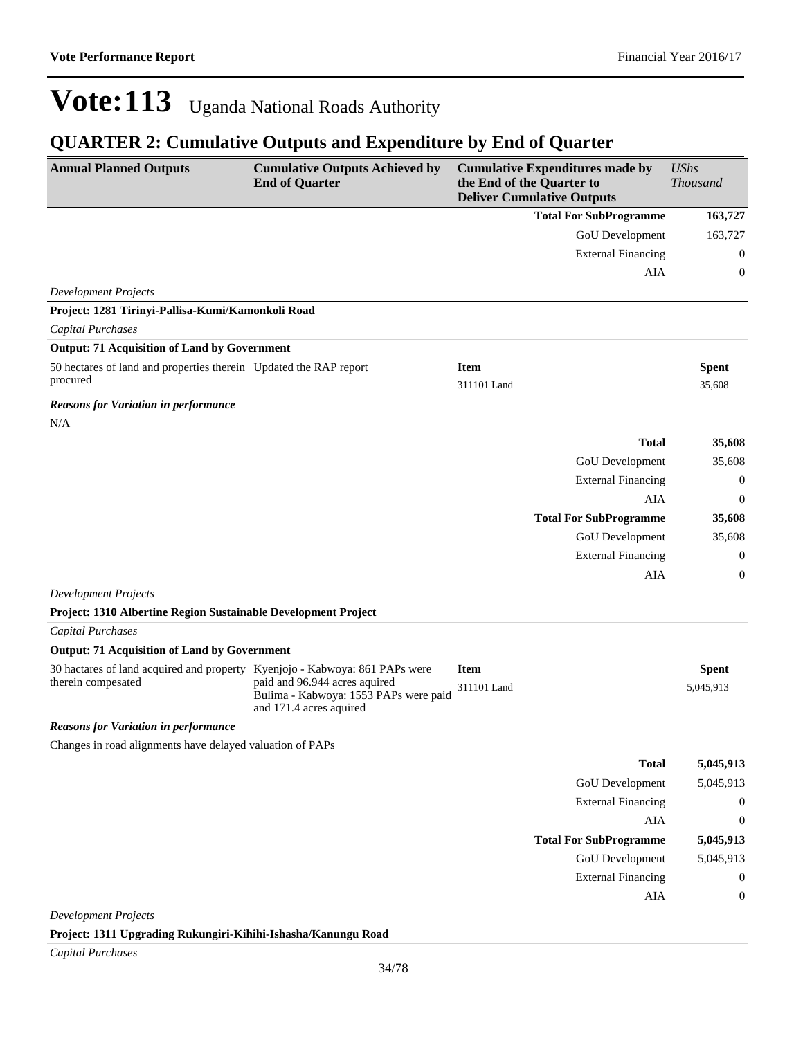### **QUARTER 2: Cumulative Outputs and Expenditure by End of Quarter**

| <b>Annual Planned Outputs</b>                                                                     | <b>Cumulative Outputs Achieved by</b><br><b>End of Quarter</b>                                    |                            | <b>Cumulative Expenditures made by</b><br>the End of the Quarter to<br><b>Deliver Cumulative Outputs</b> | <b>UShs</b><br><b>Thousand</b> |
|---------------------------------------------------------------------------------------------------|---------------------------------------------------------------------------------------------------|----------------------------|----------------------------------------------------------------------------------------------------------|--------------------------------|
|                                                                                                   |                                                                                                   |                            | <b>Total For SubProgramme</b>                                                                            | 163,727                        |
|                                                                                                   |                                                                                                   |                            | GoU Development                                                                                          | 163,727                        |
|                                                                                                   |                                                                                                   |                            | <b>External Financing</b>                                                                                | $\mathbf{0}$                   |
|                                                                                                   |                                                                                                   |                            | AIA                                                                                                      | $\theta$                       |
| <b>Development Projects</b>                                                                       |                                                                                                   |                            |                                                                                                          |                                |
| Project: 1281 Tirinyi-Pallisa-Kumi/Kamonkoli Road                                                 |                                                                                                   |                            |                                                                                                          |                                |
| Capital Purchases                                                                                 |                                                                                                   |                            |                                                                                                          |                                |
| <b>Output: 71 Acquisition of Land by Government</b>                                               |                                                                                                   |                            |                                                                                                          |                                |
| 50 hectares of land and properties therein Updated the RAP report<br>procured                     |                                                                                                   | <b>Item</b><br>311101 Land |                                                                                                          | <b>Spent</b><br>35,608         |
| <b>Reasons for Variation in performance</b>                                                       |                                                                                                   |                            |                                                                                                          |                                |
| N/A                                                                                               |                                                                                                   |                            |                                                                                                          |                                |
|                                                                                                   |                                                                                                   |                            | <b>Total</b>                                                                                             | 35,608                         |
|                                                                                                   |                                                                                                   |                            | GoU Development                                                                                          | 35,608                         |
|                                                                                                   |                                                                                                   |                            | <b>External Financing</b>                                                                                | $\mathbf{0}$                   |
|                                                                                                   |                                                                                                   |                            | <b>AIA</b>                                                                                               | $\theta$                       |
|                                                                                                   |                                                                                                   |                            | <b>Total For SubProgramme</b>                                                                            | 35,608                         |
|                                                                                                   |                                                                                                   |                            | GoU Development                                                                                          | 35,608                         |
|                                                                                                   |                                                                                                   |                            | <b>External Financing</b>                                                                                | $\overline{0}$                 |
|                                                                                                   |                                                                                                   |                            | AIA                                                                                                      | $\mathbf{0}$                   |
| <b>Development Projects</b>                                                                       |                                                                                                   |                            |                                                                                                          |                                |
| Project: 1310 Albertine Region Sustainable Development Project                                    |                                                                                                   |                            |                                                                                                          |                                |
| <b>Capital Purchases</b>                                                                          |                                                                                                   |                            |                                                                                                          |                                |
| <b>Output: 71 Acquisition of Land by Government</b>                                               |                                                                                                   |                            |                                                                                                          |                                |
| 30 hactares of land acquired and property Kyenjojo - Kabwoya: 861 PAPs were<br>therein compesated | paid and 96.944 acres aquired<br>Bulima - Kabwoya: 1553 PAPs were paid<br>and 171.4 acres aquired | <b>Item</b><br>311101 Land |                                                                                                          | <b>Spent</b><br>5,045,913      |
| <b>Reasons for Variation in performance</b>                                                       |                                                                                                   |                            |                                                                                                          |                                |
| Changes in road alignments have delayed valuation of PAPs                                         |                                                                                                   |                            |                                                                                                          |                                |
|                                                                                                   |                                                                                                   |                            | <b>Total</b>                                                                                             | 5,045,913                      |
|                                                                                                   |                                                                                                   |                            | <b>GoU</b> Development                                                                                   | 5,045,913                      |
|                                                                                                   |                                                                                                   |                            | <b>External Financing</b>                                                                                | $\boldsymbol{0}$               |
|                                                                                                   |                                                                                                   |                            | AIA                                                                                                      | $\boldsymbol{0}$               |
|                                                                                                   |                                                                                                   |                            | <b>Total For SubProgramme</b>                                                                            | 5,045,913                      |
|                                                                                                   |                                                                                                   |                            | <b>GoU</b> Development                                                                                   | 5,045,913                      |
|                                                                                                   |                                                                                                   |                            | <b>External Financing</b>                                                                                | $\mathbf{0}$                   |
|                                                                                                   |                                                                                                   |                            | AIA                                                                                                      | $\boldsymbol{0}$               |
| <b>Development Projects</b>                                                                       |                                                                                                   |                            |                                                                                                          |                                |
| Project: 1311 Upgrading Rukungiri-Kihihi-Ishasha/Kanungu Road                                     |                                                                                                   |                            |                                                                                                          |                                |

*Capital Purchases*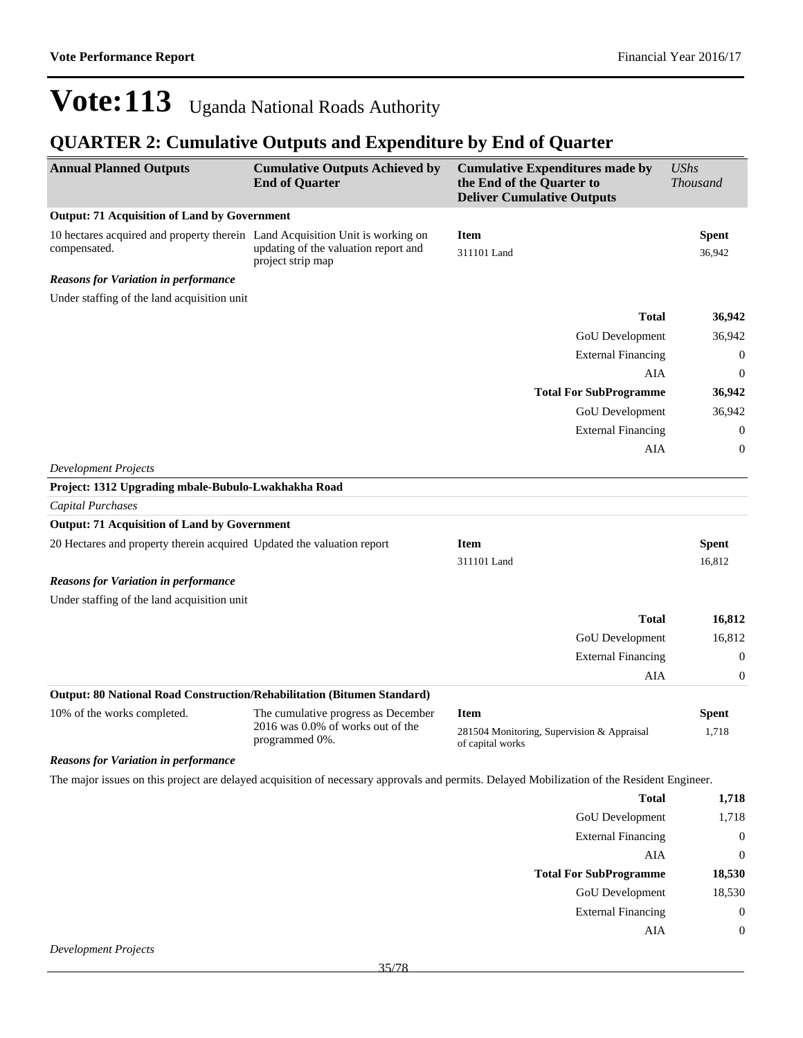| <b>Annual Planned Outputs</b>                                                                 | <b>Cumulative Outputs Achieved by</b><br><b>End of Quarter</b>                             | <b>Cumulative Expenditures made by</b><br>the End of the Quarter to<br><b>Deliver Cumulative Outputs</b>                                    | <b>UShs</b><br><b>Thousand</b> |
|-----------------------------------------------------------------------------------------------|--------------------------------------------------------------------------------------------|---------------------------------------------------------------------------------------------------------------------------------------------|--------------------------------|
| <b>Output: 71 Acquisition of Land by Government</b>                                           |                                                                                            |                                                                                                                                             |                                |
| 10 hectares acquired and property therein Land Acquisition Unit is working on<br>compensated. | updating of the valuation report and<br>project strip map                                  | <b>Item</b><br>311101 Land                                                                                                                  | <b>Spent</b><br>36,942         |
| <b>Reasons for Variation in performance</b>                                                   |                                                                                            |                                                                                                                                             |                                |
| Under staffing of the land acquisition unit                                                   |                                                                                            |                                                                                                                                             |                                |
|                                                                                               |                                                                                            | <b>Total</b>                                                                                                                                | 36,942                         |
|                                                                                               |                                                                                            | GoU Development                                                                                                                             | 36,942                         |
|                                                                                               |                                                                                            | <b>External Financing</b>                                                                                                                   | $\overline{0}$                 |
|                                                                                               |                                                                                            | AIA                                                                                                                                         | $\mathbf{0}$                   |
|                                                                                               |                                                                                            | <b>Total For SubProgramme</b>                                                                                                               | 36,942                         |
|                                                                                               |                                                                                            | GoU Development                                                                                                                             | 36,942                         |
|                                                                                               |                                                                                            | <b>External Financing</b>                                                                                                                   | $\overline{0}$                 |
|                                                                                               |                                                                                            | AIA                                                                                                                                         | $\mathbf{0}$                   |
| <b>Development Projects</b>                                                                   |                                                                                            |                                                                                                                                             |                                |
| Project: 1312 Upgrading mbale-Bubulo-Lwakhakha Road                                           |                                                                                            |                                                                                                                                             |                                |
| Capital Purchases                                                                             |                                                                                            |                                                                                                                                             |                                |
| <b>Output: 71 Acquisition of Land by Government</b>                                           |                                                                                            |                                                                                                                                             |                                |
| 20 Hectares and property therein acquired Updated the valuation report                        |                                                                                            | <b>Item</b>                                                                                                                                 | <b>Spent</b>                   |
|                                                                                               |                                                                                            | 311101 Land                                                                                                                                 | 16,812                         |
| <b>Reasons for Variation in performance</b>                                                   |                                                                                            |                                                                                                                                             |                                |
| Under staffing of the land acquisition unit                                                   |                                                                                            |                                                                                                                                             |                                |
|                                                                                               |                                                                                            | <b>Total</b>                                                                                                                                | 16,812                         |
|                                                                                               |                                                                                            | GoU Development                                                                                                                             | 16,812                         |
|                                                                                               |                                                                                            | <b>External Financing</b>                                                                                                                   | $\overline{0}$                 |
|                                                                                               |                                                                                            | AIA                                                                                                                                         | $\mathbf{0}$                   |
| Output: 80 National Road Construction/Rehabilitation (Bitumen Standard)                       |                                                                                            |                                                                                                                                             |                                |
| 10% of the works completed.                                                                   | The cumulative progress as December<br>2016 was 0.0% of works out of the<br>programmed 0%. | <b>Item</b>                                                                                                                                 | <b>Spent</b>                   |
|                                                                                               |                                                                                            | 281504 Monitoring, Supervision & Appraisal<br>of capital works                                                                              | 1,718                          |
| <b>Reasons for Variation in performance</b>                                                   |                                                                                            |                                                                                                                                             |                                |
|                                                                                               |                                                                                            | The major issues on this project are delayed acquisition of necessary approvals and permits. Delayed Mobilization of the Resident Engineer. |                                |

| <b>Total</b>                  | 1,718    |
|-------------------------------|----------|
| <b>GoU</b> Development        | 1,718    |
| <b>External Financing</b>     | $\theta$ |
| AIA                           | 0        |
| <b>Total For SubProgramme</b> | 18,530   |
| <b>GoU</b> Development        | 18,530   |
| <b>External Financing</b>     | 0        |
| AIA                           | $\theta$ |
|                               |          |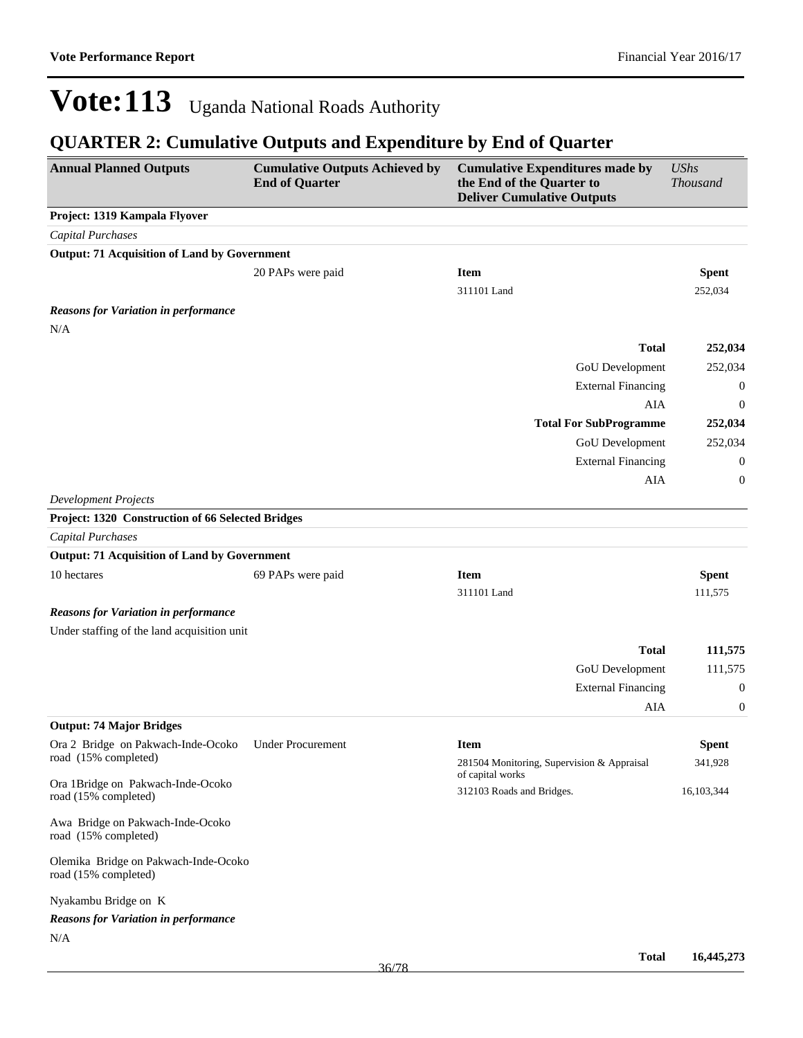| <b>Annual Planned Outputs</b>                                                | <b>Cumulative Outputs Achieved by</b><br><b>End of Quarter</b> | <b>Cumulative Expenditures made by</b><br>the End of the Quarter to<br><b>Deliver Cumulative Outputs</b> | <b>UShs</b><br>Thousand |
|------------------------------------------------------------------------------|----------------------------------------------------------------|----------------------------------------------------------------------------------------------------------|-------------------------|
| Project: 1319 Kampala Flyover                                                |                                                                |                                                                                                          |                         |
| <b>Capital Purchases</b>                                                     |                                                                |                                                                                                          |                         |
| <b>Output: 71 Acquisition of Land by Government</b>                          |                                                                |                                                                                                          |                         |
|                                                                              | 20 PAPs were paid                                              | <b>Item</b>                                                                                              | <b>Spent</b>            |
|                                                                              |                                                                | 311101 Land                                                                                              | 252,034                 |
| <b>Reasons for Variation in performance</b>                                  |                                                                |                                                                                                          |                         |
| N/A                                                                          |                                                                |                                                                                                          |                         |
|                                                                              |                                                                | <b>Total</b>                                                                                             | 252,034                 |
|                                                                              |                                                                | GoU Development                                                                                          | 252,034                 |
|                                                                              |                                                                | <b>External Financing</b>                                                                                | $\overline{0}$          |
|                                                                              |                                                                | AIA                                                                                                      | $\boldsymbol{0}$        |
|                                                                              |                                                                | <b>Total For SubProgramme</b>                                                                            | 252,034                 |
|                                                                              |                                                                | GoU Development                                                                                          | 252,034                 |
|                                                                              |                                                                | <b>External Financing</b>                                                                                | $\theta$                |
|                                                                              |                                                                | AIA                                                                                                      | $\boldsymbol{0}$        |
| <b>Development Projects</b>                                                  |                                                                |                                                                                                          |                         |
| Project: 1320 Construction of 66 Selected Bridges                            |                                                                |                                                                                                          |                         |
| <b>Capital Purchases</b>                                                     |                                                                |                                                                                                          |                         |
| <b>Output: 71 Acquisition of Land by Government</b>                          |                                                                |                                                                                                          |                         |
| 10 hectares                                                                  | 69 PAPs were paid                                              | <b>Item</b>                                                                                              | <b>Spent</b>            |
|                                                                              |                                                                | 311101 Land                                                                                              | 111,575                 |
| <b>Reasons for Variation in performance</b>                                  |                                                                |                                                                                                          |                         |
| Under staffing of the land acquisition unit                                  |                                                                |                                                                                                          |                         |
|                                                                              |                                                                | <b>Total</b>                                                                                             | 111,575                 |
|                                                                              |                                                                | GoU Development                                                                                          | 111,575                 |
|                                                                              |                                                                | <b>External Financing</b>                                                                                | $\boldsymbol{0}$        |
|                                                                              |                                                                | AIA                                                                                                      | $\boldsymbol{0}$        |
| <b>Output: 74 Major Bridges</b>                                              |                                                                |                                                                                                          |                         |
| Ora 2 Bridge on Pakwach-Inde-Ocoko Under Procurement<br>road (15% completed) |                                                                | Item                                                                                                     | <b>Spent</b>            |
|                                                                              |                                                                | 281504 Monitoring, Supervision & Appraisal<br>of capital works                                           | 341,928                 |
| Ora 1Bridge on Pakwach-Inde-Ocoko<br>road (15% completed)                    |                                                                | 312103 Roads and Bridges.                                                                                | 16,103,344              |
| Awa Bridge on Pakwach-Inde-Ocoko<br>road (15% completed)                     |                                                                |                                                                                                          |                         |
| Olemika Bridge on Pakwach-Inde-Ocoko<br>road (15% completed)                 |                                                                |                                                                                                          |                         |
| Nyakambu Bridge on K                                                         |                                                                |                                                                                                          |                         |
| <b>Reasons for Variation in performance</b>                                  |                                                                |                                                                                                          |                         |
| N/A                                                                          |                                                                |                                                                                                          |                         |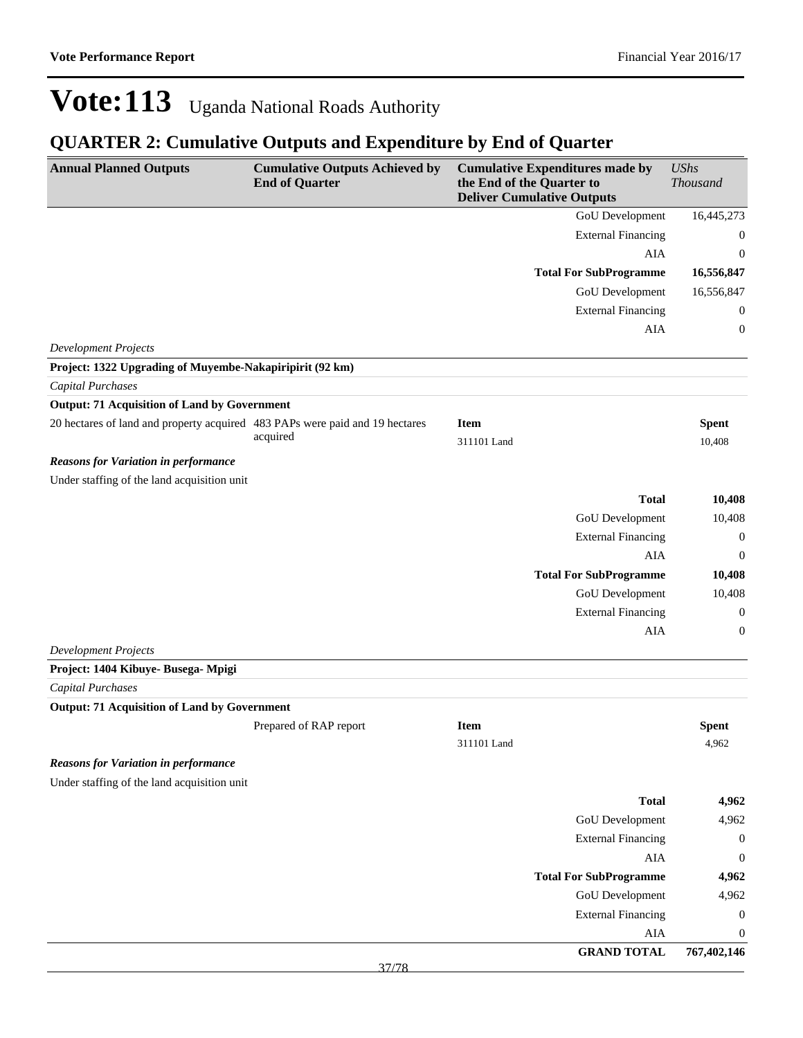### **QUARTER 2: Cumulative Outputs and Expenditure by End of Quarter**

| <b>Annual Planned Outputs</b>                                                           | <b>Cumulative Outputs Achieved by</b> | <b>Cumulative Expenditures made by</b>                         |                                  | <b>UShs</b>           |
|-----------------------------------------------------------------------------------------|---------------------------------------|----------------------------------------------------------------|----------------------------------|-----------------------|
|                                                                                         | <b>End of Quarter</b>                 | the End of the Quarter to<br><b>Deliver Cumulative Outputs</b> |                                  | Thousand              |
|                                                                                         |                                       |                                                                | GoU Development                  | 16,445,273            |
|                                                                                         |                                       |                                                                | <b>External Financing</b>        | $\boldsymbol{0}$      |
|                                                                                         |                                       |                                                                | AIA                              | $\mathbf{0}$          |
|                                                                                         |                                       |                                                                | <b>Total For SubProgramme</b>    | 16,556,847            |
|                                                                                         |                                       |                                                                | GoU Development                  | 16,556,847            |
|                                                                                         |                                       |                                                                | <b>External Financing</b>        | 0                     |
|                                                                                         |                                       |                                                                | <b>AIA</b>                       | 0                     |
| <b>Development Projects</b><br>Project: 1322 Upgrading of Muyembe-Nakapiripirit (92 km) |                                       |                                                                |                                  |                       |
| <b>Capital Purchases</b>                                                                |                                       |                                                                |                                  |                       |
| <b>Output: 71 Acquisition of Land by Government</b>                                     |                                       |                                                                |                                  |                       |
| 20 hectares of land and property acquired 483 PAPs were paid and 19 hectares            |                                       | <b>Item</b>                                                    |                                  | <b>Spent</b>          |
|                                                                                         | acquired                              | 311101 Land                                                    |                                  | 10,408                |
| <b>Reasons for Variation in performance</b>                                             |                                       |                                                                |                                  |                       |
| Under staffing of the land acquisition unit                                             |                                       |                                                                |                                  |                       |
|                                                                                         |                                       |                                                                | <b>Total</b>                     | 10,408                |
|                                                                                         |                                       |                                                                | GoU Development                  | 10,408                |
|                                                                                         |                                       |                                                                | <b>External Financing</b>        | $\boldsymbol{0}$      |
|                                                                                         |                                       |                                                                | AIA                              | $\boldsymbol{0}$      |
|                                                                                         |                                       |                                                                | <b>Total For SubProgramme</b>    | 10,408                |
|                                                                                         |                                       |                                                                | GoU Development                  | 10,408                |
|                                                                                         |                                       |                                                                | <b>External Financing</b>        | $\boldsymbol{0}$      |
|                                                                                         |                                       |                                                                | AIA                              | $\boldsymbol{0}$      |
| <b>Development Projects</b>                                                             |                                       |                                                                |                                  |                       |
| Project: 1404 Kibuye- Busega- Mpigi                                                     |                                       |                                                                |                                  |                       |
| <b>Capital Purchases</b>                                                                |                                       |                                                                |                                  |                       |
| <b>Output: 71 Acquisition of Land by Government</b>                                     |                                       |                                                                |                                  |                       |
|                                                                                         | Prepared of RAP report                | <b>Item</b>                                                    |                                  | <b>Spent</b>          |
|                                                                                         |                                       | 311101 Land                                                    |                                  | 4,962                 |
| <b>Reasons for Variation in performance</b>                                             |                                       |                                                                |                                  |                       |
| Under staffing of the land acquisition unit                                             |                                       |                                                                |                                  |                       |
|                                                                                         |                                       |                                                                | <b>Total</b>                     | 4,962                 |
|                                                                                         |                                       |                                                                | <b>GoU</b> Development           | 4,962                 |
|                                                                                         |                                       |                                                                | <b>External Financing</b>        | $\boldsymbol{0}$      |
|                                                                                         |                                       |                                                                | ${\rm AIA}$                      | $\boldsymbol{0}$      |
|                                                                                         |                                       |                                                                | <b>Total For SubProgramme</b>    | 4,962                 |
|                                                                                         |                                       |                                                                | GoU Development                  | 4,962                 |
|                                                                                         |                                       |                                                                | <b>External Financing</b><br>AIA | $\boldsymbol{0}$<br>0 |
|                                                                                         |                                       |                                                                | <b>GRAND TOTAL</b>               | 767,402,146           |
|                                                                                         |                                       |                                                                |                                  |                       |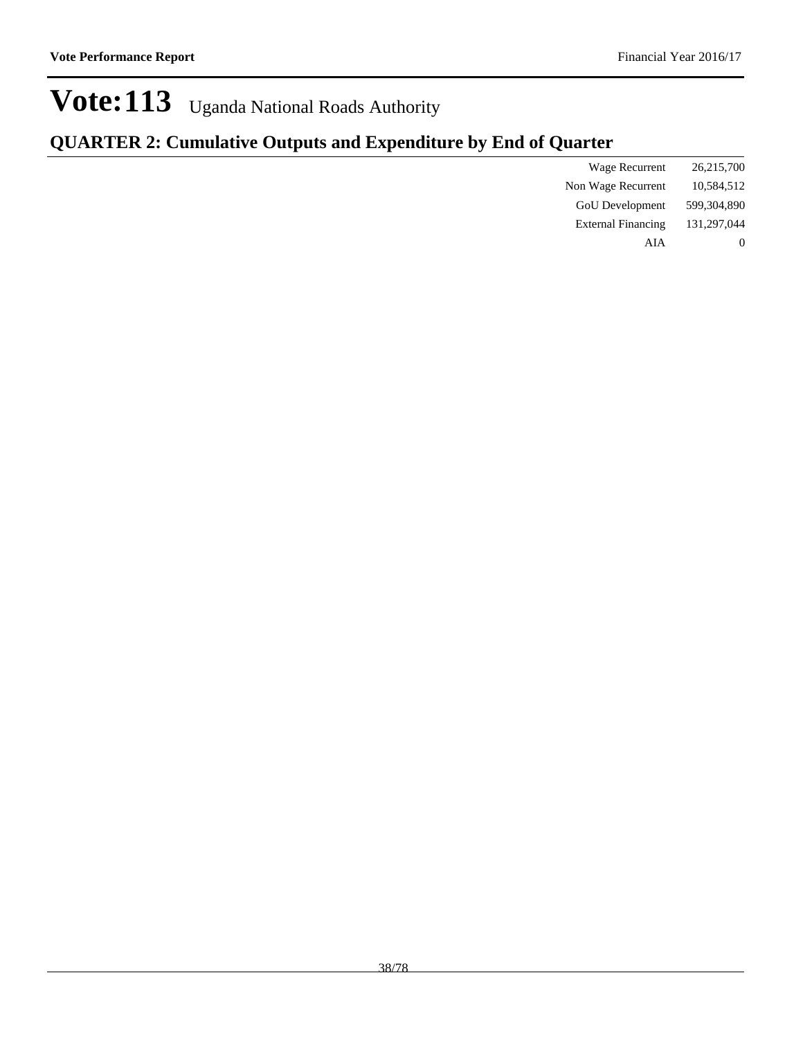### **QUARTER 2: Cumulative Outputs and Expenditure by End of Quarter**

| Wage Recurrent            | 26,215,700  |
|---------------------------|-------------|
| Non Wage Recurrent        | 10,584,512  |
| <b>GoU</b> Development    | 599,304,890 |
| <b>External Financing</b> | 131,297,044 |
| AIA                       |             |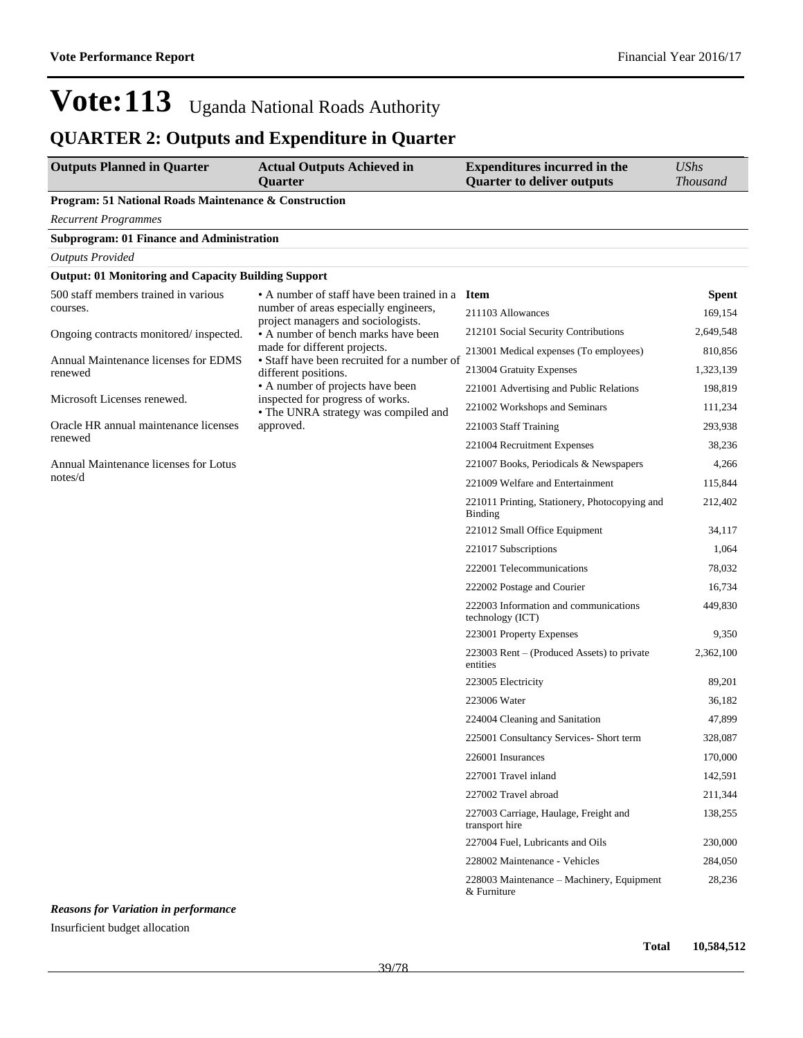| <b>Outputs Planned in Quarter</b>                          | <b>Actual Outputs Achieved in</b><br><b>Ouarter</b>                                                                                                                                                                                                                                                                                                                                                                                                                                                                                                                                                                                                                                                                                                                                                                                                                                                                                                                                                                                                                                                                                                                                                                                                                                                                                                                                              | <b>Expenditures incurred in the</b><br><b>Quarter to deliver outputs</b> | <b>UShs</b><br><b>Thousand</b> |
|------------------------------------------------------------|--------------------------------------------------------------------------------------------------------------------------------------------------------------------------------------------------------------------------------------------------------------------------------------------------------------------------------------------------------------------------------------------------------------------------------------------------------------------------------------------------------------------------------------------------------------------------------------------------------------------------------------------------------------------------------------------------------------------------------------------------------------------------------------------------------------------------------------------------------------------------------------------------------------------------------------------------------------------------------------------------------------------------------------------------------------------------------------------------------------------------------------------------------------------------------------------------------------------------------------------------------------------------------------------------------------------------------------------------------------------------------------------------|--------------------------------------------------------------------------|--------------------------------|
| Program: 51 National Roads Maintenance & Construction      |                                                                                                                                                                                                                                                                                                                                                                                                                                                                                                                                                                                                                                                                                                                                                                                                                                                                                                                                                                                                                                                                                                                                                                                                                                                                                                                                                                                                  |                                                                          |                                |
| <b>Recurrent Programmes</b>                                |                                                                                                                                                                                                                                                                                                                                                                                                                                                                                                                                                                                                                                                                                                                                                                                                                                                                                                                                                                                                                                                                                                                                                                                                                                                                                                                                                                                                  |                                                                          |                                |
| <b>Subprogram: 01 Finance and Administration</b>           |                                                                                                                                                                                                                                                                                                                                                                                                                                                                                                                                                                                                                                                                                                                                                                                                                                                                                                                                                                                                                                                                                                                                                                                                                                                                                                                                                                                                  |                                                                          |                                |
| <b>Outputs Provided</b>                                    |                                                                                                                                                                                                                                                                                                                                                                                                                                                                                                                                                                                                                                                                                                                                                                                                                                                                                                                                                                                                                                                                                                                                                                                                                                                                                                                                                                                                  |                                                                          |                                |
| <b>Output: 01 Monitoring and Capacity Building Support</b> |                                                                                                                                                                                                                                                                                                                                                                                                                                                                                                                                                                                                                                                                                                                                                                                                                                                                                                                                                                                                                                                                                                                                                                                                                                                                                                                                                                                                  |                                                                          |                                |
| 500 staff members trained in various<br>courses.           |                                                                                                                                                                                                                                                                                                                                                                                                                                                                                                                                                                                                                                                                                                                                                                                                                                                                                                                                                                                                                                                                                                                                                                                                                                                                                                                                                                                                  |                                                                          | <b>Spent</b>                   |
|                                                            | project managers and sociologists.                                                                                                                                                                                                                                                                                                                                                                                                                                                                                                                                                                                                                                                                                                                                                                                                                                                                                                                                                                                                                                                                                                                                                                                                                                                                                                                                                               |                                                                          | 169,154                        |
| Ongoing contracts monitored/inspected.                     |                                                                                                                                                                                                                                                                                                                                                                                                                                                                                                                                                                                                                                                                                                                                                                                                                                                                                                                                                                                                                                                                                                                                                                                                                                                                                                                                                                                                  |                                                                          | 2,649,548                      |
| Annual Maintenance licenses for EDMS                       | • Staff have been recruited for a number of                                                                                                                                                                                                                                                                                                                                                                                                                                                                                                                                                                                                                                                                                                                                                                                                                                                                                                                                                                                                                                                                                                                                                                                                                                                                                                                                                      |                                                                          | 810,856                        |
| renewed                                                    | • A number of staff have been trained in a Item<br>number of areas especially engineers,<br>211103 Allowances<br>212101 Social Security Contributions<br>• A number of bench marks have been<br>made for different projects.<br>213001 Medical expenses (To employees)<br>213004 Gratuity Expenses<br>different positions.<br>• A number of projects have been<br>221001 Advertising and Public Relations<br>inspected for progress of works.<br>221002 Workshops and Seminars<br>• The UNRA strategy was compiled and<br>approved.<br>221003 Staff Training<br>221004 Recruitment Expenses<br>221007 Books, Periodicals & Newspapers<br>221009 Welfare and Entertainment<br>221011 Printing, Stationery, Photocopying and<br>Binding<br>221012 Small Office Equipment<br>221017 Subscriptions<br>222001 Telecommunications<br>222002 Postage and Courier<br>222003 Information and communications<br>technology (ICT)<br>223001 Property Expenses<br>223003 Rent – (Produced Assets) to private<br>entities<br>223005 Electricity<br>223006 Water<br>224004 Cleaning and Sanitation<br>225001 Consultancy Services- Short term<br>226001 Insurances<br>227001 Travel inland<br>227002 Travel abroad<br>227003 Carriage, Haulage, Freight and<br>transport hire<br>227004 Fuel, Lubricants and Oils<br>228002 Maintenance - Vehicles<br>228003 Maintenance - Machinery, Equipment<br>& Furniture |                                                                          | 1,323,139                      |
| Microsoft Licenses renewed.                                |                                                                                                                                                                                                                                                                                                                                                                                                                                                                                                                                                                                                                                                                                                                                                                                                                                                                                                                                                                                                                                                                                                                                                                                                                                                                                                                                                                                                  |                                                                          | 198,819<br>111,234             |
| Oracle HR annual maintenance licenses                      |                                                                                                                                                                                                                                                                                                                                                                                                                                                                                                                                                                                                                                                                                                                                                                                                                                                                                                                                                                                                                                                                                                                                                                                                                                                                                                                                                                                                  |                                                                          | 293,938                        |
| renewed                                                    |                                                                                                                                                                                                                                                                                                                                                                                                                                                                                                                                                                                                                                                                                                                                                                                                                                                                                                                                                                                                                                                                                                                                                                                                                                                                                                                                                                                                  | 38,236                                                                   |                                |
| Annual Maintenance licenses for Lotus                      |                                                                                                                                                                                                                                                                                                                                                                                                                                                                                                                                                                                                                                                                                                                                                                                                                                                                                                                                                                                                                                                                                                                                                                                                                                                                                                                                                                                                  |                                                                          | 4,266                          |
| notes/d                                                    |                                                                                                                                                                                                                                                                                                                                                                                                                                                                                                                                                                                                                                                                                                                                                                                                                                                                                                                                                                                                                                                                                                                                                                                                                                                                                                                                                                                                  |                                                                          | 115,844                        |
|                                                            |                                                                                                                                                                                                                                                                                                                                                                                                                                                                                                                                                                                                                                                                                                                                                                                                                                                                                                                                                                                                                                                                                                                                                                                                                                                                                                                                                                                                  |                                                                          | 212,402                        |
|                                                            |                                                                                                                                                                                                                                                                                                                                                                                                                                                                                                                                                                                                                                                                                                                                                                                                                                                                                                                                                                                                                                                                                                                                                                                                                                                                                                                                                                                                  |                                                                          | 34,117                         |
|                                                            |                                                                                                                                                                                                                                                                                                                                                                                                                                                                                                                                                                                                                                                                                                                                                                                                                                                                                                                                                                                                                                                                                                                                                                                                                                                                                                                                                                                                  |                                                                          | 1,064                          |
|                                                            |                                                                                                                                                                                                                                                                                                                                                                                                                                                                                                                                                                                                                                                                                                                                                                                                                                                                                                                                                                                                                                                                                                                                                                                                                                                                                                                                                                                                  |                                                                          | 78,032                         |
|                                                            |                                                                                                                                                                                                                                                                                                                                                                                                                                                                                                                                                                                                                                                                                                                                                                                                                                                                                                                                                                                                                                                                                                                                                                                                                                                                                                                                                                                                  |                                                                          | 16,734                         |
|                                                            |                                                                                                                                                                                                                                                                                                                                                                                                                                                                                                                                                                                                                                                                                                                                                                                                                                                                                                                                                                                                                                                                                                                                                                                                                                                                                                                                                                                                  |                                                                          | 449,830                        |
|                                                            |                                                                                                                                                                                                                                                                                                                                                                                                                                                                                                                                                                                                                                                                                                                                                                                                                                                                                                                                                                                                                                                                                                                                                                                                                                                                                                                                                                                                  |                                                                          | 9,350                          |
|                                                            |                                                                                                                                                                                                                                                                                                                                                                                                                                                                                                                                                                                                                                                                                                                                                                                                                                                                                                                                                                                                                                                                                                                                                                                                                                                                                                                                                                                                  |                                                                          | 2,362,100                      |
|                                                            |                                                                                                                                                                                                                                                                                                                                                                                                                                                                                                                                                                                                                                                                                                                                                                                                                                                                                                                                                                                                                                                                                                                                                                                                                                                                                                                                                                                                  |                                                                          | 89,201                         |
|                                                            |                                                                                                                                                                                                                                                                                                                                                                                                                                                                                                                                                                                                                                                                                                                                                                                                                                                                                                                                                                                                                                                                                                                                                                                                                                                                                                                                                                                                  |                                                                          | 36,182                         |
|                                                            |                                                                                                                                                                                                                                                                                                                                                                                                                                                                                                                                                                                                                                                                                                                                                                                                                                                                                                                                                                                                                                                                                                                                                                                                                                                                                                                                                                                                  |                                                                          | 47,899                         |
|                                                            |                                                                                                                                                                                                                                                                                                                                                                                                                                                                                                                                                                                                                                                                                                                                                                                                                                                                                                                                                                                                                                                                                                                                                                                                                                                                                                                                                                                                  |                                                                          | 328,087                        |
|                                                            |                                                                                                                                                                                                                                                                                                                                                                                                                                                                                                                                                                                                                                                                                                                                                                                                                                                                                                                                                                                                                                                                                                                                                                                                                                                                                                                                                                                                  |                                                                          | 170,000                        |
|                                                            |                                                                                                                                                                                                                                                                                                                                                                                                                                                                                                                                                                                                                                                                                                                                                                                                                                                                                                                                                                                                                                                                                                                                                                                                                                                                                                                                                                                                  |                                                                          | 142,591                        |
|                                                            |                                                                                                                                                                                                                                                                                                                                                                                                                                                                                                                                                                                                                                                                                                                                                                                                                                                                                                                                                                                                                                                                                                                                                                                                                                                                                                                                                                                                  |                                                                          | 211,344                        |
|                                                            |                                                                                                                                                                                                                                                                                                                                                                                                                                                                                                                                                                                                                                                                                                                                                                                                                                                                                                                                                                                                                                                                                                                                                                                                                                                                                                                                                                                                  |                                                                          | 138,255                        |
|                                                            |                                                                                                                                                                                                                                                                                                                                                                                                                                                                                                                                                                                                                                                                                                                                                                                                                                                                                                                                                                                                                                                                                                                                                                                                                                                                                                                                                                                                  |                                                                          | 230,000                        |
|                                                            |                                                                                                                                                                                                                                                                                                                                                                                                                                                                                                                                                                                                                                                                                                                                                                                                                                                                                                                                                                                                                                                                                                                                                                                                                                                                                                                                                                                                  |                                                                          | 284,050                        |
|                                                            |                                                                                                                                                                                                                                                                                                                                                                                                                                                                                                                                                                                                                                                                                                                                                                                                                                                                                                                                                                                                                                                                                                                                                                                                                                                                                                                                                                                                  |                                                                          | 28,236                         |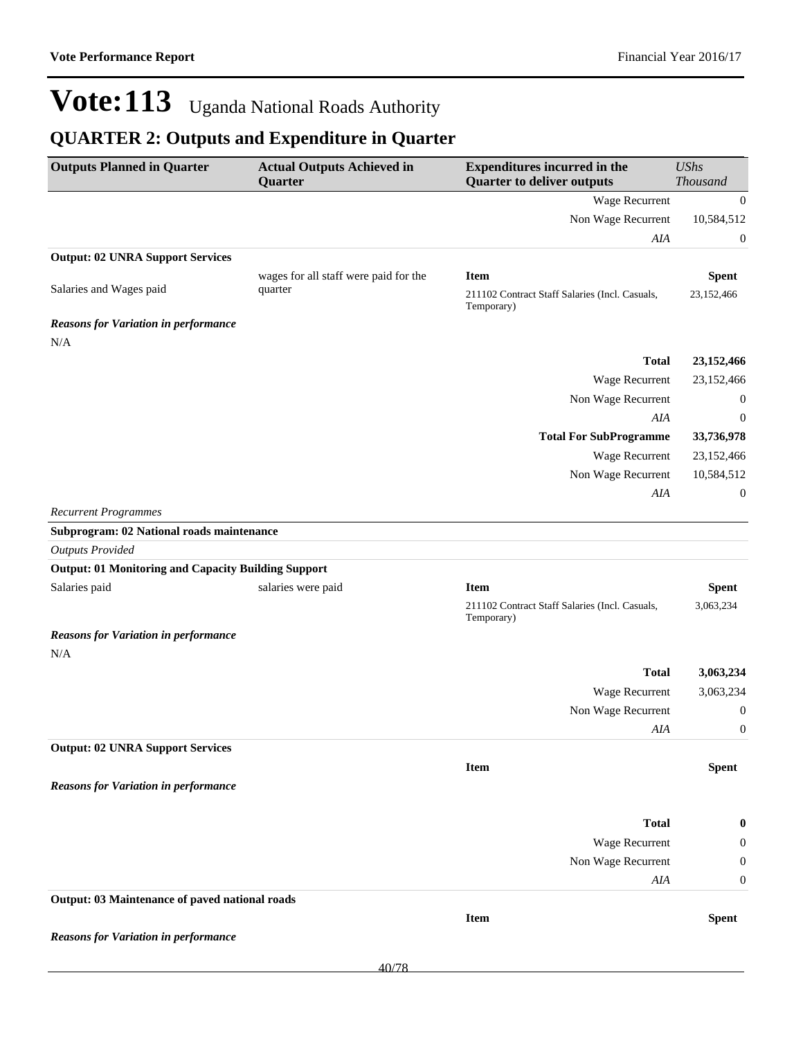| <b>Outputs Planned in Quarter</b>                          | <b>Actual Outputs Achieved in</b><br>Quarter     | <b>Expenditures incurred in the</b><br><b>Quarter to deliver outputs</b>    | <b>UShs</b><br><b>Thousand</b> |
|------------------------------------------------------------|--------------------------------------------------|-----------------------------------------------------------------------------|--------------------------------|
|                                                            |                                                  | Wage Recurrent                                                              | $\overline{0}$                 |
|                                                            |                                                  | Non Wage Recurrent                                                          | 10,584,512                     |
|                                                            |                                                  | AIA                                                                         | $\boldsymbol{0}$               |
| <b>Output: 02 UNRA Support Services</b>                    |                                                  |                                                                             |                                |
| Salaries and Wages paid                                    | wages for all staff were paid for the<br>quarter | <b>Item</b><br>211102 Contract Staff Salaries (Incl. Casuals,<br>Temporary) | <b>Spent</b><br>23,152,466     |
| <b>Reasons for Variation in performance</b>                |                                                  |                                                                             |                                |
| N/A                                                        |                                                  |                                                                             |                                |
|                                                            |                                                  | <b>Total</b>                                                                | 23,152,466                     |
|                                                            |                                                  | Wage Recurrent                                                              | 23,152,466                     |
|                                                            |                                                  | Non Wage Recurrent                                                          | $\mathbf{0}$                   |
|                                                            |                                                  | AIA                                                                         | $\boldsymbol{0}$               |
|                                                            |                                                  | <b>Total For SubProgramme</b>                                               | 33,736,978                     |
|                                                            |                                                  | Wage Recurrent                                                              | 23,152,466                     |
|                                                            |                                                  | Non Wage Recurrent                                                          | 10,584,512                     |
|                                                            |                                                  | AIA                                                                         | $\boldsymbol{0}$               |
| <b>Recurrent Programmes</b>                                |                                                  |                                                                             |                                |
| Subprogram: 02 National roads maintenance                  |                                                  |                                                                             |                                |
| <b>Outputs Provided</b>                                    |                                                  |                                                                             |                                |
| <b>Output: 01 Monitoring and Capacity Building Support</b> |                                                  |                                                                             |                                |
| Salaries paid                                              | salaries were paid                               | <b>Item</b>                                                                 | <b>Spent</b>                   |
|                                                            |                                                  | 211102 Contract Staff Salaries (Incl. Casuals,<br>Temporary)                | 3,063,234                      |
| <b>Reasons for Variation in performance</b>                |                                                  |                                                                             |                                |
| N/A                                                        |                                                  |                                                                             |                                |
|                                                            |                                                  | <b>Total</b>                                                                | 3,063,234                      |
|                                                            |                                                  | Wage Recurrent                                                              | 3,063,234                      |
|                                                            |                                                  | Non Wage Recurrent                                                          | $\mathbf{0}$                   |
|                                                            |                                                  | AIA                                                                         | 0                              |
| <b>Output: 02 UNRA Support Services</b>                    |                                                  |                                                                             |                                |
|                                                            |                                                  | Item                                                                        | <b>Spent</b>                   |
| <b>Reasons for Variation in performance</b>                |                                                  |                                                                             |                                |
|                                                            |                                                  | <b>Total</b>                                                                | $\bf{0}$                       |
|                                                            |                                                  | Wage Recurrent                                                              | 0                              |
|                                                            |                                                  | Non Wage Recurrent                                                          | $\boldsymbol{0}$               |
|                                                            |                                                  | AIA                                                                         | 0                              |
| Output: 03 Maintenance of paved national roads             |                                                  |                                                                             |                                |
|                                                            |                                                  | <b>Item</b>                                                                 | <b>Spent</b>                   |
| <b>Reasons for Variation in performance</b>                |                                                  |                                                                             |                                |
|                                                            |                                                  |                                                                             |                                |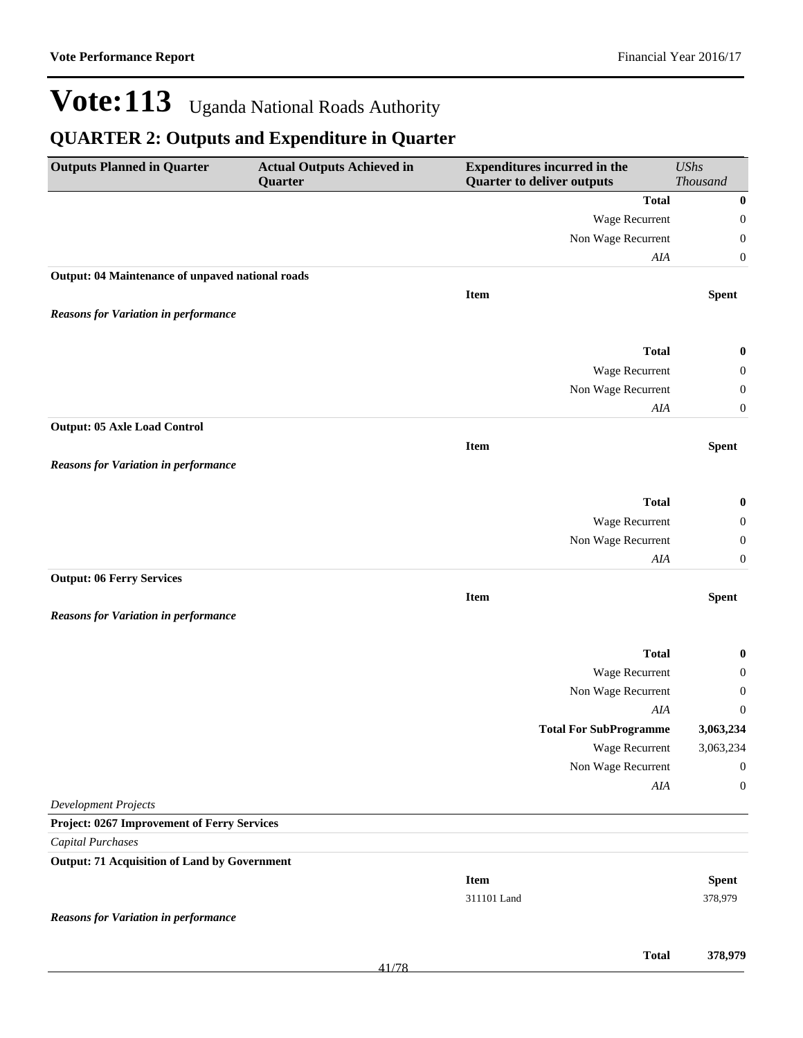| <b>Outputs Planned in Quarter</b>                   | <b>Actual Outputs Achieved in</b><br>Quarter | <b>Expenditures incurred in the</b><br><b>Quarter to deliver outputs</b> |                               | <b>UShs</b><br><b>Thousand</b> |
|-----------------------------------------------------|----------------------------------------------|--------------------------------------------------------------------------|-------------------------------|--------------------------------|
|                                                     |                                              |                                                                          | <b>Total</b>                  | $\boldsymbol{0}$               |
|                                                     |                                              |                                                                          | Wage Recurrent                | $\boldsymbol{0}$               |
|                                                     |                                              |                                                                          | Non Wage Recurrent            | $\boldsymbol{0}$               |
|                                                     |                                              |                                                                          | AIA                           | $\boldsymbol{0}$               |
| Output: 04 Maintenance of unpaved national roads    |                                              |                                                                          |                               |                                |
|                                                     |                                              | <b>Item</b>                                                              |                               | <b>Spent</b>                   |
| <b>Reasons for Variation in performance</b>         |                                              |                                                                          |                               |                                |
|                                                     |                                              |                                                                          | <b>Total</b>                  | $\boldsymbol{0}$               |
|                                                     |                                              |                                                                          | Wage Recurrent                | 0                              |
|                                                     |                                              |                                                                          | Non Wage Recurrent            | $\boldsymbol{0}$               |
|                                                     |                                              |                                                                          | AIA                           | $\boldsymbol{0}$               |
| <b>Output: 05 Axle Load Control</b>                 |                                              |                                                                          |                               |                                |
|                                                     |                                              | Item                                                                     |                               | <b>Spent</b>                   |
| <b>Reasons for Variation in performance</b>         |                                              |                                                                          |                               |                                |
|                                                     |                                              |                                                                          |                               |                                |
|                                                     |                                              |                                                                          | <b>Total</b>                  | 0                              |
|                                                     |                                              |                                                                          | Wage Recurrent                | $\boldsymbol{0}$               |
|                                                     |                                              |                                                                          | Non Wage Recurrent<br>AIA     | $\boldsymbol{0}$<br>0          |
| <b>Output: 06 Ferry Services</b>                    |                                              |                                                                          |                               |                                |
|                                                     |                                              | <b>Item</b>                                                              |                               | <b>Spent</b>                   |
| <b>Reasons for Variation in performance</b>         |                                              |                                                                          |                               |                                |
|                                                     |                                              |                                                                          | <b>Total</b>                  | 0                              |
|                                                     |                                              |                                                                          | Wage Recurrent                | $\boldsymbol{0}$               |
|                                                     |                                              |                                                                          | Non Wage Recurrent            | 0                              |
|                                                     |                                              |                                                                          | AIA                           | $\boldsymbol{0}$               |
|                                                     |                                              |                                                                          | <b>Total For SubProgramme</b> | 3,063,234                      |
|                                                     |                                              |                                                                          | Wage Recurrent                | 3,063,234                      |
|                                                     |                                              |                                                                          | Non Wage Recurrent            | $\mathbf{0}$                   |
|                                                     |                                              |                                                                          | $A I\!A$                      | $\boldsymbol{0}$               |
| <b>Development Projects</b>                         |                                              |                                                                          |                               |                                |
| Project: 0267 Improvement of Ferry Services         |                                              |                                                                          |                               |                                |
| <b>Capital Purchases</b>                            |                                              |                                                                          |                               |                                |
| <b>Output: 71 Acquisition of Land by Government</b> |                                              |                                                                          |                               |                                |
|                                                     |                                              | <b>Item</b>                                                              |                               | <b>Spent</b>                   |
|                                                     |                                              | 311101 Land                                                              |                               | 378,979                        |
| <b>Reasons for Variation in performance</b>         |                                              |                                                                          |                               |                                |
|                                                     |                                              |                                                                          |                               |                                |
|                                                     |                                              |                                                                          | <b>Total</b>                  | 378,979                        |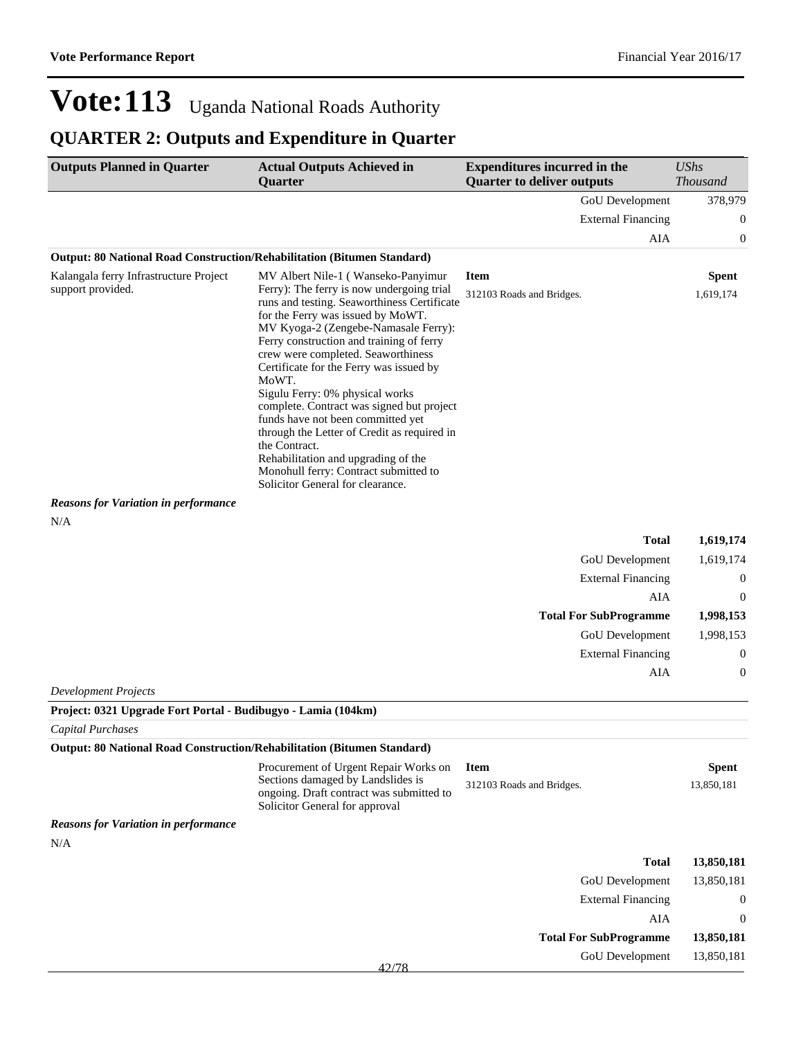### **QUARTER 2: Outputs and Expenditure in Quarter**

| <b>Outputs Planned in Quarter</b>                                              | <b>Actual Outputs Achieved in</b><br>Quarter                                                                                                                                                                                                                                                                                                                                                                                                                                                                                                                                                                         | <b>Expenditures incurred in the</b><br><b>Quarter to deliver outputs</b> | <b>UShs</b><br><b>Thousand</b> |
|--------------------------------------------------------------------------------|----------------------------------------------------------------------------------------------------------------------------------------------------------------------------------------------------------------------------------------------------------------------------------------------------------------------------------------------------------------------------------------------------------------------------------------------------------------------------------------------------------------------------------------------------------------------------------------------------------------------|--------------------------------------------------------------------------|--------------------------------|
|                                                                                |                                                                                                                                                                                                                                                                                                                                                                                                                                                                                                                                                                                                                      | <b>GoU</b> Development                                                   | 378,979                        |
|                                                                                |                                                                                                                                                                                                                                                                                                                                                                                                                                                                                                                                                                                                                      | <b>External Financing</b>                                                | 0                              |
|                                                                                |                                                                                                                                                                                                                                                                                                                                                                                                                                                                                                                                                                                                                      | AIA                                                                      | 0                              |
| <b>Output: 80 National Road Construction/Rehabilitation (Bitumen Standard)</b> |                                                                                                                                                                                                                                                                                                                                                                                                                                                                                                                                                                                                                      |                                                                          |                                |
| Kalangala ferry Infrastructure Project                                         | MV Albert Nile-1 (Wanseko-Panyimur                                                                                                                                                                                                                                                                                                                                                                                                                                                                                                                                                                                   | <b>Item</b>                                                              | <b>Spent</b>                   |
| support provided.                                                              | Ferry): The ferry is now undergoing trial<br>runs and testing. Seaworthiness Certificate<br>for the Ferry was issued by MoWT.<br>MV Kyoga-2 (Zengebe-Namasale Ferry):<br>Ferry construction and training of ferry<br>crew were completed. Seaworthiness<br>Certificate for the Ferry was issued by<br>MoWT.<br>Sigulu Ferry: 0% physical works<br>complete. Contract was signed but project<br>funds have not been committed yet<br>through the Letter of Credit as required in<br>the Contract.<br>Rehabilitation and upgrading of the<br>Monohull ferry: Contract submitted to<br>Solicitor General for clearance. | 312103 Roads and Bridges.                                                | 1,619,174                      |
| <b>Reasons for Variation in performance</b>                                    |                                                                                                                                                                                                                                                                                                                                                                                                                                                                                                                                                                                                                      |                                                                          |                                |

N/A

|                               | 1,619,174<br><b>Total</b> |
|-------------------------------|---------------------------|
| GoU Development               | 1,619,174                 |
| <b>External Financing</b>     | $\mathbf 0$               |
|                               | AIA<br>$\theta$           |
|                               |                           |
| <b>Total For SubProgramme</b> | 1,998,153                 |
| GoU Development               | 1,998,153                 |
| <b>External Financing</b>     | $\theta$                  |
|                               | AIA<br>$\theta$           |

*Development Projects*

| Project: 0321 Upgrade Fort Portal - Budibugyo - Lamia (104km) |                                                                                                                 |                               |                  |
|---------------------------------------------------------------|-----------------------------------------------------------------------------------------------------------------|-------------------------------|------------------|
| <b>Capital Purchases</b>                                      |                                                                                                                 |                               |                  |
|                                                               | Output: 80 National Road Construction/Rehabilitation (Bitumen Standard)                                         |                               |                  |
|                                                               | Procurement of Urgent Repair Works on                                                                           | <b>Item</b>                   | <b>Spent</b>     |
|                                                               | Sections damaged by Landslides is<br>ongoing. Draft contract was submitted to<br>Solicitor General for approval | 312103 Roads and Bridges.     | 13,850,181       |
| <b>Reasons for Variation in performance</b>                   |                                                                                                                 |                               |                  |
| N/A                                                           |                                                                                                                 |                               |                  |
|                                                               |                                                                                                                 | <b>Total</b>                  | 13,850,181       |
|                                                               |                                                                                                                 | <b>GoU</b> Development        | 13,850,181       |
|                                                               |                                                                                                                 | <b>External Financing</b>     | $\boldsymbol{0}$ |
|                                                               |                                                                                                                 | AIA                           | $\theta$         |
|                                                               |                                                                                                                 | <b>Total For SubProgramme</b> | 13,850,181       |
|                                                               | 42/78                                                                                                           | <b>GoU</b> Development        | 13,850,181       |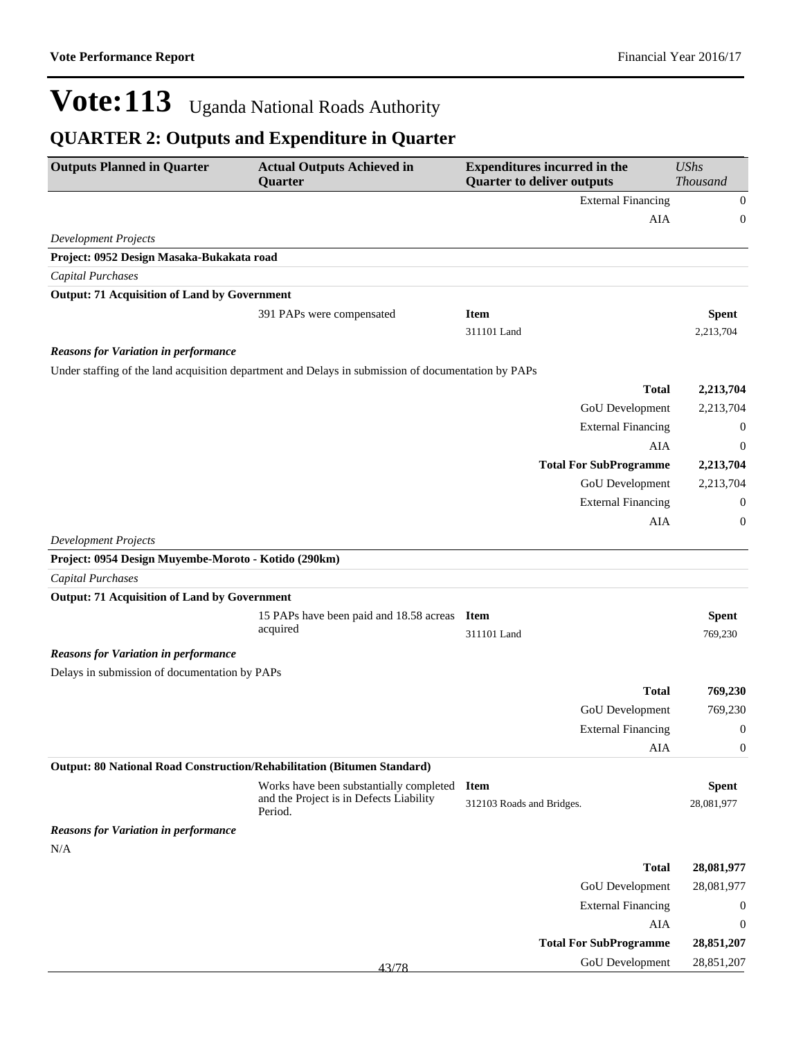| <b>Outputs Planned in Quarter</b>                                       | <b>Actual Outputs Achieved in</b><br><b>Quarter</b>                                                 | <b>Expenditures incurred in the</b><br><b>Quarter to deliver outputs</b> | <b>UShs</b><br>Thousand    |
|-------------------------------------------------------------------------|-----------------------------------------------------------------------------------------------------|--------------------------------------------------------------------------|----------------------------|
|                                                                         |                                                                                                     | <b>External Financing</b>                                                | $\boldsymbol{0}$           |
|                                                                         |                                                                                                     | AIA                                                                      | $\boldsymbol{0}$           |
| <b>Development Projects</b>                                             |                                                                                                     |                                                                          |                            |
| Project: 0952 Design Masaka-Bukakata road                               |                                                                                                     |                                                                          |                            |
| <b>Capital Purchases</b>                                                |                                                                                                     |                                                                          |                            |
| <b>Output: 71 Acquisition of Land by Government</b>                     |                                                                                                     |                                                                          |                            |
|                                                                         | 391 PAPs were compensated                                                                           | <b>Item</b>                                                              | <b>Spent</b>               |
|                                                                         |                                                                                                     | 311101 Land                                                              | 2,213,704                  |
| <b>Reasons for Variation in performance</b>                             |                                                                                                     |                                                                          |                            |
|                                                                         | Under staffing of the land acquisition department and Delays in submission of documentation by PAPs |                                                                          |                            |
|                                                                         |                                                                                                     | <b>Total</b>                                                             | 2,213,704                  |
|                                                                         |                                                                                                     | GoU Development                                                          | 2,213,704                  |
|                                                                         |                                                                                                     | <b>External Financing</b>                                                | $\mathbf{0}$               |
|                                                                         |                                                                                                     | AIA                                                                      | $\mathbf{0}$               |
|                                                                         |                                                                                                     | <b>Total For SubProgramme</b>                                            | 2,213,704                  |
|                                                                         |                                                                                                     | GoU Development                                                          | 2,213,704                  |
|                                                                         |                                                                                                     | <b>External Financing</b>                                                | $\boldsymbol{0}$           |
|                                                                         |                                                                                                     | AIA                                                                      | $\mathbf{0}$               |
| <b>Development Projects</b>                                             |                                                                                                     |                                                                          |                            |
| Project: 0954 Design Muyembe-Moroto - Kotido (290km)                    |                                                                                                     |                                                                          |                            |
| <b>Capital Purchases</b>                                                |                                                                                                     |                                                                          |                            |
| <b>Output: 71 Acquisition of Land by Government</b>                     |                                                                                                     |                                                                          |                            |
|                                                                         | 15 PAPs have been paid and 18.58 acreas<br>acquired                                                 | <b>Item</b><br>311101 Land                                               | <b>Spent</b><br>769,230    |
| <b>Reasons for Variation in performance</b>                             |                                                                                                     |                                                                          |                            |
| Delays in submission of documentation by PAPs                           |                                                                                                     |                                                                          |                            |
|                                                                         |                                                                                                     | <b>Total</b>                                                             | 769,230                    |
|                                                                         |                                                                                                     | GoU Development                                                          | 769,230                    |
|                                                                         |                                                                                                     | <b>External Financing</b>                                                | $\boldsymbol{0}$           |
|                                                                         |                                                                                                     | AIA                                                                      | $\boldsymbol{0}$           |
| Output: 80 National Road Construction/Rehabilitation (Bitumen Standard) |                                                                                                     |                                                                          |                            |
|                                                                         | Works have been substantially completed<br>and the Project is in Defects Liability<br>Period.       | <b>Item</b><br>312103 Roads and Bridges.                                 | <b>Spent</b><br>28,081,977 |
| <b>Reasons for Variation in performance</b><br>N/A                      |                                                                                                     |                                                                          |                            |
|                                                                         |                                                                                                     | <b>Total</b>                                                             | 28,081,977                 |
|                                                                         |                                                                                                     | GoU Development                                                          | 28,081,977                 |
|                                                                         |                                                                                                     | <b>External Financing</b>                                                | $\boldsymbol{0}$           |
|                                                                         |                                                                                                     | AIA                                                                      | $\boldsymbol{0}$           |
|                                                                         |                                                                                                     | <b>Total For SubProgramme</b>                                            | 28,851,207                 |
|                                                                         | 43/78                                                                                               | GoU Development                                                          | 28,851,207                 |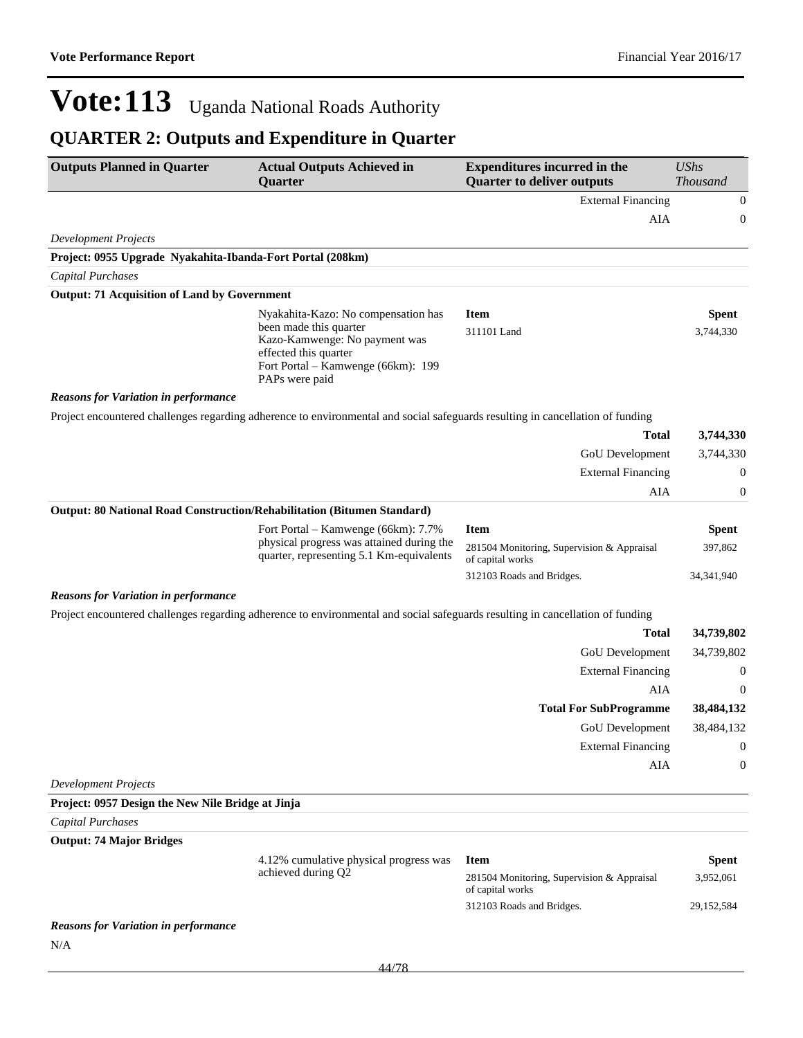| <b>Outputs Planned in Quarter</b>                                       | <b>Actual Outputs Achieved in</b><br>Quarter                                                                                             | <b>Expenditures incurred in the</b><br><b>Quarter to deliver outputs</b> | <b>UShs</b><br><b>Thousand</b> |
|-------------------------------------------------------------------------|------------------------------------------------------------------------------------------------------------------------------------------|--------------------------------------------------------------------------|--------------------------------|
|                                                                         |                                                                                                                                          | <b>External Financing</b>                                                | $\boldsymbol{0}$               |
|                                                                         |                                                                                                                                          | AIA                                                                      | 0                              |
| <b>Development Projects</b>                                             |                                                                                                                                          |                                                                          |                                |
| Project: 0955 Upgrade Nyakahita-Ibanda-Fort Portal (208km)              |                                                                                                                                          |                                                                          |                                |
| Capital Purchases                                                       |                                                                                                                                          |                                                                          |                                |
| <b>Output: 71 Acquisition of Land by Government</b>                     |                                                                                                                                          |                                                                          |                                |
|                                                                         | Nyakahita-Kazo: No compensation has                                                                                                      | <b>Item</b>                                                              | <b>Spent</b>                   |
|                                                                         | been made this quarter<br>Kazo-Kamwenge: No payment was<br>effected this quarter<br>Fort Portal - Kamwenge (66km): 199<br>PAPs were paid | 311101 Land                                                              | 3,744,330                      |
| <b>Reasons for Variation in performance</b>                             |                                                                                                                                          |                                                                          |                                |
|                                                                         | Project encountered challenges regarding adherence to environmental and social safeguards resulting in cancellation of funding           |                                                                          |                                |
|                                                                         |                                                                                                                                          | <b>Total</b>                                                             | 3,744,330                      |
|                                                                         |                                                                                                                                          | GoU Development                                                          | 3,744,330                      |
|                                                                         |                                                                                                                                          | <b>External Financing</b>                                                | 0                              |
|                                                                         |                                                                                                                                          | AIA                                                                      | 0                              |
| Output: 80 National Road Construction/Rehabilitation (Bitumen Standard) |                                                                                                                                          |                                                                          |                                |
|                                                                         | Fort Portal – Kamwenge (66km): 7.7%                                                                                                      | <b>Item</b>                                                              | <b>Spent</b>                   |
|                                                                         | physical progress was attained during the<br>quarter, representing 5.1 Km-equivalents                                                    | 281504 Monitoring, Supervision & Appraisal<br>of capital works           | 397,862                        |
|                                                                         |                                                                                                                                          | 312103 Roads and Bridges.                                                | 34, 341, 940                   |
| <b>Reasons for Variation in performance</b>                             |                                                                                                                                          |                                                                          |                                |
|                                                                         | Project encountered challenges regarding adherence to environmental and social safeguards resulting in cancellation of funding           |                                                                          |                                |
|                                                                         |                                                                                                                                          | <b>Total</b>                                                             | 34,739,802                     |
|                                                                         |                                                                                                                                          | GoU Development                                                          | 34,739,802                     |
|                                                                         |                                                                                                                                          | <b>External Financing</b>                                                | $\boldsymbol{0}$               |
|                                                                         |                                                                                                                                          | AIA                                                                      | $\boldsymbol{0}$               |
|                                                                         |                                                                                                                                          | <b>Total For SubProgramme</b>                                            | 38,484,132                     |
|                                                                         |                                                                                                                                          | GoU Development                                                          | 38,484,132                     |
|                                                                         |                                                                                                                                          | <b>External Financing</b>                                                | $\boldsymbol{0}$               |
|                                                                         |                                                                                                                                          | AIA                                                                      | 0                              |
| <b>Development Projects</b>                                             |                                                                                                                                          |                                                                          |                                |
| Project: 0957 Design the New Nile Bridge at Jinja                       |                                                                                                                                          |                                                                          |                                |
| <b>Capital Purchases</b>                                                |                                                                                                                                          |                                                                          |                                |
| <b>Output: 74 Major Bridges</b>                                         | 4.12% cumulative physical progress was                                                                                                   | <b>Item</b>                                                              |                                |
|                                                                         | achieved during Q2                                                                                                                       | 281504 Monitoring, Supervision & Appraisal                               | <b>Spent</b><br>3,952,061      |
|                                                                         |                                                                                                                                          | of capital works<br>312103 Roads and Bridges.                            | 29, 152, 584                   |
| <b>Reasons for Variation in performance</b><br>N/A                      |                                                                                                                                          |                                                                          |                                |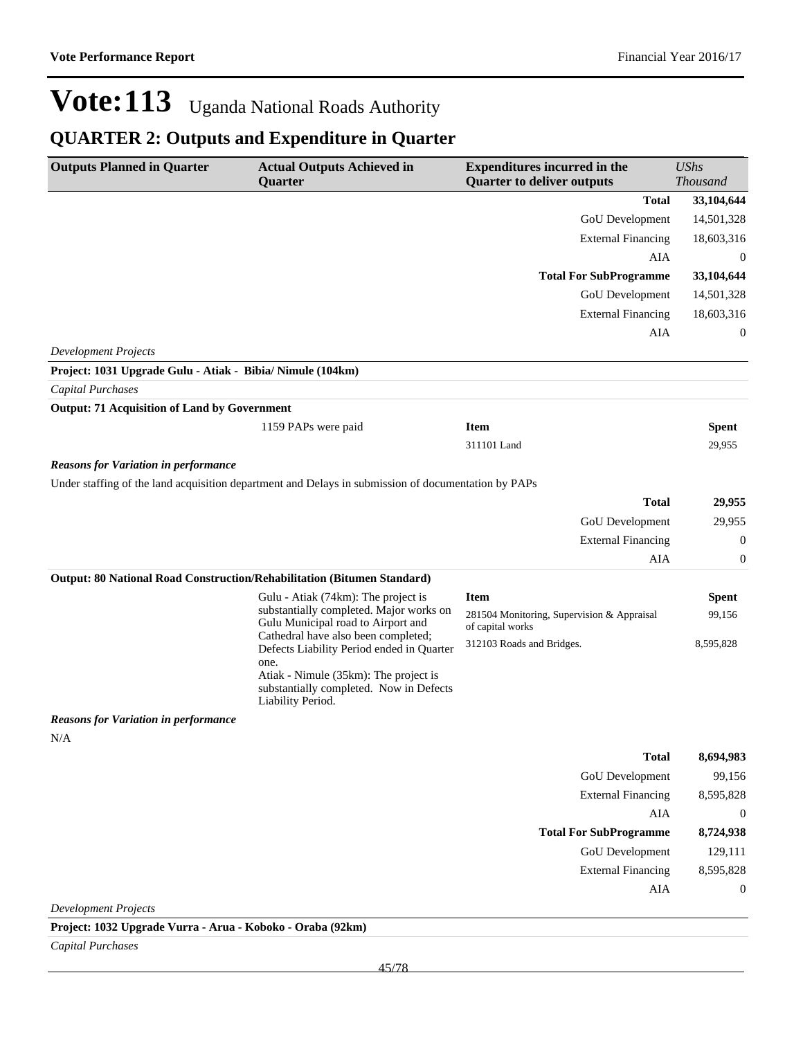### **QUARTER 2: Outputs and Expenditure in Quarter**

| <b>Outputs Planned in Quarter</b>                          | <b>Actual Outputs Achieved in</b><br>Quarter                                                          | <b>Expenditures incurred in the</b><br><b>Quarter to deliver outputs</b> | <b>UShs</b><br>Thousand |
|------------------------------------------------------------|-------------------------------------------------------------------------------------------------------|--------------------------------------------------------------------------|-------------------------|
|                                                            |                                                                                                       | <b>Total</b>                                                             | 33,104,644              |
|                                                            |                                                                                                       | GoU Development                                                          | 14,501,328              |
|                                                            |                                                                                                       | <b>External Financing</b>                                                | 18,603,316              |
|                                                            |                                                                                                       | AIA                                                                      | $\theta$                |
|                                                            |                                                                                                       | <b>Total For SubProgramme</b>                                            | 33,104,644              |
|                                                            |                                                                                                       | GoU Development                                                          | 14,501,328              |
|                                                            |                                                                                                       | <b>External Financing</b>                                                | 18,603,316              |
|                                                            |                                                                                                       | AIA                                                                      | 0                       |
| <b>Development Projects</b>                                |                                                                                                       |                                                                          |                         |
| Project: 1031 Upgrade Gulu - Atiak - Bibia/ Nimule (104km) |                                                                                                       |                                                                          |                         |
| <b>Capital Purchases</b>                                   |                                                                                                       |                                                                          |                         |
| <b>Output: 71 Acquisition of Land by Government</b>        |                                                                                                       |                                                                          |                         |
|                                                            | 1159 PAPs were paid                                                                                   | <b>Item</b>                                                              | <b>Spent</b>            |
|                                                            |                                                                                                       | 311101 Land                                                              | 29,955                  |
| <b>Reasons for Variation in performance</b>                |                                                                                                       |                                                                          |                         |
|                                                            | Under staffing of the land acquisition department and Delays in submission of documentation by PAPs   |                                                                          |                         |
|                                                            |                                                                                                       | <b>Total</b>                                                             | 29,955                  |
|                                                            |                                                                                                       | <b>GoU</b> Development                                                   | 29,955                  |
|                                                            |                                                                                                       | <b>External Financing</b>                                                | 0                       |
|                                                            |                                                                                                       | AIA                                                                      | 0                       |
|                                                            | Output: 80 National Road Construction/Rehabilitation (Bitumen Standard)                               |                                                                          |                         |
|                                                            | Gulu - Atiak (74km): The project is<br>substantially completed. Major works on                        | <b>Item</b>                                                              | <b>Spent</b>            |
|                                                            | Gulu Municipal road to Airport and                                                                    | 281504 Monitoring, Supervision & Appraisal<br>of capital works           | 99,156                  |
|                                                            | Cathedral have also been completed;<br>Defects Liability Period ended in Quarter                      | 312103 Roads and Bridges.                                                | 8,595,828               |
|                                                            | one.                                                                                                  |                                                                          |                         |
|                                                            | Atiak - Nimule (35km): The project is<br>substantially completed. Now in Defects<br>Liability Period. |                                                                          |                         |
| <b>Reasons for Variation in performance</b>                |                                                                                                       |                                                                          |                         |
| N/A                                                        |                                                                                                       |                                                                          |                         |
|                                                            |                                                                                                       | <b>Total</b>                                                             | 8,694,983               |
|                                                            |                                                                                                       | <b>GoU</b> Development                                                   | 99,156                  |
|                                                            |                                                                                                       | <b>External Financing</b>                                                | 8,595,828               |
|                                                            |                                                                                                       | AIA                                                                      | $\boldsymbol{0}$        |
|                                                            |                                                                                                       | <b>Total For SubProgramme</b>                                            | 8,724,938               |
|                                                            |                                                                                                       | <b>GoU</b> Development                                                   | 129,111                 |
|                                                            |                                                                                                       | <b>External Financing</b>                                                | 8,595,828               |
|                                                            |                                                                                                       | AIA                                                                      | $\boldsymbol{0}$        |
| <b>Development Projects</b>                                |                                                                                                       |                                                                          |                         |

**Project: 1032 Upgrade Vurra - Arua - Koboko - Oraba (92km)**

*Capital Purchases*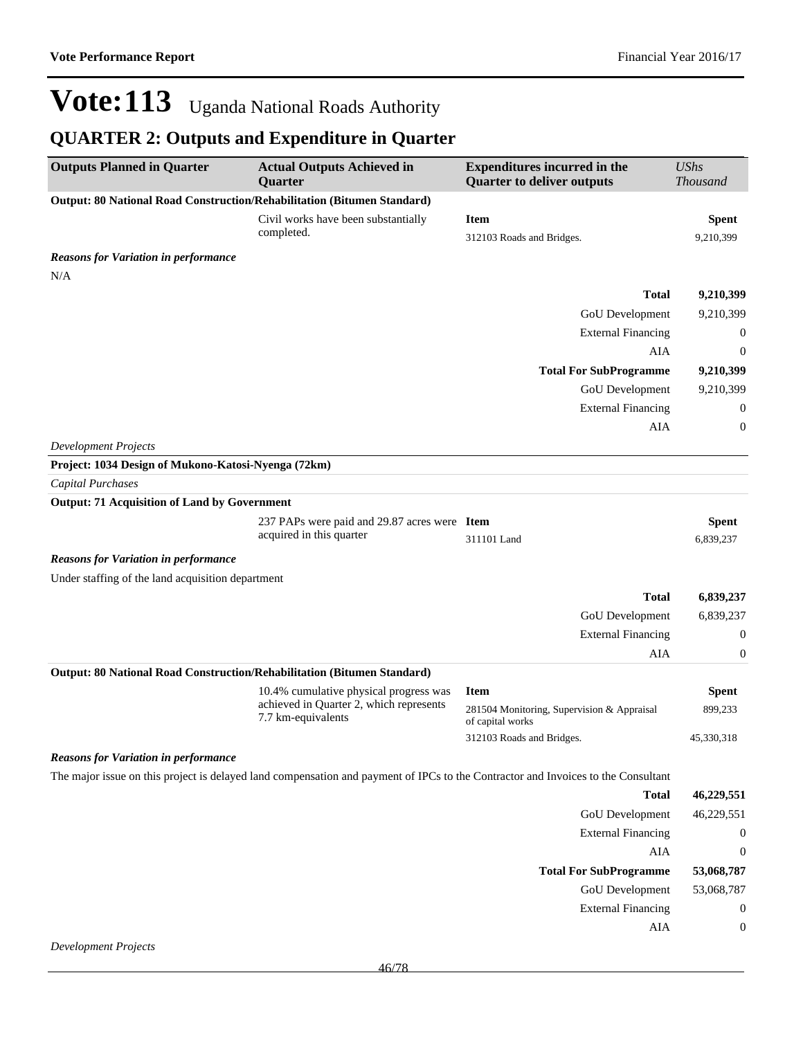| <b>Outputs Planned in Quarter</b>                                               | <b>Actual Outputs Achieved in</b><br><b>Quarter</b>           | <b>Expenditures incurred in the</b><br><b>Quarter to deliver outputs</b>                                                          | <b>UShs</b><br><b>Thousand</b> |
|---------------------------------------------------------------------------------|---------------------------------------------------------------|-----------------------------------------------------------------------------------------------------------------------------------|--------------------------------|
| Output: 80 National Road Construction/Rehabilitation (Bitumen Standard)         |                                                               |                                                                                                                                   |                                |
|                                                                                 | Civil works have been substantially<br>completed.             | <b>Item</b><br>312103 Roads and Bridges.                                                                                          | <b>Spent</b><br>9,210,399      |
| <b>Reasons for Variation in performance</b>                                     |                                                               |                                                                                                                                   |                                |
| N/A                                                                             |                                                               |                                                                                                                                   |                                |
|                                                                                 |                                                               | <b>Total</b>                                                                                                                      | 9,210,399                      |
|                                                                                 |                                                               | GoU Development                                                                                                                   | 9,210,399                      |
|                                                                                 |                                                               | <b>External Financing</b>                                                                                                         | $\mathbf 0$                    |
|                                                                                 |                                                               | AIA                                                                                                                               | $\mathbf 0$                    |
|                                                                                 |                                                               | <b>Total For SubProgramme</b>                                                                                                     | 9,210,399                      |
|                                                                                 |                                                               | GoU Development                                                                                                                   | 9,210,399                      |
|                                                                                 |                                                               | <b>External Financing</b>                                                                                                         | $\mathbf{0}$                   |
|                                                                                 |                                                               | AIA                                                                                                                               | $\boldsymbol{0}$               |
| <b>Development Projects</b>                                                     |                                                               |                                                                                                                                   |                                |
| Project: 1034 Design of Mukono-Katosi-Nyenga (72km)<br><b>Capital Purchases</b> |                                                               |                                                                                                                                   |                                |
| <b>Output: 71 Acquisition of Land by Government</b>                             |                                                               |                                                                                                                                   |                                |
|                                                                                 | 237 PAPs were paid and 29.87 acres were Item                  |                                                                                                                                   | Spent                          |
|                                                                                 | acquired in this quarter                                      | 311101 Land                                                                                                                       | 6,839,237                      |
| <b>Reasons for Variation in performance</b>                                     |                                                               |                                                                                                                                   |                                |
| Under staffing of the land acquisition department                               |                                                               |                                                                                                                                   |                                |
|                                                                                 |                                                               | <b>Total</b>                                                                                                                      | 6,839,237                      |
|                                                                                 |                                                               | GoU Development                                                                                                                   | 6,839,237                      |
|                                                                                 |                                                               | <b>External Financing</b>                                                                                                         | $\mathbf 0$                    |
|                                                                                 |                                                               | AIA                                                                                                                               | $\boldsymbol{0}$               |
| Output: 80 National Road Construction/Rehabilitation (Bitumen Standard)         |                                                               |                                                                                                                                   |                                |
|                                                                                 | 10.4% cumulative physical progress was                        | <b>Item</b>                                                                                                                       | <b>Spent</b>                   |
|                                                                                 | achieved in Quarter 2, which represents<br>7.7 km-equivalents | 281504 Monitoring, Supervision & Appraisal<br>of capital works                                                                    | 899,233                        |
|                                                                                 |                                                               | 312103 Roads and Bridges.                                                                                                         | 45,330,318                     |
| <b>Reasons for Variation in performance</b>                                     |                                                               |                                                                                                                                   |                                |
|                                                                                 |                                                               | The major issue on this project is delayed land compensation and payment of IPCs to the Contractor and Invoices to the Consultant |                                |
|                                                                                 |                                                               | <b>Total</b>                                                                                                                      | 46,229,551                     |
|                                                                                 |                                                               | GoU Development                                                                                                                   | 46,229,551                     |
|                                                                                 |                                                               | <b>External Financing</b>                                                                                                         | $\mathbf 0$                    |
|                                                                                 |                                                               | AIA                                                                                                                               | $\boldsymbol{0}$               |
|                                                                                 |                                                               | <b>Total For SubProgramme</b>                                                                                                     | 53,068,787                     |
|                                                                                 |                                                               | GoU Development                                                                                                                   | 53,068,787                     |
|                                                                                 |                                                               | <b>External Financing</b>                                                                                                         | $\mathbf{0}$                   |
|                                                                                 |                                                               | AIA                                                                                                                               | $\boldsymbol{0}$               |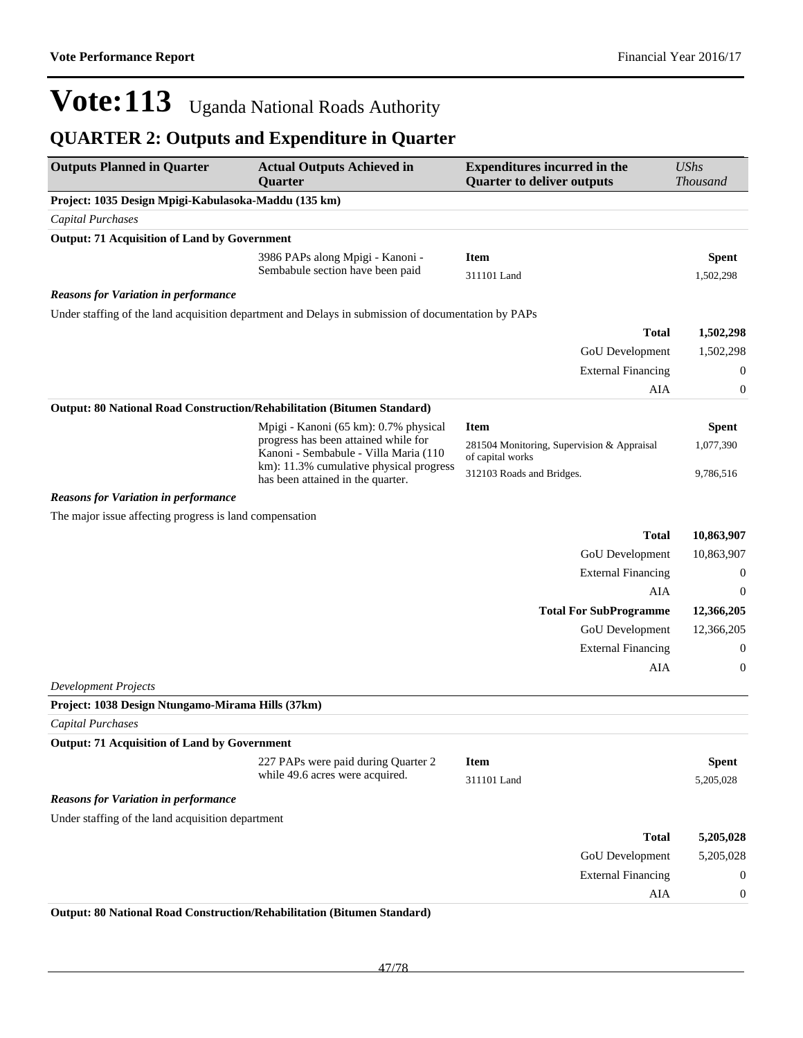### **QUARTER 2: Outputs and Expenditure in Quarter**

| <b>Outputs Planned in Quarter</b>                       | <b>Actual Outputs Achieved in</b><br>Quarter                                                        | <b>Expenditures incurred in the</b><br><b>Quarter to deliver outputs</b> | <b>UShs</b><br><b>Thousand</b> |
|---------------------------------------------------------|-----------------------------------------------------------------------------------------------------|--------------------------------------------------------------------------|--------------------------------|
| Project: 1035 Design Mpigi-Kabulasoka-Maddu (135 km)    |                                                                                                     |                                                                          |                                |
| <b>Capital Purchases</b>                                |                                                                                                     |                                                                          |                                |
| <b>Output: 71 Acquisition of Land by Government</b>     |                                                                                                     |                                                                          |                                |
|                                                         | 3986 PAPs along Mpigi - Kanoni -                                                                    | <b>Item</b>                                                              | <b>Spent</b>                   |
|                                                         | Sembabule section have been paid                                                                    | 311101 Land                                                              | 1,502,298                      |
| <b>Reasons for Variation in performance</b>             |                                                                                                     |                                                                          |                                |
|                                                         | Under staffing of the land acquisition department and Delays in submission of documentation by PAPs |                                                                          |                                |
|                                                         |                                                                                                     | <b>Total</b>                                                             | 1,502,298                      |
|                                                         |                                                                                                     | GoU Development                                                          | 1,502,298                      |
|                                                         |                                                                                                     | <b>External Financing</b>                                                | $\mathbf{0}$                   |
|                                                         |                                                                                                     | AIA                                                                      | $\mathbf{0}$                   |
|                                                         | Output: 80 National Road Construction/Rehabilitation (Bitumen Standard)                             |                                                                          |                                |
|                                                         | Mpigi - Kanoni (65 km): 0.7% physical                                                               | <b>Item</b>                                                              | <b>Spent</b>                   |
|                                                         | progress has been attained while for<br>Kanoni - Sembabule - Villa Maria (110                       | 281504 Monitoring, Supervision & Appraisal<br>of capital works           | 1,077,390                      |
|                                                         | km): 11.3% cumulative physical progress<br>has been attained in the quarter.                        | 312103 Roads and Bridges.                                                | 9,786,516                      |
| <b>Reasons for Variation in performance</b>             |                                                                                                     |                                                                          |                                |
| The major issue affecting progress is land compensation |                                                                                                     |                                                                          |                                |
|                                                         |                                                                                                     | <b>Total</b>                                                             | 10,863,907                     |
|                                                         |                                                                                                     | GoU Development                                                          | 10,863,907                     |
|                                                         |                                                                                                     | <b>External Financing</b>                                                | $\mathbf{0}$                   |
|                                                         |                                                                                                     | AIA                                                                      | $\mathbf 0$                    |
|                                                         |                                                                                                     | <b>Total For SubProgramme</b>                                            | 12,366,205                     |
|                                                         |                                                                                                     | GoU Development                                                          | 12,366,205                     |
|                                                         |                                                                                                     | <b>External Financing</b>                                                | $\mathbf{0}$                   |
|                                                         |                                                                                                     | AIA                                                                      | $\mathbf{0}$                   |
| <b>Development Projects</b>                             |                                                                                                     |                                                                          |                                |
| Project: 1038 Design Ntungamo-Mirama Hills (37km)       |                                                                                                     |                                                                          |                                |
| Capital Purchases                                       |                                                                                                     |                                                                          |                                |
| <b>Output: 71 Acquisition of Land by Government</b>     |                                                                                                     |                                                                          |                                |
|                                                         | 227 PAPs were paid during Quarter 2<br>while 49.6 acres were acquired.                              | <b>Item</b><br>311101 Land                                               | <b>Spent</b><br>5,205,028      |
|                                                         |                                                                                                     |                                                                          |                                |
| <b>Reasons for Variation in performance</b>             |                                                                                                     |                                                                          |                                |
| Under staffing of the land acquisition department       |                                                                                                     |                                                                          |                                |
|                                                         |                                                                                                     | <b>Total</b>                                                             | 5,205,028                      |
|                                                         |                                                                                                     | GoU Development                                                          | 5,205,028                      |
|                                                         |                                                                                                     | <b>External Financing</b>                                                | $\mathbf{0}$                   |
|                                                         |                                                                                                     | AIA                                                                      | $\boldsymbol{0}$               |

**Output: 80 National Road Construction/Rehabilitation (Bitumen Standard)**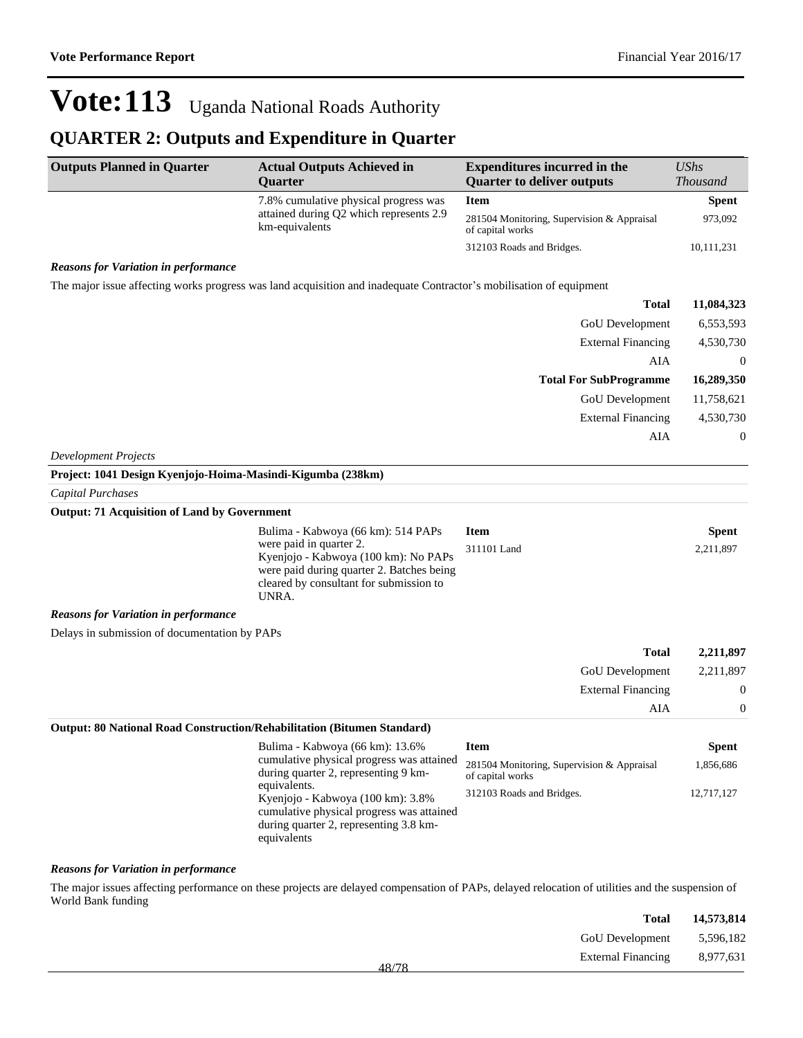#### **QUARTER 2: Outputs and Expenditure in Quarter**

| <b>Outputs Planned in Quarter</b>                         | <b>Actual Outputs Achieved in</b><br><b>Ouarter</b>       | <b>Expenditures incurred in the</b><br><b>Quarter to deliver outputs</b> | <b>UShs</b><br><b>Thousand</b> |
|-----------------------------------------------------------|-----------------------------------------------------------|--------------------------------------------------------------------------|--------------------------------|
|                                                           | 7.8% cumulative physical progress was                     | <b>Item</b>                                                              | <b>Spent</b>                   |
|                                                           | attained during Q2 which represents 2.9<br>km-equivalents | 281504 Monitoring, Supervision & Appraisal<br>of capital works           | 973,092                        |
|                                                           |                                                           | 312103 Roads and Bridges.                                                | 10,111,231                     |
| $\mathbf{r}$ , $\mathbf{r}$ , $\mathbf{r}$ , $\mathbf{r}$ |                                                           |                                                                          |                                |

#### *Reasons for Variation in performance*

The major issue affecting works progress was land acquisition and inadequate Contractor's mobilisation of equipment

| 11,084,323     | <b>Total</b>                  |
|----------------|-------------------------------|
| 6,553,593      | <b>GoU</b> Development        |
| 4,530,730      | <b>External Financing</b>     |
| $\overline{0}$ | AIA                           |
| 16,289,350     | <b>Total For SubProgramme</b> |
|                |                               |
| 11,758,621     | <b>GoU</b> Development        |
| 4,530,730      | <b>External Financing</b>     |
| $\overline{0}$ | AIA                           |

*Development Projects*

| Project: 1041 Design Kyenjojo-Hoima-Masindi-Kigumba (238km)                    |                                                                                                                                                                                                        |                            |                           |                           |
|--------------------------------------------------------------------------------|--------------------------------------------------------------------------------------------------------------------------------------------------------------------------------------------------------|----------------------------|---------------------------|---------------------------|
| Capital Purchases                                                              |                                                                                                                                                                                                        |                            |                           |                           |
| <b>Output: 71 Acquisition of Land by Government</b>                            |                                                                                                                                                                                                        |                            |                           |                           |
|                                                                                | Bulima - Kabwoya (66 km): 514 PAPs<br>were paid in quarter 2.<br>Kyenjojo - Kabwoya (100 km): No PAPs<br>were paid during quarter 2. Batches being<br>cleared by consultant for submission to<br>UNRA. | <b>Item</b><br>311101 Land |                           | <b>Spent</b><br>2,211,897 |
| <b>Reasons for Variation in performance</b>                                    |                                                                                                                                                                                                        |                            |                           |                           |
| Delays in submission of documentation by PAPs                                  |                                                                                                                                                                                                        |                            |                           |                           |
|                                                                                |                                                                                                                                                                                                        |                            | <b>Total</b>              | 2,211,897                 |
|                                                                                |                                                                                                                                                                                                        |                            | GoU Development           | 2,211,897                 |
|                                                                                |                                                                                                                                                                                                        |                            | <b>External Financing</b> | $\theta$                  |
|                                                                                |                                                                                                                                                                                                        |                            | AIA                       | $\Omega$                  |
| <b>Output: 80 National Road Construction/Rehabilitation (Bitumen Standard)</b> |                                                                                                                                                                                                        |                            |                           |                           |
|                                                                                | Bulima - Kabwoya (66 km): 13.6%                                                                                                                                                                        | Item                       |                           | Spent                     |

| Bulima - Kabwoya (66 km): 13.6%                                                                                                                         | Item                                                           | <b>Spent</b> |
|---------------------------------------------------------------------------------------------------------------------------------------------------------|----------------------------------------------------------------|--------------|
| cumulative physical progress was attained<br>during quarter 2, representing 9 km-                                                                       | 281504 Monitoring, Supervision & Appraisal<br>of capital works | 1,856,686    |
| equivalents.<br>Kyenjojo - Kabwoya (100 km): 3.8%<br>cumulative physical progress was attained<br>during quarter 2, representing 3.8 km-<br>equivalents | 312103 Roads and Bridges.                                      | 12,717,127   |

#### *Reasons for Variation in performance*

The major issues affecting performance on these projects are delayed compensation of PAPs, delayed relocation of utilities and the suspension of World Bank funding

| 14,573,814 | Total                                 |  |
|------------|---------------------------------------|--|
|            | GoU Development 5,596,182             |  |
|            | External Financing 8,977,631<br>10/70 |  |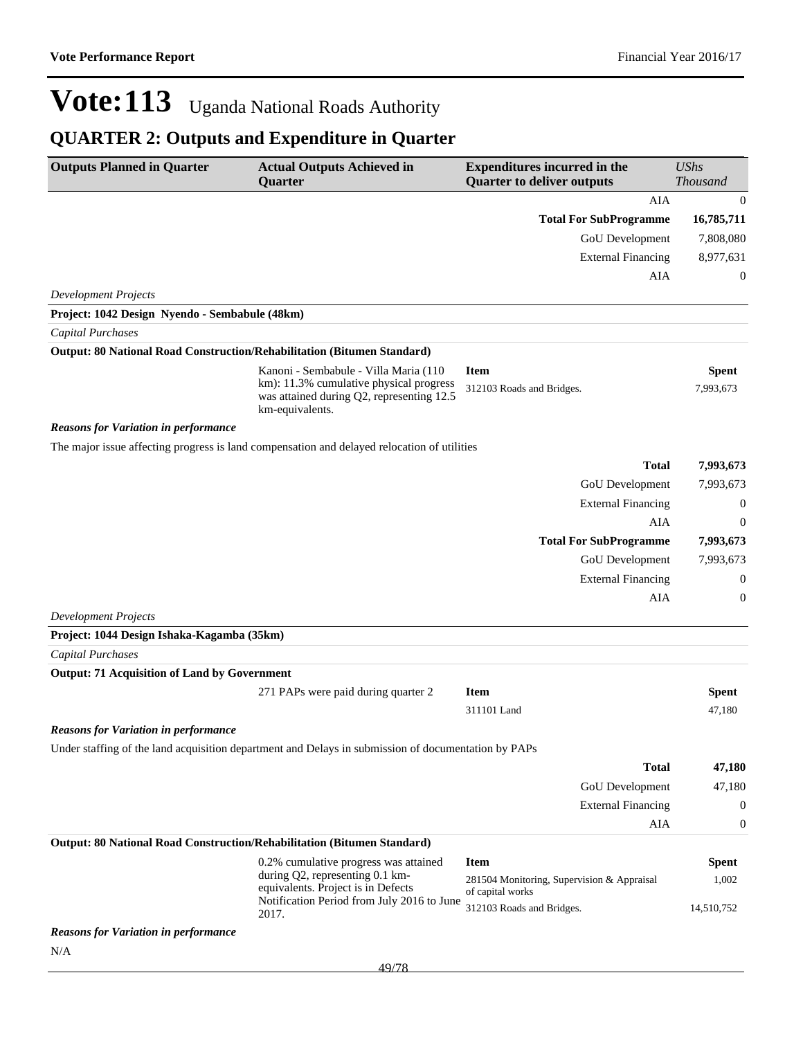| <b>Outputs Planned in Quarter</b>                                       | <b>Actual Outputs Achieved in</b><br>Quarter                                                                                                     | <b>Expenditures incurred in the</b><br><b>Quarter to deliver outputs</b> | <b>UShs</b><br>Thousand |
|-------------------------------------------------------------------------|--------------------------------------------------------------------------------------------------------------------------------------------------|--------------------------------------------------------------------------|-------------------------|
|                                                                         |                                                                                                                                                  | AIA                                                                      | $\boldsymbol{0}$        |
|                                                                         |                                                                                                                                                  | <b>Total For SubProgramme</b>                                            | 16,785,711              |
|                                                                         |                                                                                                                                                  | <b>GoU</b> Development                                                   | 7,808,080               |
|                                                                         |                                                                                                                                                  | <b>External Financing</b>                                                | 8,977,631               |
|                                                                         |                                                                                                                                                  | AIA                                                                      | 0                       |
| <b>Development Projects</b>                                             |                                                                                                                                                  |                                                                          |                         |
| Project: 1042 Design Nyendo - Sembabule (48km)                          |                                                                                                                                                  |                                                                          |                         |
| Capital Purchases                                                       |                                                                                                                                                  |                                                                          |                         |
| Output: 80 National Road Construction/Rehabilitation (Bitumen Standard) |                                                                                                                                                  |                                                                          |                         |
|                                                                         | Kanoni - Sembabule - Villa Maria (110<br>km): 11.3% cumulative physical progress<br>was attained during Q2, representing 12.5<br>km-equivalents. | <b>Item</b><br>312103 Roads and Bridges.                                 | Spent<br>7,993,673      |
| <b>Reasons for Variation in performance</b>                             |                                                                                                                                                  |                                                                          |                         |
|                                                                         | The major issue affecting progress is land compensation and delayed relocation of utilities                                                      | <b>Total</b>                                                             |                         |
|                                                                         |                                                                                                                                                  |                                                                          | 7,993,673               |
|                                                                         |                                                                                                                                                  | GoU Development<br><b>External Financing</b>                             | 7,993,673<br>0          |
|                                                                         |                                                                                                                                                  | AIA                                                                      | 0                       |
|                                                                         |                                                                                                                                                  | <b>Total For SubProgramme</b>                                            | 7,993,673               |
|                                                                         |                                                                                                                                                  | <b>GoU</b> Development                                                   | 7,993,673               |
|                                                                         |                                                                                                                                                  | <b>External Financing</b>                                                | 0                       |
|                                                                         |                                                                                                                                                  | AIA                                                                      | 0                       |
| <b>Development Projects</b>                                             |                                                                                                                                                  |                                                                          |                         |
| Project: 1044 Design Ishaka-Kagamba (35km)                              |                                                                                                                                                  |                                                                          |                         |
| <b>Capital Purchases</b>                                                |                                                                                                                                                  |                                                                          |                         |
| <b>Output: 71 Acquisition of Land by Government</b>                     |                                                                                                                                                  |                                                                          |                         |
|                                                                         | 271 PAPs were paid during quarter 2                                                                                                              | <b>Item</b>                                                              | <b>Spent</b>            |
|                                                                         |                                                                                                                                                  | 311101 Land                                                              | 47,180                  |
| <b>Reasons for Variation in performance</b>                             |                                                                                                                                                  |                                                                          |                         |
|                                                                         | Under staffing of the land acquisition department and Delays in submission of documentation by PAPs                                              |                                                                          |                         |
|                                                                         |                                                                                                                                                  | <b>Total</b>                                                             | 47,180                  |
|                                                                         |                                                                                                                                                  | <b>GoU</b> Development                                                   | 47,180                  |
|                                                                         |                                                                                                                                                  | <b>External Financing</b>                                                | 0                       |
|                                                                         |                                                                                                                                                  | AIA                                                                      | 0                       |
| Output: 80 National Road Construction/Rehabilitation (Bitumen Standard) |                                                                                                                                                  |                                                                          |                         |
|                                                                         | 0.2% cumulative progress was attained<br>during Q2, representing 0.1 km-                                                                         | <b>Item</b><br>281504 Monitoring, Supervision & Appraisal                | <b>Spent</b><br>1,002   |
|                                                                         | equivalents. Project is in Defects<br>Notification Period from July 2016 to June                                                                 | of capital works                                                         |                         |
|                                                                         | 2017.                                                                                                                                            | 312103 Roads and Bridges.                                                | 14,510,752              |
| <b>Reasons for Variation in performance</b><br>N/A                      |                                                                                                                                                  |                                                                          |                         |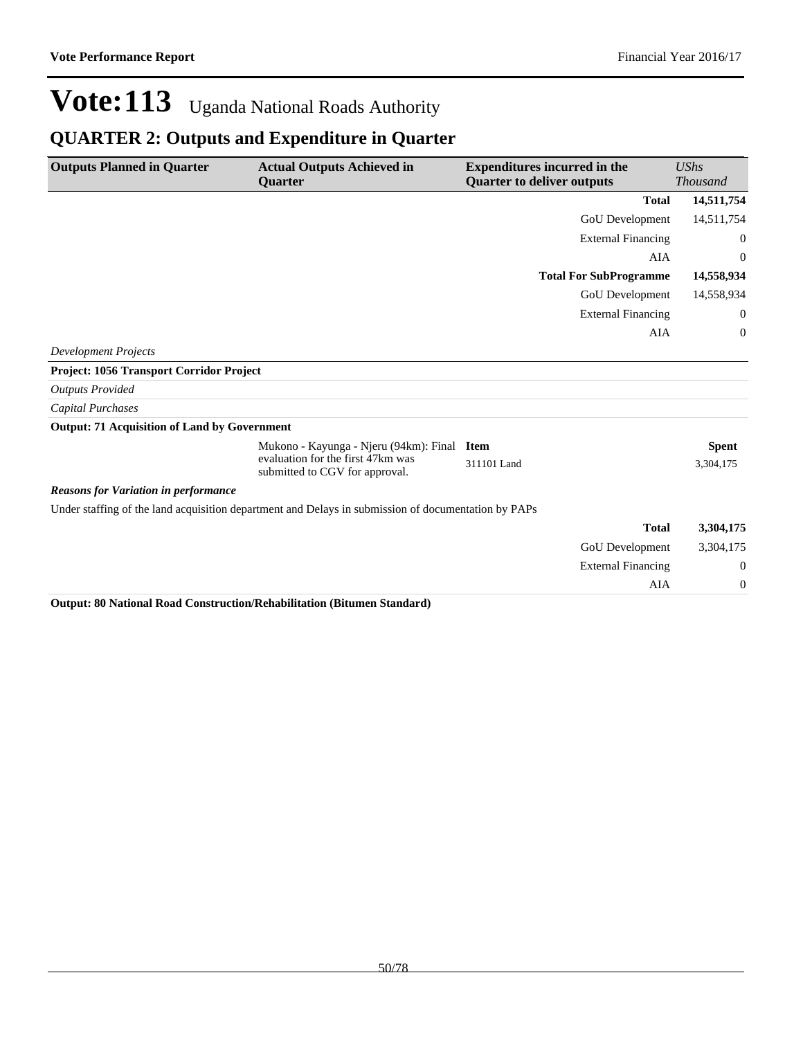### **QUARTER 2: Outputs and Expenditure in Quarter**

| <b>Outputs Planned in Quarter</b>                   | <b>Actual Outputs Achieved in</b><br><b>Ouarter</b>                                                 | <b>Expenditures incurred in the</b><br><b>Quarter to deliver outputs</b> | <b>UShs</b><br><b>Thousand</b> |
|-----------------------------------------------------|-----------------------------------------------------------------------------------------------------|--------------------------------------------------------------------------|--------------------------------|
|                                                     |                                                                                                     | <b>Total</b>                                                             | 14,511,754                     |
|                                                     |                                                                                                     | GoU Development                                                          | 14,511,754                     |
|                                                     |                                                                                                     | <b>External Financing</b>                                                | $\theta$                       |
|                                                     |                                                                                                     |                                                                          | <b>AIA</b><br>$\theta$         |
|                                                     |                                                                                                     | <b>Total For SubProgramme</b>                                            | 14,558,934                     |
|                                                     |                                                                                                     | GoU Development                                                          | 14,558,934                     |
|                                                     |                                                                                                     | <b>External Financing</b>                                                | $\theta$                       |
|                                                     |                                                                                                     |                                                                          | AIA<br>$\theta$                |
| <b>Development Projects</b>                         |                                                                                                     |                                                                          |                                |
| Project: 1056 Transport Corridor Project            |                                                                                                     |                                                                          |                                |
| <b>Outputs Provided</b>                             |                                                                                                     |                                                                          |                                |
| Capital Purchases                                   |                                                                                                     |                                                                          |                                |
| <b>Output: 71 Acquisition of Land by Government</b> |                                                                                                     |                                                                          |                                |
|                                                     | Mukono - Kayunga - Njeru (94km): Final Item                                                         |                                                                          | <b>Spent</b>                   |
|                                                     | evaluation for the first 47km was<br>submitted to CGV for approval.                                 | 311101 Land                                                              | 3,304,175                      |
| <b>Reasons for Variation in performance</b>         |                                                                                                     |                                                                          |                                |
|                                                     | Under staffing of the land acquisition department and Delays in submission of documentation by PAPs |                                                                          |                                |
|                                                     |                                                                                                     | <b>Total</b>                                                             | 3,304,175                      |
|                                                     |                                                                                                     | <b>GoU</b> Development                                                   | 3,304,175                      |
|                                                     |                                                                                                     | <b>External Financing</b>                                                | $\boldsymbol{0}$               |
|                                                     |                                                                                                     |                                                                          | AIA<br>$\boldsymbol{0}$        |
|                                                     | Outpute 00 Notional Dead Construction Debabilitation (Ditumon Ctondard)                             |                                                                          |                                |

**Output: 80 National Road Construction/Rehabilitation (Bitumen Standard)**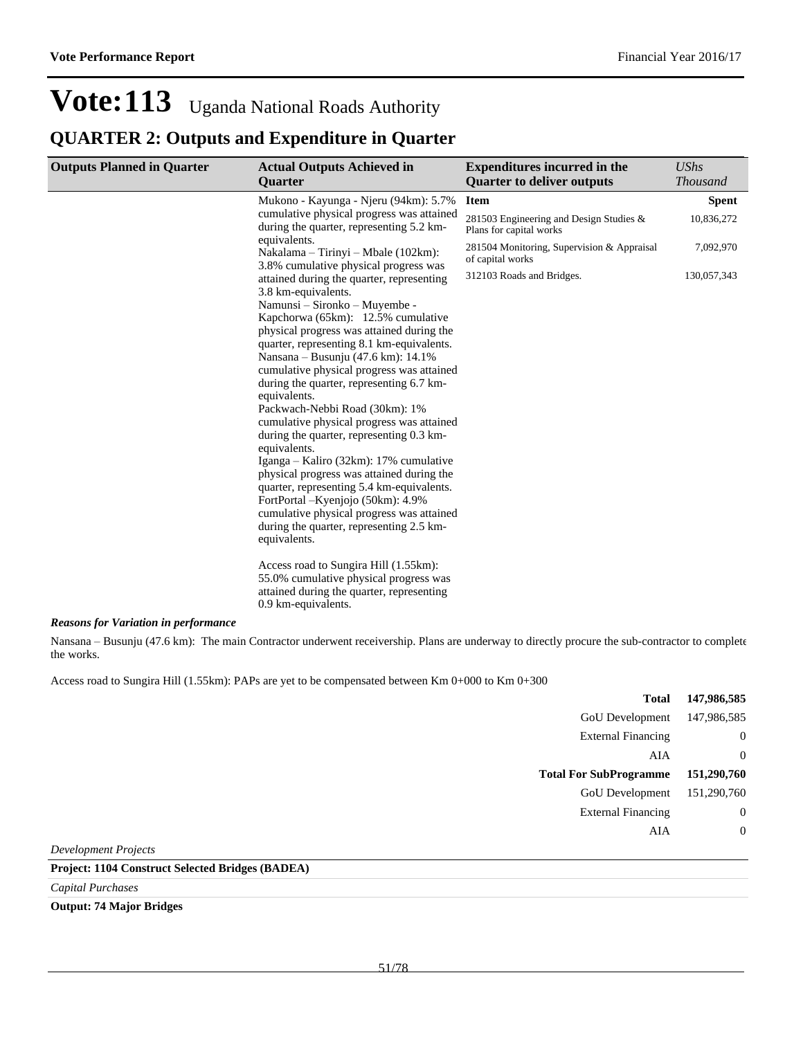#### **QUARTER 2: Outputs and Expenditure in Quarter**

| <b>Outputs Planned in Quarter</b> | <b>Actual Outputs Achieved in</b><br><b>Ouarter</b>                                                                                                 | <b>Expenditures incurred in the</b><br><b>Quarter to deliver outputs</b> | UShs<br><i>Thousand</i> |
|-----------------------------------|-----------------------------------------------------------------------------------------------------------------------------------------------------|--------------------------------------------------------------------------|-------------------------|
|                                   | Mukono - Kayunga - Njeru (94km): 5.7%                                                                                                               | <b>Item</b>                                                              | <b>Spent</b>            |
|                                   | cumulative physical progress was attained<br>during the quarter, representing 5.2 km-                                                               | 281503 Engineering and Design Studies &<br>Plans for capital works       | 10,836,272              |
|                                   | equivalents.<br>Nakalama – Tirinyi – Mbale (102km):<br>3.8% cumulative physical progress was                                                        | 281504 Monitoring, Supervision & Appraisal<br>of capital works           | 7,092,970               |
|                                   | attained during the quarter, representing<br>3.8 km-equivalents.                                                                                    | 312103 Roads and Bridges.                                                | 130,057,343             |
|                                   | Namunsi - Sironko - Muyembe -<br>Kapchorwa (65km): 12.5% cumulative                                                                                 |                                                                          |                         |
|                                   | physical progress was attained during the<br>quarter, representing 8.1 km-equivalents.                                                              |                                                                          |                         |
|                                   | Nansana – Busunju (47.6 km): 14.1%<br>cumulative physical progress was attained<br>during the quarter, representing 6.7 km-                         |                                                                          |                         |
|                                   | equivalents.<br>Packwach-Nebbi Road (30km): 1%<br>cumulative physical progress was attained                                                         |                                                                          |                         |
|                                   | during the quarter, representing 0.3 km-<br>equivalents.                                                                                            |                                                                          |                         |
|                                   | Iganga – Kaliro (32km): 17% cumulative<br>physical progress was attained during the<br>quarter, representing 5.4 km-equivalents.                    |                                                                          |                         |
|                                   | FortPortal - Kyenjojo (50km): 4.9%<br>cumulative physical progress was attained<br>during the quarter, representing 2.5 km-<br>equivalents.         |                                                                          |                         |
|                                   | Access road to Sungira Hill (1.55km):<br>55.0% cumulative physical progress was<br>attained during the quarter, representing<br>0.9 km-equivalents. |                                                                          |                         |

#### *Reasons for Variation in performance*

Nansana - Busunju (47.6 km): The main Contractor underwent receivership. Plans are underway to directly procure the sub-contractor to complete the works.

Access road to Sungira Hill (1.55km): PAPs are yet to be compensated between Km 0+000 to Km 0+300

| 147,986,585    | <b>Total</b>                  |
|----------------|-------------------------------|
| 147,986,585    | GoU Development               |
| $\theta$       | <b>External Financing</b>     |
| $\theta$       | AIA                           |
| 151,290,760    | <b>Total For SubProgramme</b> |
| 151,290,760    | <b>GoU</b> Development        |
| $\overline{0}$ | <b>External Financing</b>     |
| $\overline{0}$ | AIA                           |
|                |                               |

*Development Projects*

#### **Project: 1104 Construct Selected Bridges (BADEA)**

*Capital Purchases*

#### **Output: 74 Major Bridges**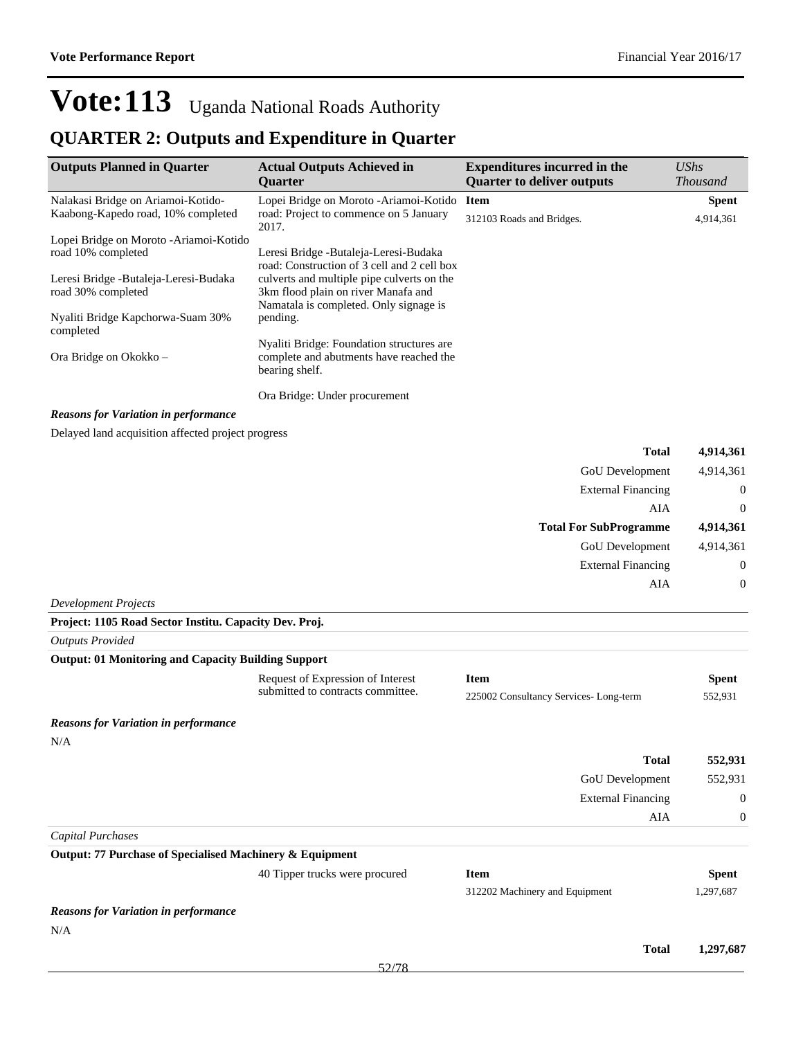| <b>Outputs Planned in Quarter</b>                           | <b>Actual Outputs Achieved in</b><br>Quarter                                                                                | <b>Expenditures incurred in the</b><br><b>Quarter to deliver outputs</b> | <b>UShs</b><br><b>Thousand</b> |
|-------------------------------------------------------------|-----------------------------------------------------------------------------------------------------------------------------|--------------------------------------------------------------------------|--------------------------------|
| Nalakasi Bridge on Ariamoi-Kotido-                          | Lopei Bridge on Moroto - Ariamoi-Kotido                                                                                     | Item                                                                     | <b>Spent</b>                   |
| Kaabong-Kapedo road, 10% completed                          | road: Project to commence on 5 January<br>2017.                                                                             | 312103 Roads and Bridges.                                                | 4,914,361                      |
| Lopei Bridge on Moroto - Ariamoi-Kotido                     |                                                                                                                             |                                                                          |                                |
| road 10% completed                                          | Leresi Bridge -Butaleja-Leresi-Budaka<br>road: Construction of 3 cell and 2 cell box                                        |                                                                          |                                |
| Leresi Bridge -Butaleja-Leresi-Budaka<br>road 30% completed | culverts and multiple pipe culverts on the<br>3km flood plain on river Manafa and<br>Namatala is completed. Only signage is |                                                                          |                                |
| Nyaliti Bridge Kapchorwa-Suam 30%<br>completed              | pending.                                                                                                                    |                                                                          |                                |
| Ora Bridge on Okokko -                                      | Nyaliti Bridge: Foundation structures are<br>complete and abutments have reached the<br>bearing shelf.                      |                                                                          |                                |
|                                                             | Ora Bridge: Under procurement                                                                                               |                                                                          |                                |
| <b>Reasons for Variation in performance</b>                 |                                                                                                                             |                                                                          |                                |
| Delayed land acquisition affected project progress          |                                                                                                                             |                                                                          |                                |
|                                                             |                                                                                                                             | <b>Total</b>                                                             | 4,914,361                      |
|                                                             |                                                                                                                             | GoU Development                                                          | 4,914,361                      |
|                                                             |                                                                                                                             | <b>External Financing</b>                                                | $\boldsymbol{0}$               |
|                                                             |                                                                                                                             | AIA                                                                      | $\boldsymbol{0}$               |
|                                                             |                                                                                                                             | <b>Total For SubProgramme</b>                                            | 4,914,361                      |
|                                                             |                                                                                                                             | GoU Development                                                          | 4,914,361                      |
|                                                             |                                                                                                                             | <b>External Financing</b>                                                | $\boldsymbol{0}$               |
| <b>Development Projects</b>                                 |                                                                                                                             | AIA                                                                      | $\boldsymbol{0}$               |
| Project: 1105 Road Sector Institu. Capacity Dev. Proj.      |                                                                                                                             |                                                                          |                                |
| <b>Outputs Provided</b>                                     |                                                                                                                             |                                                                          |                                |
| <b>Output: 01 Monitoring and Capacity Building Support</b>  |                                                                                                                             |                                                                          |                                |
|                                                             | Request of Expression of Interest                                                                                           | <b>Item</b>                                                              | <b>Spent</b>                   |
|                                                             | submitted to contracts committee.                                                                                           | 225002 Consultancy Services-Long-term                                    | 552,931                        |
| <b>Reasons for Variation in performance</b>                 |                                                                                                                             |                                                                          |                                |
| N/A                                                         |                                                                                                                             |                                                                          |                                |
|                                                             |                                                                                                                             | <b>Total</b>                                                             | 552,931                        |
|                                                             |                                                                                                                             | <b>GoU</b> Development                                                   | 552,931                        |
|                                                             |                                                                                                                             | <b>External Financing</b>                                                | $\boldsymbol{0}$               |
|                                                             |                                                                                                                             | AIA                                                                      | $\boldsymbol{0}$               |
| <b>Capital Purchases</b>                                    |                                                                                                                             |                                                                          |                                |
| Output: 77 Purchase of Specialised Machinery & Equipment    |                                                                                                                             |                                                                          |                                |
|                                                             | 40 Tipper trucks were procured                                                                                              | <b>Item</b>                                                              | <b>Spent</b>                   |
|                                                             |                                                                                                                             | 312202 Machinery and Equipment                                           | 1,297,687                      |
| <b>Reasons for Variation in performance</b>                 |                                                                                                                             |                                                                          |                                |
| N/A                                                         |                                                                                                                             |                                                                          |                                |
|                                                             |                                                                                                                             | <b>Total</b>                                                             | 1,297,687                      |
|                                                             | 52/78                                                                                                                       |                                                                          |                                |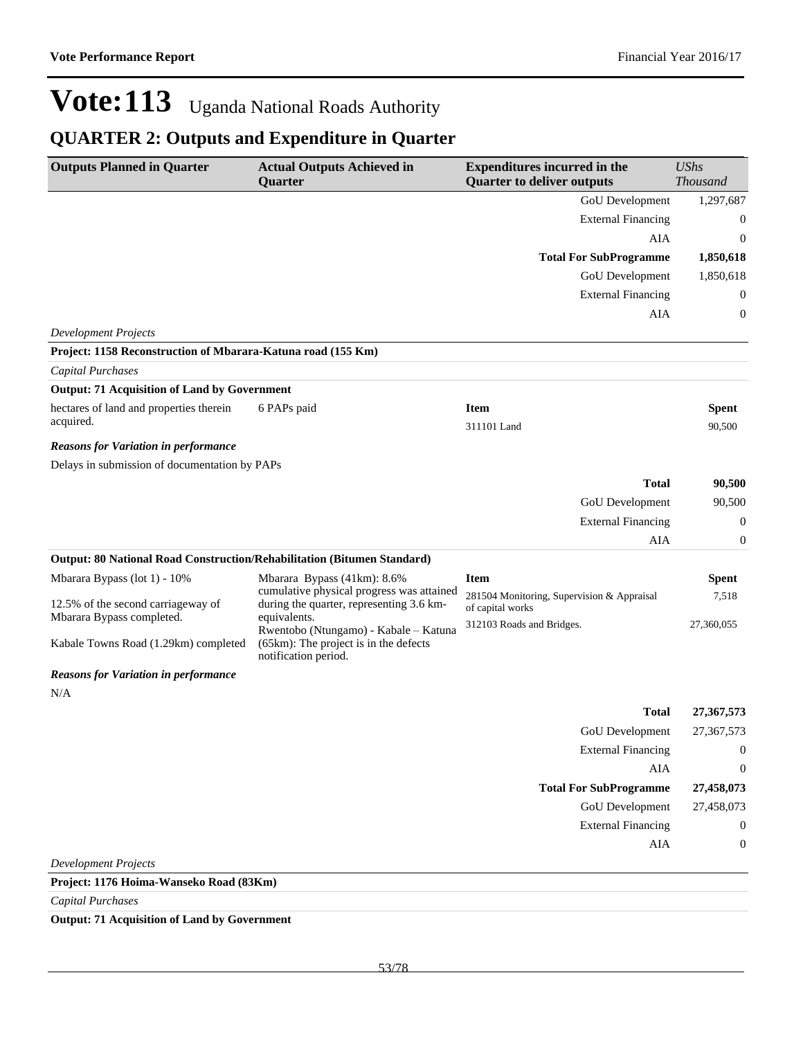### **QUARTER 2: Outputs and Expenditure in Quarter**

| <b>Outputs Planned in Quarter</b>                                       | <b>Actual Outputs Achieved in</b><br>Quarter                                          | <b>Expenditures incurred in the</b><br><b>Quarter to deliver outputs</b> | <b>UShs</b><br><b>Thousand</b> |
|-------------------------------------------------------------------------|---------------------------------------------------------------------------------------|--------------------------------------------------------------------------|--------------------------------|
|                                                                         |                                                                                       | GoU Development                                                          | 1,297,687                      |
|                                                                         |                                                                                       | <b>External Financing</b>                                                | 0                              |
|                                                                         |                                                                                       | AIA                                                                      | 0                              |
|                                                                         |                                                                                       | <b>Total For SubProgramme</b>                                            | 1,850,618                      |
|                                                                         |                                                                                       | <b>GoU</b> Development                                                   | 1,850,618                      |
|                                                                         |                                                                                       | <b>External Financing</b>                                                | 0                              |
|                                                                         |                                                                                       | AIA                                                                      | 0                              |
| <b>Development Projects</b>                                             |                                                                                       |                                                                          |                                |
| Project: 1158 Reconstruction of Mbarara-Katuna road (155 Km)            |                                                                                       |                                                                          |                                |
| Capital Purchases                                                       |                                                                                       |                                                                          |                                |
| <b>Output: 71 Acquisition of Land by Government</b>                     |                                                                                       |                                                                          |                                |
| hectares of land and properties therein                                 | 6 PAPs paid                                                                           | <b>Item</b>                                                              | <b>Spent</b>                   |
| acquired.                                                               |                                                                                       | 311101 Land                                                              | 90,500                         |
| <b>Reasons for Variation in performance</b>                             |                                                                                       |                                                                          |                                |
| Delays in submission of documentation by PAPs                           |                                                                                       |                                                                          |                                |
|                                                                         |                                                                                       | <b>Total</b>                                                             | 90,500                         |
|                                                                         |                                                                                       | GoU Development                                                          | 90,500                         |
|                                                                         |                                                                                       | <b>External Financing</b>                                                | 0                              |
|                                                                         |                                                                                       | AIA                                                                      | 0                              |
| Output: 80 National Road Construction/Rehabilitation (Bitumen Standard) |                                                                                       |                                                                          |                                |
| Mbarara Bypass (lot 1) - 10%                                            | Mbarara Bypass (41km): 8.6%                                                           | <b>Item</b>                                                              | <b>Spent</b>                   |
| 12.5% of the second carriageway of                                      | cumulative physical progress was attained<br>during the quarter, representing 3.6 km- | 281504 Monitoring, Supervision & Appraisal<br>of capital works           | 7,518                          |
| Mbarara Bypass completed.                                               | equivalents.<br>Rwentobo (Ntungamo) - Kabale - Katuna                                 | 312103 Roads and Bridges.                                                | 27,360,055                     |
| Kabale Towns Road (1.29km) completed                                    | (65km): The project is in the defects<br>notification period.                         |                                                                          |                                |
| <b>Reasons for Variation in performance</b>                             |                                                                                       |                                                                          |                                |
| N/A                                                                     |                                                                                       |                                                                          |                                |
|                                                                         |                                                                                       | <b>Total</b>                                                             | 27, 367, 573                   |
|                                                                         |                                                                                       | GoU Development                                                          | 27,367,573                     |
|                                                                         |                                                                                       | <b>External Financing</b>                                                | $\boldsymbol{0}$               |
|                                                                         |                                                                                       | AIA                                                                      | $\boldsymbol{0}$               |
|                                                                         |                                                                                       | <b>Total For SubProgramme</b>                                            | 27,458,073                     |
|                                                                         |                                                                                       | <b>GoU</b> Development                                                   | 27,458,073                     |
|                                                                         |                                                                                       | <b>External Financing</b>                                                | $\mathbf{0}$                   |
|                                                                         |                                                                                       | AIA                                                                      | 0                              |
| <b>Development Projects</b>                                             |                                                                                       |                                                                          |                                |
| Project: 1176 Hoima-Wanseko Road (83Km)                                 |                                                                                       |                                                                          |                                |
| <b>Capital Purchases</b>                                                |                                                                                       |                                                                          |                                |

**Output: 71 Acquisition of Land by Government**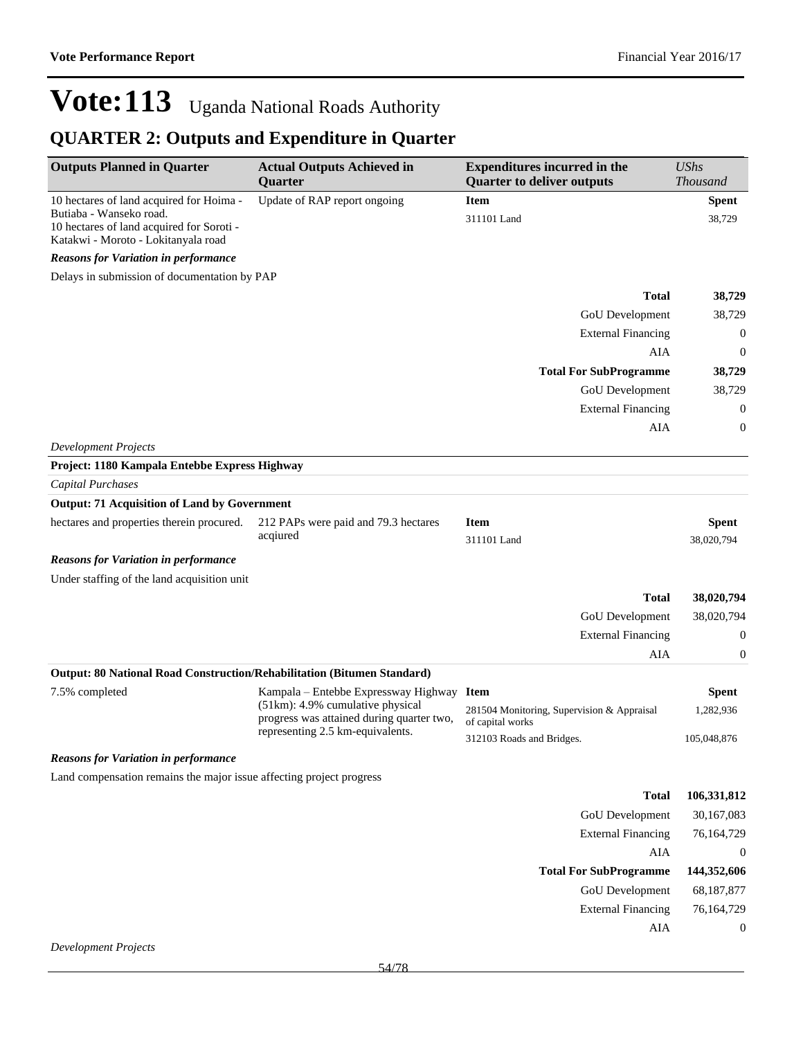| <b>Outputs Planned in Quarter</b>                                                | <b>Actual Outputs Achieved in</b><br>Quarter                                  | <b>Expenditures incurred in the</b><br><b>Quarter to deliver outputs</b> | <b>UShs</b><br><b>Thousand</b> |
|----------------------------------------------------------------------------------|-------------------------------------------------------------------------------|--------------------------------------------------------------------------|--------------------------------|
| 10 hectares of land acquired for Hoima -<br>Butiaba - Wanseko road.              | Update of RAP report ongoing                                                  | <b>Item</b><br>311101 Land                                               | <b>Spent</b><br>38,729         |
| 10 hectares of land acquired for Soroti -<br>Katakwi - Moroto - Lokitanyala road |                                                                               |                                                                          |                                |
| <b>Reasons for Variation in performance</b>                                      |                                                                               |                                                                          |                                |
| Delays in submission of documentation by PAP                                     |                                                                               |                                                                          |                                |
|                                                                                  |                                                                               | <b>Total</b>                                                             | 38,729                         |
|                                                                                  |                                                                               | GoU Development                                                          | 38,729                         |
|                                                                                  |                                                                               | <b>External Financing</b>                                                | $\boldsymbol{0}$               |
|                                                                                  |                                                                               | AIA                                                                      | 0                              |
|                                                                                  |                                                                               | <b>Total For SubProgramme</b>                                            | 38,729                         |
|                                                                                  |                                                                               | GoU Development                                                          | 38,729                         |
|                                                                                  |                                                                               | <b>External Financing</b>                                                | 0                              |
|                                                                                  |                                                                               | AIA                                                                      | 0                              |
| <b>Development Projects</b>                                                      |                                                                               |                                                                          |                                |
| Project: 1180 Kampala Entebbe Express Highway                                    |                                                                               |                                                                          |                                |
| Capital Purchases                                                                |                                                                               |                                                                          |                                |
| <b>Output: 71 Acquisition of Land by Government</b>                              |                                                                               |                                                                          |                                |
| hectares and properties therein procured.                                        | 212 PAPs were paid and 79.3 hectares                                          | <b>Item</b>                                                              | <b>Spent</b>                   |
|                                                                                  | acqiured<br>311101 Land                                                       |                                                                          | 38,020,794                     |
| <b>Reasons for Variation in performance</b>                                      |                                                                               |                                                                          |                                |
| Under staffing of the land acquisition unit                                      |                                                                               |                                                                          |                                |
|                                                                                  |                                                                               | <b>Total</b>                                                             | 38,020,794                     |
|                                                                                  |                                                                               | <b>GoU</b> Development                                                   | 38,020,794                     |
|                                                                                  |                                                                               | <b>External Financing</b>                                                | 0                              |
|                                                                                  |                                                                               | AIA                                                                      | 0                              |
| Output: 80 National Road Construction/Rehabilitation (Bitumen Standard)          |                                                                               |                                                                          |                                |
| 7.5% completed                                                                   | Kampala – Entebbe Expressway Highway                                          | <b>Item</b>                                                              | <b>Spent</b>                   |
|                                                                                  | (51km): 4.9% cumulative physical<br>progress was attained during quarter two, | 281504 Monitoring, Supervision & Appraisal<br>of capital works           | 1,282,936                      |
|                                                                                  | representing 2.5 km-equivalents.                                              | 312103 Roads and Bridges.                                                | 105,048,876                    |
| <b>Reasons for Variation in performance</b>                                      |                                                                               |                                                                          |                                |
| Land compensation remains the major issue affecting project progress             |                                                                               |                                                                          |                                |
|                                                                                  |                                                                               | <b>Total</b>                                                             | 106,331,812                    |
|                                                                                  |                                                                               | GoU Development                                                          | 30,167,083                     |
|                                                                                  |                                                                               | <b>External Financing</b>                                                | 76,164,729                     |
|                                                                                  |                                                                               | AIA                                                                      | $\boldsymbol{0}$               |
|                                                                                  |                                                                               | <b>Total For SubProgramme</b>                                            | 144,352,606                    |
|                                                                                  |                                                                               | <b>GoU</b> Development                                                   | 68,187,877                     |
|                                                                                  |                                                                               | <b>External Financing</b>                                                | 76,164,729                     |
|                                                                                  |                                                                               | AIA                                                                      | $\boldsymbol{0}$               |
| <b>Development Projects</b>                                                      |                                                                               |                                                                          |                                |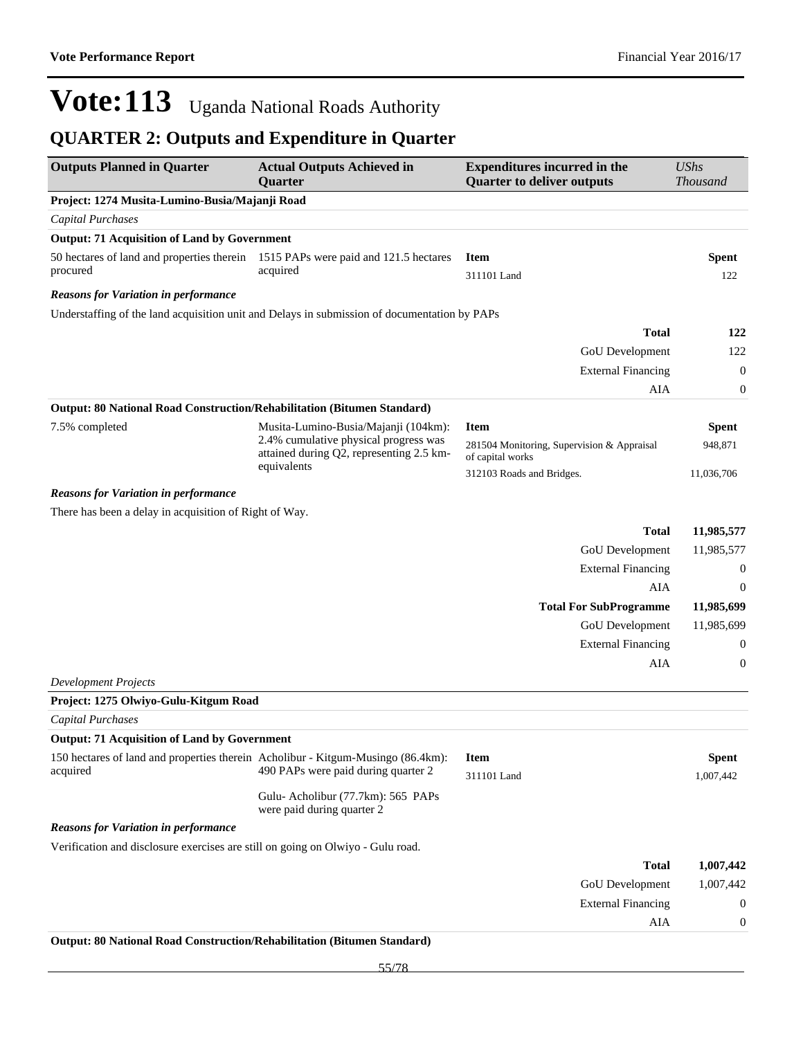| <b>Outputs Planned in Quarter</b>                                                | <b>Actual Outputs Achieved in</b><br>Quarter                                                 | <b>Expenditures incurred in the</b><br><b>Quarter to deliver outputs</b> | <b>UShs</b><br><b>Thousand</b> |
|----------------------------------------------------------------------------------|----------------------------------------------------------------------------------------------|--------------------------------------------------------------------------|--------------------------------|
| Project: 1274 Musita-Lumino-Busia/Majanji Road                                   |                                                                                              |                                                                          |                                |
| Capital Purchases                                                                |                                                                                              |                                                                          |                                |
| <b>Output: 71 Acquisition of Land by Government</b>                              |                                                                                              |                                                                          |                                |
|                                                                                  | 50 hectares of land and properties therein 1515 PAPs were paid and 121.5 hectares            | <b>Item</b>                                                              | Spent                          |
| procured                                                                         | acquired                                                                                     | 311101 Land                                                              | 122                            |
| <b>Reasons for Variation in performance</b>                                      |                                                                                              |                                                                          |                                |
|                                                                                  | Understaffing of the land acquisition unit and Delays in submission of documentation by PAPs |                                                                          |                                |
|                                                                                  |                                                                                              | <b>Total</b>                                                             | 122                            |
|                                                                                  |                                                                                              | GoU Development                                                          | 122                            |
|                                                                                  |                                                                                              | <b>External Financing</b>                                                | $\mathbf{0}$                   |
|                                                                                  |                                                                                              | AIA                                                                      | $\boldsymbol{0}$               |
| Output: 80 National Road Construction/Rehabilitation (Bitumen Standard)          |                                                                                              |                                                                          |                                |
| 7.5% completed                                                                   | Musita-Lumino-Busia/Majanji (104km):                                                         | <b>Item</b>                                                              | <b>Spent</b>                   |
|                                                                                  | 2.4% cumulative physical progress was<br>attained during Q2, representing 2.5 km-            | 281504 Monitoring, Supervision & Appraisal<br>of capital works           | 948,871                        |
|                                                                                  | equivalents                                                                                  | 312103 Roads and Bridges.                                                | 11,036,706                     |
| <b>Reasons for Variation in performance</b>                                      |                                                                                              |                                                                          |                                |
| There has been a delay in acquisition of Right of Way.                           |                                                                                              |                                                                          |                                |
|                                                                                  |                                                                                              | <b>Total</b>                                                             | 11,985,577                     |
|                                                                                  |                                                                                              | GoU Development                                                          | 11,985,577                     |
|                                                                                  |                                                                                              | <b>External Financing</b>                                                | $\boldsymbol{0}$               |
|                                                                                  |                                                                                              | AIA                                                                      | $\boldsymbol{0}$               |
|                                                                                  |                                                                                              | <b>Total For SubProgramme</b>                                            | 11,985,699                     |
|                                                                                  |                                                                                              | GoU Development                                                          | 11,985,699                     |
|                                                                                  |                                                                                              | <b>External Financing</b>                                                | $\boldsymbol{0}$               |
|                                                                                  |                                                                                              | AIA                                                                      | $\boldsymbol{0}$               |
| <b>Development Projects</b>                                                      |                                                                                              |                                                                          |                                |
| Project: 1275 Olwiyo-Gulu-Kitgum Road                                            |                                                                                              |                                                                          |                                |
| Capital Purchases                                                                |                                                                                              |                                                                          |                                |
| <b>Output: 71 Acquisition of Land by Government</b>                              |                                                                                              |                                                                          |                                |
| 150 hectares of land and properties therein Acholibur - Kitgum-Musingo (86.4km): |                                                                                              | <b>Item</b>                                                              | <b>Spent</b>                   |
| acquired                                                                         | 490 PAPs were paid during quarter 2                                                          | 311101 Land                                                              | 1,007,442                      |
|                                                                                  | Gulu- Acholibur (77.7km): 565 PAPs<br>were paid during quarter 2                             |                                                                          |                                |
| <b>Reasons for Variation in performance</b>                                      |                                                                                              |                                                                          |                                |
| Verification and disclosure exercises are still on going on Olwiyo - Gulu road.  |                                                                                              |                                                                          |                                |
|                                                                                  |                                                                                              | <b>Total</b>                                                             | 1,007,442                      |
|                                                                                  |                                                                                              | GoU Development                                                          | 1,007,442                      |
|                                                                                  |                                                                                              | <b>External Financing</b>                                                | $\boldsymbol{0}$               |
|                                                                                  |                                                                                              | AIA                                                                      | $\boldsymbol{0}$               |
| Output: 80 National Road Construction/Rehabilitation (Bitumen Standard)          |                                                                                              |                                                                          |                                |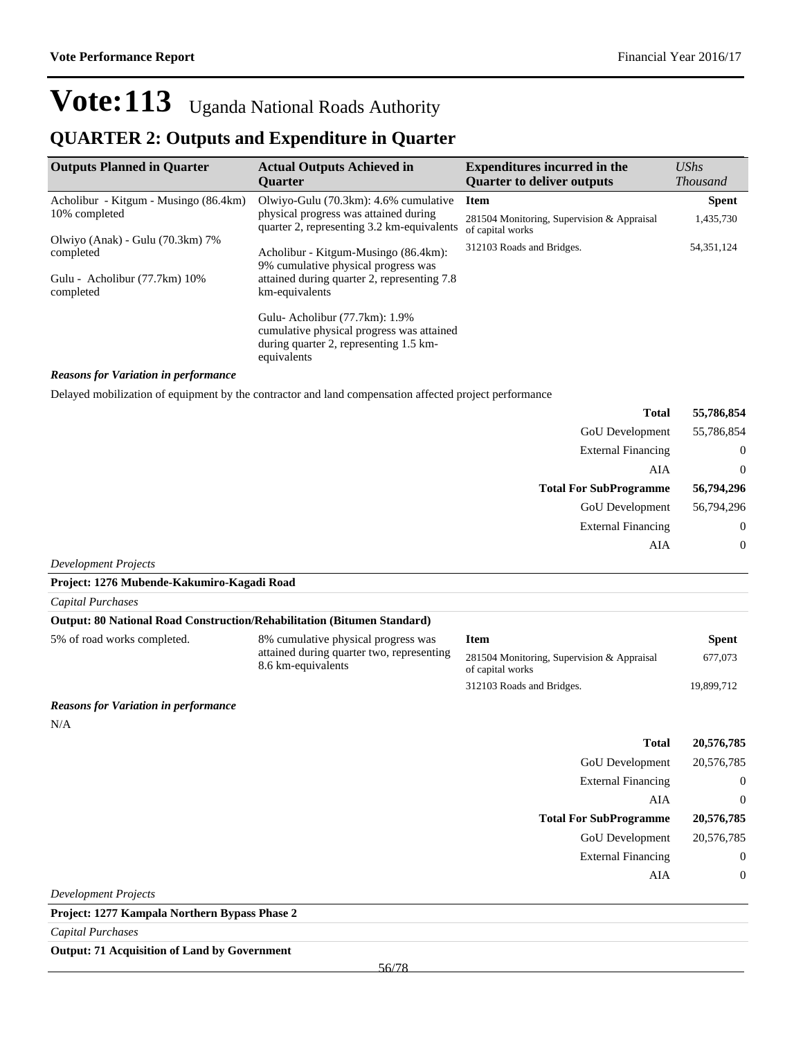#### **QUARTER 2: Outputs and Expenditure in Quarter**

| <b>Outputs Planned in Quarter</b>             | <b>Actual Outputs Achieved in</b><br><b>Ouarter</b>                                                                                 | <b>Expenditures incurred in the</b><br><b>Quarter to deliver outputs</b> | $\mathit{UShs}$<br><b>Thousand</b> |
|-----------------------------------------------|-------------------------------------------------------------------------------------------------------------------------------------|--------------------------------------------------------------------------|------------------------------------|
| Acholibur - Kitgum - Musingo (86.4km)         | Olwiyo-Gulu (70.3km): 4.6% cumulative                                                                                               | <b>Item</b>                                                              | <b>Spent</b>                       |
| 10% completed                                 | physical progress was attained during<br>quarter 2, representing 3.2 km-equivalents                                                 | 281504 Monitoring, Supervision & Appraisal<br>of capital works           | 1,435,730                          |
| Olwiyo (Anak) - Gulu (70.3km) 7%<br>completed | Acholibur - Kitgum-Musingo (86.4km):<br>9% cumulative physical progress was                                                         | 312103 Roads and Bridges.                                                | 54, 351, 124                       |
| Gulu - Acholibur (77.7km) 10%<br>completed    | attained during quarter 2, representing 7.8<br>km-equivalents                                                                       |                                                                          |                                    |
|                                               | Gulu-Acholibur (77.7km): 1.9%<br>cumulative physical progress was attained<br>during quarter 2, representing 1.5 km-<br>equivalents |                                                                          |                                    |

#### *Reasons for Variation in performance*

Delayed mobilization of equipment by the contractor and land compensation affected project performance

| 55,786,854     | <b>Total</b>                  |
|----------------|-------------------------------|
| 55,786,854     | GoU Development               |
| $\mathbf{0}$   | <b>External Financing</b>     |
| $\overline{0}$ | AIA                           |
| 56,794,296     | <b>Total For SubProgramme</b> |
| 56,794,296     | GoU Development               |
| $\overline{0}$ | <b>External Financing</b>     |
| $\theta$       | AIA                           |

*Development Projects*

| Capital Purchases                                                              |                                                                 |                                                                |              |
|--------------------------------------------------------------------------------|-----------------------------------------------------------------|----------------------------------------------------------------|--------------|
| <b>Output: 80 National Road Construction/Rehabilitation (Bitumen Standard)</b> |                                                                 |                                                                |              |
| 5% of road works completed.                                                    | 8% cumulative physical progress was                             | <b>Item</b>                                                    | <b>Spent</b> |
|                                                                                | attained during quarter two, representing<br>8.6 km-equivalents | 281504 Monitoring, Supervision & Appraisal<br>of capital works | 677,073      |
|                                                                                |                                                                 | 312103 Roads and Bridges.                                      | 19,899,712   |
| <b>Reasons for Variation in performance</b>                                    |                                                                 |                                                                |              |

#### *Reasons for Variation in performance*

**Project: 1276 Mubende-Kakumiro-Kagadi Road**

N/A

|                             | <b>Total</b>                  | 20,576,785  |
|-----------------------------|-------------------------------|-------------|
|                             | GoU Development               | 20,576,785  |
|                             | <b>External Financing</b>     | $\mathbf 0$ |
|                             | AIA                           | $\theta$    |
|                             | <b>Total For SubProgramme</b> | 20,576,785  |
|                             | GoU Development               | 20,576,785  |
|                             | <b>External Financing</b>     | $\mathbf 0$ |
|                             | AIA                           | $\mathbf 0$ |
| <b>Development Projects</b> |                               |             |

**Project: 1277 Kampala Northern Bypass Phase 2**

*Capital Purchases*

**Output: 71 Acquisition of Land by Government**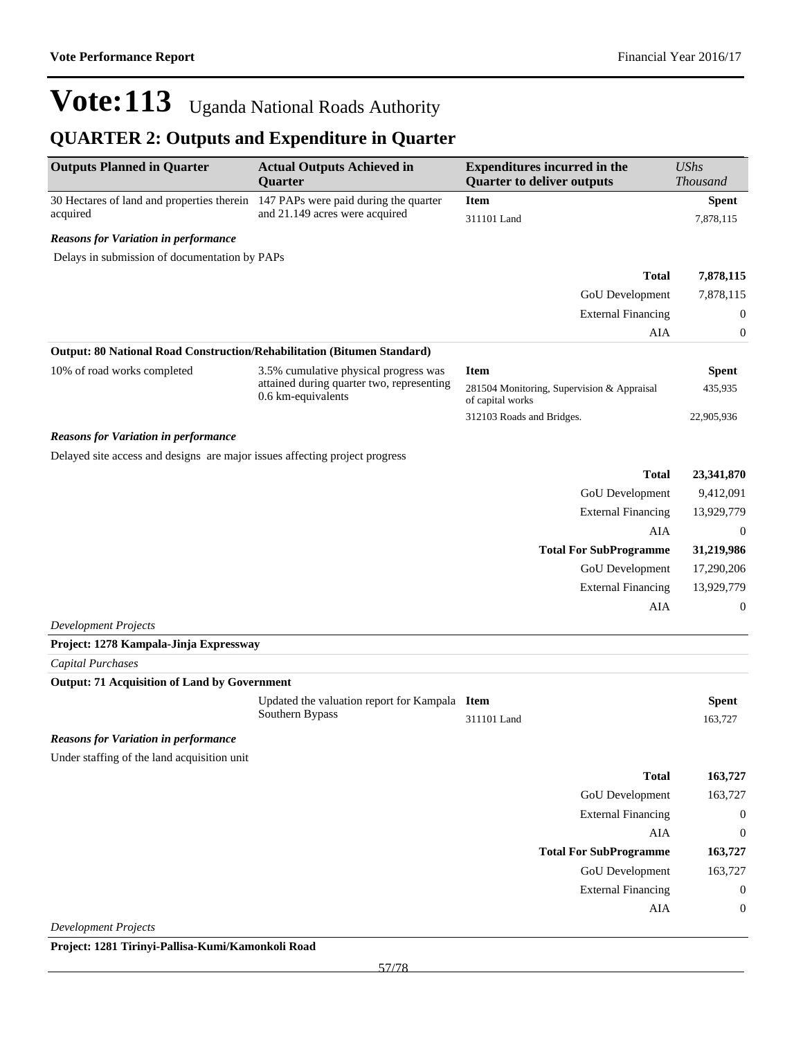### **QUARTER 2: Outputs and Expenditure in Quarter**

| <b>Outputs Planned in Quarter</b>                                                          | <b>Actual Outputs Achieved in</b><br>Quarter                                       | <b>Expenditures incurred in the</b><br><b>Quarter to deliver outputs</b> | <b>UShs</b><br><b>Thousand</b> |  |
|--------------------------------------------------------------------------------------------|------------------------------------------------------------------------------------|--------------------------------------------------------------------------|--------------------------------|--|
| 30 Hectares of land and properties therein                                                 | 147 PAPs were paid during the quarter                                              | <b>Item</b>                                                              | <b>Spent</b>                   |  |
| acquired                                                                                   | and 21.149 acres were acquired                                                     | 311101 Land                                                              | 7,878,115                      |  |
| <b>Reasons for Variation in performance</b>                                                |                                                                                    |                                                                          |                                |  |
| Delays in submission of documentation by PAPs                                              |                                                                                    |                                                                          |                                |  |
|                                                                                            |                                                                                    | <b>Total</b>                                                             | 7,878,115                      |  |
|                                                                                            |                                                                                    | GoU Development                                                          | 7,878,115                      |  |
|                                                                                            |                                                                                    | <b>External Financing</b>                                                | $\boldsymbol{0}$               |  |
|                                                                                            |                                                                                    | AIA                                                                      | 0                              |  |
| Output: 80 National Road Construction/Rehabilitation (Bitumen Standard)                    |                                                                                    |                                                                          |                                |  |
| 10% of road works completed                                                                | 3.5% cumulative physical progress was<br>attained during quarter two, representing | <b>Item</b>                                                              | <b>Spent</b>                   |  |
|                                                                                            | 0.6 km-equivalents                                                                 | 281504 Monitoring, Supervision & Appraisal<br>of capital works           | 435,935                        |  |
|                                                                                            |                                                                                    | 312103 Roads and Bridges.                                                | 22,905,936                     |  |
| <b>Reasons for Variation in performance</b>                                                |                                                                                    |                                                                          |                                |  |
| Delayed site access and designs are major issues affecting project progress                |                                                                                    |                                                                          |                                |  |
|                                                                                            |                                                                                    | <b>Total</b>                                                             | 23,341,870                     |  |
|                                                                                            |                                                                                    | GoU Development                                                          | 9,412,091                      |  |
|                                                                                            |                                                                                    | <b>External Financing</b>                                                | 13,929,779                     |  |
|                                                                                            |                                                                                    | AIA                                                                      | $\mathbf{0}$                   |  |
|                                                                                            |                                                                                    | <b>Total For SubProgramme</b>                                            | 31,219,986                     |  |
|                                                                                            |                                                                                    | GoU Development                                                          | 17,290,206                     |  |
|                                                                                            |                                                                                    | <b>External Financing</b>                                                | 13,929,779                     |  |
|                                                                                            |                                                                                    | AIA                                                                      | $\mathbf{0}$                   |  |
| <b>Development Projects</b>                                                                |                                                                                    |                                                                          |                                |  |
| Project: 1278 Kampala-Jinja Expressway                                                     |                                                                                    |                                                                          |                                |  |
| Capital Purchases                                                                          |                                                                                    |                                                                          |                                |  |
| <b>Output: 71 Acquisition of Land by Government</b>                                        |                                                                                    |                                                                          |                                |  |
|                                                                                            | Updated the valuation report for Kampala Item<br>Southern Bypass                   | 311101 Land                                                              | <b>Spent</b><br>163,727        |  |
|                                                                                            |                                                                                    |                                                                          |                                |  |
| <b>Reasons for Variation in performance</b><br>Under staffing of the land acquisition unit |                                                                                    |                                                                          |                                |  |
|                                                                                            |                                                                                    | <b>Total</b>                                                             | 163,727                        |  |
|                                                                                            |                                                                                    | GoU Development                                                          | 163,727                        |  |
|                                                                                            |                                                                                    | <b>External Financing</b>                                                | $\boldsymbol{0}$               |  |
|                                                                                            |                                                                                    | AIA                                                                      | $\boldsymbol{0}$               |  |
|                                                                                            |                                                                                    | <b>Total For SubProgramme</b>                                            | 163,727                        |  |
|                                                                                            |                                                                                    | <b>GoU</b> Development                                                   | 163,727                        |  |
|                                                                                            |                                                                                    | <b>External Financing</b>                                                | $\boldsymbol{0}$               |  |
|                                                                                            |                                                                                    | AIA                                                                      | $\boldsymbol{0}$               |  |
| <b>Development Projects</b>                                                                |                                                                                    |                                                                          |                                |  |

**Project: 1281 Tirinyi-Pallisa-Kumi/Kamonkoli Road**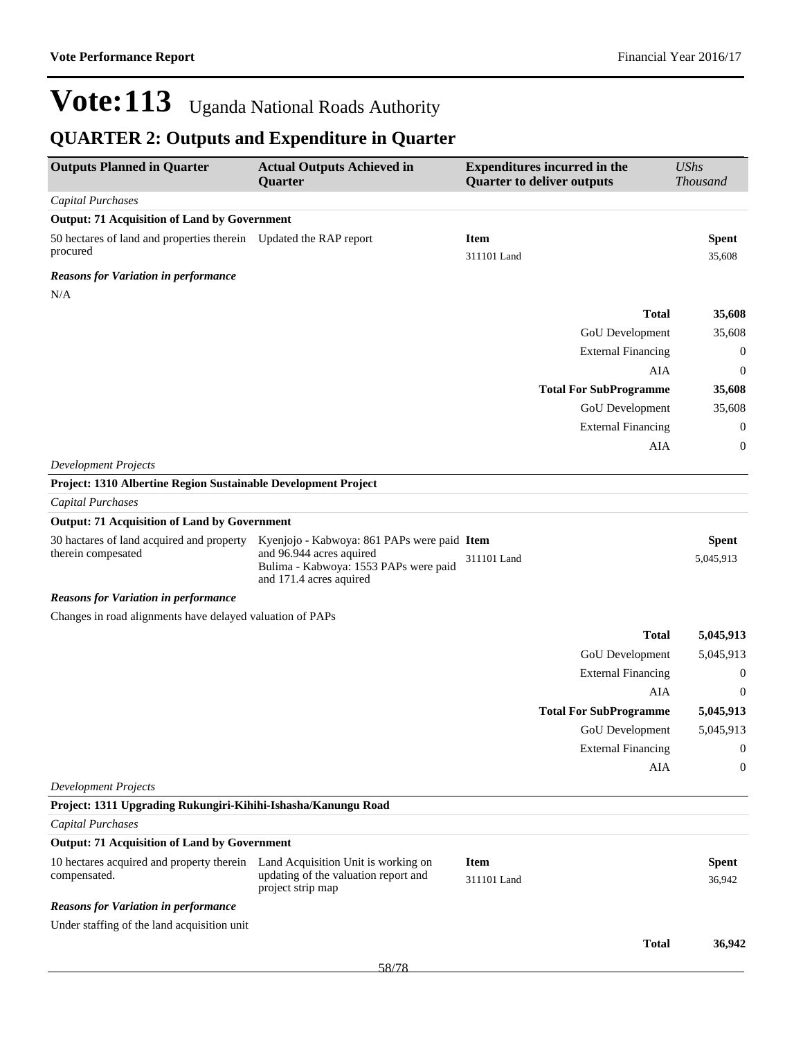| <b>Outputs Planned in Quarter</b>                                                             | <b>Actual Outputs Achieved in</b><br><b>Quarter</b>                                                                                         | <b>Expenditures incurred in the</b><br><b>Quarter to deliver outputs</b> |                               | <b>UShs</b><br><b>Thousand</b> |  |
|-----------------------------------------------------------------------------------------------|---------------------------------------------------------------------------------------------------------------------------------------------|--------------------------------------------------------------------------|-------------------------------|--------------------------------|--|
| <b>Capital Purchases</b>                                                                      |                                                                                                                                             |                                                                          |                               |                                |  |
| <b>Output: 71 Acquisition of Land by Government</b>                                           |                                                                                                                                             |                                                                          |                               |                                |  |
| 50 hectares of land and properties therein Updated the RAP report<br>procured                 |                                                                                                                                             | <b>Item</b><br>311101 Land                                               |                               | <b>Spent</b><br>35,608         |  |
| <b>Reasons for Variation in performance</b>                                                   |                                                                                                                                             |                                                                          |                               |                                |  |
| N/A                                                                                           |                                                                                                                                             |                                                                          |                               |                                |  |
|                                                                                               |                                                                                                                                             |                                                                          | <b>Total</b>                  | 35,608                         |  |
|                                                                                               |                                                                                                                                             |                                                                          | GoU Development               | 35,608                         |  |
|                                                                                               |                                                                                                                                             |                                                                          | <b>External Financing</b>     | $\boldsymbol{0}$               |  |
|                                                                                               |                                                                                                                                             |                                                                          | AIA                           | 0                              |  |
|                                                                                               |                                                                                                                                             |                                                                          | <b>Total For SubProgramme</b> | 35,608                         |  |
|                                                                                               |                                                                                                                                             |                                                                          | GoU Development               | 35,608                         |  |
|                                                                                               |                                                                                                                                             |                                                                          | <b>External Financing</b>     | $\boldsymbol{0}$               |  |
|                                                                                               |                                                                                                                                             |                                                                          | AIA                           | $\boldsymbol{0}$               |  |
| <b>Development Projects</b>                                                                   |                                                                                                                                             |                                                                          |                               |                                |  |
| Project: 1310 Albertine Region Sustainable Development Project                                |                                                                                                                                             |                                                                          |                               |                                |  |
| Capital Purchases                                                                             |                                                                                                                                             |                                                                          |                               |                                |  |
| <b>Output: 71 Acquisition of Land by Government</b>                                           |                                                                                                                                             |                                                                          |                               |                                |  |
| 30 hactares of land acquired and property<br>therein compesated                               | Kyenjojo - Kabwoya: 861 PAPs were paid Item<br>and 96.944 acres aquired<br>Bulima - Kabwoya: 1553 PAPs were paid<br>and 171.4 acres aquired | 311101 Land                                                              |                               | <b>Spent</b><br>5,045,913      |  |
| <b>Reasons for Variation in performance</b>                                                   |                                                                                                                                             |                                                                          |                               |                                |  |
| Changes in road alignments have delayed valuation of PAPs                                     |                                                                                                                                             |                                                                          |                               |                                |  |
|                                                                                               |                                                                                                                                             |                                                                          | <b>Total</b>                  | 5,045,913                      |  |
|                                                                                               |                                                                                                                                             |                                                                          | <b>GoU</b> Development        | 5,045,913                      |  |
|                                                                                               |                                                                                                                                             |                                                                          | <b>External Financing</b>     | 0                              |  |
|                                                                                               |                                                                                                                                             |                                                                          | AIA                           | $\boldsymbol{0}$               |  |
|                                                                                               |                                                                                                                                             |                                                                          | <b>Total For SubProgramme</b> | 5,045,913                      |  |
|                                                                                               |                                                                                                                                             |                                                                          | <b>GoU</b> Development        | 5,045,913                      |  |
|                                                                                               |                                                                                                                                             |                                                                          | <b>External Financing</b>     | $\Omega$                       |  |
|                                                                                               |                                                                                                                                             |                                                                          | AIA                           | 0                              |  |
| <b>Development Projects</b>                                                                   |                                                                                                                                             |                                                                          |                               |                                |  |
| Project: 1311 Upgrading Rukungiri-Kihihi-Ishasha/Kanungu Road                                 |                                                                                                                                             |                                                                          |                               |                                |  |
| <b>Capital Purchases</b>                                                                      |                                                                                                                                             |                                                                          |                               |                                |  |
| <b>Output: 71 Acquisition of Land by Government</b>                                           |                                                                                                                                             |                                                                          |                               |                                |  |
| 10 hectares acquired and property therein Land Acquisition Unit is working on<br>compensated. | updating of the valuation report and<br>project strip map                                                                                   | <b>Item</b><br>311101 Land                                               |                               | <b>Spent</b><br>36,942         |  |
| <b>Reasons for Variation in performance</b>                                                   |                                                                                                                                             |                                                                          |                               |                                |  |
| Under staffing of the land acquisition unit                                                   |                                                                                                                                             |                                                                          |                               |                                |  |
|                                                                                               |                                                                                                                                             |                                                                          | <b>Total</b>                  | 36,942                         |  |
|                                                                                               | 58/78                                                                                                                                       |                                                                          |                               |                                |  |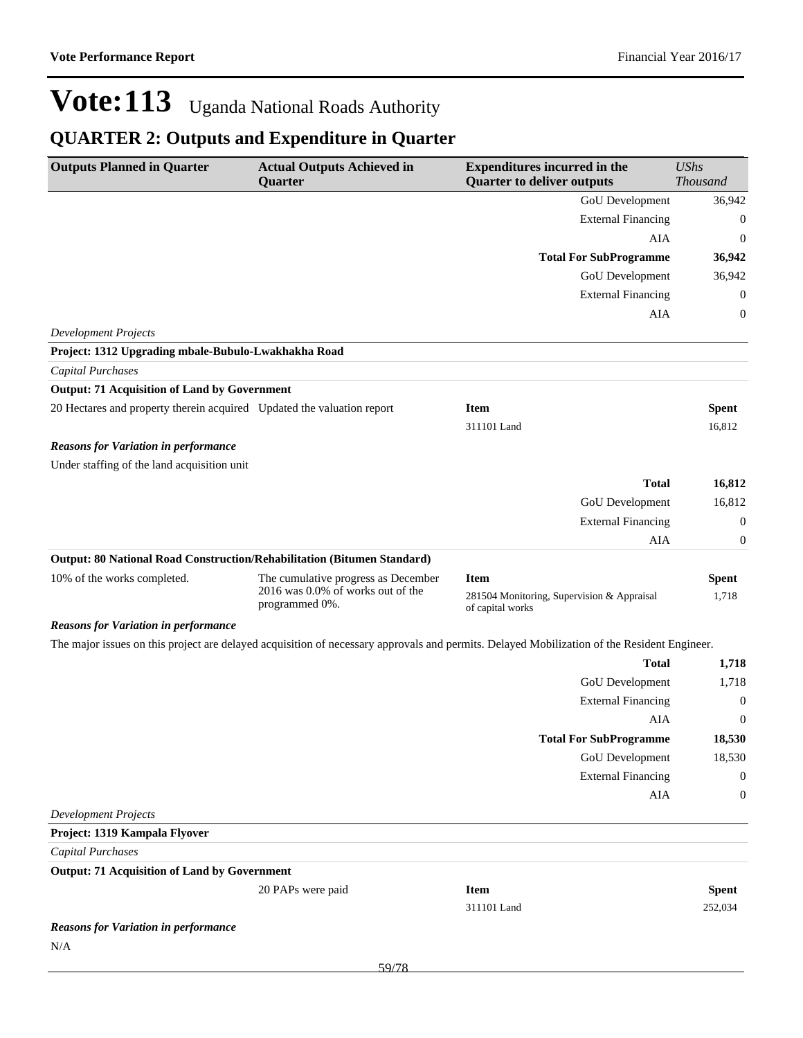| <b>Outputs Planned in Quarter</b>                                       | <b>Actual Outputs Achieved in</b><br>Quarter                                               | <b>Expenditures incurred in the</b><br><b>Quarter to deliver outputs</b>                                                                    | <b>UShs</b><br><b>Thousand</b> |
|-------------------------------------------------------------------------|--------------------------------------------------------------------------------------------|---------------------------------------------------------------------------------------------------------------------------------------------|--------------------------------|
|                                                                         |                                                                                            | GoU Development                                                                                                                             | 36,942                         |
|                                                                         |                                                                                            | <b>External Financing</b>                                                                                                                   | $\mathbf 0$                    |
|                                                                         |                                                                                            | AIA                                                                                                                                         | $\mathbf 0$                    |
|                                                                         |                                                                                            | <b>Total For SubProgramme</b>                                                                                                               | 36,942                         |
|                                                                         |                                                                                            | GoU Development                                                                                                                             | 36,942                         |
|                                                                         |                                                                                            | <b>External Financing</b>                                                                                                                   | $\mathbf 0$                    |
|                                                                         |                                                                                            | AIA                                                                                                                                         | $\mathbf 0$                    |
| <b>Development Projects</b>                                             |                                                                                            |                                                                                                                                             |                                |
| Project: 1312 Upgrading mbale-Bubulo-Lwakhakha Road                     |                                                                                            |                                                                                                                                             |                                |
| Capital Purchases                                                       |                                                                                            |                                                                                                                                             |                                |
| <b>Output: 71 Acquisition of Land by Government</b>                     |                                                                                            |                                                                                                                                             |                                |
| 20 Hectares and property therein acquired Updated the valuation report  |                                                                                            | <b>Item</b><br>311101 Land                                                                                                                  | <b>Spent</b><br>16,812         |
| <b>Reasons for Variation in performance</b>                             |                                                                                            |                                                                                                                                             |                                |
| Under staffing of the land acquisition unit                             |                                                                                            |                                                                                                                                             |                                |
|                                                                         |                                                                                            | <b>Total</b>                                                                                                                                | 16,812                         |
|                                                                         |                                                                                            | GoU Development                                                                                                                             | 16,812                         |
|                                                                         |                                                                                            | <b>External Financing</b>                                                                                                                   | $\mathbf 0$                    |
|                                                                         |                                                                                            | AIA                                                                                                                                         | $\boldsymbol{0}$               |
| Output: 80 National Road Construction/Rehabilitation (Bitumen Standard) |                                                                                            |                                                                                                                                             |                                |
| 10% of the works completed.                                             | The cumulative progress as December<br>2016 was 0.0% of works out of the<br>programmed 0%. | <b>Item</b><br>281504 Monitoring, Supervision & Appraisal<br>of capital works                                                               | <b>Spent</b><br>1,718          |
| <b>Reasons for Variation in performance</b>                             |                                                                                            |                                                                                                                                             |                                |
|                                                                         |                                                                                            | The major issues on this project are delayed acquisition of necessary approvals and permits. Delayed Mobilization of the Resident Engineer. |                                |
|                                                                         |                                                                                            | <b>Total</b>                                                                                                                                | 1,718                          |
|                                                                         |                                                                                            | GoU Development                                                                                                                             | 1,718                          |
|                                                                         |                                                                                            | <b>External Financing</b>                                                                                                                   | $\mathbf 0$                    |
|                                                                         |                                                                                            | AIA                                                                                                                                         | $\mathbf 0$                    |
|                                                                         |                                                                                            | <b>Total For SubProgramme</b>                                                                                                               | 18,530                         |
|                                                                         |                                                                                            | GoU Development                                                                                                                             | 18,530                         |
|                                                                         |                                                                                            | <b>External Financing</b>                                                                                                                   | $\mathbf{0}$                   |
|                                                                         |                                                                                            | AIA                                                                                                                                         | $\mathbf{0}$                   |
| <b>Development Projects</b>                                             |                                                                                            |                                                                                                                                             |                                |
| Project: 1319 Kampala Flyover                                           |                                                                                            |                                                                                                                                             |                                |
| <b>Capital Purchases</b>                                                |                                                                                            |                                                                                                                                             |                                |
| <b>Output: 71 Acquisition of Land by Government</b>                     |                                                                                            |                                                                                                                                             |                                |
|                                                                         | 20 PAPs were paid                                                                          | <b>Item</b>                                                                                                                                 | <b>Spent</b>                   |
|                                                                         |                                                                                            | 311101 Land                                                                                                                                 | 252,034                        |
| <b>Reasons for Variation in performance</b>                             |                                                                                            |                                                                                                                                             |                                |
| N/A                                                                     |                                                                                            |                                                                                                                                             |                                |
|                                                                         | 50/70                                                                                      |                                                                                                                                             |                                |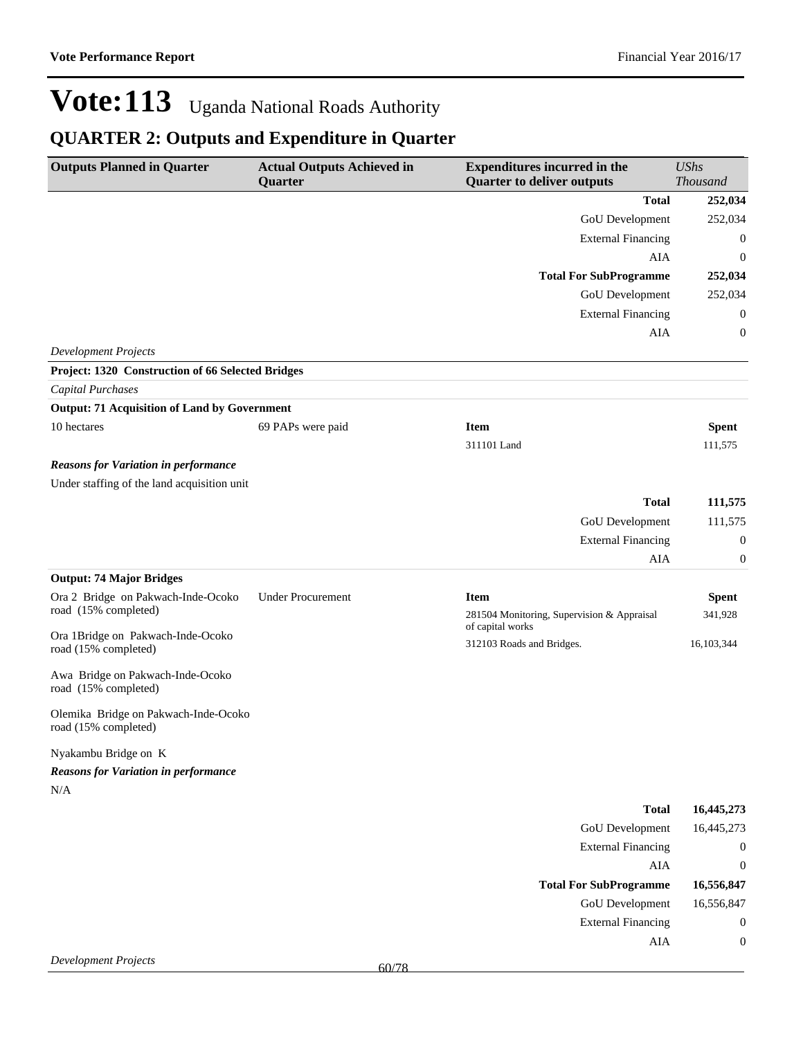${\bf AIA} \qquad \qquad {\bf 0}$ 

# Vote: 113 Uganda National Roads Authority

| <b>Outputs Planned in Quarter</b><br><b>Actual Outputs Achieved in</b><br><b>Expenditures incurred in the</b><br><b>Quarter to deliver outputs</b><br><b>Quarter</b> |                          |                                                                | <b>UShs</b><br><b>Thousand</b> |  |
|----------------------------------------------------------------------------------------------------------------------------------------------------------------------|--------------------------|----------------------------------------------------------------|--------------------------------|--|
|                                                                                                                                                                      |                          | <b>Total</b>                                                   | 252,034                        |  |
|                                                                                                                                                                      |                          | GoU Development                                                | 252,034                        |  |
|                                                                                                                                                                      |                          | <b>External Financing</b>                                      | $\boldsymbol{0}$               |  |
|                                                                                                                                                                      |                          | AIA                                                            | $\boldsymbol{0}$               |  |
|                                                                                                                                                                      |                          | <b>Total For SubProgramme</b>                                  | 252,034                        |  |
|                                                                                                                                                                      |                          | <b>GoU</b> Development                                         | 252,034                        |  |
|                                                                                                                                                                      |                          | <b>External Financing</b>                                      | 0                              |  |
|                                                                                                                                                                      |                          | AIA                                                            | 0                              |  |
| <b>Development Projects</b>                                                                                                                                          |                          |                                                                |                                |  |
| Project: 1320 Construction of 66 Selected Bridges                                                                                                                    |                          |                                                                |                                |  |
| <b>Capital Purchases</b>                                                                                                                                             |                          |                                                                |                                |  |
| <b>Output: 71 Acquisition of Land by Government</b>                                                                                                                  |                          |                                                                |                                |  |
| 10 hectares                                                                                                                                                          | 69 PAPs were paid        | <b>Item</b><br>311101 Land                                     | <b>Spent</b><br>111,575        |  |
| <b>Reasons for Variation in performance</b>                                                                                                                          |                          |                                                                |                                |  |
| Under staffing of the land acquisition unit                                                                                                                          |                          |                                                                |                                |  |
|                                                                                                                                                                      |                          | <b>Total</b>                                                   | 111,575                        |  |
|                                                                                                                                                                      |                          | <b>GoU</b> Development                                         | 111,575                        |  |
|                                                                                                                                                                      |                          | <b>External Financing</b>                                      | 0                              |  |
|                                                                                                                                                                      |                          | AIA                                                            | 0                              |  |
| <b>Output: 74 Major Bridges</b>                                                                                                                                      |                          |                                                                |                                |  |
| Ora 2 Bridge on Pakwach-Inde-Ocoko                                                                                                                                   | <b>Under Procurement</b> | <b>Item</b>                                                    | <b>Spent</b>                   |  |
| road (15% completed)                                                                                                                                                 |                          | 281504 Monitoring, Supervision & Appraisal<br>of capital works | 341,928                        |  |
| Ora 1Bridge on Pakwach-Inde-Ocoko<br>road (15% completed)                                                                                                            |                          | 312103 Roads and Bridges.                                      | 16,103,344                     |  |
| Awa Bridge on Pakwach-Inde-Ocoko<br>road (15% completed)                                                                                                             |                          |                                                                |                                |  |
| Olemika Bridge on Pakwach-Inde-Ocoko<br>road (15% completed)                                                                                                         |                          |                                                                |                                |  |
| Nyakambu Bridge on K                                                                                                                                                 |                          |                                                                |                                |  |
| <b>Reasons for Variation in performance</b>                                                                                                                          |                          |                                                                |                                |  |
| N/A                                                                                                                                                                  |                          |                                                                |                                |  |
|                                                                                                                                                                      |                          | <b>Total</b>                                                   | 16,445,273                     |  |
|                                                                                                                                                                      |                          | GoU Development                                                | 16,445,273                     |  |
|                                                                                                                                                                      |                          | <b>External Financing</b>                                      | $\boldsymbol{0}$               |  |
|                                                                                                                                                                      |                          | ${\rm AIA}$                                                    | $\boldsymbol{0}$               |  |
|                                                                                                                                                                      |                          | <b>Total For SubProgramme</b>                                  | 16,556,847                     |  |
|                                                                                                                                                                      |                          | GoU Development                                                | 16,556,847                     |  |
|                                                                                                                                                                      |                          | <b>External Financing</b>                                      | $\boldsymbol{0}$               |  |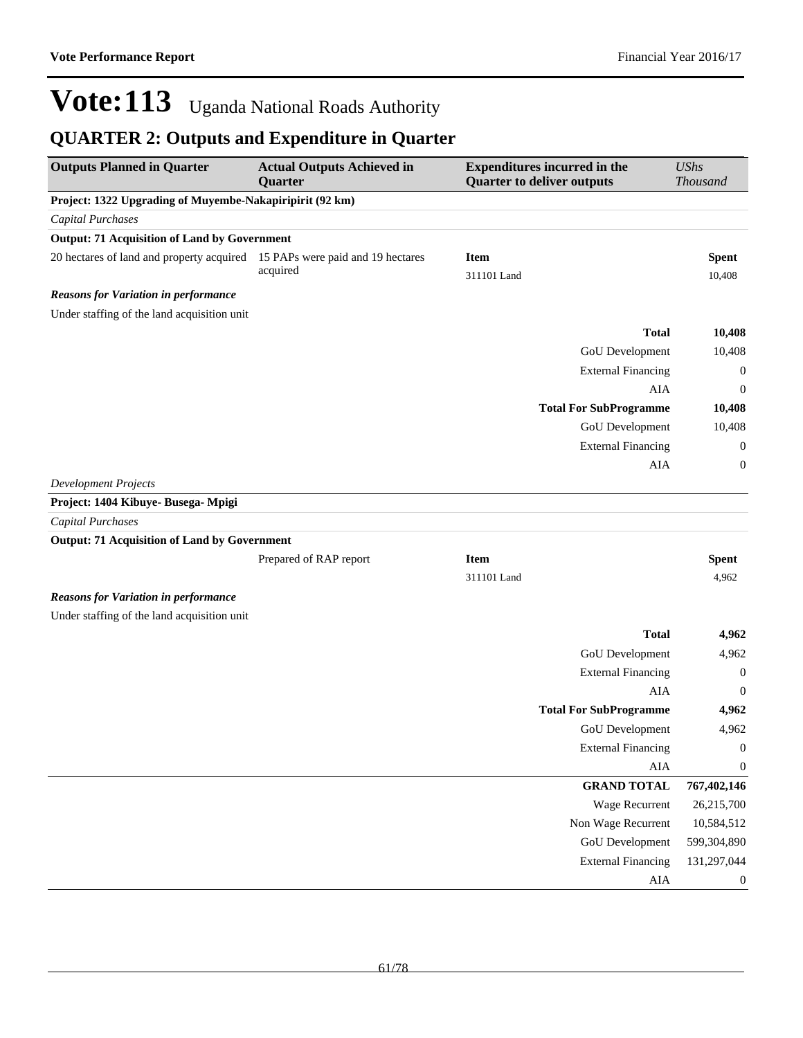| <b>Outputs Planned in Quarter</b>                                           | <b>Actual Outputs Achieved in</b><br>Quarter | <b>Expenditures incurred in the</b><br><b>Quarter to deliver outputs</b> | <b>UShs</b><br><b>Thousand</b>  |
|-----------------------------------------------------------------------------|----------------------------------------------|--------------------------------------------------------------------------|---------------------------------|
| Project: 1322 Upgrading of Muyembe-Nakapiripirit (92 km)                    |                                              |                                                                          |                                 |
| <b>Capital Purchases</b>                                                    |                                              |                                                                          |                                 |
| <b>Output: 71 Acquisition of Land by Government</b>                         |                                              |                                                                          |                                 |
| 20 hectares of land and property acquired 15 PAPs were paid and 19 hectares |                                              | <b>Item</b>                                                              | <b>Spent</b>                    |
|                                                                             | acquired                                     | 311101 Land                                                              | 10,408                          |
| <b>Reasons for Variation in performance</b>                                 |                                              |                                                                          |                                 |
| Under staffing of the land acquisition unit                                 |                                              |                                                                          |                                 |
|                                                                             |                                              |                                                                          | <b>Total</b><br>10,408          |
|                                                                             |                                              | GoU Development                                                          | 10,408                          |
|                                                                             |                                              | <b>External Financing</b>                                                | $\boldsymbol{0}$                |
|                                                                             |                                              |                                                                          | AIA<br>$\boldsymbol{0}$         |
|                                                                             |                                              | <b>Total For SubProgramme</b>                                            | 10,408                          |
|                                                                             |                                              | GoU Development                                                          | 10,408                          |
|                                                                             |                                              | <b>External Financing</b>                                                | $\boldsymbol{0}$                |
|                                                                             |                                              |                                                                          | AIA<br>0                        |
| <b>Development Projects</b>                                                 |                                              |                                                                          |                                 |
| Project: 1404 Kibuye- Busega- Mpigi                                         |                                              |                                                                          |                                 |
| <b>Capital Purchases</b>                                                    |                                              |                                                                          |                                 |
| <b>Output: 71 Acquisition of Land by Government</b>                         |                                              |                                                                          |                                 |
|                                                                             | Prepared of RAP report                       | <b>Item</b>                                                              | <b>Spent</b>                    |
|                                                                             |                                              | 311101 Land                                                              | 4,962                           |
| <b>Reasons for Variation in performance</b>                                 |                                              |                                                                          |                                 |
| Under staffing of the land acquisition unit                                 |                                              |                                                                          |                                 |
|                                                                             |                                              |                                                                          | <b>Total</b><br>4,962           |
|                                                                             |                                              | GoU Development                                                          | 4,962                           |
|                                                                             |                                              | <b>External Financing</b>                                                | $\boldsymbol{0}$                |
|                                                                             |                                              |                                                                          | AIA<br>$\boldsymbol{0}$         |
|                                                                             |                                              | <b>Total For SubProgramme</b>                                            | 4,962                           |
|                                                                             |                                              | GoU Development                                                          | 4,962                           |
|                                                                             |                                              | <b>External Financing</b>                                                | $\overline{0}$                  |
|                                                                             |                                              |                                                                          | ${\rm AIA}$<br>$\boldsymbol{0}$ |
|                                                                             |                                              | <b>GRAND TOTAL</b>                                                       | 767,402,146                     |
|                                                                             |                                              | Wage Recurrent                                                           | 26,215,700                      |
|                                                                             |                                              | Non Wage Recurrent                                                       | 10,584,512                      |
|                                                                             |                                              | GoU Development                                                          | 599,304,890                     |
|                                                                             |                                              | <b>External Financing</b>                                                | 131,297,044                     |
|                                                                             |                                              |                                                                          | ${\rm AIA}$<br>$\boldsymbol{0}$ |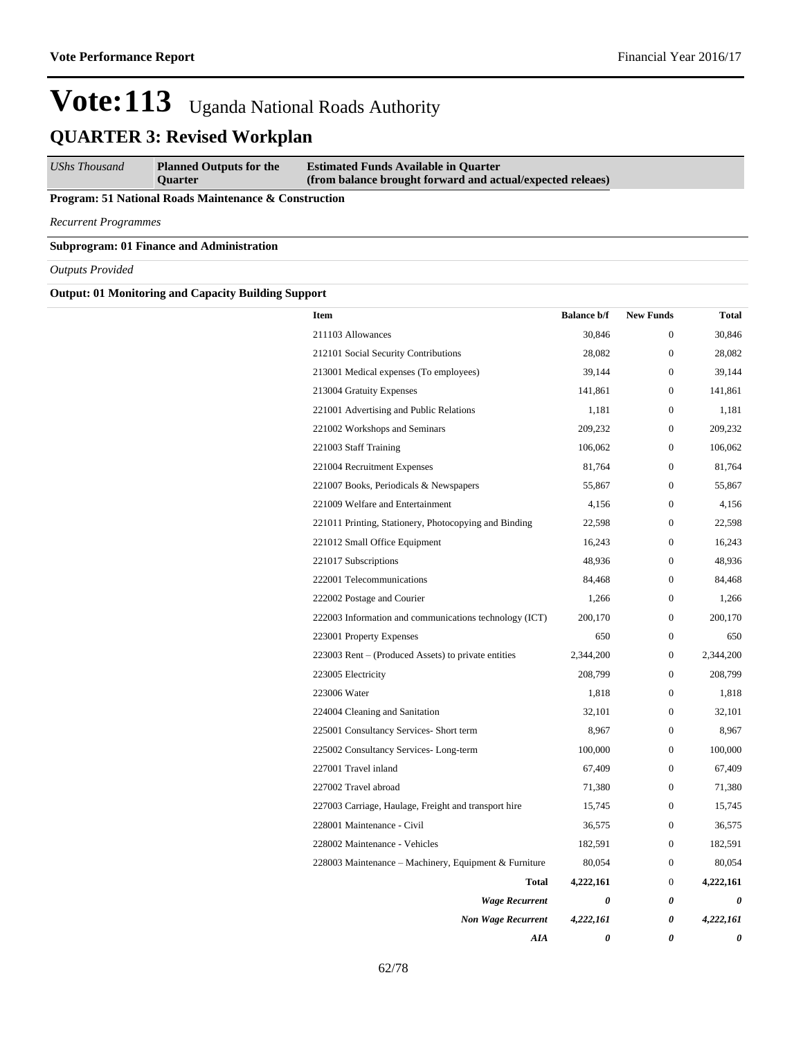*UShs Thousand* **Planned Outputs for the Quarter Estimated Funds Available in Quarter (from balance brought forward and actual/expected releaes)**

**Program: 51 National Roads Maintenance & Construction**

*Recurrent Programmes*

**Subprogram: 01 Finance and Administration**

*Outputs Provided*

**Output: 01 Monitoring and Capacity Building Support**

| <b>Item</b>                                            | <b>Balance b/f</b> | <b>New Funds</b> | <b>Total</b> |
|--------------------------------------------------------|--------------------|------------------|--------------|
| 211103 Allowances                                      | 30,846             | $\Omega$         | 30,846       |
| 212101 Social Security Contributions                   | 28,082             | $\boldsymbol{0}$ | 28,082       |
| 213001 Medical expenses (To employees)                 | 39,144             | $\overline{0}$   | 39,144       |
| 213004 Gratuity Expenses                               | 141,861            | $\boldsymbol{0}$ | 141,861      |
| 221001 Advertising and Public Relations                | 1,181              | $\overline{0}$   | 1,181        |
| 221002 Workshops and Seminars                          | 209,232            | $\overline{0}$   | 209,232      |
| 221003 Staff Training                                  | 106,062            | $\overline{0}$   | 106,062      |
| 221004 Recruitment Expenses                            | 81,764             | $\Omega$         | 81,764       |
| 221007 Books, Periodicals & Newspapers                 | 55,867             | $\overline{0}$   | 55,867       |
| 221009 Welfare and Entertainment                       | 4,156              | $\overline{0}$   | 4,156        |
| 221011 Printing, Stationery, Photocopying and Binding  | 22,598             | $\overline{0}$   | 22,598       |
| 221012 Small Office Equipment                          | 16,243             | $\overline{0}$   | 16,243       |
| 221017 Subscriptions                                   | 48,936             | $\overline{0}$   | 48,936       |
| 222001 Telecommunications                              | 84,468             | $\overline{0}$   | 84,468       |
| 222002 Postage and Courier                             | 1,266              | $\theta$         | 1.266        |
| 222003 Information and communications technology (ICT) | 200,170            | $\overline{0}$   | 200,170      |
| 223001 Property Expenses                               | 650                | $\boldsymbol{0}$ | 650          |
| 223003 Rent – (Produced Assets) to private entities    | 2,344,200          | $\boldsymbol{0}$ | 2,344,200    |
| 223005 Electricity                                     | 208,799            | $\theta$         | 208,799      |
| 223006 Water                                           | 1,818              | $\overline{0}$   | 1,818        |
| 224004 Cleaning and Sanitation                         | 32,101             | $\overline{0}$   | 32,101       |
| 225001 Consultancy Services- Short term                | 8,967              | $\boldsymbol{0}$ | 8,967        |
| 225002 Consultancy Services-Long-term                  | 100,000            | 0                | 100,000      |
| 227001 Travel inland                                   | 67,409             | 0                | 67,409       |
| 227002 Travel abroad                                   | 71,380             | 0                | 71,380       |
| 227003 Carriage, Haulage, Freight and transport hire   | 15,745             | $\boldsymbol{0}$ | 15,745       |
| 228001 Maintenance - Civil                             | 36,575             | $\boldsymbol{0}$ | 36,575       |
| 228002 Maintenance - Vehicles                          | 182,591            | $\boldsymbol{0}$ | 182,591      |
| 228003 Maintenance – Machinery, Equipment & Furniture  | 80,054             | $\boldsymbol{0}$ | 80,054       |
| Total                                                  | 4,222,161          | $\mathbf{0}$     | 4,222,161    |
| <b>Wage Recurrent</b>                                  | 0                  | 0                | 0            |
| <b>Non Wage Recurrent</b>                              | 4,222,161          | 0                | 4,222,161    |
| AIA                                                    | 0                  | 0                | 0            |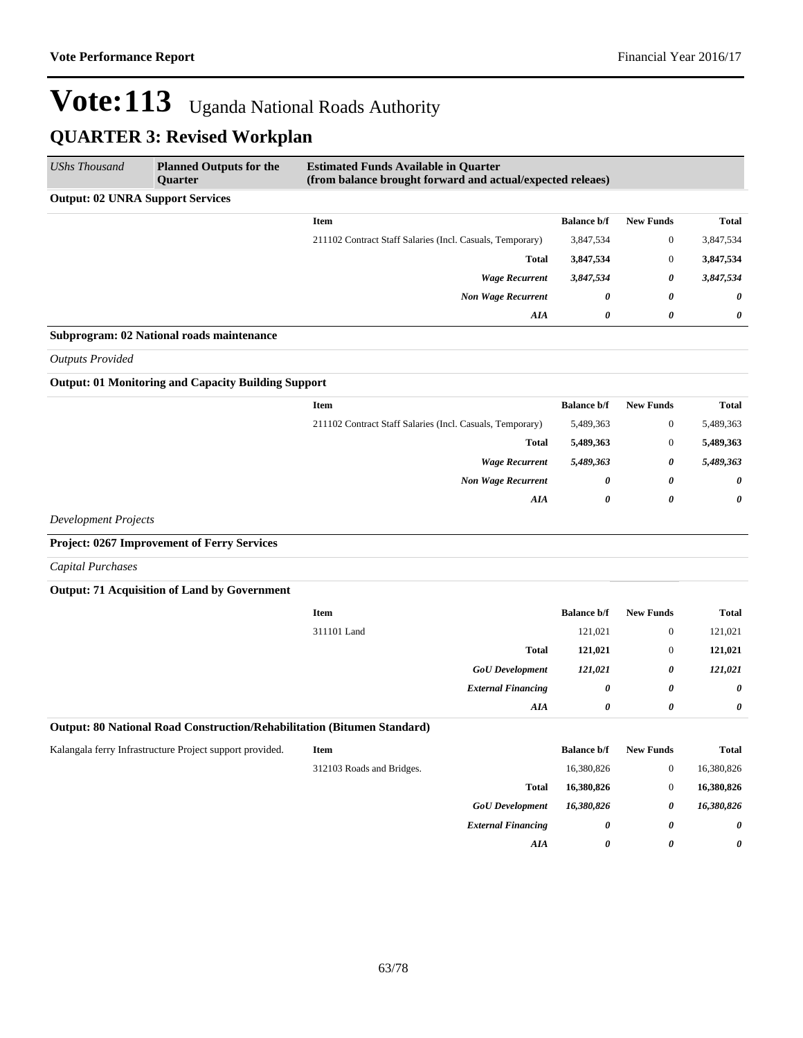| <b>UShs Thousand</b>                    | <b>Planned Outputs for the</b><br>Quarter | <b>Estimated Funds Available in Quarter</b><br>(from balance brought forward and actual/expected releaes) |                    |                  |                       |
|-----------------------------------------|-------------------------------------------|-----------------------------------------------------------------------------------------------------------|--------------------|------------------|-----------------------|
| <b>Output: 02 UNRA Support Services</b> |                                           |                                                                                                           |                    |                  |                       |
|                                         |                                           | <b>Item</b>                                                                                               | <b>Balance b/f</b> | <b>New Funds</b> | Total                 |
|                                         |                                           | 211102 Contract Staff Salaries (Incl. Casuals, Temporary)                                                 | 3,847,534          | $\mathbf{0}$     | 3,847,534             |
|                                         |                                           | <b>Total</b>                                                                                              | 3,847,534          | $\mathbf{0}$     | 3,847,534             |
|                                         |                                           | <b>Wage Recurrent</b>                                                                                     | 3,847,534          | 0                | 3,847,534             |
|                                         |                                           | <b>Non Wage Recurrent</b>                                                                                 | 0                  | 0                | $\boldsymbol{\theta}$ |
|                                         |                                           | AIA                                                                                                       | 0                  | 0                | 0                     |
|                                         | Subprogram: 02 National roads maintenance |                                                                                                           |                    |                  |                       |

*Outputs Provided*

#### **Output: 01 Monitoring and Capacity Building Support**

| <b>Total</b>          | <b>New Funds</b> | <b>Balance b/f</b>    | Item                                                      |
|-----------------------|------------------|-----------------------|-----------------------------------------------------------|
| 5,489,363             | $\boldsymbol{0}$ | 5,489,363             | 211102 Contract Staff Salaries (Incl. Casuals, Temporary) |
| 5,489,363             | $\boldsymbol{0}$ | 5,489,363             | <b>Total</b>                                              |
| 5,489,363             | 0                | 5,489,363             | <b>Wage Recurrent</b>                                     |
| $\boldsymbol{\theta}$ | 0                | $\boldsymbol{\theta}$ | <b>Non Wage Recurrent</b>                                 |
| 0                     | 0                | 0                     | AIA                                                       |
|                       |                  |                       |                                                           |

*Development Projects*

#### **Project: 0267 Improvement of Ferry Services**

*Capital Purchases*

#### **Output: 71 Acquisition of Land by Government**

| Item                      | <b>Balance b/f</b> | <b>New Funds</b>      | <b>Total</b> |
|---------------------------|--------------------|-----------------------|--------------|
| 311101 Land               | 121,021            | $\overline{0}$        | 121,021      |
| <b>Total</b>              | 121,021            | $\overline{0}$        | 121,021      |
| <b>GoU</b> Development    | 121,021            | 0                     | 121,021      |
| <b>External Financing</b> | 0                  | 0                     | $\theta$     |
| AIA                       | 0                  | $\boldsymbol{\theta}$ | $\theta$     |

#### **Output: 80 National Road Construction/Rehabilitation (Bitumen Standard)**

| Kalangala ferry Infrastructure Project support provided. |  |  |  |  |
|----------------------------------------------------------|--|--|--|--|
|----------------------------------------------------------|--|--|--|--|

| Kalangala ferry Infrastructure Project support provided. | <b>Item</b>               |                           | <b>Balance b/f</b> | <b>New Funds</b> | <b>Total</b>          |
|----------------------------------------------------------|---------------------------|---------------------------|--------------------|------------------|-----------------------|
|                                                          | 312103 Roads and Bridges. |                           | 16,380,826         |                  | 16,380,826            |
|                                                          |                           | <b>Total</b>              | 16,380,826         |                  | 16,380,826            |
|                                                          |                           | <b>GoU</b> Development    | 16,380,826         | 0                | 16,380,826            |
|                                                          |                           | <b>External Financing</b> | 0                  | 0                | $\boldsymbol{\theta}$ |
|                                                          |                           | AIA                       | 0                  | 0                | $\boldsymbol{\theta}$ |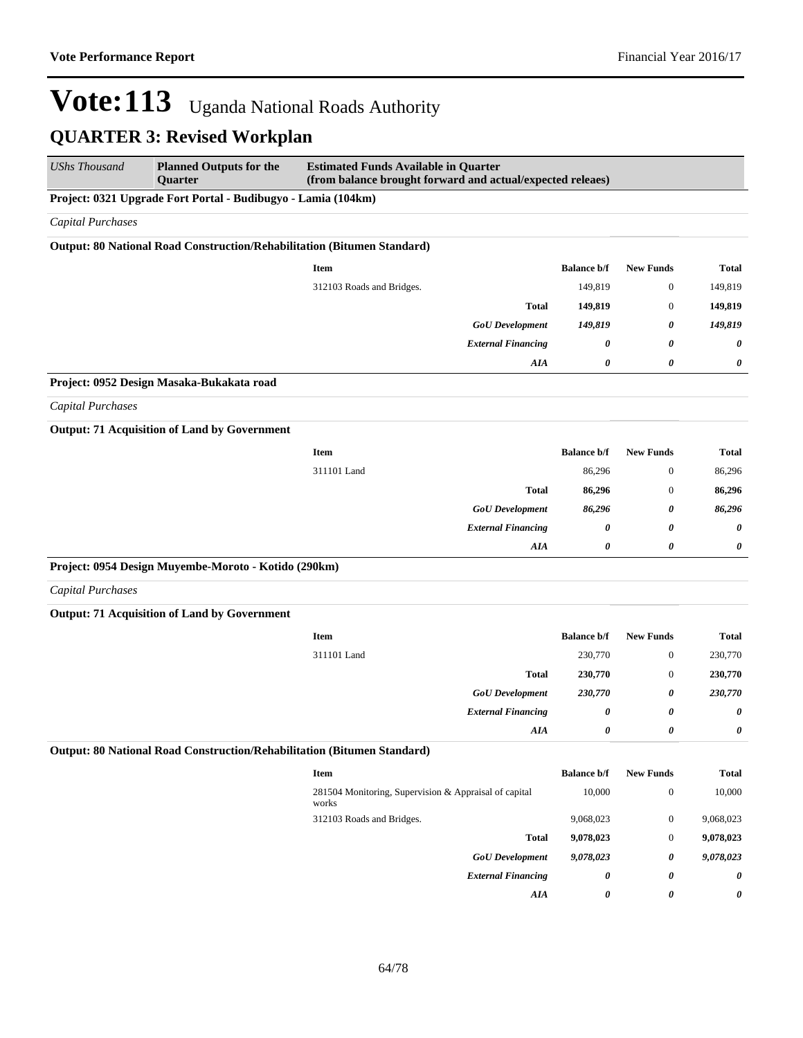| <b>UShs Thousand</b>     | <b>Planned Outputs for the</b><br>Quarter                               | <b>Estimated Funds Available in Quarter</b><br>(from balance brought forward and actual/expected releaes) |                    |                       |              |
|--------------------------|-------------------------------------------------------------------------|-----------------------------------------------------------------------------------------------------------|--------------------|-----------------------|--------------|
|                          | Project: 0321 Upgrade Fort Portal - Budibugyo - Lamia (104km)           |                                                                                                           |                    |                       |              |
| <b>Capital Purchases</b> |                                                                         |                                                                                                           |                    |                       |              |
|                          | Output: 80 National Road Construction/Rehabilitation (Bitumen Standard) |                                                                                                           |                    |                       |              |
|                          |                                                                         | Item                                                                                                      | <b>Balance b/f</b> | <b>New Funds</b>      | <b>Total</b> |
|                          |                                                                         | 312103 Roads and Bridges.                                                                                 | 149,819            | $\boldsymbol{0}$      | 149,819      |
|                          |                                                                         | <b>Total</b>                                                                                              | 149,819            | $\boldsymbol{0}$      | 149,819      |
|                          |                                                                         | <b>GoU</b> Development                                                                                    | 149,819            | 0                     | 149,819      |
|                          |                                                                         | <b>External Financing</b>                                                                                 | 0                  | $\boldsymbol{\theta}$ | 0            |
|                          |                                                                         | AIA                                                                                                       | 0                  | 0                     | 0            |
|                          | Project: 0952 Design Masaka-Bukakata road                               |                                                                                                           |                    |                       |              |
| <b>Capital Purchases</b> |                                                                         |                                                                                                           |                    |                       |              |
|                          | <b>Output: 71 Acquisition of Land by Government</b>                     |                                                                                                           |                    |                       |              |
|                          |                                                                         | <b>Item</b>                                                                                               | <b>Balance b/f</b> | <b>New Funds</b>      | <b>Total</b> |
|                          |                                                                         | 311101 Land                                                                                               | 86,296             | $\boldsymbol{0}$      | 86,296       |
|                          |                                                                         | <b>Total</b>                                                                                              | 86,296             | $\mathbf{0}$          | 86,296       |
|                          |                                                                         | <b>GoU</b> Development                                                                                    | 86,296             | 0                     | 86,296       |
|                          |                                                                         | <b>External Financing</b>                                                                                 | 0                  | 0                     | 0            |
|                          |                                                                         | AIA                                                                                                       | 0                  | 0                     | 0            |
|                          | Project: 0954 Design Muyembe-Moroto - Kotido (290km)                    |                                                                                                           |                    |                       |              |
| <b>Capital Purchases</b> |                                                                         |                                                                                                           |                    |                       |              |
|                          | <b>Output: 71 Acquisition of Land by Government</b>                     |                                                                                                           |                    |                       |              |
|                          |                                                                         | Item                                                                                                      | <b>Balance b/f</b> | <b>New Funds</b>      | <b>Total</b> |
|                          |                                                                         | 311101 Land                                                                                               | 230,770            | $\boldsymbol{0}$      | 230,770      |
|                          |                                                                         | <b>Total</b>                                                                                              | 230,770            | $\boldsymbol{0}$      | 230,770      |
|                          |                                                                         | <b>GoU</b> Development                                                                                    | 230,770            | 0                     | 230,770      |
|                          |                                                                         | <b>External Financing</b>                                                                                 | 0                  | 0                     | 0            |
|                          |                                                                         | AIA                                                                                                       | 0                  | 0                     | 0            |
|                          | Output: 80 National Road Construction/Rehabilitation (Bitumen Standard) |                                                                                                           |                    |                       |              |
|                          |                                                                         | Item                                                                                                      | <b>Balance b/f</b> | <b>New Funds</b>      | <b>Total</b> |
|                          |                                                                         | 281504 Monitoring, Supervision & Appraisal of capital<br>works                                            | 10,000             | $\boldsymbol{0}$      | 10,000       |
|                          |                                                                         | 312103 Roads and Bridges.                                                                                 | 9,068,023          | $\boldsymbol{0}$      | 9,068,023    |
|                          |                                                                         | <b>Total</b>                                                                                              | 9,078,023          | $\mathbf{0}$          | 9,078,023    |
|                          |                                                                         | <b>GoU</b> Development                                                                                    | 9,078,023          | 0                     | 9,078,023    |
|                          |                                                                         | <b>External Financing</b>                                                                                 | 0                  | 0                     | 0            |
|                          |                                                                         | ${\boldsymbol{A}} {\boldsymbol{I}} {\boldsymbol{A}}$                                                      | 0                  | 0                     | 0            |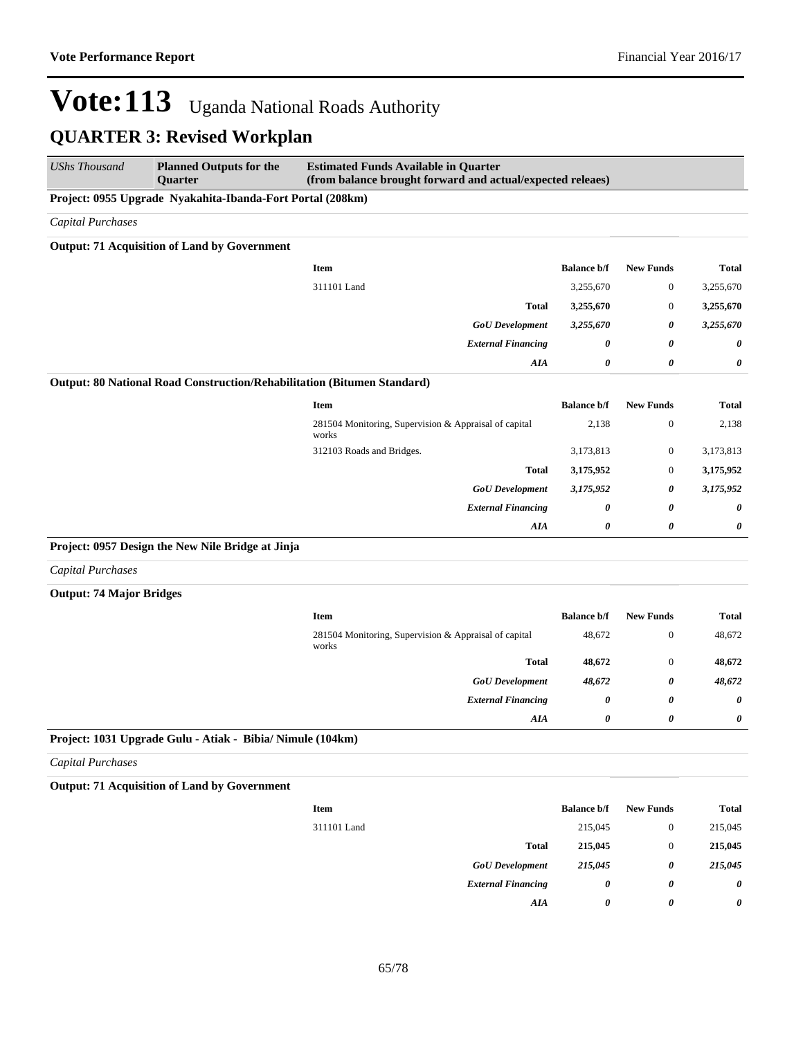| <b>UShs Thousand</b>                                       | <b>Planned Outputs for the</b><br><b>Quarter</b>                        | <b>Estimated Funds Available in Quarter</b><br>(from balance brought forward and actual/expected releaes) |                       |                  |              |  |  |
|------------------------------------------------------------|-------------------------------------------------------------------------|-----------------------------------------------------------------------------------------------------------|-----------------------|------------------|--------------|--|--|
| Project: 0955 Upgrade Nyakahita-Ibanda-Fort Portal (208km) |                                                                         |                                                                                                           |                       |                  |              |  |  |
| <b>Capital Purchases</b>                                   |                                                                         |                                                                                                           |                       |                  |              |  |  |
|                                                            | <b>Output: 71 Acquisition of Land by Government</b>                     |                                                                                                           |                       |                  |              |  |  |
|                                                            |                                                                         | Item                                                                                                      | <b>Balance b/f</b>    | <b>New Funds</b> | <b>Total</b> |  |  |
|                                                            |                                                                         | 311101 Land                                                                                               | 3,255,670             | $\boldsymbol{0}$ | 3,255,670    |  |  |
|                                                            |                                                                         | <b>Total</b>                                                                                              | 3,255,670             | $\mathbf{0}$     | 3,255,670    |  |  |
|                                                            |                                                                         | <b>GoU</b> Development                                                                                    | 3,255,670             | 0                | 3,255,670    |  |  |
|                                                            |                                                                         | <b>External Financing</b>                                                                                 | 0                     | 0                | 0            |  |  |
|                                                            |                                                                         | AIA                                                                                                       | $\boldsymbol{\theta}$ | $\pmb{\theta}$   | 0            |  |  |
|                                                            | Output: 80 National Road Construction/Rehabilitation (Bitumen Standard) |                                                                                                           |                       |                  |              |  |  |
|                                                            |                                                                         | <b>Item</b>                                                                                               | <b>Balance b/f</b>    | <b>New Funds</b> | <b>Total</b> |  |  |
|                                                            |                                                                         | 281504 Monitoring, Supervision & Appraisal of capital<br>works                                            | 2,138                 | $\boldsymbol{0}$ | 2,138        |  |  |
|                                                            |                                                                         | 312103 Roads and Bridges.                                                                                 | 3,173,813             | $\boldsymbol{0}$ | 3,173,813    |  |  |
|                                                            |                                                                         | <b>Total</b>                                                                                              | 3,175,952             | $\boldsymbol{0}$ | 3,175,952    |  |  |
|                                                            |                                                                         | <b>GoU</b> Development                                                                                    | 3,175,952             | 0                | 3,175,952    |  |  |
|                                                            |                                                                         | <b>External Financing</b>                                                                                 | 0                     | 0                | 0            |  |  |
|                                                            |                                                                         | <b>AIA</b>                                                                                                | $\boldsymbol{\theta}$ | $\pmb{\theta}$   | 0            |  |  |
|                                                            | Project: 0957 Design the New Nile Bridge at Jinja                       |                                                                                                           |                       |                  |              |  |  |
| <b>Capital Purchases</b>                                   |                                                                         |                                                                                                           |                       |                  |              |  |  |
| <b>Output: 74 Major Bridges</b>                            |                                                                         |                                                                                                           |                       |                  |              |  |  |
|                                                            |                                                                         | Item                                                                                                      | <b>Balance b/f</b>    | <b>New Funds</b> | <b>Total</b> |  |  |
|                                                            |                                                                         | 281504 Monitoring, Supervision & Appraisal of capital<br>works                                            | 48,672                | $\mathbf{0}$     | 48,672       |  |  |
|                                                            |                                                                         | <b>Total</b>                                                                                              | 48,672                | $\mathbf{0}$     | 48,672       |  |  |
|                                                            |                                                                         | <b>GoU</b> Development                                                                                    | 48,672                | 0                | 48,672       |  |  |
|                                                            |                                                                         | <b>External Financing</b>                                                                                 | $\boldsymbol{\theta}$ | 0                | 0            |  |  |
|                                                            |                                                                         | AIA                                                                                                       | $\boldsymbol{\theta}$ | $\pmb{\theta}$   | 0            |  |  |
|                                                            | Project: 1031 Upgrade Gulu - Atiak - Bibia/ Nimule (104km)              |                                                                                                           |                       |                  |              |  |  |
| Capital Purchases                                          |                                                                         |                                                                                                           |                       |                  |              |  |  |
|                                                            | <b>Output: 71 Acquisition of Land by Government</b>                     |                                                                                                           |                       |                  |              |  |  |
|                                                            |                                                                         | Item                                                                                                      | <b>Balance b/f</b>    | <b>New Funds</b> | <b>Total</b> |  |  |
|                                                            |                                                                         | 311101 Land                                                                                               | 215,045               | $\boldsymbol{0}$ | 215,045      |  |  |
|                                                            |                                                                         | <b>Total</b>                                                                                              | 215,045               | $\boldsymbol{0}$ | 215,045      |  |  |
|                                                            |                                                                         | <b>GoU</b> Development                                                                                    | 215,045               | 0                | 215,045      |  |  |
|                                                            |                                                                         | <b>External Financing</b>                                                                                 | $\boldsymbol{\theta}$ | 0                | 0            |  |  |
|                                                            |                                                                         | AIA                                                                                                       | 0                     | 0                | 0            |  |  |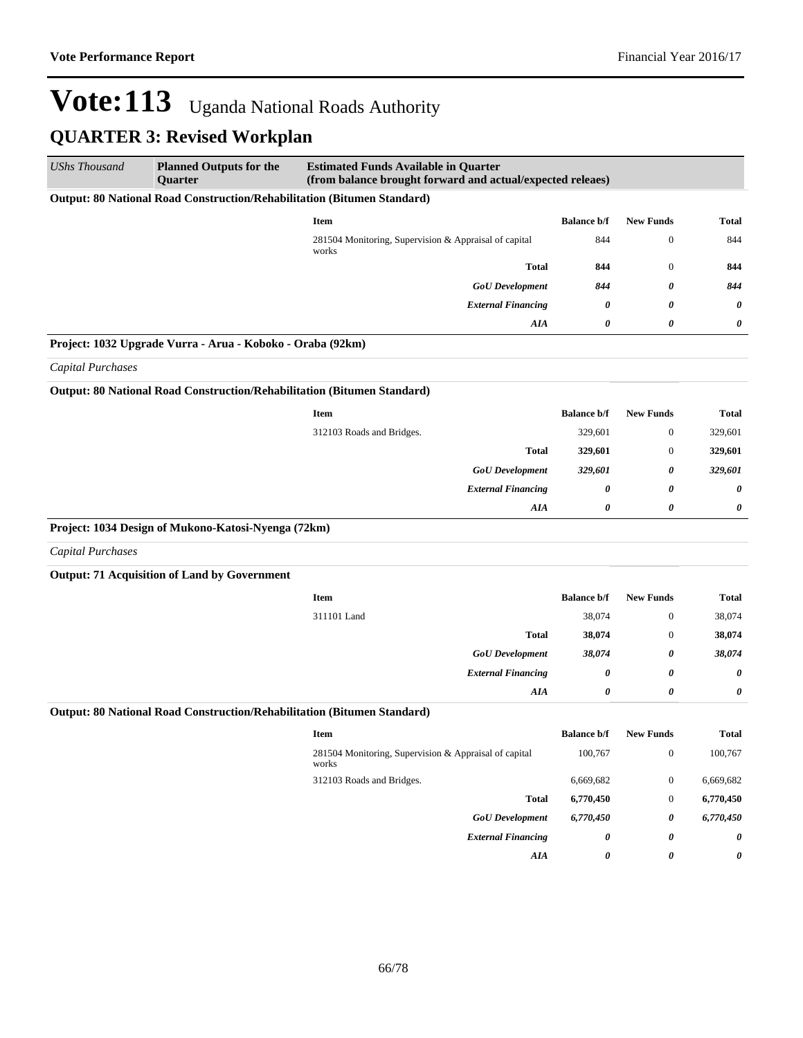| <b>UShs Thousand</b>     | <b>Planned Outputs for the</b><br><b>Quarter</b>                        | <b>Estimated Funds Available in Quarter</b><br>(from balance brought forward and actual/expected releaes) |                    |                  |              |
|--------------------------|-------------------------------------------------------------------------|-----------------------------------------------------------------------------------------------------------|--------------------|------------------|--------------|
|                          | Output: 80 National Road Construction/Rehabilitation (Bitumen Standard) |                                                                                                           |                    |                  |              |
|                          |                                                                         | <b>Item</b>                                                                                               | <b>Balance b/f</b> | <b>New Funds</b> | <b>Total</b> |
|                          |                                                                         | 281504 Monitoring, Supervision & Appraisal of capital<br>works                                            | 844                | $\boldsymbol{0}$ | 844          |
|                          |                                                                         | <b>Total</b>                                                                                              | 844                | $\boldsymbol{0}$ | 844          |
|                          |                                                                         | <b>GoU</b> Development                                                                                    | 844                | 0                | 844          |
|                          |                                                                         | <b>External Financing</b>                                                                                 | 0                  | 0                | 0            |
|                          |                                                                         | AIA                                                                                                       | 0                  | 0                | 0            |
|                          | Project: 1032 Upgrade Vurra - Arua - Koboko - Oraba (92km)              |                                                                                                           |                    |                  |              |
| <b>Capital Purchases</b> |                                                                         |                                                                                                           |                    |                  |              |
|                          | Output: 80 National Road Construction/Rehabilitation (Bitumen Standard) |                                                                                                           |                    |                  |              |
|                          |                                                                         | <b>Item</b>                                                                                               | <b>Balance b/f</b> | <b>New Funds</b> | <b>Total</b> |
|                          |                                                                         | 312103 Roads and Bridges.                                                                                 | 329,601            | $\mathbf{0}$     | 329,601      |
|                          |                                                                         | <b>Total</b>                                                                                              | 329,601            | $\boldsymbol{0}$ | 329,601      |
|                          |                                                                         | <b>GoU</b> Development                                                                                    | 329,601            | 0                | 329,601      |
|                          |                                                                         | <b>External Financing</b>                                                                                 | 0                  | 0                | 0            |
|                          |                                                                         | <b>AIA</b>                                                                                                | 0                  | 0                | 0            |
|                          | Project: 1034 Design of Mukono-Katosi-Nyenga (72km)                     |                                                                                                           |                    |                  |              |
| <b>Capital Purchases</b> |                                                                         |                                                                                                           |                    |                  |              |
|                          | <b>Output: 71 Acquisition of Land by Government</b>                     |                                                                                                           |                    |                  |              |
|                          |                                                                         | <b>Item</b>                                                                                               | <b>Balance b/f</b> | <b>New Funds</b> | <b>Total</b> |
|                          |                                                                         | 311101 Land                                                                                               | 38,074             | $\boldsymbol{0}$ | 38,074       |
|                          |                                                                         | <b>Total</b>                                                                                              | 38,074             | $\boldsymbol{0}$ | 38,074       |
|                          |                                                                         | <b>GoU</b> Development                                                                                    | 38,074             | 0                | 38,074       |
|                          |                                                                         | <b>External Financing</b>                                                                                 | 0                  | 0                | 0            |
|                          |                                                                         | AIA                                                                                                       | 0                  | 0                | 0            |
|                          | Output: 80 National Road Construction/Rehabilitation (Bitumen Standard) |                                                                                                           |                    |                  |              |
|                          |                                                                         | <b>Item</b>                                                                                               | <b>Balance b/f</b> | <b>New Funds</b> | <b>Total</b> |
|                          |                                                                         | 281504 Monitoring, Supervision & Appraisal of capital<br>works                                            | 100,767            | $\boldsymbol{0}$ | 100,767      |
|                          |                                                                         | 312103 Roads and Bridges.                                                                                 | 6,669,682          | $\boldsymbol{0}$ | 6,669,682    |
|                          |                                                                         | <b>Total</b>                                                                                              | 6,770,450          | $\boldsymbol{0}$ | 6,770,450    |
|                          |                                                                         | <b>GoU</b> Development                                                                                    | 6,770,450          | 0                | 6,770,450    |
|                          |                                                                         | <b>External Financing</b>                                                                                 | 0                  | 0                | 0            |
|                          |                                                                         | AIA                                                                                                       | 0                  | 0                | 0            |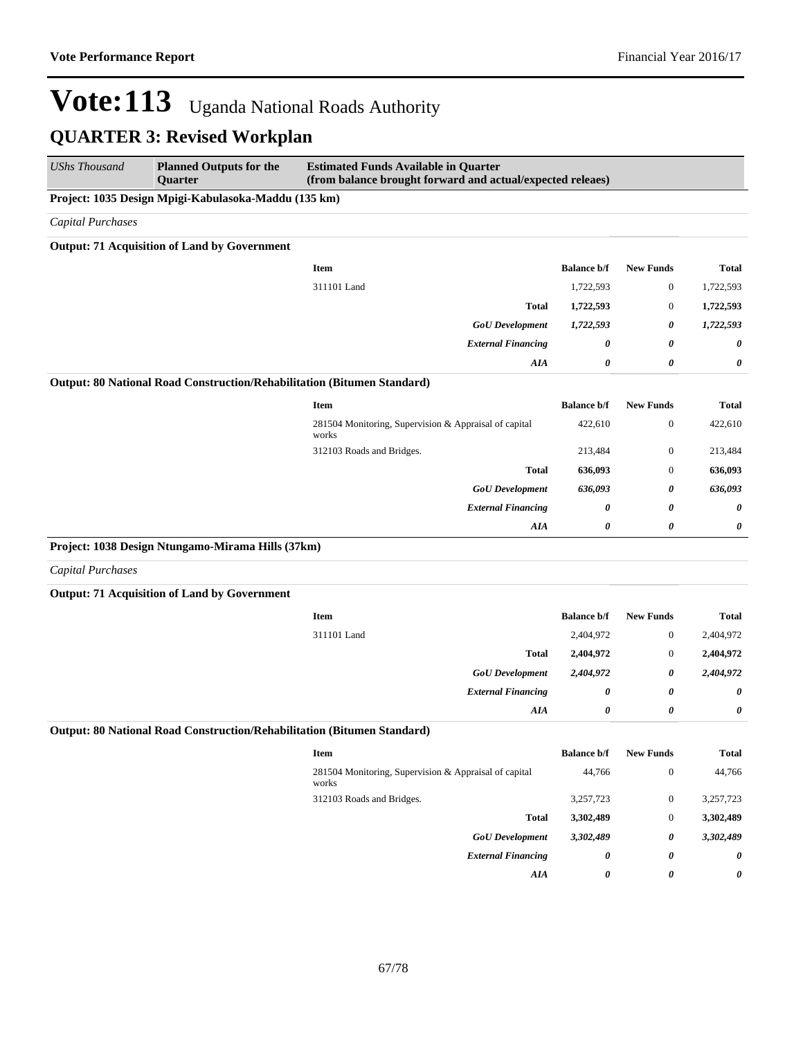| <b>UShs Thousand</b>     | <b>Planned Outputs for the</b><br><b>Ouarter</b>                        | <b>Estimated Funds Available in Quarter</b><br>(from balance brought forward and actual/expected releaes) |                    |                       |              |
|--------------------------|-------------------------------------------------------------------------|-----------------------------------------------------------------------------------------------------------|--------------------|-----------------------|--------------|
|                          | Project: 1035 Design Mpigi-Kabulasoka-Maddu (135 km)                    |                                                                                                           |                    |                       |              |
| Capital Purchases        |                                                                         |                                                                                                           |                    |                       |              |
|                          | <b>Output: 71 Acquisition of Land by Government</b>                     |                                                                                                           |                    |                       |              |
|                          |                                                                         | <b>Item</b>                                                                                               | <b>Balance b/f</b> | <b>New Funds</b>      | <b>Total</b> |
|                          |                                                                         | 311101 Land                                                                                               | 1,722,593          | $\boldsymbol{0}$      | 1,722,593    |
|                          |                                                                         | <b>Total</b>                                                                                              | 1,722,593          | $\boldsymbol{0}$      | 1,722,593    |
|                          |                                                                         | <b>GoU</b> Development                                                                                    | 1,722,593          | 0                     | 1,722,593    |
|                          |                                                                         | <b>External Financing</b>                                                                                 | 0                  | $\boldsymbol{\theta}$ | 0            |
|                          |                                                                         | AIA                                                                                                       | 0                  | 0                     | 0            |
|                          | Output: 80 National Road Construction/Rehabilitation (Bitumen Standard) |                                                                                                           |                    |                       |              |
|                          |                                                                         | <b>Item</b>                                                                                               | <b>Balance b/f</b> | <b>New Funds</b>      | <b>Total</b> |
|                          |                                                                         | 281504 Monitoring, Supervision & Appraisal of capital<br>works                                            | 422,610            | $\boldsymbol{0}$      | 422,610      |
|                          |                                                                         | 312103 Roads and Bridges.                                                                                 | 213,484            | $\mathbf{0}$          | 213,484      |
|                          |                                                                         | <b>Total</b>                                                                                              | 636,093            | $\mathbf{0}$          | 636,093      |
|                          |                                                                         | <b>GoU</b> Development                                                                                    | 636,093            | 0                     | 636,093      |
|                          |                                                                         | <b>External Financing</b>                                                                                 | 0                  | 0                     | 0            |
|                          |                                                                         | AIA                                                                                                       | 0                  | $\boldsymbol{\theta}$ | 0            |
|                          | Project: 1038 Design Ntungamo-Mirama Hills (37km)                       |                                                                                                           |                    |                       |              |
| <b>Capital Purchases</b> |                                                                         |                                                                                                           |                    |                       |              |
|                          | <b>Output: 71 Acquisition of Land by Government</b>                     |                                                                                                           |                    |                       |              |
|                          |                                                                         | <b>Item</b>                                                                                               | <b>Balance b/f</b> | <b>New Funds</b>      | <b>Total</b> |
|                          |                                                                         | 311101 Land                                                                                               | 2,404,972          | $\boldsymbol{0}$      | 2,404,972    |
|                          |                                                                         | <b>Total</b>                                                                                              | 2,404,972          | $\boldsymbol{0}$      | 2,404,972    |
|                          |                                                                         | <b>GoU</b> Development                                                                                    | 2,404,972          | 0                     | 2,404,972    |
|                          |                                                                         | <b>External Financing</b>                                                                                 | 0                  | 0                     | 0            |
|                          |                                                                         | AIA                                                                                                       | 0                  | 0                     | 0            |
|                          | Output: 80 National Road Construction/Rehabilitation (Bitumen Standard) |                                                                                                           |                    |                       |              |
|                          |                                                                         | <b>Item</b>                                                                                               | <b>Balance b/f</b> | <b>New Funds</b>      | <b>Total</b> |
|                          |                                                                         | 281504 Monitoring, Supervision & Appraisal of capital<br>works                                            | 44,766             | $\boldsymbol{0}$      | 44,766       |
|                          |                                                                         | 312103 Roads and Bridges.                                                                                 | 3,257,723          | $\boldsymbol{0}$      | 3,257,723    |
|                          |                                                                         | <b>Total</b>                                                                                              | 3,302,489          | $\boldsymbol{0}$      | 3,302,489    |
|                          |                                                                         | <b>GoU</b> Development                                                                                    | 3,302,489          | 0                     | 3,302,489    |
|                          |                                                                         | <b>External Financing</b>                                                                                 | 0                  | 0                     | 0            |
|                          |                                                                         | AIA                                                                                                       | 0                  | 0                     | 0            |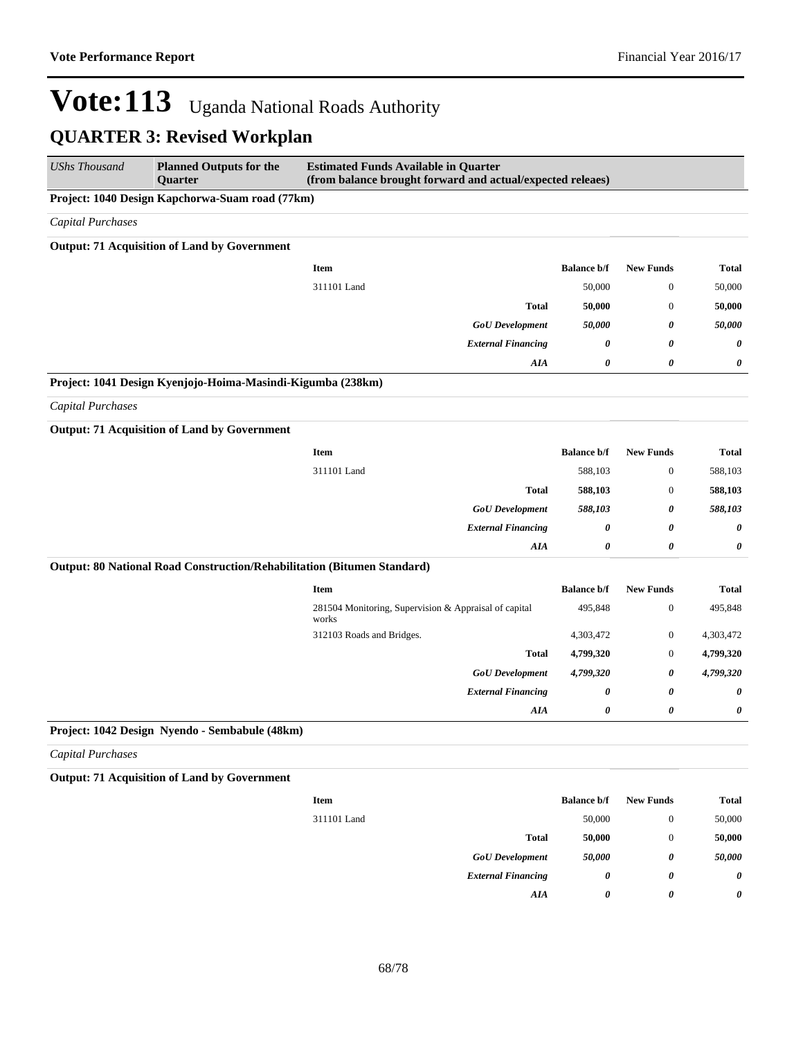| <b>UShs Thousand</b>     | <b>Planned Outputs for the</b><br><b>Ouarter</b>                        | <b>Estimated Funds Available in Quarter</b><br>(from balance brought forward and actual/expected releaes) |                    |                       |                       |  |
|--------------------------|-------------------------------------------------------------------------|-----------------------------------------------------------------------------------------------------------|--------------------|-----------------------|-----------------------|--|
|                          | Project: 1040 Design Kapchorwa-Suam road (77km)                         |                                                                                                           |                    |                       |                       |  |
| <b>Capital Purchases</b> |                                                                         |                                                                                                           |                    |                       |                       |  |
|                          | <b>Output: 71 Acquisition of Land by Government</b>                     |                                                                                                           |                    |                       |                       |  |
|                          |                                                                         | <b>Item</b>                                                                                               | <b>Balance b/f</b> | <b>New Funds</b>      | <b>Total</b>          |  |
|                          |                                                                         | 311101 Land                                                                                               | 50,000             | $\overline{0}$        | 50,000                |  |
|                          |                                                                         | <b>Total</b>                                                                                              | 50,000             | $\mathbf{0}$          | 50,000                |  |
|                          |                                                                         | <b>GoU</b> Development                                                                                    | 50,000             | 0                     | 50,000                |  |
|                          |                                                                         | <b>External Financing</b>                                                                                 | 0                  | 0                     | 0                     |  |
|                          |                                                                         | AIA                                                                                                       | 0                  | $\boldsymbol{\theta}$ | 0                     |  |
|                          | Project: 1041 Design Kyenjojo-Hoima-Masindi-Kigumba (238km)             |                                                                                                           |                    |                       |                       |  |
| Capital Purchases        |                                                                         |                                                                                                           |                    |                       |                       |  |
|                          | <b>Output: 71 Acquisition of Land by Government</b>                     |                                                                                                           |                    |                       |                       |  |
|                          |                                                                         | <b>Item</b>                                                                                               | <b>Balance b/f</b> | <b>New Funds</b>      | <b>Total</b>          |  |
|                          |                                                                         | 311101 Land                                                                                               | 588,103            | $\boldsymbol{0}$      | 588,103               |  |
|                          |                                                                         | <b>Total</b>                                                                                              | 588,103            | $\mathbf{0}$          | 588,103               |  |
|                          |                                                                         | <b>GoU</b> Development                                                                                    | 588,103            | 0                     | 588,103               |  |
|                          |                                                                         | <b>External Financing</b>                                                                                 | 0                  | 0                     | $\boldsymbol{\theta}$ |  |
|                          |                                                                         | AIA                                                                                                       | 0                  | 0                     | 0                     |  |
|                          | Output: 80 National Road Construction/Rehabilitation (Bitumen Standard) |                                                                                                           |                    |                       |                       |  |
|                          |                                                                         | Item                                                                                                      | <b>Balance b/f</b> | <b>New Funds</b>      | <b>Total</b>          |  |
|                          |                                                                         | 281504 Monitoring, Supervision & Appraisal of capital<br>works                                            | 495,848            | $\mathbf{0}$          | 495,848               |  |
|                          |                                                                         | 312103 Roads and Bridges.                                                                                 | 4,303,472          | $\boldsymbol{0}$      | 4,303,472             |  |
|                          |                                                                         | <b>Total</b>                                                                                              | 4,799,320          | $\mathbf{0}$          | 4,799,320             |  |
|                          |                                                                         | <b>GoU</b> Development                                                                                    | 4,799,320          | 0                     | 4,799,320             |  |
|                          |                                                                         | <b>External Financing</b>                                                                                 | 0                  | 0                     | 0                     |  |
|                          |                                                                         | AIA                                                                                                       | 0                  | 0                     | 0                     |  |
|                          | Project: 1042 Design Nyendo - Sembabule (48km)                          |                                                                                                           |                    |                       |                       |  |
| <b>Capital Purchases</b> |                                                                         |                                                                                                           |                    |                       |                       |  |
|                          |                                                                         |                                                                                                           |                    |                       |                       |  |

**Output: 71 Acquisition of Land by Government**

| <b>Item</b> |                           | <b>Balance b/f</b> | <b>New Funds</b> | Total  |
|-------------|---------------------------|--------------------|------------------|--------|
| 311101 Land |                           | 50,000             | $\mathbf{0}$     | 50,000 |
|             | <b>Total</b>              | 50,000             | $\theta$         | 50,000 |
|             | <b>GoU</b> Development    | 50,000             | 0                | 50,000 |
|             | <b>External Financing</b> | 0                  | 0                | 0      |
|             | AIA                       | 0                  | 0                | 0      |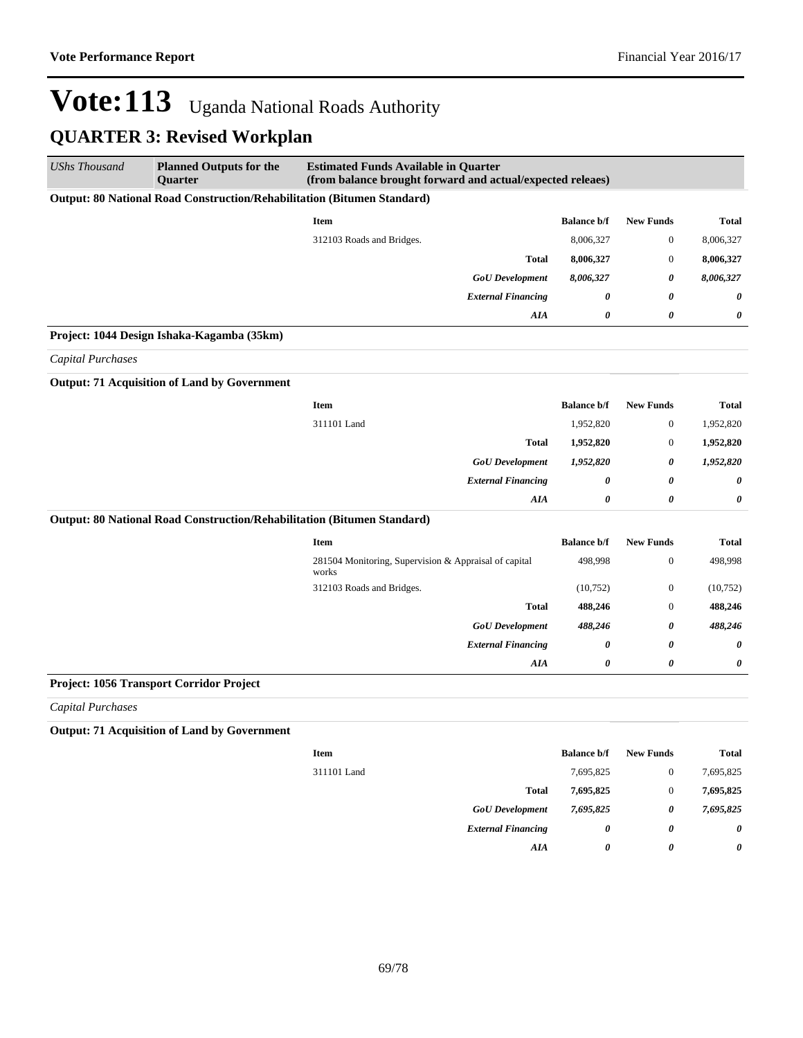| <b>UShs Thousand</b>     | <b>Planned Outputs for the</b><br><b>Quarter</b>                        | <b>Estimated Funds Available in Quarter</b><br>(from balance brought forward and actual/expected releaes) |                       |                  |                       |
|--------------------------|-------------------------------------------------------------------------|-----------------------------------------------------------------------------------------------------------|-----------------------|------------------|-----------------------|
|                          | Output: 80 National Road Construction/Rehabilitation (Bitumen Standard) |                                                                                                           |                       |                  |                       |
|                          |                                                                         | <b>Item</b>                                                                                               | <b>Balance b/f</b>    | <b>New Funds</b> | <b>Total</b>          |
|                          |                                                                         | 312103 Roads and Bridges.                                                                                 | 8,006,327             | $\boldsymbol{0}$ | 8,006,327             |
|                          |                                                                         | <b>Total</b>                                                                                              | 8,006,327             | $\boldsymbol{0}$ | 8,006,327             |
|                          |                                                                         | <b>GoU</b> Development                                                                                    | 8,006,327             | 0                | 8,006,327             |
|                          |                                                                         | <b>External Financing</b>                                                                                 | $\boldsymbol{\theta}$ | $\theta$         | $\boldsymbol{\theta}$ |
|                          |                                                                         | <b>AIA</b>                                                                                                | 0                     | 0                | 0                     |
|                          | Project: 1044 Design Ishaka-Kagamba (35km)                              |                                                                                                           |                       |                  |                       |
| <b>Capital Purchases</b> |                                                                         |                                                                                                           |                       |                  |                       |
|                          | <b>Output: 71 Acquisition of Land by Government</b>                     |                                                                                                           |                       |                  |                       |
|                          |                                                                         | Item                                                                                                      | <b>Balance b/f</b>    | <b>New Funds</b> | <b>Total</b>          |
|                          |                                                                         | 311101 Land                                                                                               | 1,952,820             | $\boldsymbol{0}$ | 1,952,820             |
|                          |                                                                         | <b>Total</b>                                                                                              | 1,952,820             | $\boldsymbol{0}$ | 1,952,820             |
|                          |                                                                         | <b>GoU</b> Development                                                                                    | 1,952,820             | 0                | 1,952,820             |
|                          |                                                                         | <b>External Financing</b>                                                                                 | $\boldsymbol{\theta}$ | 0                | 0                     |
|                          |                                                                         | AIA                                                                                                       | $\boldsymbol{\theta}$ | $\theta$         | 0                     |
|                          | Output: 80 National Road Construction/Rehabilitation (Bitumen Standard) |                                                                                                           |                       |                  |                       |
|                          |                                                                         | Item                                                                                                      | <b>Balance b/f</b>    | <b>New Funds</b> | <b>Total</b>          |
|                          |                                                                         | 281504 Monitoring, Supervision & Appraisal of capital<br>works                                            | 498,998               | $\boldsymbol{0}$ | 498,998               |
|                          |                                                                         | 312103 Roads and Bridges.                                                                                 | (10,752)              | $\boldsymbol{0}$ | (10,752)              |
|                          |                                                                         | <b>Total</b>                                                                                              | 488,246               | $\boldsymbol{0}$ | 488,246               |
|                          |                                                                         | <b>GoU</b> Development                                                                                    | 488,246               | 0                | 488,246               |
|                          |                                                                         | <b>External Financing</b>                                                                                 | 0                     | 0                | $\boldsymbol{\theta}$ |
|                          |                                                                         | AIA                                                                                                       | 0                     | 0                | 0                     |
|                          | Project: 1056 Transport Corridor Project                                |                                                                                                           |                       |                  |                       |
| <b>Capital Purchases</b> |                                                                         |                                                                                                           |                       |                  |                       |
|                          | Output: 71 Acquisition of Land by Covernment                            |                                                                                                           |                       |                  |                       |

**Output: 71 Acquisition of Land by Government**

| <b>Item</b> |                           | <b>Balance b/f</b> | <b>New Funds</b> | <b>Total</b> |
|-------------|---------------------------|--------------------|------------------|--------------|
| 311101 Land |                           | 7,695,825          | $\mathbf{0}$     | 7,695,825    |
|             | Total                     | 7,695,825          | $\theta$         | 7,695,825    |
|             | <b>GoU</b> Development    | 7,695,825          | 0                | 7,695,825    |
|             | <b>External Financing</b> | 0                  | 0                | 0            |
|             | AIA                       | 0                  | 0                | $\theta$     |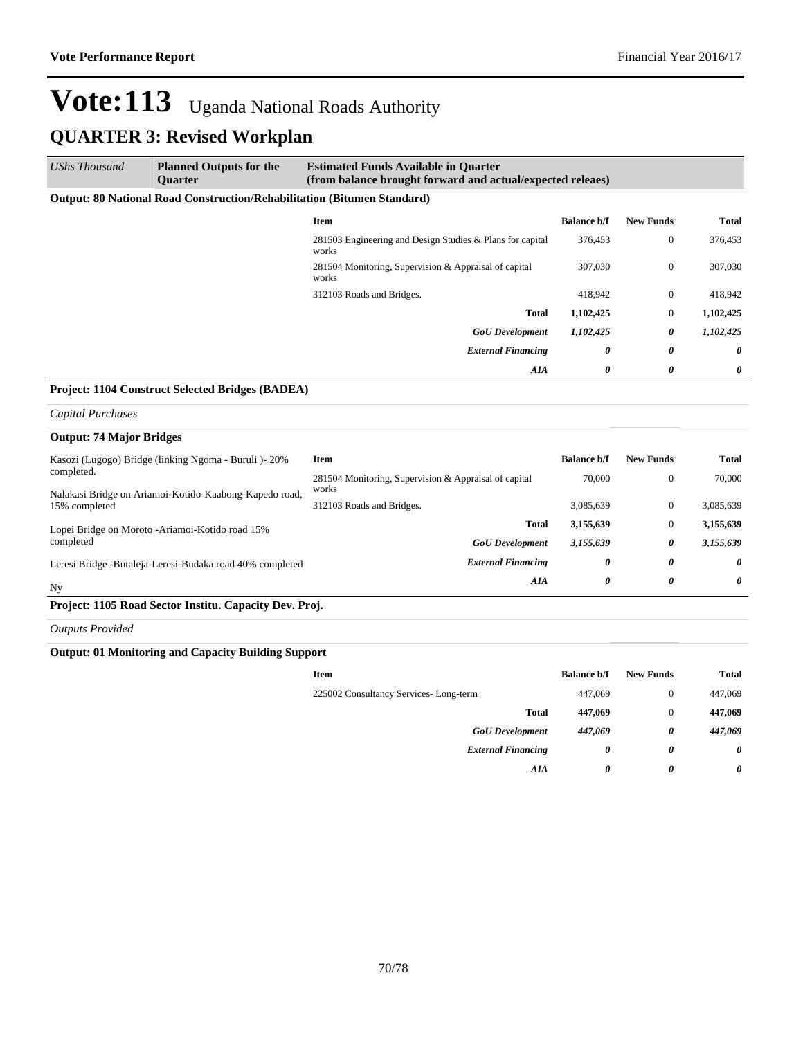| UShs Thousand | <b>Planned Outputs for the</b><br><b>Ouarter</b>                               | <b>Estimated Funds Available in Quarter</b><br>(from balance brought forward and actual/expected releaes) |                    |                       |              |
|---------------|--------------------------------------------------------------------------------|-----------------------------------------------------------------------------------------------------------|--------------------|-----------------------|--------------|
|               | <b>Output: 80 National Road Construction/Rehabilitation (Bitumen Standard)</b> |                                                                                                           |                    |                       |              |
|               |                                                                                | <b>Item</b>                                                                                               | <b>Balance b/f</b> | <b>New Funds</b>      | <b>Total</b> |
|               |                                                                                | 281503 Engineering and Design Studies & Plans for capital<br>works                                        | 376,453            | $\mathbf{0}$          | 376,453      |
|               |                                                                                | 281504 Monitoring, Supervision & Appraisal of capital<br>works                                            | 307,030            | $\mathbf{0}$          | 307,030      |
|               |                                                                                | 312103 Roads and Bridges.                                                                                 | 418,942            | $\mathbf{0}$          | 418,942      |
|               |                                                                                | Total                                                                                                     | 1,102,425          | $\mathbf{0}$          | 1,102,425    |
|               |                                                                                | <b>GoU</b> Development                                                                                    | 1,102,425          | 0                     | 1,102,425    |
|               |                                                                                | <b>External Financing</b>                                                                                 | 0                  | $\boldsymbol{\theta}$ | $\theta$     |
|               |                                                                                | AIA                                                                                                       | 0                  | 0                     | $\theta$     |

#### **Project: 1104 Construct Selected Bridges (BADEA)**

#### *Capital Purchases*

| <b>Output: 74 Major Bridges</b>                                         |                                                                |                    |                  |              |
|-------------------------------------------------------------------------|----------------------------------------------------------------|--------------------|------------------|--------------|
| Kasozi (Lugogo) Bridge (linking Ngoma - Buruli )- 20%                   | Item                                                           | <b>Balance b/f</b> | <b>New Funds</b> | <b>Total</b> |
| completed.                                                              | 281504 Monitoring, Supervision & Appraisal of capital<br>works | 70,000             | $\mathbf{0}$     | 70,000       |
| Nalakasi Bridge on Ariamoi-Kotido-Kaabong-Kapedo road,<br>15% completed | 312103 Roads and Bridges.                                      | 3.085.639          | $\mathbf{0}$     | 3.085.639    |
| Lopei Bridge on Moroto - Ariamoi-Kotido road 15%                        | <b>Total</b>                                                   | 3,155,639          | $\mathbf{0}$     | 3,155,639    |
| completed                                                               | <b>GoU</b> Development                                         | 3,155,639          | 0                | 3,155,639    |
| Leresi Bridge -Butaleja-Leresi-Budaka road 40% completed                | <b>External Financing</b>                                      | 0                  | 0                | $\theta$     |
| Ny                                                                      | AIA                                                            | 0                  | 0                | $\theta$     |

#### **Project: 1105 Road Sector Institu. Capacity Dev. Proj.**

*Outputs Provided*

#### **Output: 01 Monitoring and Capacity Building Support**

| Item                                  | <b>Balance b/f</b> | <b>New Funds</b> | Total                 |
|---------------------------------------|--------------------|------------------|-----------------------|
| 225002 Consultancy Services-Long-term | 447,069            | $\theta$         | 447,069               |
| <b>Total</b>                          | 447,069            | $\mathbf{0}$     | 447,069               |
| <b>GoU</b> Development                | 447,069            | 0                | 447,069               |
| <b>External Financing</b>             | 0                  | 0                | 0                     |
| AIA                                   | 0                  | 0                | $\boldsymbol{\theta}$ |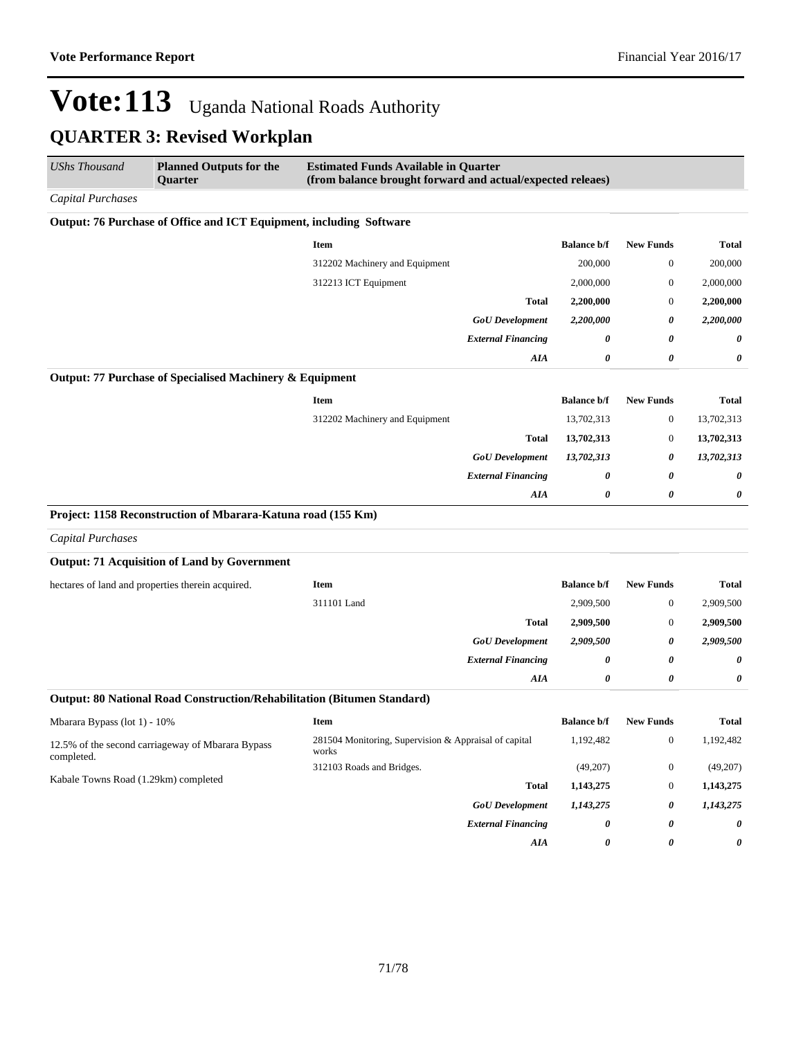| UShs Thousand                        | <b>Planned Outputs for the</b><br>Quarter                           | <b>Estimated Funds Available in Quarter</b><br>(from balance brought forward and actual/expected releaes) |                           |                    |                  |              |
|--------------------------------------|---------------------------------------------------------------------|-----------------------------------------------------------------------------------------------------------|---------------------------|--------------------|------------------|--------------|
| Capital Purchases                    |                                                                     |                                                                                                           |                           |                    |                  |              |
|                                      | Output: 76 Purchase of Office and ICT Equipment, including Software |                                                                                                           |                           |                    |                  |              |
|                                      |                                                                     | <b>Item</b>                                                                                               |                           | <b>Balance b/f</b> | <b>New Funds</b> | Total        |
|                                      |                                                                     | 312202 Machinery and Equipment                                                                            |                           | 200,000            | $\boldsymbol{0}$ | 200,000      |
|                                      |                                                                     | 312213 ICT Equipment                                                                                      |                           | 2,000,000          | $\boldsymbol{0}$ | 2,000,000    |
|                                      |                                                                     |                                                                                                           | <b>Total</b>              | 2,200,000          | $\mathbf{0}$     | 2,200,000    |
|                                      |                                                                     |                                                                                                           | <b>GoU</b> Development    | 2,200,000          | 0                | 2,200,000    |
|                                      |                                                                     |                                                                                                           | <b>External Financing</b> | 0                  | 0                | 0            |
|                                      |                                                                     |                                                                                                           | AIA                       | 0                  | 0                | 0            |
|                                      | Output: 77 Purchase of Specialised Machinery & Equipment            |                                                                                                           |                           |                    |                  |              |
|                                      |                                                                     | <b>Item</b>                                                                                               |                           | <b>Balance b/f</b> | <b>New Funds</b> | <b>Total</b> |
|                                      |                                                                     | 312202 Machinery and Equipment                                                                            |                           | 13,702,313         | $\bf{0}$         | 13,702,313   |
|                                      |                                                                     |                                                                                                           | <b>Total</b>              | 13,702,313         | $\bf{0}$         | 13,702,313   |
|                                      |                                                                     |                                                                                                           | <b>GoU</b> Development    | 13,702,313         | 0                | 13,702,313   |
|                                      |                                                                     |                                                                                                           | <b>External Financing</b> | 0                  | 0                | 0            |
|                                      |                                                                     |                                                                                                           | AIA                       | 0                  | 0                | 0            |
|                                      | Project: 1158 Reconstruction of Mbarara-Katuna road (155 Km)        |                                                                                                           |                           |                    |                  |              |
| <b>Capital Purchases</b>             |                                                                     |                                                                                                           |                           |                    |                  |              |
|                                      | <b>Output: 71 Acquisition of Land by Government</b>                 |                                                                                                           |                           |                    |                  |              |
|                                      | hectares of land and properties therein acquired.                   | <b>Item</b>                                                                                               |                           | <b>Balance b/f</b> | <b>New Funds</b> | Total        |
|                                      |                                                                     | 311101 Land                                                                                               |                           | 2,909,500          | $\boldsymbol{0}$ | 2,909,500    |
|                                      |                                                                     |                                                                                                           | <b>Total</b>              | 2,909,500          | $\bf{0}$         | 2,909,500    |
|                                      |                                                                     |                                                                                                           | <b>GoU</b> Development    | 2,909,500          | 0                | 2,909,500    |
|                                      |                                                                     |                                                                                                           | <b>External Financing</b> | 0                  | 0                | 0            |
|                                      |                                                                     |                                                                                                           | AIA                       | 0                  | 0                | 0            |
|                                      |                                                                     | Output: 80 National Road Construction/Rehabilitation (Bitumen Standard)                                   |                           |                    |                  |              |
| Mbarara Bypass (lot 1) - 10%         |                                                                     | Item                                                                                                      |                           | <b>Balance b/f</b> | <b>New Funds</b> | Total        |
| completed.                           | 12.5% of the second carriageway of Mbarara Bypass                   | 281504 Monitoring, Supervision & Appraisal of capital<br>works                                            |                           | 1,192,482          | $\boldsymbol{0}$ | 1,192,482    |
| Kabale Towns Road (1.29km) completed |                                                                     | 312103 Roads and Bridges.                                                                                 |                           | (49,207)           | $\boldsymbol{0}$ | (49,207)     |
|                                      |                                                                     |                                                                                                           | <b>Total</b>              | 1,143,275          | $\boldsymbol{0}$ | 1,143,275    |
|                                      |                                                                     |                                                                                                           | <b>GoU</b> Development    | 1,143,275          | 0                | 1,143,275    |
|                                      |                                                                     |                                                                                                           | <b>External Financing</b> | 0                  | 0                | 0            |
|                                      |                                                                     |                                                                                                           | AIA                       | 0                  | 0                | 0            |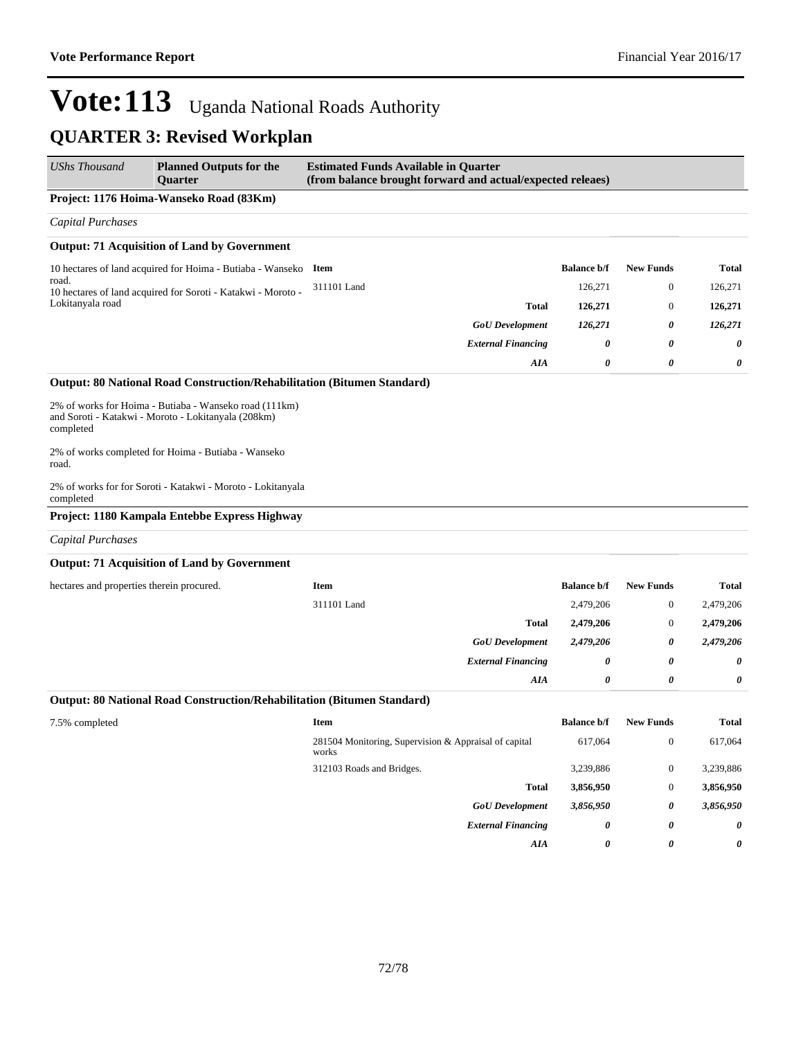| UShs Thousand                             | <b>Planned Outputs for the</b><br>Quarter                                                                     | <b>Estimated Funds Available in Quarter</b><br>(from balance brought forward and actual/expected releaes) |                    |                  |              |
|-------------------------------------------|---------------------------------------------------------------------------------------------------------------|-----------------------------------------------------------------------------------------------------------|--------------------|------------------|--------------|
|                                           | Project: 1176 Hoima-Wanseko Road (83Km)                                                                       |                                                                                                           |                    |                  |              |
| <b>Capital Purchases</b>                  |                                                                                                               |                                                                                                           |                    |                  |              |
|                                           | <b>Output: 71 Acquisition of Land by Government</b>                                                           |                                                                                                           |                    |                  |              |
|                                           | 10 hectares of land acquired for Hoima - Butiaba - Wanseko                                                    | Item                                                                                                      | <b>Balance b/f</b> | <b>New Funds</b> | <b>Total</b> |
| road.                                     | 10 hectares of land acquired for Soroti - Katakwi - Moroto -                                                  | 311101 Land                                                                                               | 126,271            | $\mathbf{0}$     | 126,271      |
| Lokitanyala road                          |                                                                                                               | <b>Total</b>                                                                                              | 126,271            | $\mathbf{0}$     | 126,271      |
|                                           |                                                                                                               | <b>GoU</b> Development                                                                                    | 126,271            | 0                | 126,271      |
|                                           |                                                                                                               | <b>External Financing</b>                                                                                 | 0                  | 0                | 0            |
|                                           |                                                                                                               | AIA                                                                                                       | 0                  | 0                | 0            |
|                                           | Output: 80 National Road Construction/Rehabilitation (Bitumen Standard)                                       |                                                                                                           |                    |                  |              |
| completed                                 | 2% of works for Hoima - Butiaba - Wanseko road (111km)<br>and Soroti - Katakwi - Moroto - Lokitanyala (208km) |                                                                                                           |                    |                  |              |
| road.                                     | 2% of works completed for Hoima - Butiaba - Wanseko                                                           |                                                                                                           |                    |                  |              |
| completed                                 | 2% of works for for Soroti - Katakwi - Moroto - Lokitanyala                                                   |                                                                                                           |                    |                  |              |
|                                           | Project: 1180 Kampala Entebbe Express Highway                                                                 |                                                                                                           |                    |                  |              |
| <b>Capital Purchases</b>                  |                                                                                                               |                                                                                                           |                    |                  |              |
|                                           | <b>Output: 71 Acquisition of Land by Government</b>                                                           |                                                                                                           |                    |                  |              |
| hectares and properties therein procured. |                                                                                                               | <b>Item</b>                                                                                               | <b>Balance b/f</b> | <b>New Funds</b> | <b>Total</b> |
|                                           |                                                                                                               | 311101 Land                                                                                               | 2,479,206          | $\mathbf{0}$     | 2,479,206    |
|                                           |                                                                                                               | <b>Total</b>                                                                                              | 2,479,206          | $\mathbf{0}$     | 2,479,206    |
|                                           |                                                                                                               | <b>GoU</b> Development                                                                                    | 2,479,206          | 0                | 2,479,206    |
|                                           |                                                                                                               | <b>External Financing</b>                                                                                 | 0                  | 0                | 0            |
|                                           |                                                                                                               | AIA                                                                                                       | 0                  | 0                | 0            |
|                                           | Output: 80 National Road Construction/Rehabilitation (Bitumen Standard)                                       |                                                                                                           |                    |                  |              |
| 7.5% completed                            |                                                                                                               | Item                                                                                                      | <b>Balance b/f</b> | <b>New Funds</b> | <b>Total</b> |
|                                           |                                                                                                               | 281504 Monitoring, Supervision & Appraisal of capital<br>works                                            | 617.064            | $\mathbf{0}$     | 617,064      |
|                                           |                                                                                                               | 312103 Roads and Bridges.                                                                                 | 3,239,886          | $\boldsymbol{0}$ | 3,239,886    |
|                                           |                                                                                                               | <b>Total</b>                                                                                              | 3,856,950          | $\boldsymbol{0}$ | 3,856,950    |
|                                           |                                                                                                               | <b>GoU</b> Development                                                                                    | 3,856,950          | 0                | 3,856,950    |
|                                           |                                                                                                               | <b>External Financing</b>                                                                                 | 0                  | 0                | 0            |
|                                           |                                                                                                               | AIA                                                                                                       | 0                  | 0                | 0            |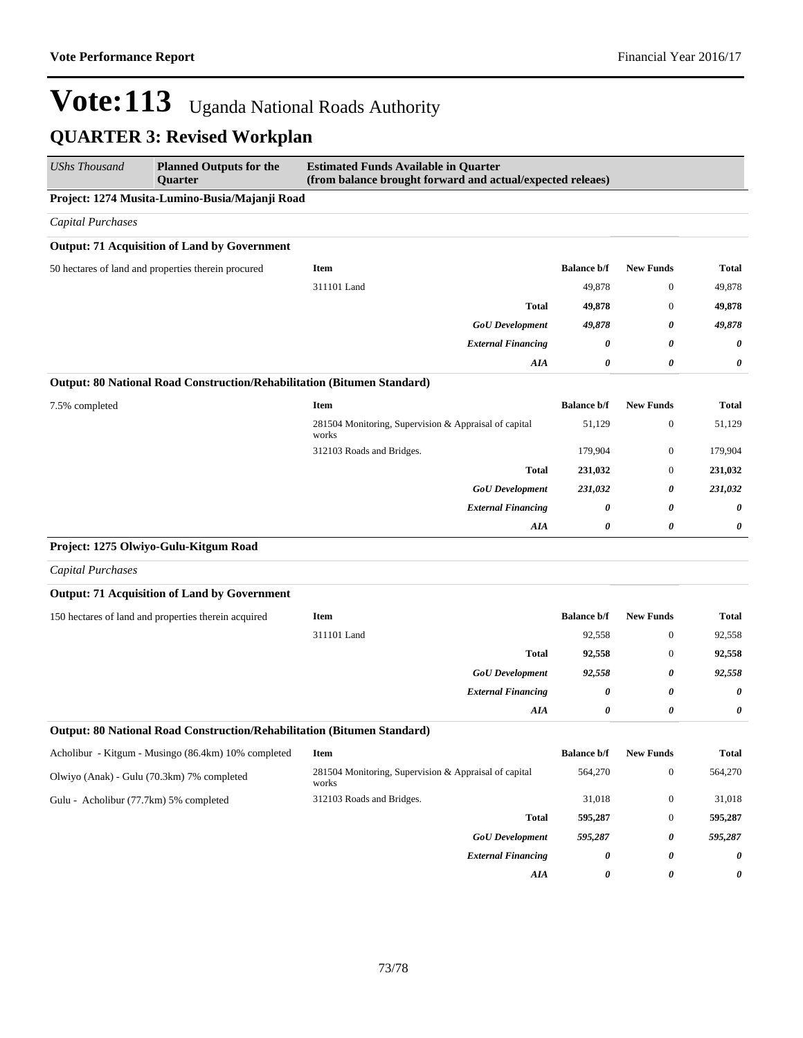| <b>UShs Thousand</b>                       | <b>Planned Outputs for the</b><br>Quarter                               | <b>Estimated Funds Available in Quarter</b><br>(from balance brought forward and actual/expected releaes) |                    |                  |              |
|--------------------------------------------|-------------------------------------------------------------------------|-----------------------------------------------------------------------------------------------------------|--------------------|------------------|--------------|
|                                            | Project: 1274 Musita-Lumino-Busia/Majanji Road                          |                                                                                                           |                    |                  |              |
| <b>Capital Purchases</b>                   |                                                                         |                                                                                                           |                    |                  |              |
|                                            | <b>Output: 71 Acquisition of Land by Government</b>                     |                                                                                                           |                    |                  |              |
|                                            | 50 hectares of land and properties therein procured                     | <b>Item</b>                                                                                               | <b>Balance b/f</b> | <b>New Funds</b> | <b>Total</b> |
|                                            |                                                                         | 311101 Land                                                                                               | 49,878             | $\boldsymbol{0}$ | 49,878       |
|                                            |                                                                         | <b>Total</b>                                                                                              | 49,878             | $\boldsymbol{0}$ | 49,878       |
|                                            |                                                                         | <b>GoU</b> Development                                                                                    | 49,878             | 0                | 49,878       |
|                                            |                                                                         | <b>External Financing</b>                                                                                 | 0                  | 0                | 0            |
|                                            |                                                                         | AIA                                                                                                       | 0                  | 0                | 0            |
|                                            | Output: 80 National Road Construction/Rehabilitation (Bitumen Standard) |                                                                                                           |                    |                  |              |
| 7.5% completed                             |                                                                         | <b>Item</b>                                                                                               | <b>Balance b/f</b> | <b>New Funds</b> | <b>Total</b> |
|                                            |                                                                         | 281504 Monitoring, Supervision & Appraisal of capital<br>works                                            | 51,129             | $\boldsymbol{0}$ | 51,129       |
|                                            |                                                                         | 312103 Roads and Bridges.                                                                                 | 179,904            | $\boldsymbol{0}$ | 179,904      |
|                                            |                                                                         | <b>Total</b>                                                                                              | 231,032            | $\boldsymbol{0}$ | 231,032      |
|                                            |                                                                         | <b>GoU</b> Development                                                                                    | 231,032            | 0                | 231,032      |
|                                            |                                                                         | <b>External Financing</b>                                                                                 | 0                  | 0                | 0            |
|                                            |                                                                         | AIA                                                                                                       | 0                  | 0                | 0            |
|                                            | Project: 1275 Olwiyo-Gulu-Kitgum Road                                   |                                                                                                           |                    |                  |              |
| <b>Capital Purchases</b>                   |                                                                         |                                                                                                           |                    |                  |              |
|                                            | <b>Output: 71 Acquisition of Land by Government</b>                     |                                                                                                           |                    |                  |              |
|                                            | 150 hectares of land and properties therein acquired                    | <b>Item</b>                                                                                               | <b>Balance b/f</b> | <b>New Funds</b> | <b>Total</b> |
|                                            |                                                                         | 311101 Land                                                                                               | 92,558             | $\boldsymbol{0}$ | 92,558       |
|                                            |                                                                         | <b>Total</b>                                                                                              | 92,558             | $\boldsymbol{0}$ | 92,558       |
|                                            |                                                                         | <b>GoU</b> Development                                                                                    | 92,558             | 0                | 92,558       |
|                                            |                                                                         | <b>External Financing</b>                                                                                 | 0                  | 0                | 0            |
|                                            |                                                                         | AIA                                                                                                       | 0                  | 0                | 0            |
|                                            | Output: 80 National Road Construction/Rehabilitation (Bitumen Standard) |                                                                                                           |                    |                  |              |
|                                            | Acholibur - Kitgum - Musingo (86.4km) 10% completed                     | Item                                                                                                      | <b>Balance b/f</b> | <b>New Funds</b> | <b>Total</b> |
| Olwiyo (Anak) - Gulu (70.3km) 7% completed |                                                                         | 281504 Monitoring, Supervision & Appraisal of capital<br>works                                            | 564,270            | $\boldsymbol{0}$ | 564,270      |
| Gulu - Acholibur (77.7km) 5% completed     |                                                                         | 312103 Roads and Bridges.                                                                                 | 31,018             | $\boldsymbol{0}$ | 31,018       |
|                                            |                                                                         | <b>Total</b>                                                                                              | 595,287            | $\boldsymbol{0}$ | 595,287      |
|                                            |                                                                         | <b>GoU</b> Development                                                                                    | 595,287            | 0                | 595,287      |
|                                            |                                                                         | <b>External Financing</b>                                                                                 | 0                  | 0                | 0            |
|                                            |                                                                         | AIA                                                                                                       | 0                  | 0                | 0            |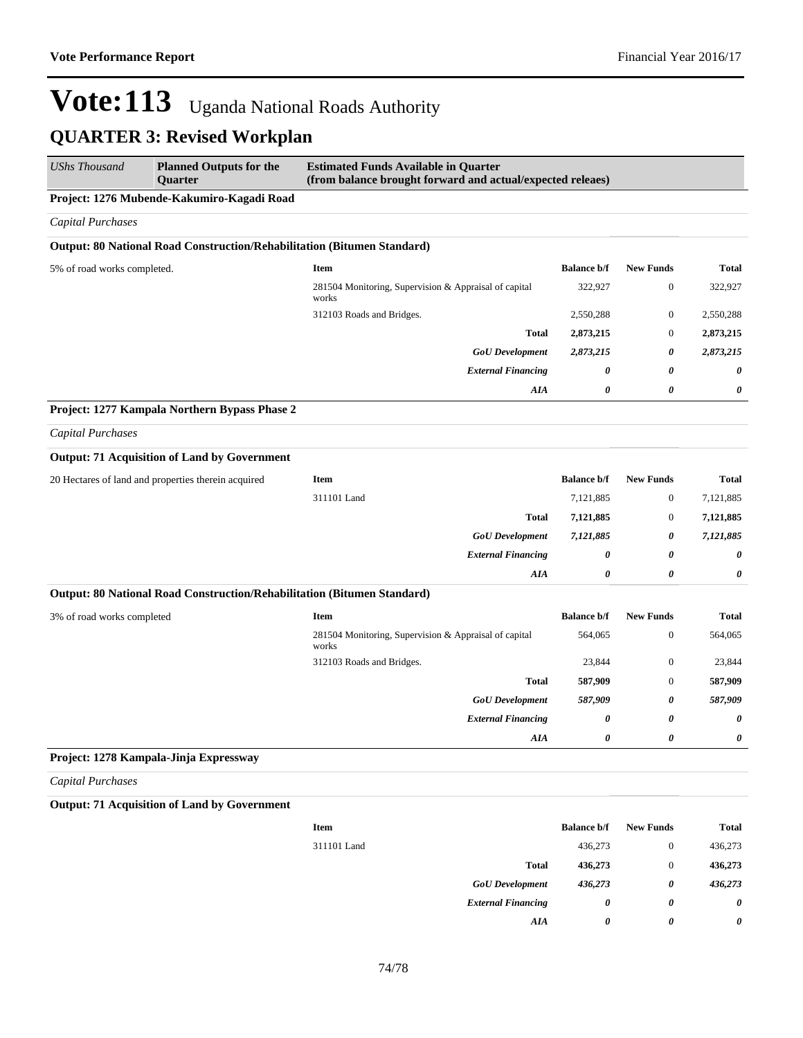| <b>UShs Thousand</b>                       | <b>Planned Outputs for the</b><br><b>Quarter</b>                        | <b>Estimated Funds Available in Quarter</b><br>(from balance brought forward and actual/expected releaes) |                    |                  |              |  |  |
|--------------------------------------------|-------------------------------------------------------------------------|-----------------------------------------------------------------------------------------------------------|--------------------|------------------|--------------|--|--|
| Project: 1276 Mubende-Kakumiro-Kagadi Road |                                                                         |                                                                                                           |                    |                  |              |  |  |
| <b>Capital Purchases</b>                   |                                                                         |                                                                                                           |                    |                  |              |  |  |
|                                            | Output: 80 National Road Construction/Rehabilitation (Bitumen Standard) |                                                                                                           |                    |                  |              |  |  |
| 5% of road works completed.                |                                                                         | <b>Item</b>                                                                                               | <b>Balance b/f</b> | <b>New Funds</b> | <b>Total</b> |  |  |
|                                            |                                                                         | 281504 Monitoring, Supervision & Appraisal of capital<br>works                                            | 322,927            | $\boldsymbol{0}$ | 322,927      |  |  |
|                                            |                                                                         | 312103 Roads and Bridges.                                                                                 | 2,550,288          | $\boldsymbol{0}$ | 2,550,288    |  |  |
|                                            |                                                                         | <b>Total</b>                                                                                              | 2,873,215          | $\mathbf{0}$     | 2,873,215    |  |  |
|                                            |                                                                         | <b>GoU</b> Development                                                                                    | 2,873,215          | 0                | 2,873,215    |  |  |
|                                            |                                                                         | <b>External Financing</b>                                                                                 | 0                  | 0                | 0            |  |  |
|                                            |                                                                         | AIA                                                                                                       | 0                  | 0                | 0            |  |  |
|                                            | Project: 1277 Kampala Northern Bypass Phase 2                           |                                                                                                           |                    |                  |              |  |  |
| <b>Capital Purchases</b>                   |                                                                         |                                                                                                           |                    |                  |              |  |  |
|                                            | <b>Output: 71 Acquisition of Land by Government</b>                     |                                                                                                           |                    |                  |              |  |  |
|                                            | 20 Hectares of land and properties therein acquired                     | <b>Item</b>                                                                                               | <b>Balance b/f</b> | <b>New Funds</b> | <b>Total</b> |  |  |
|                                            |                                                                         | 311101 Land                                                                                               | 7,121,885          | $\boldsymbol{0}$ | 7,121,885    |  |  |
|                                            |                                                                         | <b>Total</b>                                                                                              | 7,121,885          | $\boldsymbol{0}$ | 7,121,885    |  |  |
|                                            |                                                                         | <b>GoU</b> Development                                                                                    | 7,121,885          | 0                | 7,121,885    |  |  |
|                                            |                                                                         | <b>External Financing</b>                                                                                 | 0                  | 0                | 0            |  |  |
|                                            |                                                                         | AIA                                                                                                       | 0                  | 0                | 0            |  |  |
|                                            | Output: 80 National Road Construction/Rehabilitation (Bitumen Standard) |                                                                                                           |                    |                  |              |  |  |
| 3% of road works completed                 |                                                                         | <b>Item</b>                                                                                               | <b>Balance b/f</b> | <b>New Funds</b> | <b>Total</b> |  |  |
|                                            |                                                                         | 281504 Monitoring, Supervision & Appraisal of capital<br>works                                            | 564,065            | $\boldsymbol{0}$ | 564,065      |  |  |
|                                            |                                                                         | 312103 Roads and Bridges.                                                                                 | 23,844             | $\boldsymbol{0}$ | 23,844       |  |  |
|                                            |                                                                         | <b>Total</b>                                                                                              | 587,909            | $\boldsymbol{0}$ | 587,909      |  |  |
|                                            |                                                                         | <b>GoU</b> Development                                                                                    | 587,909            | 0                | 587,909      |  |  |
|                                            |                                                                         | <b>External Financing</b>                                                                                 | 0                  | 0                | 0            |  |  |
|                                            |                                                                         | AIA                                                                                                       | 0                  | 0                | 0            |  |  |
|                                            | Project: 1278 Kampala-Jinja Expressway                                  |                                                                                                           |                    |                  |              |  |  |
| <b>Capital Purchases</b>                   |                                                                         |                                                                                                           |                    |                  |              |  |  |
|                                            | <b>Output: 71 Acquisition of Land by Government</b>                     |                                                                                                           |                    |                  |              |  |  |
|                                            |                                                                         | Item                                                                                                      | <b>Balance b/f</b> | <b>New Funds</b> | <b>Total</b> |  |  |
|                                            |                                                                         | 311101 Land                                                                                               | 436,273            | $\boldsymbol{0}$ | 436,273      |  |  |
|                                            |                                                                         | <b>Total</b>                                                                                              | 436,273            | $\boldsymbol{0}$ | 436,273      |  |  |
|                                            |                                                                         | <b>GoU</b> Development                                                                                    | 436,273            | 0                | 436,273      |  |  |
|                                            |                                                                         | <b>External Financing</b>                                                                                 | 0                  | 0                | 0            |  |  |
|                                            |                                                                         | AIA                                                                                                       | 0                  | 0                | 0            |  |  |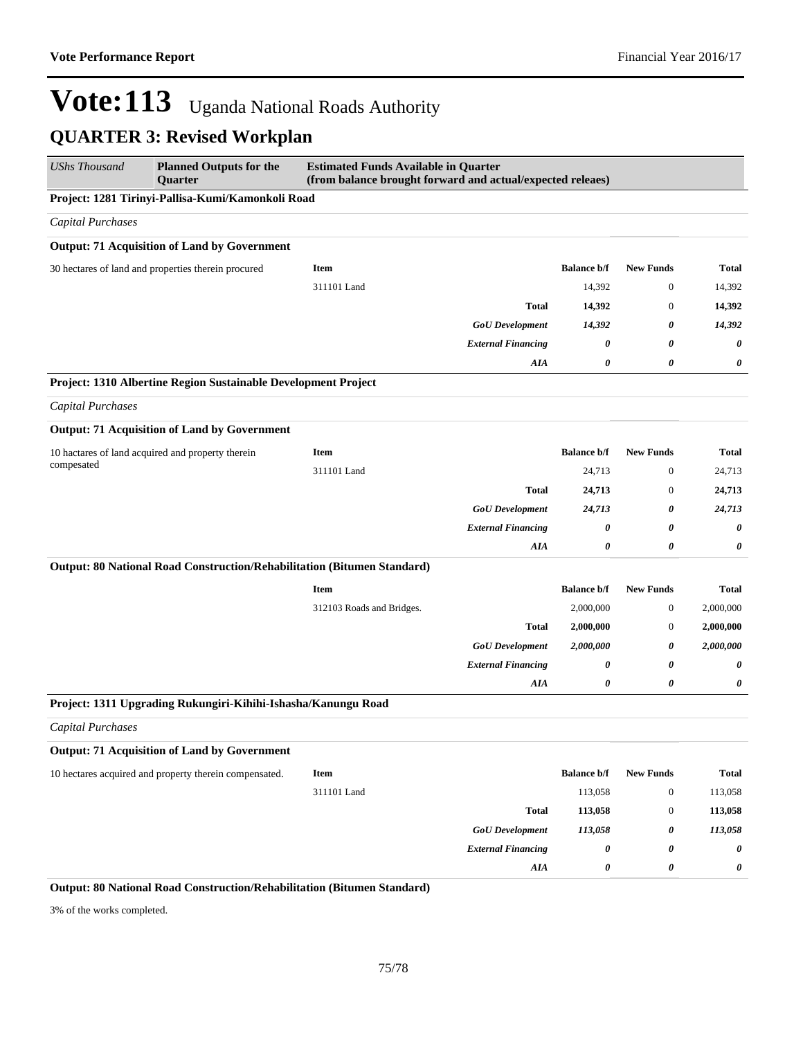| <b>Planned Outputs for the</b><br>Quarter         | <b>Estimated Funds Available in Quarter</b><br>(from balance brought forward and actual/expected releaes)                                                          |                                                                                                                                                                                                                                                                                                                                                                                 |                    |                  |              |  |  |
|---------------------------------------------------|--------------------------------------------------------------------------------------------------------------------------------------------------------------------|---------------------------------------------------------------------------------------------------------------------------------------------------------------------------------------------------------------------------------------------------------------------------------------------------------------------------------------------------------------------------------|--------------------|------------------|--------------|--|--|
| Project: 1281 Tirinyi-Pallisa-Kumi/Kamonkoli Road |                                                                                                                                                                    |                                                                                                                                                                                                                                                                                                                                                                                 |                    |                  |              |  |  |
|                                                   |                                                                                                                                                                    |                                                                                                                                                                                                                                                                                                                                                                                 |                    |                  |              |  |  |
|                                                   |                                                                                                                                                                    |                                                                                                                                                                                                                                                                                                                                                                                 |                    |                  |              |  |  |
|                                                   | Item                                                                                                                                                               |                                                                                                                                                                                                                                                                                                                                                                                 | <b>Balance b/f</b> | <b>New Funds</b> | Total        |  |  |
|                                                   | 311101 Land                                                                                                                                                        |                                                                                                                                                                                                                                                                                                                                                                                 | 14,392             | $\boldsymbol{0}$ | 14,392       |  |  |
|                                                   |                                                                                                                                                                    | <b>Total</b>                                                                                                                                                                                                                                                                                                                                                                    | 14,392             | $\mathbf{0}$     | 14,392       |  |  |
|                                                   |                                                                                                                                                                    | <b>GoU</b> Development                                                                                                                                                                                                                                                                                                                                                          | 14,392             | 0                | 14,392       |  |  |
|                                                   |                                                                                                                                                                    | <b>External Financing</b>                                                                                                                                                                                                                                                                                                                                                       | 0                  | 0                | 0            |  |  |
|                                                   |                                                                                                                                                                    | <b>AIA</b>                                                                                                                                                                                                                                                                                                                                                                      | 0                  | 0                | 0            |  |  |
|                                                   |                                                                                                                                                                    |                                                                                                                                                                                                                                                                                                                                                                                 |                    |                  |              |  |  |
|                                                   |                                                                                                                                                                    |                                                                                                                                                                                                                                                                                                                                                                                 |                    |                  |              |  |  |
|                                                   |                                                                                                                                                                    |                                                                                                                                                                                                                                                                                                                                                                                 |                    |                  |              |  |  |
|                                                   | <b>Item</b>                                                                                                                                                        |                                                                                                                                                                                                                                                                                                                                                                                 | <b>Balance b/f</b> | <b>New Funds</b> | <b>Total</b> |  |  |
|                                                   | 311101 Land                                                                                                                                                        |                                                                                                                                                                                                                                                                                                                                                                                 | 24,713             | $\boldsymbol{0}$ | 24,713       |  |  |
|                                                   |                                                                                                                                                                    | <b>Total</b>                                                                                                                                                                                                                                                                                                                                                                    | 24,713             | $\mathbf{0}$     | 24,713       |  |  |
|                                                   |                                                                                                                                                                    | <b>GoU</b> Development                                                                                                                                                                                                                                                                                                                                                          | 24,713             | 0                | 24,713       |  |  |
|                                                   |                                                                                                                                                                    | <b>External Financing</b>                                                                                                                                                                                                                                                                                                                                                       | 0                  | 0                | 0            |  |  |
|                                                   |                                                                                                                                                                    | AIA                                                                                                                                                                                                                                                                                                                                                                             | 0                  | 0                | 0            |  |  |
|                                                   |                                                                                                                                                                    |                                                                                                                                                                                                                                                                                                                                                                                 |                    |                  |              |  |  |
|                                                   | Item                                                                                                                                                               |                                                                                                                                                                                                                                                                                                                                                                                 | <b>Balance b/f</b> | <b>New Funds</b> | <b>Total</b> |  |  |
|                                                   | 312103 Roads and Bridges.                                                                                                                                          |                                                                                                                                                                                                                                                                                                                                                                                 | 2,000,000          | $\mathbf{0}$     | 2,000,000    |  |  |
|                                                   |                                                                                                                                                                    | <b>Total</b>                                                                                                                                                                                                                                                                                                                                                                    | 2,000,000          | $\mathbf{0}$     | 2,000,000    |  |  |
|                                                   |                                                                                                                                                                    | <b>GoU</b> Development                                                                                                                                                                                                                                                                                                                                                          | 2,000,000          | 0                | 2,000,000    |  |  |
|                                                   |                                                                                                                                                                    | <b>External Financing</b>                                                                                                                                                                                                                                                                                                                                                       | 0                  | 0                | 0            |  |  |
|                                                   |                                                                                                                                                                    | AIA                                                                                                                                                                                                                                                                                                                                                                             | 0                  | 0                | 0            |  |  |
|                                                   |                                                                                                                                                                    |                                                                                                                                                                                                                                                                                                                                                                                 |                    |                  |              |  |  |
|                                                   |                                                                                                                                                                    |                                                                                                                                                                                                                                                                                                                                                                                 |                    |                  |              |  |  |
|                                                   |                                                                                                                                                                    |                                                                                                                                                                                                                                                                                                                                                                                 |                    |                  |              |  |  |
|                                                   | Item                                                                                                                                                               |                                                                                                                                                                                                                                                                                                                                                                                 | <b>Balance b/f</b> | <b>New Funds</b> | Total        |  |  |
|                                                   | 311101 Land                                                                                                                                                        |                                                                                                                                                                                                                                                                                                                                                                                 | 113,058            | $\mathbf{0}$     | 113,058      |  |  |
|                                                   |                                                                                                                                                                    | <b>Total</b>                                                                                                                                                                                                                                                                                                                                                                    | 113,058            | $\boldsymbol{0}$ | 113,058      |  |  |
|                                                   |                                                                                                                                                                    | <b>GoU</b> Development                                                                                                                                                                                                                                                                                                                                                          | 113,058            | 0                | 113,058      |  |  |
|                                                   |                                                                                                                                                                    | <b>External Financing</b>                                                                                                                                                                                                                                                                                                                                                       | 0                  | 0                | 0            |  |  |
|                                                   |                                                                                                                                                                    | AIA                                                                                                                                                                                                                                                                                                                                                                             | 0                  | 0                | 0            |  |  |
|                                                   | 30 hectares of land and properties therein procured<br>10 hactares of land acquired and property therein<br>10 hectares acquired and property therein compensated. | <b>Output: 71 Acquisition of Land by Government</b><br>Project: 1310 Albertine Region Sustainable Development Project<br><b>Output: 71 Acquisition of Land by Government</b><br>Output: 80 National Road Construction/Rehabilitation (Bitumen Standard)<br>Project: 1311 Upgrading Rukungiri-Kihihi-Ishasha/Kanungu Road<br><b>Output: 71 Acquisition of Land by Government</b> |                    |                  |              |  |  |

3% of the works completed.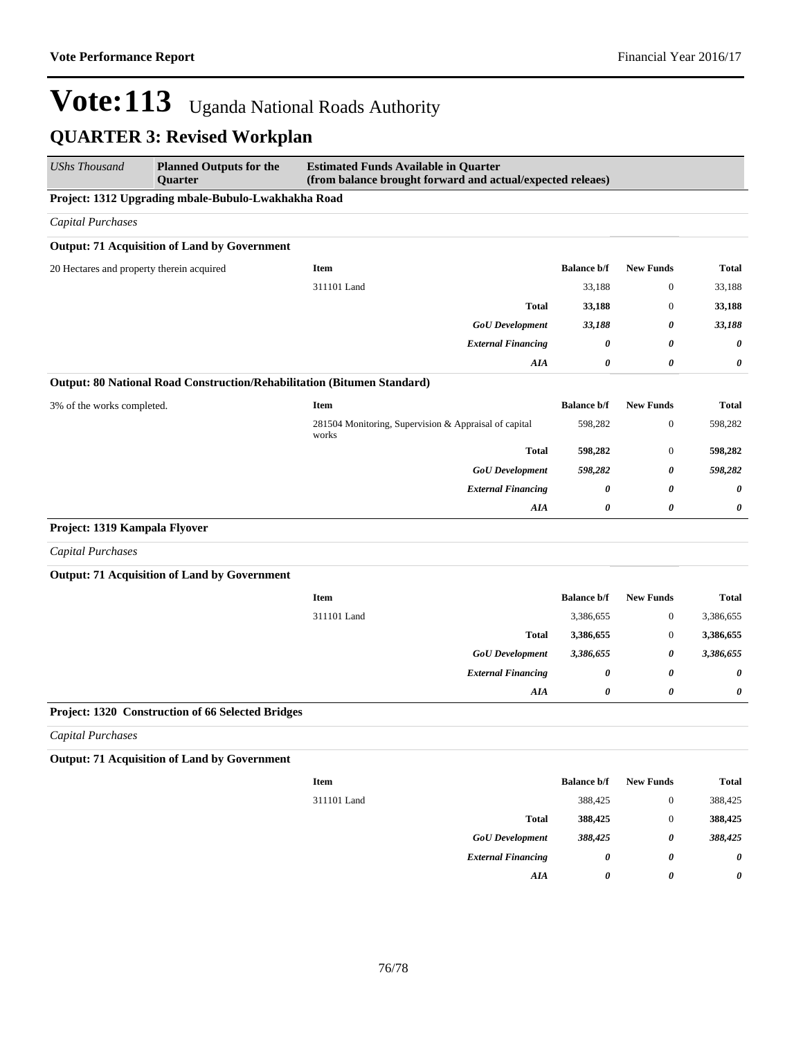| <b>UShs Thousand</b>                                | <b>Planned Outputs for the</b><br><b>Ouarter</b>                        | <b>Estimated Funds Available in Quarter</b><br>(from balance brought forward and actual/expected releaes) |                       |                       |              |  |  |
|-----------------------------------------------------|-------------------------------------------------------------------------|-----------------------------------------------------------------------------------------------------------|-----------------------|-----------------------|--------------|--|--|
| Project: 1312 Upgrading mbale-Bubulo-Lwakhakha Road |                                                                         |                                                                                                           |                       |                       |              |  |  |
| <b>Capital Purchases</b>                            |                                                                         |                                                                                                           |                       |                       |              |  |  |
|                                                     | <b>Output: 71 Acquisition of Land by Government</b>                     |                                                                                                           |                       |                       |              |  |  |
| 20 Hectares and property therein acquired           |                                                                         | Item                                                                                                      | <b>Balance b/f</b>    | <b>New Funds</b>      | <b>Total</b> |  |  |
|                                                     |                                                                         | 311101 Land                                                                                               | 33,188                | $\mathbf{0}$          | 33,188       |  |  |
|                                                     |                                                                         | <b>Total</b>                                                                                              | 33,188                | $\mathbf{0}$          | 33,188       |  |  |
|                                                     |                                                                         | <b>GoU</b> Development                                                                                    | 33,188                | 0                     | 33,188       |  |  |
|                                                     |                                                                         | <b>External Financing</b>                                                                                 | 0                     | $\boldsymbol{\theta}$ | 0            |  |  |
|                                                     |                                                                         | AIA                                                                                                       | 0                     | $\pmb{\theta}$        | 0            |  |  |
|                                                     | Output: 80 National Road Construction/Rehabilitation (Bitumen Standard) |                                                                                                           |                       |                       |              |  |  |
| 3% of the works completed.                          |                                                                         | <b>Item</b>                                                                                               | <b>Balance b/f</b>    | <b>New Funds</b>      | <b>Total</b> |  |  |
|                                                     |                                                                         | 281504 Monitoring, Supervision & Appraisal of capital<br>works                                            | 598,282               | $\mathbf{0}$          | 598,282      |  |  |
|                                                     |                                                                         | <b>Total</b>                                                                                              | 598,282               | $\mathbf{0}$          | 598,282      |  |  |
|                                                     |                                                                         | <b>GoU</b> Development                                                                                    | 598,282               | $\boldsymbol{\theta}$ | 598,282      |  |  |
|                                                     |                                                                         | <b>External Financing</b>                                                                                 | 0                     | $\boldsymbol{\theta}$ | 0            |  |  |
|                                                     |                                                                         | <b>AIA</b>                                                                                                | 0                     | $\boldsymbol{\theta}$ | 0            |  |  |
| Project: 1319 Kampala Flyover                       |                                                                         |                                                                                                           |                       |                       |              |  |  |
| <b>Capital Purchases</b>                            |                                                                         |                                                                                                           |                       |                       |              |  |  |
|                                                     | <b>Output: 71 Acquisition of Land by Government</b>                     |                                                                                                           |                       |                       |              |  |  |
|                                                     |                                                                         | <b>Item</b>                                                                                               | <b>Balance b/f</b>    | <b>New Funds</b>      | <b>Total</b> |  |  |
|                                                     |                                                                         | 311101 Land                                                                                               | 3,386,655             | $\boldsymbol{0}$      | 3,386,655    |  |  |
|                                                     |                                                                         | <b>Total</b>                                                                                              | 3,386,655             | $\boldsymbol{0}$      | 3,386,655    |  |  |
|                                                     |                                                                         | <b>GoU</b> Development                                                                                    | 3,386,655             | $\boldsymbol{\theta}$ | 3,386,655    |  |  |
|                                                     |                                                                         | <b>External Financing</b>                                                                                 | $\boldsymbol{\theta}$ | $\boldsymbol{\theta}$ | 0            |  |  |
|                                                     |                                                                         | AIA                                                                                                       | $\theta$              | $\boldsymbol{\theta}$ | 0            |  |  |
|                                                     | Project: 1320 Construction of 66 Selected Bridges                       |                                                                                                           |                       |                       |              |  |  |
| <b>Capital Purchases</b>                            |                                                                         |                                                                                                           |                       |                       |              |  |  |
|                                                     | <b>Output: 71 Acquisition of Land by Government</b>                     |                                                                                                           |                       |                       |              |  |  |
|                                                     |                                                                         | <b>Item</b>                                                                                               | <b>Balance b/f</b>    | <b>New Funds</b>      | Total        |  |  |

| Item        |                           | <b>Balance b/f</b> | New Funds | Total   |
|-------------|---------------------------|--------------------|-----------|---------|
| 311101 Land |                           | 388,425            | 0         | 388,425 |
|             | <b>Total</b>              | 388,425            | 0         | 388,425 |
|             | <b>GoU</b> Development    | 388,425            | 0         | 388,425 |
|             | <b>External Financing</b> | 0                  | 0         | 0       |
|             | AIA                       | 0                  | 0         | 0       |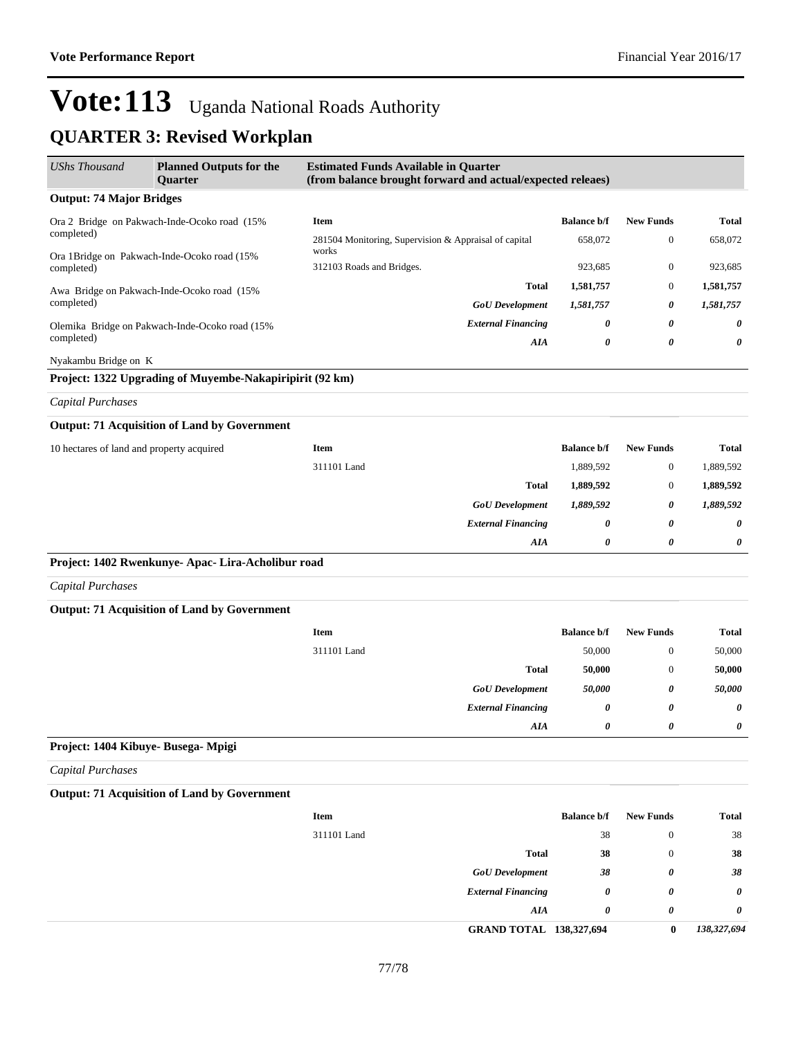# Vote: 113 Uganda National Roads Authority

#### **QUARTER 3: Revised Workplan**

| <b>UShs Thousand</b>                         | <b>Planned Outputs for the</b><br>Quarter                | <b>Estimated Funds Available in Quarter</b><br>(from balance brought forward and actual/expected releaes) |                    |                       |              |
|----------------------------------------------|----------------------------------------------------------|-----------------------------------------------------------------------------------------------------------|--------------------|-----------------------|--------------|
| <b>Output: 74 Major Bridges</b>              |                                                          |                                                                                                           |                    |                       |              |
| Ora 2 Bridge on Pakwach-Inde-Ocoko road (15% |                                                          | Item                                                                                                      | <b>Balance b/f</b> | <b>New Funds</b>      | <b>Total</b> |
| completed)                                   |                                                          | 281504 Monitoring, Supervision & Appraisal of capital                                                     | 658,072            | $\boldsymbol{0}$      | 658,072      |
| completed)                                   | Ora 1Bridge on Pakwach-Inde-Ocoko road (15%              | works<br>312103 Roads and Bridges.                                                                        | 923,685            | $\mathbf{0}$          | 923,685      |
|                                              | Awa Bridge on Pakwach-Inde-Ocoko road (15%               | <b>Total</b>                                                                                              | 1,581,757          | $\mathbf{0}$          | 1,581,757    |
| completed)                                   |                                                          | <b>GoU</b> Development                                                                                    | 1,581,757          | 0                     | 1,581,757    |
|                                              | Olemika Bridge on Pakwach-Inde-Ocoko road (15%           | <b>External Financing</b>                                                                                 | 0                  | 0                     | 0            |
| completed)                                   |                                                          | AIA                                                                                                       | 0                  | $\boldsymbol{\theta}$ | 0            |
| Nyakambu Bridge on K                         |                                                          |                                                                                                           |                    |                       |              |
|                                              | Project: 1322 Upgrading of Muyembe-Nakapiripirit (92 km) |                                                                                                           |                    |                       |              |
| <b>Capital Purchases</b>                     |                                                          |                                                                                                           |                    |                       |              |
|                                              | <b>Output: 71 Acquisition of Land by Government</b>      |                                                                                                           |                    |                       |              |
| 10 hectares of land and property acquired    |                                                          | <b>Item</b>                                                                                               | <b>Balance b/f</b> | <b>New Funds</b>      | <b>Total</b> |
|                                              |                                                          | 311101 Land                                                                                               | 1,889,592          | $\mathbf{0}$          | 1,889,592    |
|                                              |                                                          | <b>Total</b>                                                                                              | 1,889,592          | $\boldsymbol{0}$      | 1,889,592    |
|                                              |                                                          | <b>GoU</b> Development                                                                                    | 1,889,592          | 0                     | 1,889,592    |
|                                              |                                                          | <b>External Financing</b>                                                                                 | 0                  | $\boldsymbol{\theta}$ | 0            |
|                                              |                                                          | AIA                                                                                                       | 0                  | $\boldsymbol{\theta}$ | 0            |
|                                              | Project: 1402 Rwenkunye- Apac- Lira-Acholibur road       |                                                                                                           |                    |                       |              |
| <b>Capital Purchases</b>                     |                                                          |                                                                                                           |                    |                       |              |
|                                              | <b>Output: 71 Acquisition of Land by Government</b>      |                                                                                                           |                    |                       |              |
|                                              |                                                          | <b>Item</b>                                                                                               | <b>Balance b/f</b> | <b>New Funds</b>      | <b>Total</b> |
|                                              |                                                          | 311101 Land                                                                                               | 50,000             | $\boldsymbol{0}$      | 50,000       |
|                                              |                                                          | <b>Total</b>                                                                                              | 50,000             | $\mathbf{0}$          | 50,000       |
|                                              |                                                          | <b>GoU</b> Development                                                                                    | 50,000             | 0                     | 50,000       |
|                                              |                                                          | <b>External Financing</b>                                                                                 | 0                  | 0                     | 0            |
|                                              |                                                          | AIA                                                                                                       | 0                  | 0                     | 0            |
| Project: 1404 Kibuye- Busega- Mpigi          |                                                          |                                                                                                           |                    |                       |              |
| <b>Capital Purchases</b>                     |                                                          |                                                                                                           |                    |                       |              |
|                                              | <b>Output: 71 Acquisition of Land by Government</b>      |                                                                                                           |                    |                       |              |
|                                              |                                                          | Item                                                                                                      | <b>Balance b/f</b> | <b>New Funds</b>      | <b>Total</b> |
|                                              |                                                          | 311101 Land                                                                                               | 38                 | $\boldsymbol{0}$      | 38           |
|                                              |                                                          | <b>Total</b>                                                                                              | 38                 | $\mathbf{0}$          | 38           |
|                                              |                                                          | <b>GoU</b> Development                                                                                    | 38                 | $\boldsymbol{\theta}$ | 38           |
|                                              |                                                          | <b>External Financing</b>                                                                                 | 0                  | 0                     | 0            |
|                                              |                                                          | ${\boldsymbol{A}} {\boldsymbol{I}} {\boldsymbol{A}}$                                                      | 0                  | 0                     | 0            |

**GRAND TOTAL 138,327,694 0** *138,327,694*